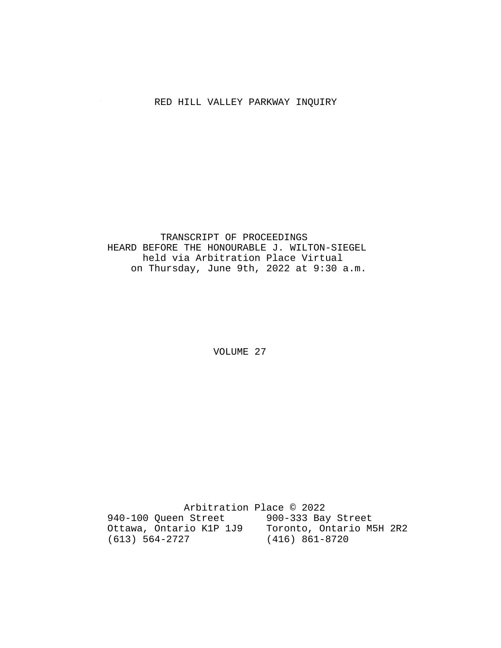# RED HILL VALLEY PARKWAY INQUIRY

## TRANSCRIPT OF PROCEEDINGS HEARD BEFORE THE HONOURABLE J. WILTON-SIEGEL held via Arbitration Place Virtual on Thursday, June 9th, 2022 at 9:30 a.m.

VOLUME 27

 Arbitration Place © 2022 940-100 Queen Street 900-333 Bay Street Ottawa, Ontario K1P 1J9 Toronto, Ontario M5H 2R2 (613) 564-2727 (416) 861-8720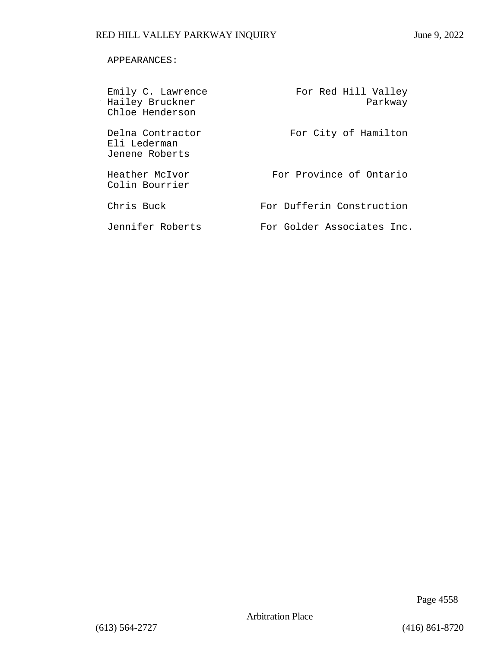## APPEARANCES:

| Emily C. Lawrence<br>Hailey Bruckner<br>Chloe Henderson | For Red Hill Valley<br>Parkway |
|---------------------------------------------------------|--------------------------------|
| Delna Contractor<br>Eli Lederman<br>Jenene Roberts      | For City of Hamilton           |
| Heather McIvor<br>Colin Bourrier                        | For Province of Ontario        |
| Chris Buck                                              | For Dufferin Construction      |
| Jennifer Roberts                                        | For Golder Associates Inc.     |

Page 4558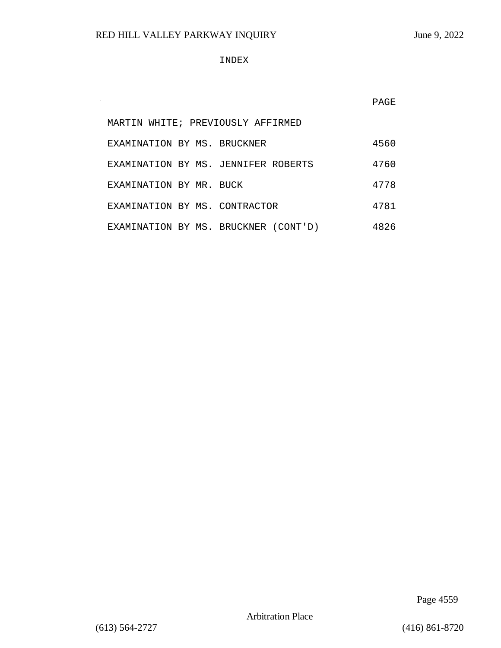$\sim$ 

### INDEX

PAGE

|                               | MARTIN WHITE; PREVIOUSLY AFFIRMED    |      |
|-------------------------------|--------------------------------------|------|
| EXAMINATION BY MS. BRUCKNER   |                                      | 4560 |
|                               | EXAMINATION BY MS. JENNIFER ROBERTS  | 4760 |
| EXAMINATION BY MR. BUCK       |                                      | 4778 |
| EXAMINATION BY MS. CONTRACTOR |                                      | 4781 |
|                               | EXAMINATION BY MS. BRUCKNER (CONT'D) | 4826 |

Page 4559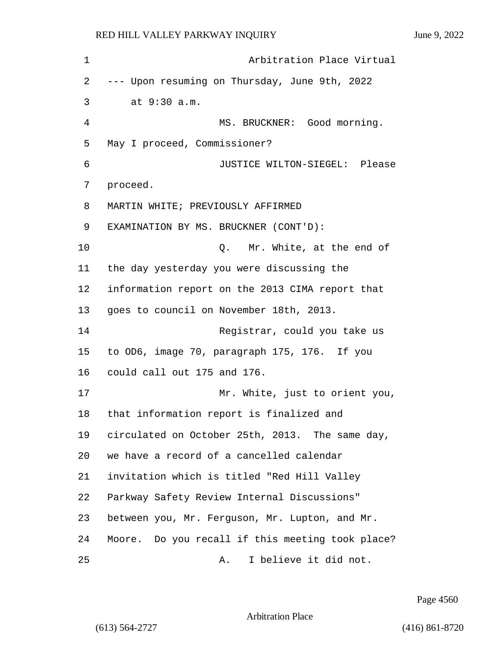| 1  | Arbitration Place Virtual                        |
|----|--------------------------------------------------|
| 2  | --- Upon resuming on Thursday, June 9th, 2022    |
| 3  | at 9:30 a.m.                                     |
| 4  | MS. BRUCKNER: Good morning.                      |
| 5  | May I proceed, Commissioner?                     |
| 6  | JUSTICE WILTON-SIEGEL: Please                    |
| 7  | proceed.                                         |
| 8  | MARTIN WHITE; PREVIOUSLY AFFIRMED                |
| 9  | EXAMINATION BY MS. BRUCKNER (CONT'D):            |
| 10 | Q. Mr. White, at the end of                      |
| 11 | the day yesterday you were discussing the        |
| 12 | information report on the 2013 CIMA report that  |
| 13 | goes to council on November 18th, 2013.          |
| 14 | Registrar, could you take us                     |
| 15 | to OD6, image 70, paragraph 175, 176. If you     |
| 16 | could call out 175 and 176.                      |
| 17 | Mr. White, just to orient you,                   |
| 18 | that information report is finalized and         |
| 19 | circulated on October 25th, 2013. The same day,  |
| 20 | we have a record of a cancelled calendar         |
| 21 | invitation which is titled "Red Hill Valley      |
| 22 | Parkway Safety Review Internal Discussions"      |
| 23 | between you, Mr. Ferguson, Mr. Lupton, and Mr.   |
| 24 | Moore. Do you recall if this meeting took place? |
| 25 | I believe it did not.<br>Α.                      |

Page 4560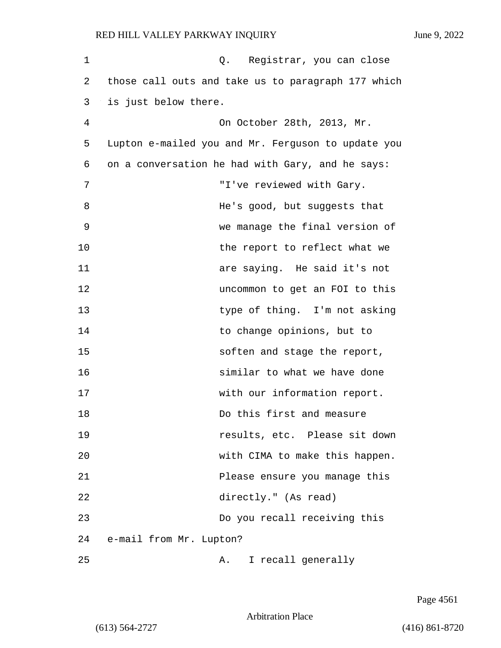| 1  | Q. Registrar, you can close                        |
|----|----------------------------------------------------|
| 2  | those call outs and take us to paragraph 177 which |
| 3  | is just below there.                               |
| 4  | On October 28th, 2013, Mr.                         |
| 5  | Lupton e-mailed you and Mr. Ferguson to update you |
| 6  | on a conversation he had with Gary, and he says:   |
| 7  | "I've reviewed with Gary.                          |
| 8  | He's good, but suggests that                       |
| 9  | we manage the final version of                     |
| 10 | the report to reflect what we                      |
| 11 | are saying. He said it's not                       |
| 12 | uncommon to get an FOI to this                     |
| 13 | type of thing. I'm not asking                      |
| 14 | to change opinions, but to                         |
| 15 | soften and stage the report,                       |
| 16 | similar to what we have done                       |
| 17 | with our information report.                       |
| 18 | Do this first and measure                          |
| 19 | results, etc. Please sit down                      |
| 20 | with CIMA to make this happen.                     |
| 21 | Please ensure you manage this                      |
| 22 | directly." (As read)                               |
| 23 | Do you recall receiving this                       |
| 24 | e-mail from Mr. Lupton?                            |
| 25 | I recall generally<br>Α.                           |

Page 4561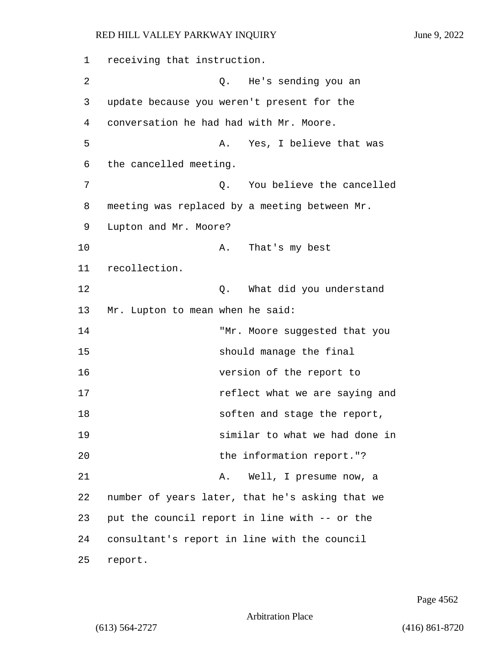1 receiving that instruction. 2 Q. He's sending you an 3 update because you weren't present for the 4 conversation he had had with Mr. Moore. 5 A. Yes, I believe that was 6 the cancelled meeting. 7 Q. You believe the cancelled 8 meeting was replaced by a meeting between Mr. 9 Lupton and Mr. Moore? 10 A. That's my best 11 recollection. 12 C. What did you understand 13 Mr. Lupton to mean when he said: 14 "Mr. Moore suggested that you 15 should manage the final 16 version of the report to 17 **17 reflect** what we are saying and 18 soften and stage the report, 19 similar to what we had done in 20 the information report."? 21 A. Well, I presume now, a 22 number of years later, that he's asking that we 23 put the council report in line with -- or the 24 consultant's report in line with the council 25 report.

Page 4562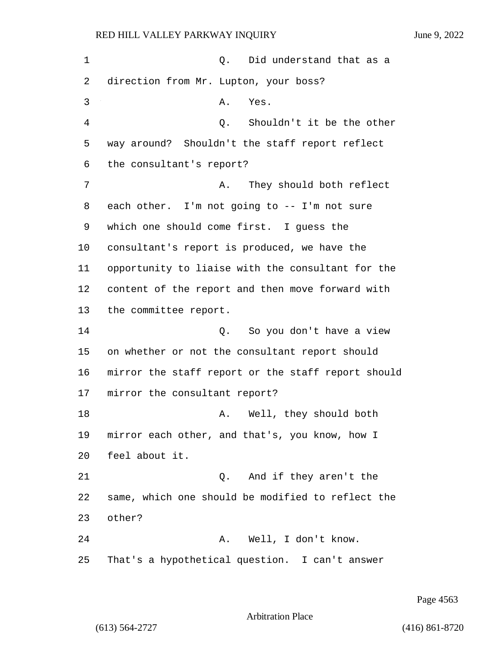1 and 1 and 1 and 1 and 1 and 1 and 1 and 1 and 1 and 1 and 1 and 1 and 1 and 1 and 1 and 1 and 1 and 1 and 1 and 1 and 1 and 1 and 1 and 1 and 1 and 1 and 1 and 1 and 1 and 1 and 1 and 1 and 1 and 1 and 1 and 1 and 1 and direction from Mr. Lupton, your boss? 3 A. Yes. 4 Q. Shouldn't it be the other way around? Shouldn't the staff report reflect the consultant's report? 7 A. They should both reflect each other. I'm not going to -- I'm not sure which one should come first. I guess the consultant's report is produced, we have the opportunity to liaise with the consultant for the content of the report and then move forward with the committee report. 14 C. So you don't have a view on whether or not the consultant report should mirror the staff report or the staff report should mirror the consultant report? 18 A. Well, they should both mirror each other, and that's, you know, how I feel about it. 21 C. And if they aren't the same, which one should be modified to reflect the 23 other? 24 A. Well, I don't know. That's a hypothetical question. I can't answer

Page 4563

Arbitration Place

(613) 564-2727 (416) 861-8720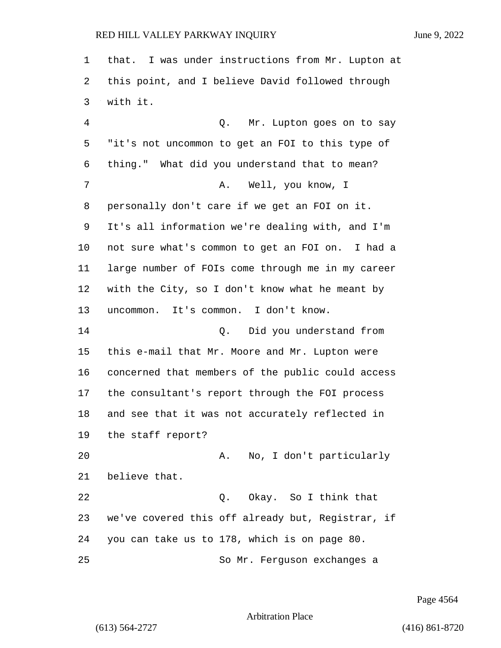that. I was under instructions from Mr. Lupton at this point, and I believe David followed through with it.

4 Q. Mr. Lupton goes on to say "it's not uncommon to get an FOI to this type of thing." What did you understand that to mean? 7 A. Well, you know, I personally don't care if we get an FOI on it. It's all information we're dealing with, and I'm not sure what's common to get an FOI on. I had a large number of FOIs come through me in my career with the City, so I don't know what he meant by uncommon. It's common. I don't know. 14 Q. Did you understand from this e-mail that Mr. Moore and Mr. Lupton were concerned that members of the public could access the consultant's report through the FOI process and see that it was not accurately reflected in the staff report? 20 A. No, I don't particularly believe that. 22 Q. Okay. So I think that we've covered this off already but, Registrar, if you can take us to 178, which is on page 80. 25 So Mr. Ferguson exchanges a

Page 4564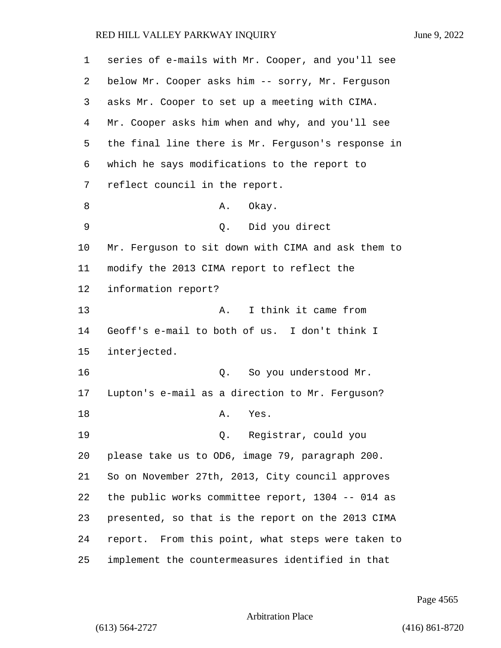series of e-mails with Mr. Cooper, and you'll see below Mr. Cooper asks him -- sorry, Mr. Ferguson asks Mr. Cooper to set up a meeting with CIMA. Mr. Cooper asks him when and why, and you'll see the final line there is Mr. Ferguson's response in which he says modifications to the report to reflect council in the report. 8 A. Okay. 9 Q. Did you direct Mr. Ferguson to sit down with CIMA and ask them to modify the 2013 CIMA report to reflect the information report? 13 A. I think it came from Geoff's e-mail to both of us. I don't think I interjected. 16 Q. So you understood Mr. Lupton's e-mail as a direction to Mr. Ferguson? 18 A. Yes. 19 Q. Registrar, could you please take us to OD6, image 79, paragraph 200. So on November 27th, 2013, City council approves the public works committee report, 1304 -- 014 as presented, so that is the report on the 2013 CIMA report. From this point, what steps were taken to implement the countermeasures identified in that

Page 4565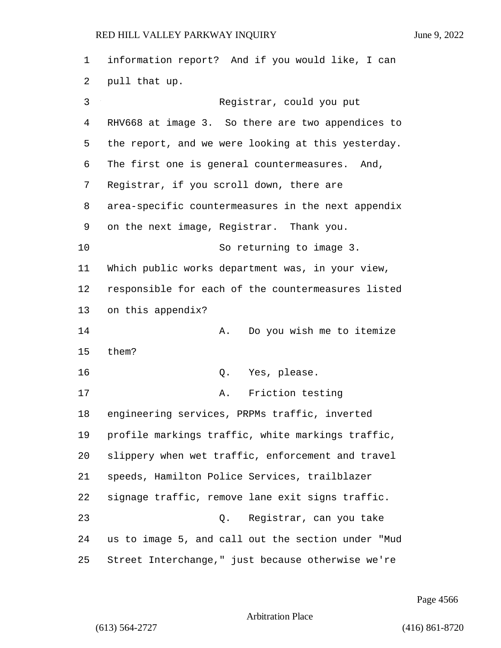information report? And if you would like, I can pull that up. 3 Registrar, could you put RHV668 at image 3. So there are two appendices to the report, and we were looking at this yesterday. The first one is general countermeasures. And, Registrar, if you scroll down, there are area-specific countermeasures in the next appendix on the next image, Registrar. Thank you. 10 So returning to image 3. Which public works department was, in your view, responsible for each of the countermeasures listed on this appendix? 14 A. Do you wish me to itemize them? 16 Q. Yes, please. 17 A. Friction testing engineering services, PRPMs traffic, inverted profile markings traffic, white markings traffic, slippery when wet traffic, enforcement and travel speeds, Hamilton Police Services, trailblazer signage traffic, remove lane exit signs traffic. 23 Q. Registrar, can you take us to image 5, and call out the section under "Mud Street Interchange," just because otherwise we're

Page 4566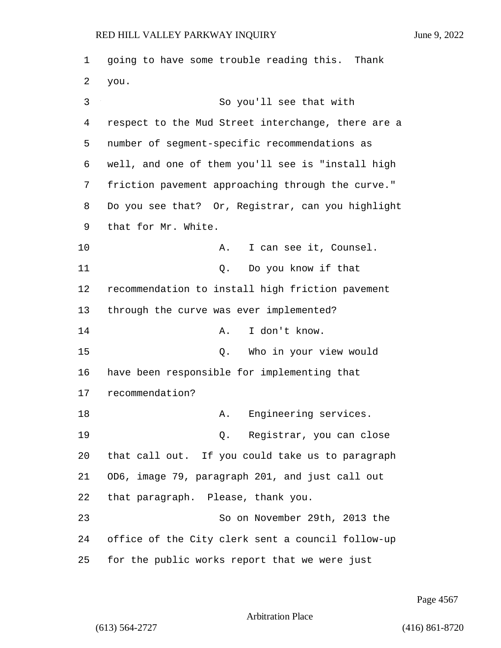going to have some trouble reading this. Thank 2 you. 3 So you'll see that with respect to the Mud Street interchange, there are a number of segment-specific recommendations as well, and one of them you'll see is "install high friction pavement approaching through the curve." Do you see that? Or, Registrar, can you highlight that for Mr. White. 10 A. I can see it, Counsel. 11 Q. Do you know if that recommendation to install high friction pavement through the curve was ever implemented? 14 A. I don't know. 15 Q. Who in your view would have been responsible for implementing that recommendation? 18 A. Engineering services. 19 Q. Registrar, you can close that call out. If you could take us to paragraph OD6, image 79, paragraph 201, and just call out that paragraph. Please, thank you. 23 So on November 29th, 2013 the office of the City clerk sent a council follow-up for the public works report that we were just

Page 4567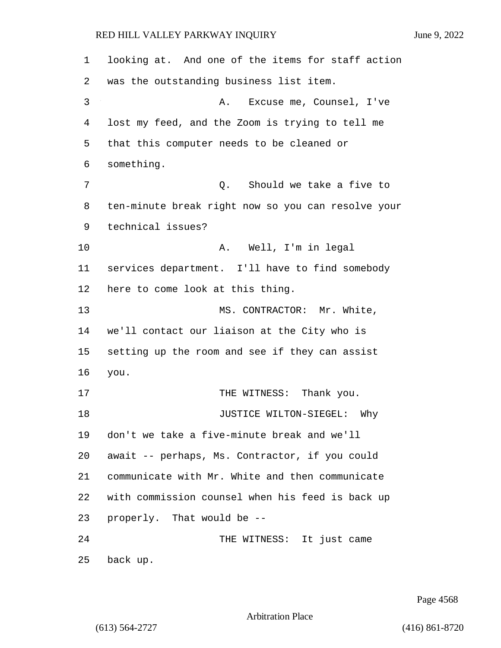looking at. And one of the items for staff action was the outstanding business list item. 3 A. Excuse me, Counsel, I've lost my feed, and the Zoom is trying to tell me that this computer needs to be cleaned or something. 7 Q. Should we take a five to ten-minute break right now so you can resolve your technical issues? 10 A. Well, I'm in legal services department. I'll have to find somebody here to come look at this thing. 13 MS. CONTRACTOR: Mr. White, we'll contact our liaison at the City who is setting up the room and see if they can assist you. 17 THE WITNESS: Thank you. 18 JUSTICE WILTON-SIEGEL: Why don't we take a five-minute break and we'll await -- perhaps, Ms. Contractor, if you could communicate with Mr. White and then communicate with commission counsel when his feed is back up properly. That would be -- 24 THE WITNESS: It just came back up.

Page 4568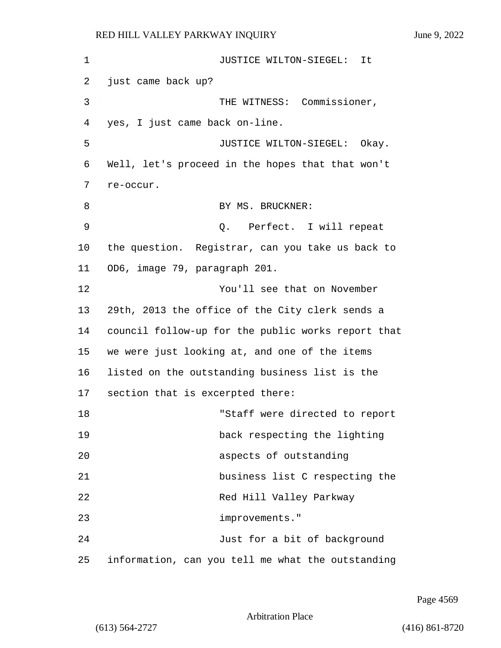1 JUSTICE WILTON-SIEGEL: It 2 just came back up? 3 THE WITNESS: Commissioner, 4 yes, I just came back on-line. 5 JUSTICE WILTON-SIEGEL: Okay. 6 Well, let's proceed in the hopes that that won't 7 re-occur. 8 BY MS. BRUCKNER: 9 Q. Perfect. I will repeat 10 the question. Registrar, can you take us back to 11 OD6, image 79, paragraph 201. 12 You'll see that on November 13 29th, 2013 the office of the City clerk sends a 14 council follow-up for the public works report that 15 we were just looking at, and one of the items 16 listed on the outstanding business list is the 17 section that is excerpted there: 18 "Staff were directed to report 19 back respecting the lighting 20 aspects of outstanding 21 business list C respecting the 22 Red Hill Valley Parkway 23 improvements." 24 Just for a bit of background 25 information, can you tell me what the outstanding

Page 4569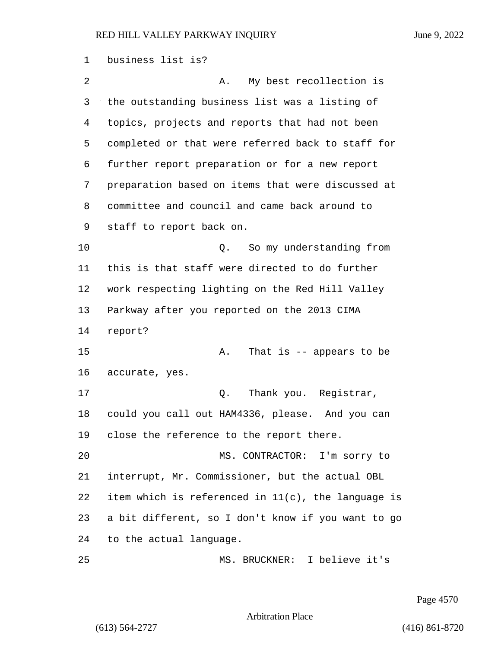business list is? 2 A. My best recollection is the outstanding business list was a listing of topics, projects and reports that had not been completed or that were referred back to staff for further report preparation or for a new report preparation based on items that were discussed at committee and council and came back around to staff to report back on. 10 Q. So my understanding from this is that staff were directed to do further work respecting lighting on the Red Hill Valley Parkway after you reported on the 2013 CIMA report? 15 A. That is -- appears to be accurate, yes. 17 and 0. Thank you. Reqistrar, could you call out HAM4336, please. And you can close the reference to the report there. 20 MS. CONTRACTOR: I'm sorry to interrupt, Mr. Commissioner, but the actual OBL item which is referenced in 11(c), the language is a bit different, so I don't know if you want to go to the actual language. 25 MS. BRUCKNER: I believe it's

Page 4570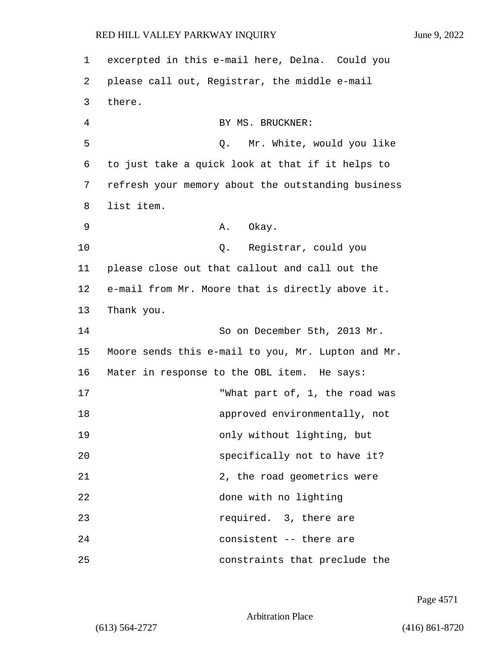1 excerpted in this e-mail here, Delna. Could you 2 please call out, Registrar, the middle e-mail 3 there. 4 BY MS. BRUCKNER: 5 Q. Mr. White, would you like 6 to just take a quick look at that if it helps to 7 refresh your memory about the outstanding business 8 list item. 9 A. Okay. 10 Q. Registrar, could you 11 please close out that callout and call out the 12 e-mail from Mr. Moore that is directly above it. 13 Thank you. 14 So on December 5th, 2013 Mr. 15 Moore sends this e-mail to you, Mr. Lupton and Mr. 16 Mater in response to the OBL item. He says: 17 TWhat part of, 1, the road was 18 approved environmentally, not 19 only without lighting, but 20 specifically not to have it? 21 2, the road geometrics were 22 done with no lighting 23 **required.** 3, there are 24 consistent -- there are 25 constraints that preclude the

Page 4571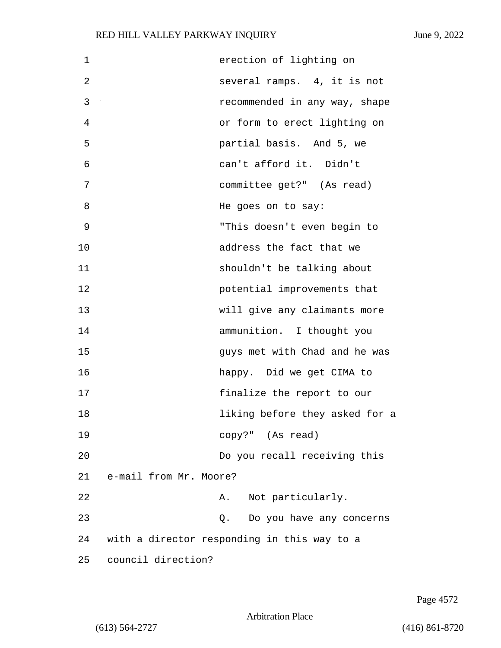| $\mathbf 1$ | erection of lighting on                     |
|-------------|---------------------------------------------|
| 2           | several ramps. 4, it is not                 |
| 3           | recommended in any way, shape               |
| 4           | or form to erect lighting on                |
| 5           | partial basis. And 5, we                    |
| 6           | can't afford it. Didn't                     |
| 7           | committee get?" (As read)                   |
| 8           | He goes on to say:                          |
| 9           | "This doesn't even begin to                 |
| 10          | address the fact that we                    |
| 11          | shouldn't be talking about                  |
| 12          | potential improvements that                 |
| 13          | will give any claimants more                |
| 14          | ammunition. I thought you                   |
| 15          | guys met with Chad and he was               |
| 16          | happy. Did we get CIMA to                   |
| 17          | finalize the report to our                  |
| 18          | liking before they asked for a              |
| 19          | copy?" (As read)                            |
| 20          | Do you recall receiving this                |
| 21          | e-mail from Mr. Moore?                      |
| 22          | Not particularly.<br>A.                     |
| 23          | Do you have any concerns<br>Q.              |
| 24          | with a director responding in this way to a |
| 25          | council direction?                          |

Page 4572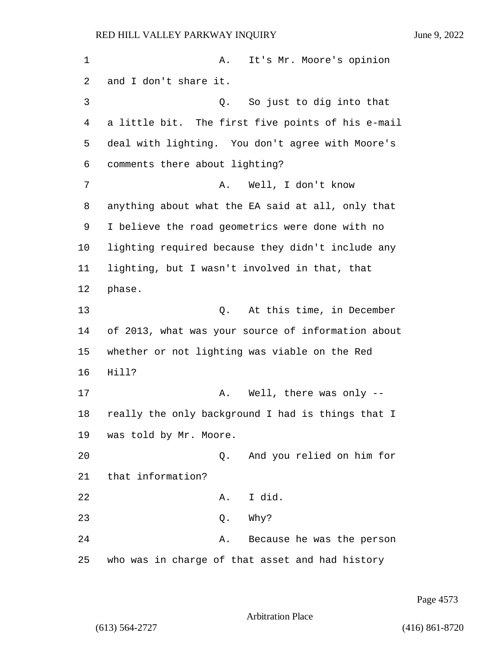1 A. It's Mr. Moore's opinion 2 and I don't share it. 3 Q. So just to dig into that 4 a little bit. The first five points of his e-mail 5 deal with lighting. You don't agree with Moore's 6 comments there about lighting? 7 A. Well, I don't know 8 anything about what the EA said at all, only that 9 I believe the road geometrics were done with no 10 lighting required because they didn't include any 11 lighting, but I wasn't involved in that, that 12 phase. 13 Q. At this time, in December 14 of 2013, what was your source of information about 15 whether or not lighting was viable on the Red 16 Hill? 17 A. Well, there was only --18 really the only background I had is things that I 19 was told by Mr. Moore. 20 Q. And you relied on him for 21 that information? 22 A. I did.

23 Q. Why?

24 A. Because he was the person 25 who was in charge of that asset and had history

Page 4573

Arbitration Place

(613) 564-2727 (416) 861-8720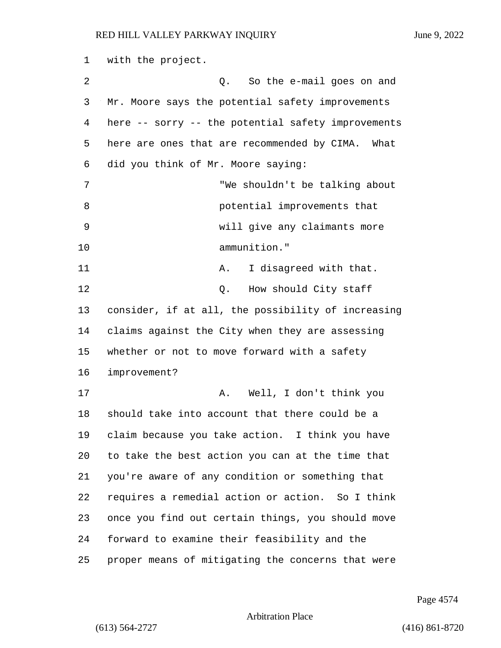with the project. 2 2 Q. So the e-mail goes on and Mr. Moore says the potential safety improvements here -- sorry -- the potential safety improvements here are ones that are recommended by CIMA. What did you think of Mr. Moore saying: 7 "We shouldn't be talking about **8 potential improvements that** 9 will give any claimants more 10 ammunition." 11 A. I disagreed with that. 12 0. How should City staff consider, if at all, the possibility of increasing claims against the City when they are assessing whether or not to move forward with a safety improvement? 17 A. Well, I don't think you should take into account that there could be a claim because you take action. I think you have to take the best action you can at the time that you're aware of any condition or something that requires a remedial action or action. So I think once you find out certain things, you should move forward to examine their feasibility and the proper means of mitigating the concerns that were

Page 4574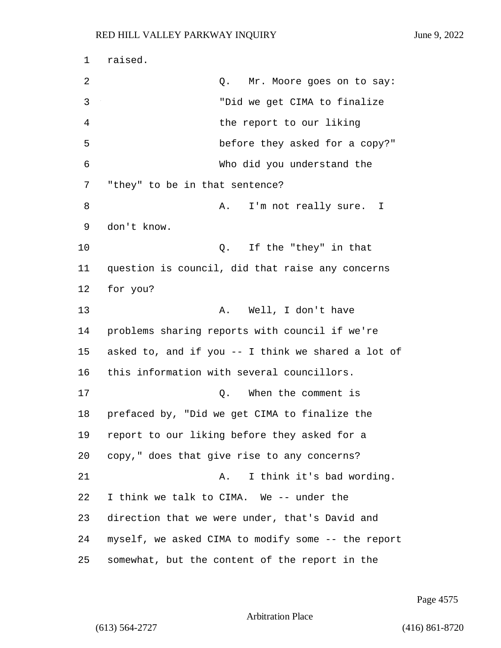1 raised. 2 Q. Mr. Moore goes on to say: 3 "Did we get CIMA to finalize 4 the report to our liking 5 before they asked for a copy?" 6 Who did you understand the 7 "they" to be in that sentence? 8 A. I'm not really sure. I 9 don't know. 10 Q. If the "they" in that 11 question is council, did that raise any concerns 12 for you? 13 A. Well, I don't have 14 problems sharing reports with council if we're 15 asked to, and if you -- I think we shared a lot of 16 this information with several councillors. 17 and 17 Q. When the comment is 18 prefaced by, "Did we get CIMA to finalize the 19 report to our liking before they asked for a 20 copy," does that give rise to any concerns? 21 A. I think it's bad wording. 22 I think we talk to CIMA. We -- under the 23 direction that we were under, that's David and 24 myself, we asked CIMA to modify some -- the report 25 somewhat, but the content of the report in the

Page 4575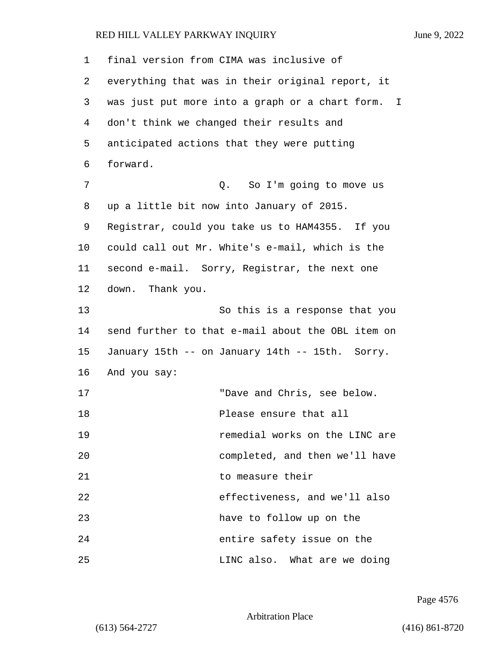| 1  | final version from CIMA was inclusive of          |
|----|---------------------------------------------------|
| 2  | everything that was in their original report, it  |
| 3  | was just put more into a graph or a chart form. I |
| 4  | don't think we changed their results and          |
| 5  | anticipated actions that they were putting        |
| 6  | forward.                                          |
| 7  | Q. So I'm going to move us                        |
| 8  | up a little bit now into January of 2015.         |
| 9  | Registrar, could you take us to HAM4355. If you   |
| 10 | could call out Mr. White's e-mail, which is the   |
| 11 | second e-mail. Sorry, Registrar, the next one     |
| 12 | down. Thank you.                                  |
| 13 | So this is a response that you                    |
| 14 | send further to that e-mail about the OBL item on |
| 15 | January 15th -- on January 14th -- 15th. Sorry.   |
| 16 | And you say:                                      |
| 17 | "Dave and Chris, see below.                       |
| 18 | Please ensure that all                            |
| 19 | remedial works on the LINC are                    |
| 20 | completed, and then we'll have                    |
| 21 | to measure their                                  |
| 22 | effectiveness, and we'll also                     |
| 23 | have to follow up on the                          |
| 24 | entire safety issue on the                        |
| 25 | LINC also. What are we doing                      |

Page 4576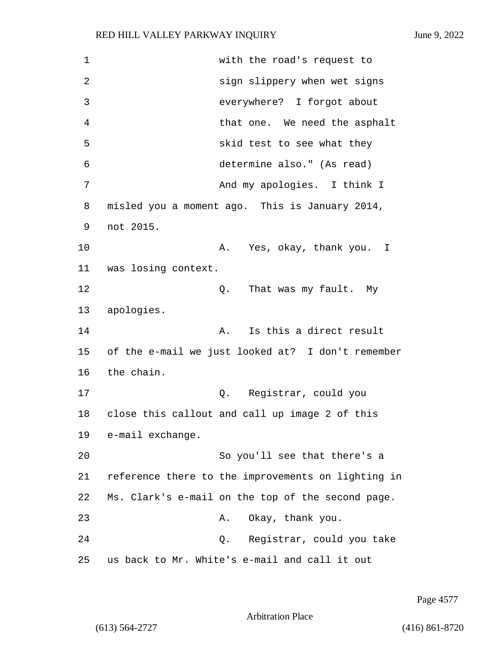1 with the road's request to 2 sign slippery when wet signs 3 everywhere? I forgot about 4 that one. We need the asphalt 5 skid test to see what they 6 determine also." (As read) 7 And my apologies. I think I 8 misled you a moment ago. This is January 2014, 9 not 2015. 10 A. Yes, okay, thank you. I 11 was losing context. 12 C. That was my fault. My 13 apologies. 14 **A.** Is this a direct result 15 of the e-mail we just looked at? I don't remember 16 the chain. 17 Q. Registrar, could you 18 close this callout and call up image 2 of this 19 e-mail exchange. 20 So you'll see that there's a 21 reference there to the improvements on lighting in 22 Ms. Clark's e-mail on the top of the second page. 23 A. Okay, thank you. 24 Q. Registrar, could you take 25 us back to Mr. White's e-mail and call it out

Page 4577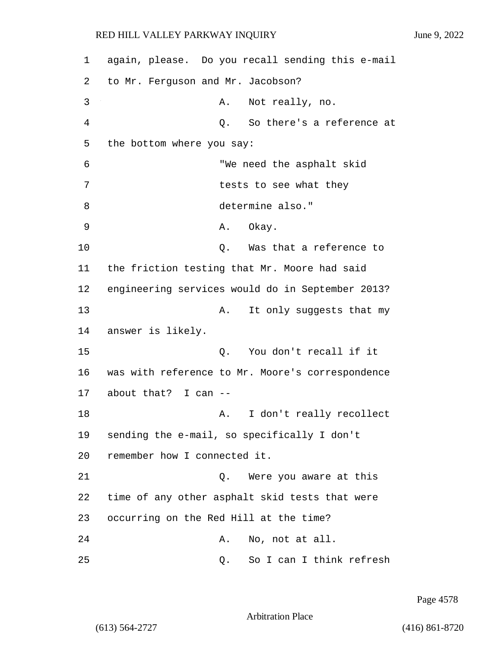| 1  | again, please. Do you recall sending this e-mail |
|----|--------------------------------------------------|
| 2  | to Mr. Ferguson and Mr. Jacobson?                |
| 3  | Not really, no.<br>Α.                            |
| 4  | So there's a reference at<br>Q.                  |
| 5  | the bottom where you say:                        |
| 6  | "We need the asphalt skid                        |
| 7  | tests to see what they                           |
| 8  | determine also."                                 |
| 9  | Okay.<br>Α.                                      |
| 10 | Was that a reference to<br>Q.                    |
| 11 | the friction testing that Mr. Moore had said     |
| 12 | engineering services would do in September 2013? |
| 13 | It only suggests that my<br>Α.                   |
| 14 | answer is likely.                                |
| 15 | You don't recall if it<br>Q.                     |
| 16 | was with reference to Mr. Moore's correspondence |
| 17 | about that? I can --                             |
| 18 | I don't really recollect<br>Α.                   |
| 19 | sending the e-mail, so specifically I don't      |
| 20 | remember how I connected it.                     |
| 21 | Were you aware at this<br>Q.                     |
| 22 | time of any other asphalt skid tests that were   |
| 23 | occurring on the Red Hill at the time?           |
| 24 | No, not at all.<br>Α.                            |
| 25 | So I can I think refresh<br>Q.                   |

Page 4578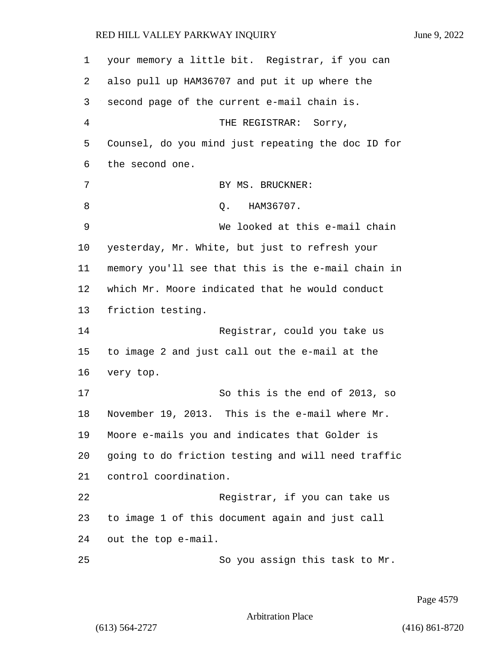your memory a little bit. Registrar, if you can also pull up HAM36707 and put it up where the second page of the current e-mail chain is. 4 THE REGISTRAR: Sorry, Counsel, do you mind just repeating the doc ID for the second one. 7 BY MS. BRUCKNER: 8 0. HAM36707. 9 We looked at this e-mail chain yesterday, Mr. White, but just to refresh your memory you'll see that this is the e-mail chain in which Mr. Moore indicated that he would conduct friction testing. 14 Registrar, could you take us to image 2 and just call out the e-mail at the very top. 17 So this is the end of 2013, so November 19, 2013. This is the e-mail where Mr. Moore e-mails you and indicates that Golder is going to do friction testing and will need traffic control coordination. 22 Registrar, if you can take us to image 1 of this document again and just call

24 out the top e-mail.

25 So you assign this task to Mr.

Page 4579

Arbitration Place

(613) 564-2727 (416) 861-8720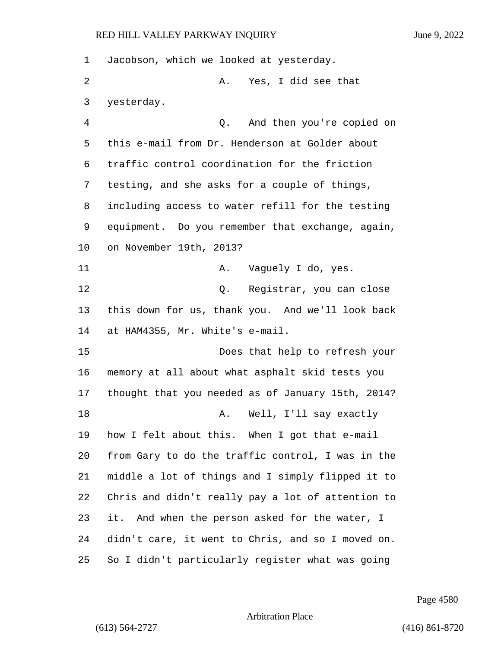Jacobson, which we looked at yesterday. 2 A. Yes, I did see that yesterday. 4 Q. And then you're copied on this e-mail from Dr. Henderson at Golder about traffic control coordination for the friction testing, and she asks for a couple of things, including access to water refill for the testing equipment. Do you remember that exchange, again, on November 19th, 2013? 11 A. Vaguely I do, yes. 12 and 12 Q. Reqistrar, you can close this down for us, thank you. And we'll look back at HAM4355, Mr. White's e-mail. 15 Does that help to refresh your memory at all about what asphalt skid tests you thought that you needed as of January 15th, 2014? 18 A. Well, I'll say exactly how I felt about this. When I got that e-mail from Gary to do the traffic control, I was in the middle a lot of things and I simply flipped it to Chris and didn't really pay a lot of attention to it. And when the person asked for the water, I didn't care, it went to Chris, and so I moved on. So I didn't particularly register what was going

Page 4580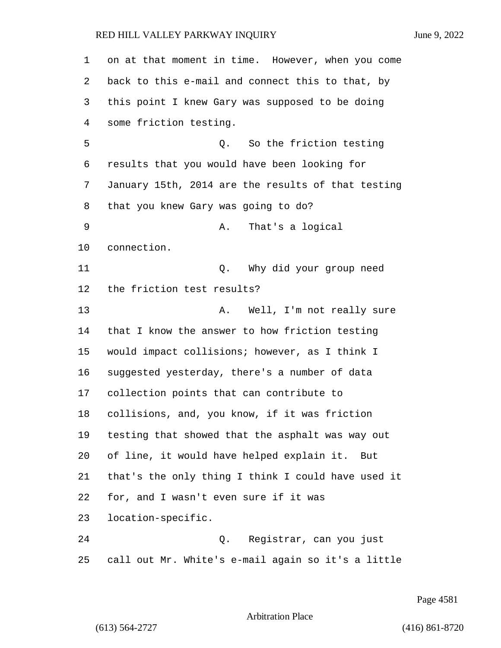on at that moment in time. However, when you come back to this e-mail and connect this to that, by this point I knew Gary was supposed to be doing some friction testing. 5 Q. So the friction testing results that you would have been looking for January 15th, 2014 are the results of that testing that you knew Gary was going to do? 9 A. That's a logical connection. 11 Q. Why did your group need the friction test results? 13 A. Well, I'm not really sure that I know the answer to how friction testing would impact collisions; however, as I think I suggested yesterday, there's a number of data collection points that can contribute to collisions, and, you know, if it was friction testing that showed that the asphalt was way out of line, it would have helped explain it. But that's the only thing I think I could have used it for, and I wasn't even sure if it was location-specific. 24 Q. Registrar, can you just call out Mr. White's e-mail again so it's a little

Page 4581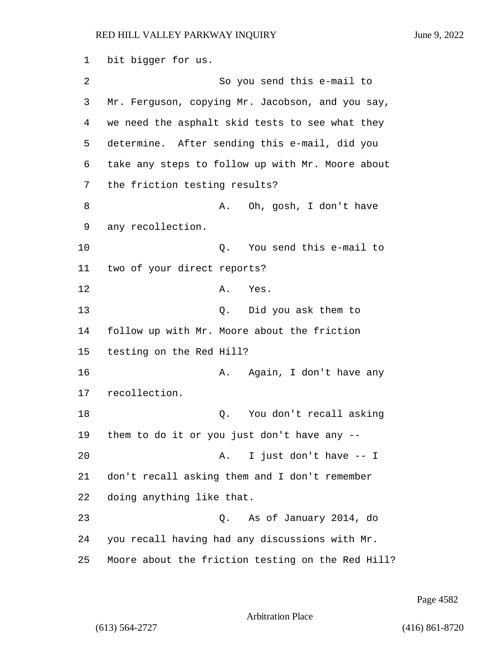bit bigger for us. 2 So you send this e-mail to Mr. Ferguson, copying Mr. Jacobson, and you say, we need the asphalt skid tests to see what they determine. After sending this e-mail, did you take any steps to follow up with Mr. Moore about the friction testing results? 8 A. Oh, gosh, I don't have any recollection. 10 Q. You send this e-mail to two of your direct reports? 12 A. Yes. 13 Q. Did you ask them to follow up with Mr. Moore about the friction testing on the Red Hill? 16 A. Again, I don't have any recollection. 18 Q. You don't recall asking them to do it or you just don't have any -- 20 A. I just don't have -- I don't recall asking them and I don't remember doing anything like that. 23 Q. As of January 2014, do you recall having had any discussions with Mr. Moore about the friction testing on the Red Hill?

Page 4582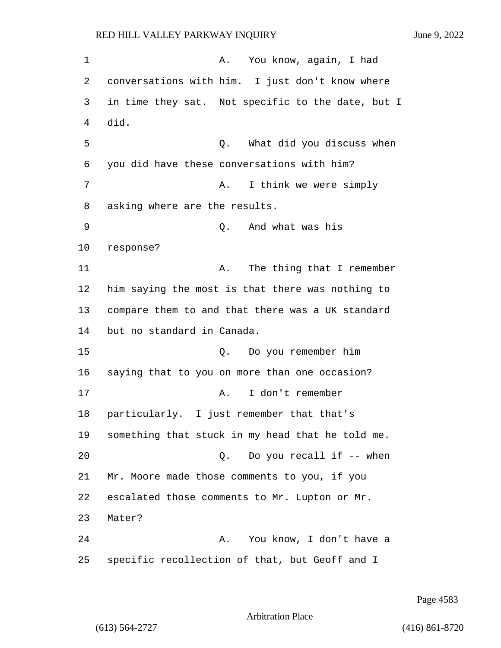1 A. You know, again, I had 2 conversations with him. I just don't know where 3 in time they sat. Not specific to the date, but I 4 did. 5 Q. What did you discuss when 6 you did have these conversations with him? 7 A. I think we were simply 8 asking where are the results. 9 Q. And what was his 10 response? 11 A. The thing that I remember 12 him saying the most is that there was nothing to 13 compare them to and that there was a UK standard 14 but no standard in Canada. 15 Q. Do you remember him 16 saying that to you on more than one occasion? 17 A. I don't remember 18 particularly. I just remember that that's 19 something that stuck in my head that he told me. 20 Q. Do you recall if -- when 21 Mr. Moore made those comments to you, if you 22 escalated those comments to Mr. Lupton or Mr. 23 Mater? 24 A. You know, I don't have a 25 specific recollection of that, but Geoff and I

Page 4583

Arbitration Place

(613) 564-2727 (416) 861-8720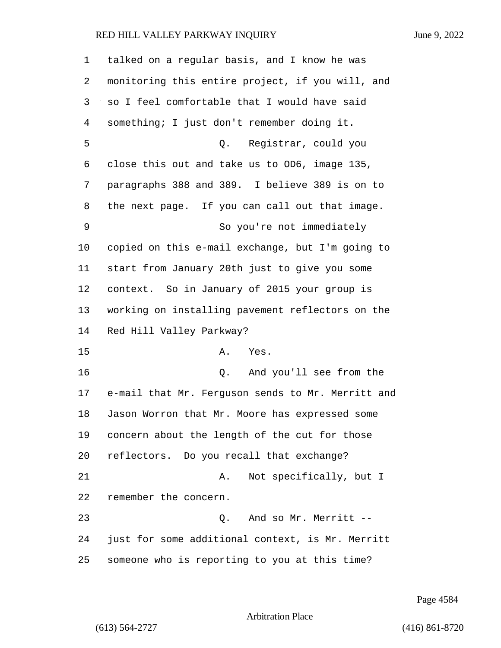| $\mathbf 1$ | talked on a regular basis, and I know he was      |
|-------------|---------------------------------------------------|
| 2           | monitoring this entire project, if you will, and  |
| 3           | so I feel comfortable that I would have said      |
| 4           | something; I just don't remember doing it.        |
| 5           | Q. Registrar, could you                           |
| 6           | close this out and take us to OD6, image 135,     |
| 7           | paragraphs 388 and 389. I believe 389 is on to    |
| 8           | the next page. If you can call out that image.    |
| 9           | So you're not immediately                         |
| 10          | copied on this e-mail exchange, but I'm going to  |
| 11          | start from January 20th just to give you some     |
| 12          | context. So in January of 2015 your group is      |
| 13          | working on installing pavement reflectors on the  |
| 14          | Red Hill Valley Parkway?                          |
| 15          | Α.<br>Yes.                                        |
| 16          | And you'll see from the<br>Q.                     |
| 17          | e-mail that Mr. Ferguson sends to Mr. Merritt and |
| 18          | Jason Worron that Mr. Moore has expressed some    |
| 19          | concern about the length of the cut for those     |
| 20          | reflectors. Do you recall that exchange?          |
| 21          | Not specifically, but I<br>Α.                     |
| 22          | remember the concern.                             |
| 23          | And so Mr. Merritt --<br>Q.                       |
| 24          | just for some additional context, is Mr. Merritt  |
| 25          | someone who is reporting to you at this time?     |

Page 4584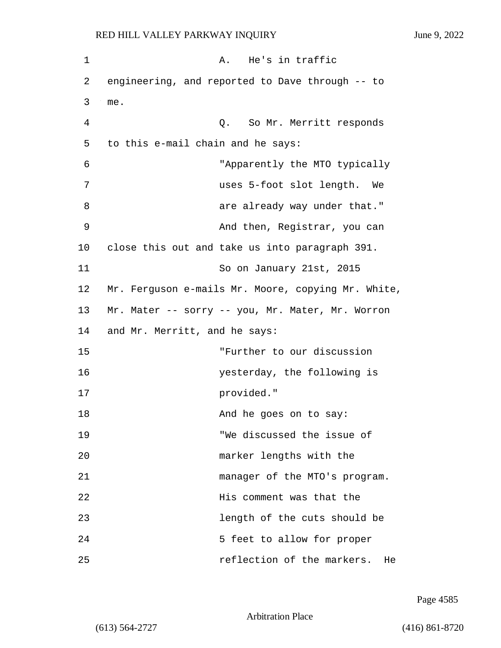| 1  | He's in traffic<br>Α.                              |
|----|----------------------------------------------------|
| 2  | engineering, and reported to Dave through -- to    |
| 3  | me.                                                |
| 4  | Q. So Mr. Merritt responds                         |
| 5  | to this e-mail chain and he says:                  |
| 6  | "Apparently the MTO typically                      |
| 7  | uses 5-foot slot length. We                        |
| 8  | are already way under that."                       |
| 9  | And then, Registrar, you can                       |
| 10 | close this out and take us into paragraph 391.     |
| 11 | So on January 21st, 2015                           |
| 12 | Mr. Ferguson e-mails Mr. Moore, copying Mr. White, |
| 13 | Mr. Mater -- sorry -- you, Mr. Mater, Mr. Worron   |
| 14 | and Mr. Merritt, and he says:                      |
| 15 | "Further to our discussion                         |
| 16 | yesterday, the following is                        |
| 17 | provided."                                         |
| 18 | And he goes on to say:                             |
| 19 | "We discussed the issue of                         |
| 20 | marker lengths with the                            |
| 21 | manager of the MTO's program.                      |
| 22 | His comment was that the                           |
| 23 | length of the cuts should be                       |
| 24 | 5 feet to allow for proper                         |
| 25 | reflection of the markers.<br>He                   |

Page 4585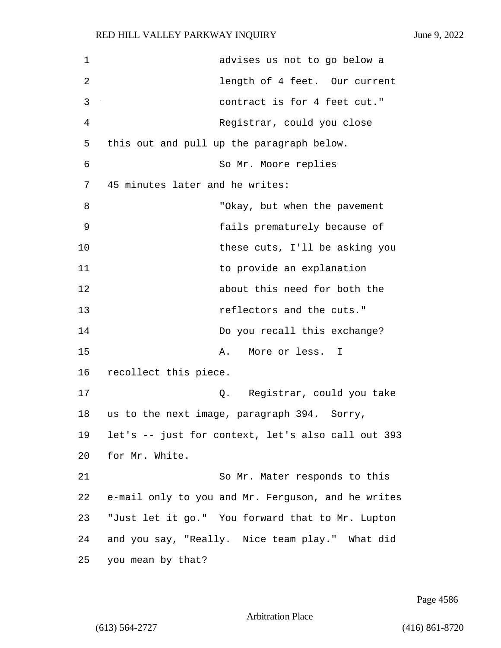| 1  | advises us not to go below a                       |
|----|----------------------------------------------------|
| 2  | length of 4 feet. Our current                      |
| 3  | contract is for 4 feet cut."                       |
| 4  | Registrar, could you close                         |
| 5  | this out and pull up the paragraph below.          |
| 6  | So Mr. Moore replies                               |
| 7  | 45 minutes later and he writes:                    |
| 8  | "Okay, but when the pavement                       |
| 9  | fails prematurely because of                       |
| 10 | these cuts, I'll be asking you                     |
| 11 | to provide an explanation                          |
| 12 | about this need for both the                       |
| 13 | reflectors and the cuts."                          |
| 14 | Do you recall this exchange?                       |
| 15 | More or less.<br>Α.<br>I                           |
| 16 | recollect this piece.                              |
| 17 | Registrar, could you take<br>Q.                    |
| 18 | us to the next image, paragraph 394.<br>Sorry,     |
| 19 | let's -- just for context, let's also call out 393 |
| 20 | for Mr. White.                                     |
| 21 | So Mr. Mater responds to this                      |
| 22 | e-mail only to you and Mr. Ferguson, and he writes |
| 23 | "Just let it go." You forward that to Mr. Lupton   |
| 24 | and you say, "Really. Nice team play." What did    |
| 25 | you mean by that?                                  |

Page 4586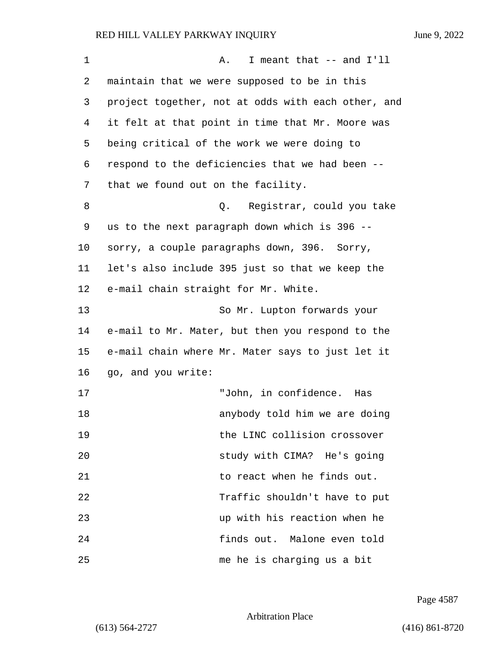1 A. I meant that -- and I'll 2 maintain that we were supposed to be in this 3 project together, not at odds with each other, and 4 it felt at that point in time that Mr. Moore was 5 being critical of the work we were doing to 6 respond to the deficiencies that we had been -- 7 that we found out on the facility. 8 and 2. Registrar, could you take 9 us to the next paragraph down which is 396 -- 10 sorry, a couple paragraphs down, 396. Sorry, 11 let's also include 395 just so that we keep the 12 e-mail chain straight for Mr. White. 13 So Mr. Lupton forwards your 14 e-mail to Mr. Mater, but then you respond to the 15 e-mail chain where Mr. Mater says to just let it 16 go, and you write: 17 "John, in confidence. Has 18 anybody told him we are doing 19 the LINC collision crossover 20 study with CIMA? He's going 21 **b** to react when he finds out. 22 Traffic shouldn't have to put 23 up with his reaction when he 24 finds out. Malone even told 25 me he is charging us a bit

Page 4587

Arbitration Place

(613) 564-2727 (416) 861-8720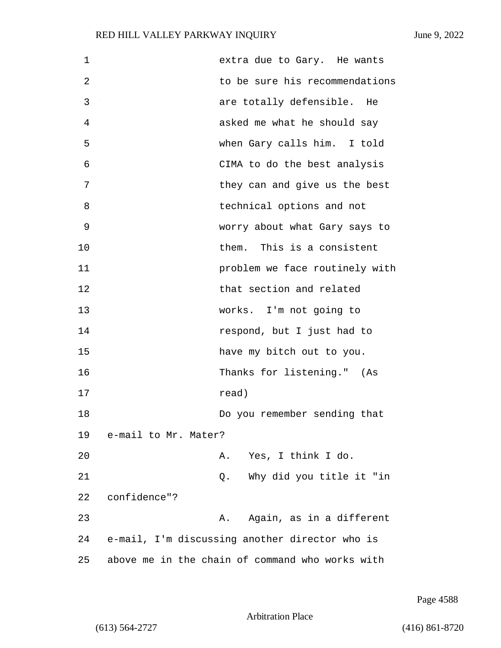| 1  |                      | extra due to Gary. He wants                     |
|----|----------------------|-------------------------------------------------|
| 2  |                      | to be sure his recommendations                  |
| 3  |                      | are totally defensible. He                      |
| 4  |                      | asked me what he should say                     |
| 5  |                      | when Gary calls him. I told                     |
| 6  |                      | CIMA to do the best analysis                    |
| 7  |                      | they can and give us the best                   |
| 8  |                      | technical options and not                       |
| 9  |                      | worry about what Gary says to                   |
| 10 |                      | This is a consistent<br>them.                   |
| 11 |                      | problem we face routinely with                  |
| 12 |                      | that section and related                        |
| 13 |                      | works. I'm not going to                         |
| 14 |                      | respond, but I just had to                      |
| 15 |                      | have my bitch out to you.                       |
| 16 |                      | Thanks for listening." (As                      |
| 17 |                      | read)                                           |
| 18 |                      | Do you remember sending that                    |
| 19 | e-mail to Mr. Mater? |                                                 |
| 20 |                      | A. Yes, I think I do.                           |
| 21 |                      | Why did you title it "in<br>Q.                  |
| 22 | confidence"?         |                                                 |
| 23 |                      | Again, as in a different<br>Α.                  |
| 24 |                      | e-mail, I'm discussing another director who is  |
| 25 |                      | above me in the chain of command who works with |

Page 4588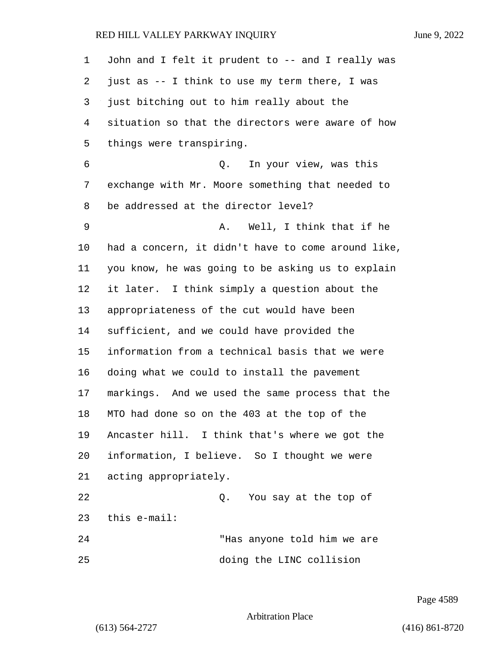| 1  | John and I felt it prudent to -- and I really was  |
|----|----------------------------------------------------|
| 2  | just as -- I think to use my term there, I was     |
| 3  | just bitching out to him really about the          |
| 4  | situation so that the directors were aware of how  |
| 5  | things were transpiring.                           |
| 6  | In your view, was this<br>Q.                       |
| 7  | exchange with Mr. Moore something that needed to   |
| 8  | be addressed at the director level?                |
| 9  | Well, I think that if he<br>Α.                     |
| 10 | had a concern, it didn't have to come around like, |
| 11 | you know, he was going to be asking us to explain  |
| 12 | it later. I think simply a question about the      |
| 13 | appropriateness of the cut would have been         |
| 14 | sufficient, and we could have provided the         |
| 15 | information from a technical basis that we were    |
| 16 | doing what we could to install the pavement        |
| 17 | markings. And we used the same process that the    |
| 18 | MTO had done so on the 403 at the top of the       |
| 19 | Ancaster hill. I think that's where we got the     |
| 20 | information, I believe. So I thought we were       |
| 21 | acting appropriately.                              |
| 22 | You say at the top of<br>Q.                        |
| 23 | this e-mail:                                       |
| 24 | "Has anyone told him we are                        |
| 25 | doing the LINC collision                           |

Page 4589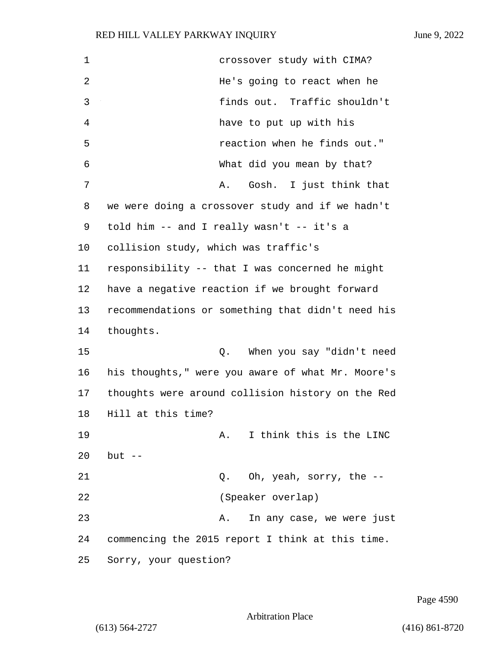| 1  | crossover study with CIMA?                        |
|----|---------------------------------------------------|
| 2  | He's going to react when he                       |
| 3  | finds out. Traffic shouldn't                      |
| 4  | have to put up with his                           |
| 5  | reaction when he finds out."                      |
| 6  | What did you mean by that?                        |
| 7  | Gosh. I just think that<br>Α.                     |
| 8  | we were doing a crossover study and if we hadn't  |
| 9  | told him -- and I really wasn't -- it's a         |
| 10 | collision study, which was traffic's              |
| 11 | responsibility -- that I was concerned he might   |
| 12 | have a negative reaction if we brought forward    |
| 13 | recommendations or something that didn't need his |
| 14 | thoughts.                                         |
| 15 | When you say "didn't need<br>Q.                   |
| 16 | his thoughts," were you aware of what Mr. Moore's |
| 17 | thoughts were around collision history on the Red |
| 18 | Hill at this time?                                |
| 19 | I think this is the LINC<br>Α.                    |
| 20 | $but --$                                          |
| 21 | Oh, yeah, sorry, the --<br>Q.                     |
| 22 | (Speaker overlap)                                 |
| 23 | In any case, we were just<br>А.                   |
| 24 | commencing the 2015 report I think at this time.  |
| 25 | Sorry, your question?                             |

Page 4590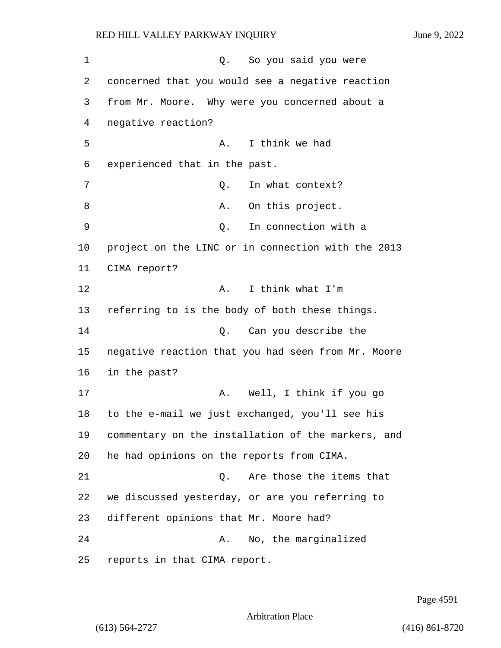1 Q. So you said you were concerned that you would see a negative reaction from Mr. Moore. Why were you concerned about a negative reaction? 5 A. I think we had experienced that in the past. 7 C. In what context? 8 A. On this project. 9 Q. In connection with a project on the LINC or in connection with the 2013 CIMA report? **A.** I think what I'm referring to is the body of both these things. 14 Q. Can you describe the negative reaction that you had seen from Mr. Moore in the past? 17 A. Well, I think if you go to the e-mail we just exchanged, you'll see his commentary on the installation of the markers, and he had opinions on the reports from CIMA. 21 C. Are those the items that we discussed yesterday, or are you referring to different opinions that Mr. Moore had? 24 A. No, the marginalized reports in that CIMA report.

Page 4591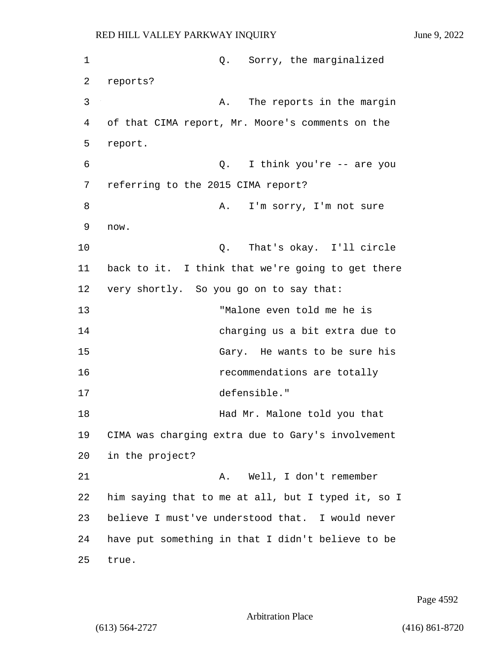1 Q. Sorry, the marginalized 2 reports? 3 A. The reports in the margin 4 of that CIMA report, Mr. Moore's comments on the 5 report. 6 Q. I think you're -- are you 7 referring to the 2015 CIMA report? 8 A. I'm sorry, I'm not sure 9 now. 10 Q. That's okay. I'll circle 11 back to it. I think that we're going to get there 12 very shortly. So you go on to say that: 13 "Malone even told me he is 14 charging us a bit extra due to 15 Gary. He wants to be sure his 16 **recommendations** are totally 17 defensible." 18 **Had Mr. Malone told you that** 19 CIMA was charging extra due to Gary's involvement 20 in the project? 21 A. Well, I don't remember 22 him saying that to me at all, but I typed it, so I 23 believe I must've understood that. I would never 24 have put something in that I didn't believe to be 25 true.

Page 4592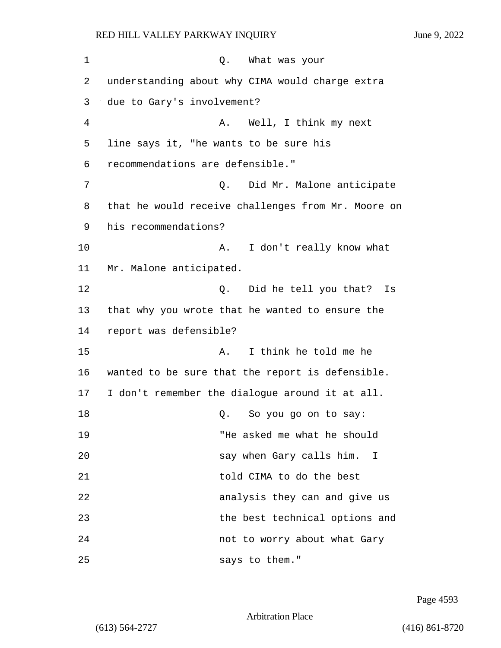1 C. What was your 2 understanding about why CIMA would charge extra 3 due to Gary's involvement? 4 A. Well, I think my next 5 line says it, "he wants to be sure his 6 recommendations are defensible." 7 C. Did Mr. Malone anticipate 8 that he would receive challenges from Mr. Moore on 9 his recommendations? 10 A. I don't really know what 11 Mr. Malone anticipated. 12 C. Did he tell you that? Is 13 that why you wrote that he wanted to ensure the 14 report was defensible? 15 A. I think he told me he 16 wanted to be sure that the report is defensible. 17 I don't remember the dialogue around it at all. 18 Q. So you go on to say: 19 "He asked me what he should 20 say when Gary calls him. I 21 told CIMA to do the best 22 analysis they can and give us 23 the best technical options and 24 not to worry about what Gary 25 says to them."

Page 4593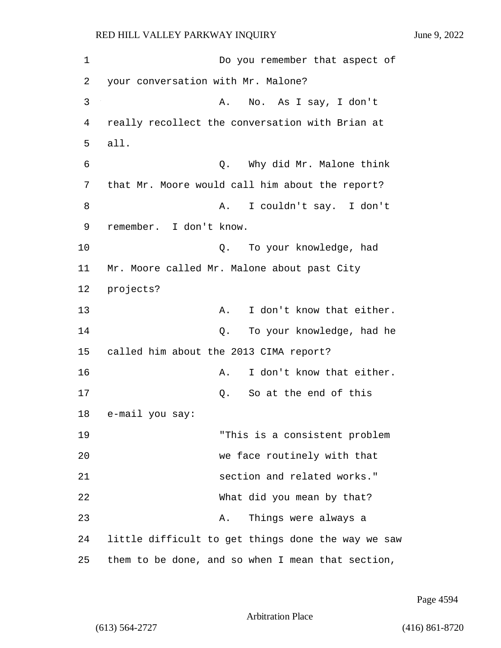1 Do you remember that aspect of 2 your conversation with Mr. Malone? 3 A. No. As I say, I don't 4 really recollect the conversation with Brian at 5 all. 6 Q. Why did Mr. Malone think 7 that Mr. Moore would call him about the report? 8 A. I couldn't say. I don't 9 remember. I don't know. 10 Q. To your knowledge, had 11 Mr. Moore called Mr. Malone about past City 12 projects? 13 A. I don't know that either. 14 Q. To your knowledge, had he 15 called him about the 2013 CIMA report? 16 **A.** I don't know that either. 17 C. So at the end of this 18 e-mail you say: 19 "This is a consistent problem 20 we face routinely with that 21 section and related works." 22 What did you mean by that? 23 A. Things were always a 24 little difficult to get things done the way we saw 25 them to be done, and so when I mean that section,

Page 4594

Arbitration Place

(613) 564-2727 (416) 861-8720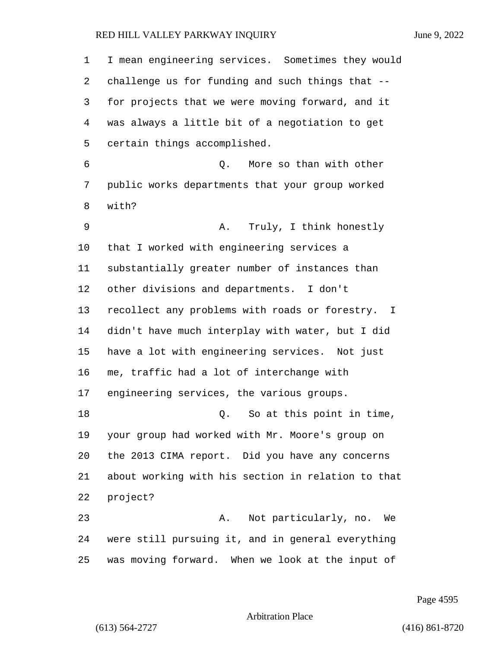| 1  | I mean engineering services. Sometimes they would  |  |  |  |
|----|----------------------------------------------------|--|--|--|
| 2  | challenge us for funding and such things that --   |  |  |  |
| 3  | for projects that we were moving forward, and it   |  |  |  |
| 4  | was always a little bit of a negotiation to get    |  |  |  |
| 5  | certain things accomplished.                       |  |  |  |
| 6  | More so than with other<br>Q.                      |  |  |  |
| 7  | public works departments that your group worked    |  |  |  |
| 8  | with?                                              |  |  |  |
| 9  | Truly, I think honestly<br>Α.                      |  |  |  |
| 10 | that I worked with engineering services a          |  |  |  |
| 11 | substantially greater number of instances than     |  |  |  |
| 12 | other divisions and departments. I don't           |  |  |  |
| 13 | recollect any problems with roads or forestry. I   |  |  |  |
| 14 | didn't have much interplay with water, but I did   |  |  |  |
| 15 | have a lot with engineering services. Not just     |  |  |  |
| 16 | me, traffic had a lot of interchange with          |  |  |  |
| 17 | engineering services, the various groups.          |  |  |  |
| 18 | So at this point in time,<br>Q.                    |  |  |  |
| 19 | your group had worked with Mr. Moore's group on    |  |  |  |
| 20 | the 2013 CIMA report. Did you have any concerns    |  |  |  |
| 21 | about working with his section in relation to that |  |  |  |
| 22 | project?                                           |  |  |  |
| 23 | Not particularly, no.<br>Α.<br>We                  |  |  |  |
| 24 | were still pursuing it, and in general everything  |  |  |  |
| 25 | was moving forward. When we look at the input of   |  |  |  |

Page 4595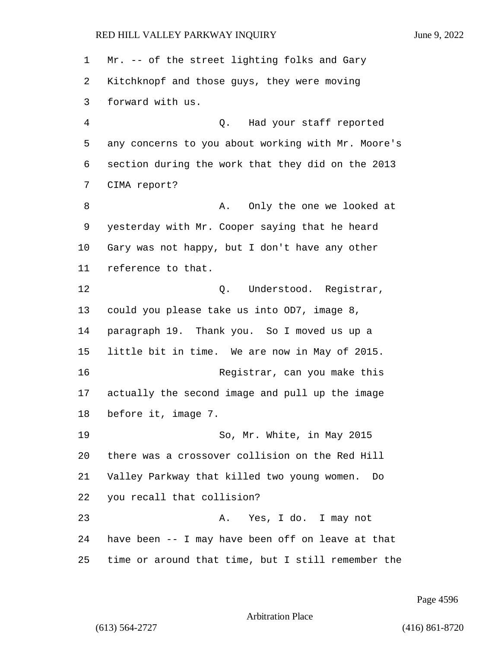Mr. -- of the street lighting folks and Gary Kitchknopf and those guys, they were moving forward with us. 4 Q. Had your staff reported any concerns to you about working with Mr. Moore's section during the work that they did on the 2013 CIMA report? 8 A. Only the one we looked at yesterday with Mr. Cooper saying that he heard Gary was not happy, but I don't have any other reference to that. 12 O. Understood. Registrar, could you please take us into OD7, image 8, paragraph 19. Thank you. So I moved us up a little bit in time. We are now in May of 2015. 16 Registrar, can you make this actually the second image and pull up the image before it, image 7. 19 So, Mr. White, in May 2015 there was a crossover collision on the Red Hill Valley Parkway that killed two young women. Do you recall that collision? 23 A. Yes, I do. I may not have been -- I may have been off on leave at that time or around that time, but I still remember the

Page 4596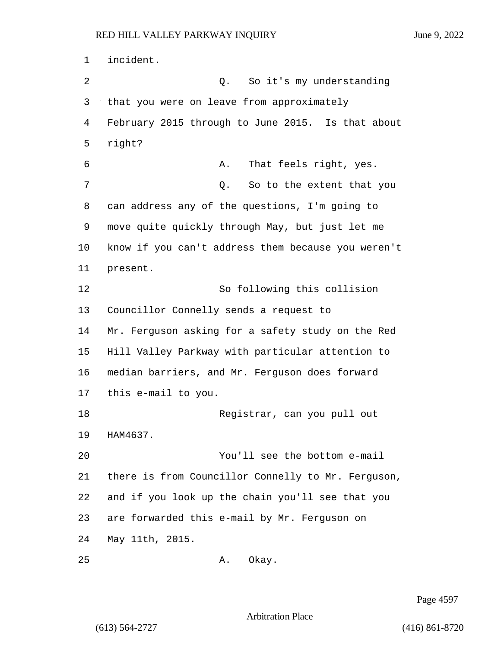incident. 2 Q. So it's my understanding that you were on leave from approximately February 2015 through to June 2015. Is that about right? 6 A. That feels right, yes. 7 and 1 Q. So to the extent that you can address any of the questions, I'm going to move quite quickly through May, but just let me know if you can't address them because you weren't present. 12 So following this collision Councillor Connelly sends a request to Mr. Ferguson asking for a safety study on the Red Hill Valley Parkway with particular attention to median barriers, and Mr. Ferguson does forward this e-mail to you. 18 Reqistrar, can you pull out HAM4637. 20 You'll see the bottom e-mail there is from Councillor Connelly to Mr. Ferguson, and if you look up the chain you'll see that you are forwarded this e-mail by Mr. Ferguson on May 11th, 2015. 25 A. Okay.

Page 4597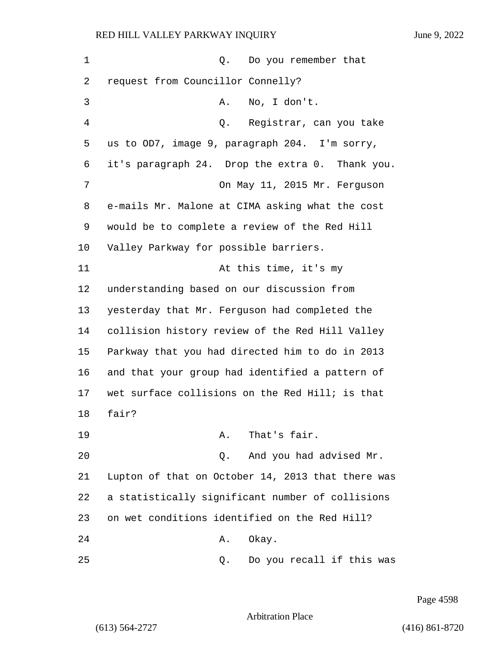| 1  | Do you remember that<br>Q.                        |
|----|---------------------------------------------------|
| 2  | request from Councillor Connelly?                 |
| 3  | No, I don't.<br>Α.                                |
| 4  | Registrar, can you take<br>Q.                     |
| 5  | us to OD7, image 9, paragraph 204. I'm sorry,     |
| 6  | it's paragraph 24. Drop the extra 0. Thank you.   |
| 7  | On May 11, 2015 Mr. Ferguson                      |
| 8  | e-mails Mr. Malone at CIMA asking what the cost   |
| 9  | would be to complete a review of the Red Hill     |
| 10 | Valley Parkway for possible barriers.             |
| 11 | At this time, it's my                             |
| 12 | understanding based on our discussion from        |
| 13 | yesterday that Mr. Ferguson had completed the     |
| 14 | collision history review of the Red Hill Valley   |
| 15 | Parkway that you had directed him to do in 2013   |
| 16 | and that your group had identified a pattern of   |
| 17 | wet surface collisions on the Red Hill; is that   |
| 18 | fair?                                             |
| 19 | That's fair.<br>Α.                                |
| 20 | And you had advised Mr.<br>Q.                     |
| 21 | Lupton of that on October 14, 2013 that there was |
| 22 | a statistically significant number of collisions  |
| 23 | on wet conditions identified on the Red Hill?     |
| 24 | Okay.<br>Α.                                       |
| 25 | Do you recall if this was<br>Q.                   |

Page 4598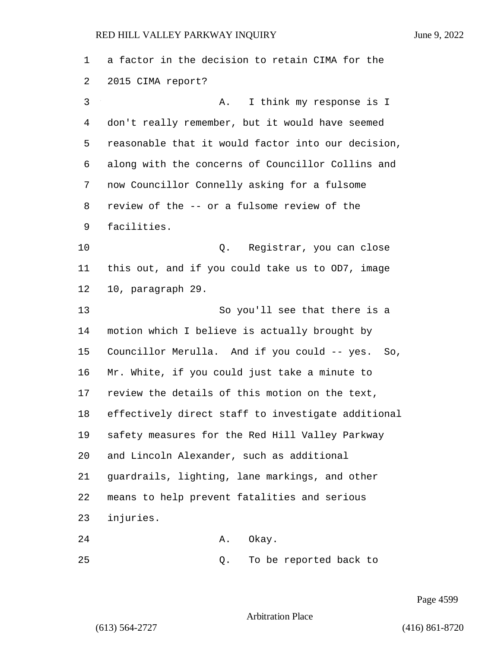a factor in the decision to retain CIMA for the 2015 CIMA report? 3 A. I think my response is I don't really remember, but it would have seemed reasonable that it would factor into our decision, along with the concerns of Councillor Collins and now Councillor Connelly asking for a fulsome review of the -- or a fulsome review of the facilities. 10 Q. Registrar, you can close this out, and if you could take us to OD7, image 10, paragraph 29. 13 So you'll see that there is a motion which I believe is actually brought by Councillor Merulla. And if you could -- yes. So, Mr. White, if you could just take a minute to review the details of this motion on the text, effectively direct staff to investigate additional safety measures for the Red Hill Valley Parkway and Lincoln Alexander, such as additional guardrails, lighting, lane markings, and other means to help prevent fatalities and serious injuries. 24 A. Okay. 25 Q. To be reported back to

Page 4599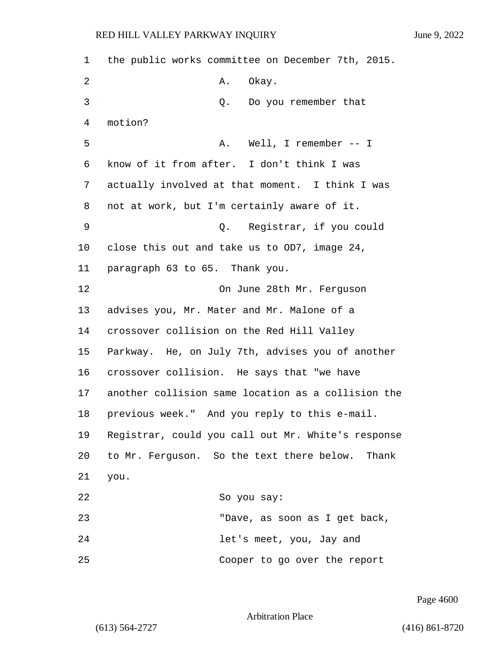1 the public works committee on December 7th, 2015. 2 A. Okay. 3 Q. Do you remember that 4 motion? 5 A. Well, I remember -- I 6 know of it from after. I don't think I was 7 actually involved at that moment. I think I was 8 not at work, but I'm certainly aware of it. 9 Q. Registrar, if you could 10 close this out and take us to OD7, image 24, 11 paragraph 63 to 65. Thank you. 12 On June 28th Mr. Ferguson 13 advises you, Mr. Mater and Mr. Malone of a 14 crossover collision on the Red Hill Valley 15 Parkway. He, on July 7th, advises you of another 16 crossover collision. He says that "we have 17 another collision same location as a collision the 18 previous week." And you reply to this e-mail. 19 Registrar, could you call out Mr. White's response 20 to Mr. Ferguson. So the text there below. Thank 21 you. 22 So you say: 23 "Dave, as soon as I get back, 24 let's meet, you, Jay and 25 Cooper to go over the report

Page 4600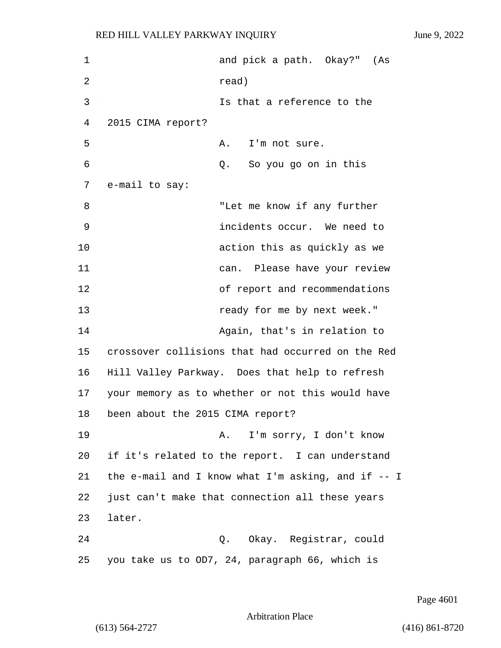1 and pick a path. Okay?" (As 2 read) 3 Is that a reference to the 4 2015 CIMA report? 5 A. I'm not sure. 6 Q. So you go on in this 7 e-mail to say: 8 "Let me know if any further 9 incidents occur. We need to 10 action this as quickly as we 11 can. Please have your review 12 of report and recommendations 13 ready for me by next week." 14 Again, that's in relation to 15 crossover collisions that had occurred on the Red 16 Hill Valley Parkway. Does that help to refresh 17 your memory as to whether or not this would have 18 been about the 2015 CIMA report? 19 A. I'm sorry, I don't know 20 if it's related to the report. I can understand 21 the e-mail and I know what I'm asking, and if -- I 22 just can't make that connection all these years 23 later. 24 Q. Okay. Registrar, could 25 you take us to OD7, 24, paragraph 66, which is

Page 4601

Arbitration Place

(613) 564-2727 (416) 861-8720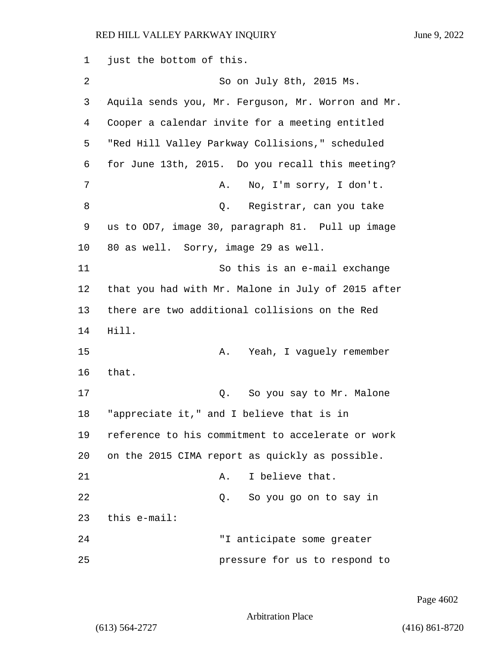1 just the bottom of this. 2 So on July 8th, 2015 Ms. 3 Aquila sends you, Mr. Ferguson, Mr. Worron and Mr. 4 Cooper a calendar invite for a meeting entitled 5 "Red Hill Valley Parkway Collisions," scheduled 6 for June 13th, 2015. Do you recall this meeting? 7 A. No, I'm sorry, I don't. 8 Q. Registrar, can you take 9 us to OD7, image 30, paragraph 81. Pull up image 10 80 as well. Sorry, image 29 as well. 11 So this is an e-mail exchange 12 that you had with Mr. Malone in July of 2015 after 13 there are two additional collisions on the Red 14 Hill. 15 A. Yeah, I vaguely remember 16 that. 17 Q. So you say to Mr. Malone 18 "appreciate it," and I believe that is in 19 reference to his commitment to accelerate or work 20 on the 2015 CIMA report as quickly as possible. 21 A. I believe that. 22 Q. So you go on to say in 23 this e-mail: 24 "I anticipate some greater 25 pressure for us to respond to

Page 4602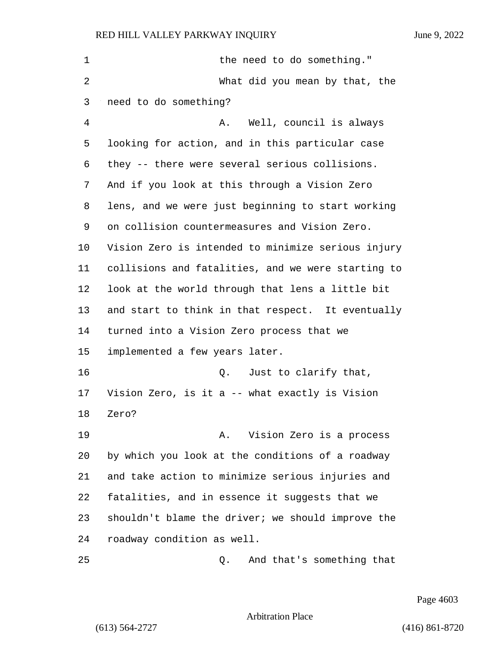| 1  | the need to do something."                         |
|----|----------------------------------------------------|
| 2  | What did you mean by that, the                     |
| 3  | need to do something?                              |
| 4  | Well, council is always<br>Α.                      |
| 5  | looking for action, and in this particular case    |
| 6  | they -- there were several serious collisions.     |
| 7  | And if you look at this through a Vision Zero      |
| 8  | lens, and we were just beginning to start working  |
| 9  | on collision countermeasures and Vision Zero.      |
| 10 | Vision Zero is intended to minimize serious injury |
| 11 | collisions and fatalities, and we were starting to |
| 12 | look at the world through that lens a little bit   |
| 13 | and start to think in that respect. It eventually  |
| 14 | turned into a Vision Zero process that we          |
| 15 | implemented a few years later.                     |
| 16 | Just to clarify that,<br>Q.                        |
| 17 | Vision Zero, is it a -- what exactly is Vision     |
| 18 | Zero?                                              |
| 19 | Vision Zero is a process<br>Α.                     |
| 20 | by which you look at the conditions of a roadway   |
| 21 | and take action to minimize serious injuries and   |
| 22 | fatalities, and in essence it suggests that we     |
| 23 | shouldn't blame the driver; we should improve the  |
| 24 | roadway condition as well.                         |
| 25 | And that's something that<br>Q.                    |

Page 4603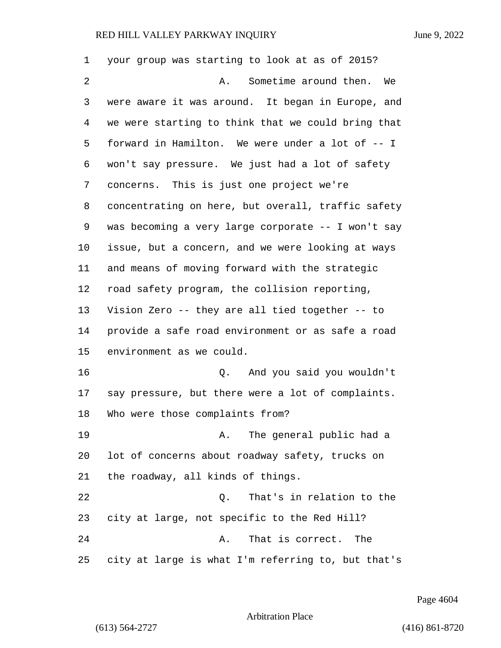| 1  | your group was starting to look at as of 2015?     |
|----|----------------------------------------------------|
| 2  | Sometime around then.<br>We<br>Α.                  |
| 3  | were aware it was around. It began in Europe, and  |
| 4  | we were starting to think that we could bring that |
| 5  | forward in Hamilton. We were under a lot of -- I   |
| 6  | won't say pressure. We just had a lot of safety    |
| 7  | concerns. This is just one project we're           |
| 8  | concentrating on here, but overall, traffic safety |
| 9  | was becoming a very large corporate -- I won't say |
| 10 | issue, but a concern, and we were looking at ways  |
| 11 | and means of moving forward with the strategic     |
| 12 | road safety program, the collision reporting,      |
| 13 | Vision Zero -- they are all tied together -- to    |
| 14 | provide a safe road environment or as safe a road  |
| 15 | environment as we could.                           |
| 16 | And you said you wouldn't<br>Q.                    |
| 17 | say pressure, but there were a lot of complaints.  |
| 18 | Who were those complaints from?                    |
| 19 | The general public had a<br>A.                     |
| 20 | lot of concerns about roadway safety, trucks on    |
| 21 | the roadway, all kinds of things.                  |
| 22 | That's in relation to the<br>Q.                    |
| 23 | city at large, not specific to the Red Hill?       |
| 24 | That is correct.<br>Α.<br>The                      |
| 25 | city at large is what I'm referring to, but that's |

Page 4604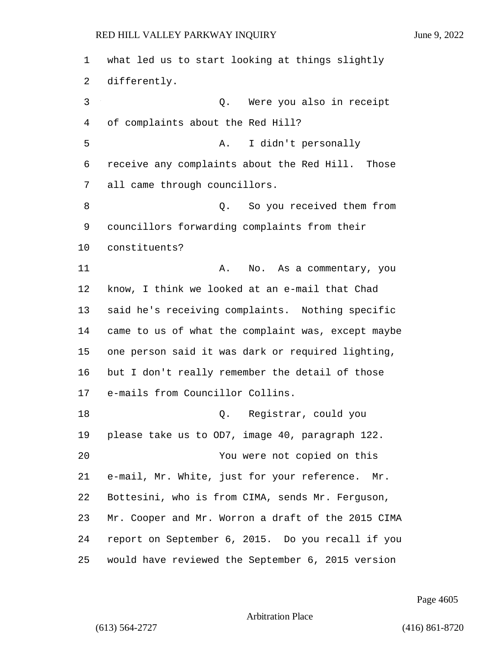what led us to start looking at things slightly differently. 3 Q. Were you also in receipt of complaints about the Red Hill? 5 A. I didn't personally receive any complaints about the Red Hill. Those all came through councillors. 8 and 1 Q. So you received them from councillors forwarding complaints from their constituents? 11 A. No. As a commentary, you know, I think we looked at an e-mail that Chad said he's receiving complaints. Nothing specific came to us of what the complaint was, except maybe one person said it was dark or required lighting, but I don't really remember the detail of those e-mails from Councillor Collins. 18 Q. Registrar, could you please take us to OD7, image 40, paragraph 122. 20 You were not copied on this e-mail, Mr. White, just for your reference. Mr. Bottesini, who is from CIMA, sends Mr. Ferguson, Mr. Cooper and Mr. Worron a draft of the 2015 CIMA report on September 6, 2015. Do you recall if you would have reviewed the September 6, 2015 version

Page 4605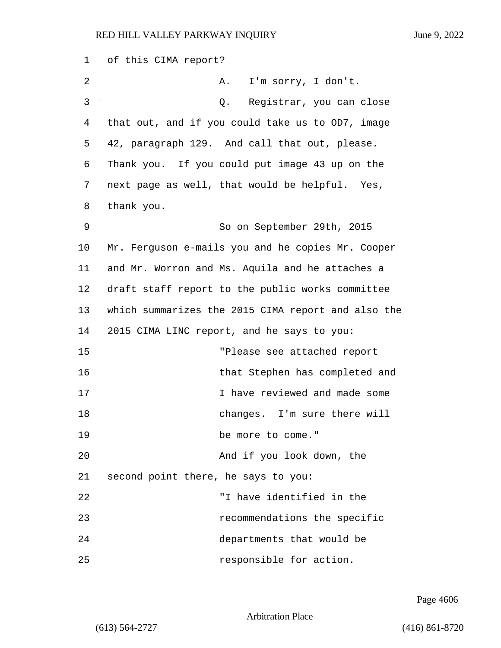| 1  | of this CIMA report?                               |
|----|----------------------------------------------------|
| 2  | I'm sorry, I don't.<br>Α.                          |
| 3  | Registrar, you can close<br>Q.                     |
| 4  | that out, and if you could take us to OD7, image   |
| 5  | 42, paragraph 129. And call that out, please.      |
| 6  | Thank you. If you could put image 43 up on the     |
| 7  | next page as well, that would be helpful. Yes,     |
| 8  | thank you.                                         |
| 9  | So on September 29th, 2015                         |
| 10 | Mr. Ferguson e-mails you and he copies Mr. Cooper  |
| 11 | and Mr. Worron and Ms. Aquila and he attaches a    |
| 12 | draft staff report to the public works committee   |
| 13 | which summarizes the 2015 CIMA report and also the |
| 14 | 2015 CIMA LINC report, and he says to you:         |
| 15 | "Please see attached report                        |
| 16 | that Stephen has completed and                     |
| 17 | I have reviewed and made some                      |
| 18 | changes. I'm sure there will                       |
| 19 | be more to come."                                  |
| 20 | And if you look down, the                          |
| 21 | second point there, he says to you:                |
| 22 | "I have identified in the                          |
| 23 | recommendations the specific                       |
| 24 | departments that would be                          |
| 25 | responsible for action.                            |

Page 4606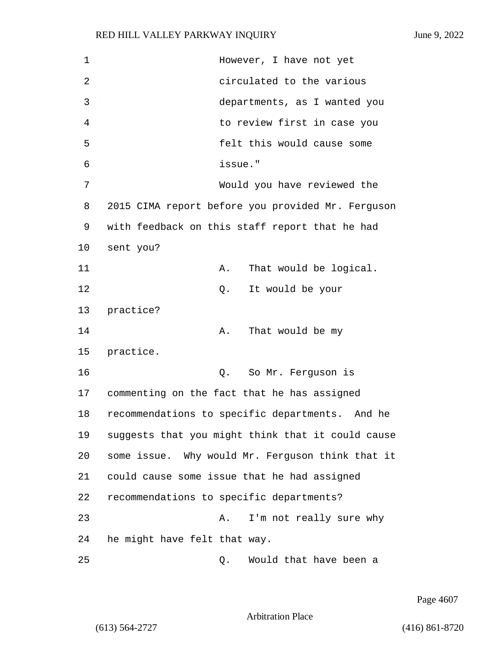| 1  | However, I have not yet                           |
|----|---------------------------------------------------|
| 2  | circulated to the various                         |
| 3  | departments, as I wanted you                      |
| 4  | to review first in case you                       |
| 5  | felt this would cause some                        |
| 6  | issue."                                           |
| 7  | Would you have reviewed the                       |
| 8  | 2015 CIMA report before you provided Mr. Ferguson |
| 9  | with feedback on this staff report that he had    |
| 10 | sent you?                                         |
| 11 | That would be logical.<br>Α.                      |
| 12 | It would be your<br>Q.                            |
| 13 | practice?                                         |
| 14 | That would be my<br>Α.                            |
| 15 | practice.                                         |
| 16 | So Mr. Ferguson is<br>Q.                          |
| 17 | commenting on the fact that he has assigned       |
| 18 | recommendations to specific departments. And he   |
| 19 | suggests that you might think that it could cause |
| 20 | some issue. Why would Mr. Ferguson think that it  |
| 21 | could cause some issue that he had assigned       |
| 22 | recommendations to specific departments?          |
| 23 | I'm not really sure why<br>Α.                     |
| 24 | he might have felt that way.                      |
| 25 | Would that have been a<br>Q.                      |

Page 4607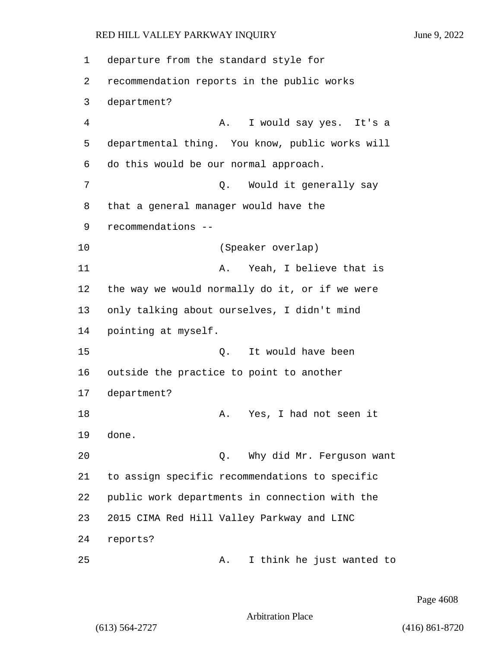1 departure from the standard style for 2 recommendation reports in the public works 3 department? 4 A. I would say yes. It's a 5 departmental thing. You know, public works will 6 do this would be our normal approach. 7 C. Would it generally say 8 that a general manager would have the 9 recommendations -- 10 (Speaker overlap) 11 A. Yeah, I believe that is 12 the way we would normally do it, or if we were 13 only talking about ourselves, I didn't mind 14 pointing at myself. 15 Q. It would have been 16 outside the practice to point to another 17 department? 18 A. Yes, I had not seen it 19 done. 20 Q. Why did Mr. Ferguson want 21 to assign specific recommendations to specific 22 public work departments in connection with the 23 2015 CIMA Red Hill Valley Parkway and LINC 24 reports? 25 A. I think he just wanted to

Page 4608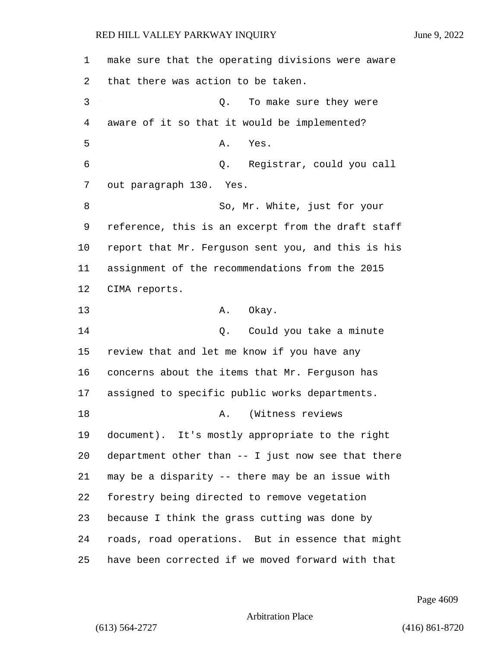make sure that the operating divisions were aware that there was action to be taken. 3 Q. To make sure they were aware of it so that it would be implemented? 5 A. Yes. 6 Q. Registrar, could you call out paragraph 130. Yes. 8 So, Mr. White, just for your reference, this is an excerpt from the draft staff report that Mr. Ferguson sent you, and this is his assignment of the recommendations from the 2015 CIMA reports. 13 A. Okay. 14 Could you take a minute review that and let me know if you have any concerns about the items that Mr. Ferguson has assigned to specific public works departments. 18 A. (Witness reviews document). It's mostly appropriate to the right department other than -- I just now see that there may be a disparity -- there may be an issue with forestry being directed to remove vegetation because I think the grass cutting was done by roads, road operations. But in essence that might have been corrected if we moved forward with that

Page 4609

### Arbitration Place

(613) 564-2727 (416) 861-8720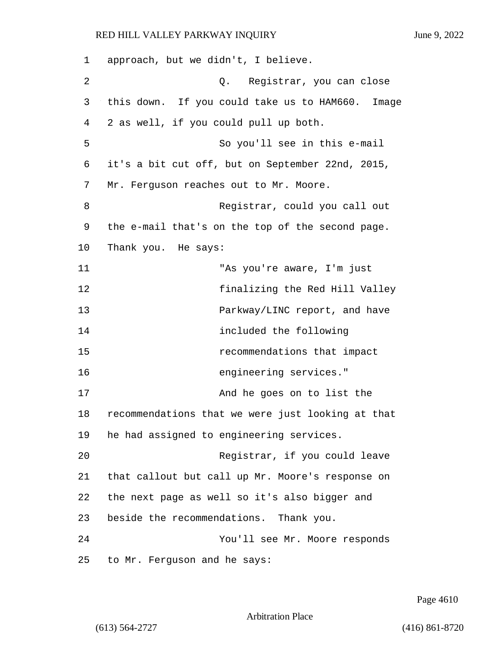| 1  | approach, but we didn't, I believe.                 |
|----|-----------------------------------------------------|
| 2  | Q. Registrar, you can close                         |
| 3  | this down. If you could take us to HAM660.<br>Image |
| 4  | 2 as well, if you could pull up both.               |
| 5  | So you'll see in this e-mail                        |
| 6  | it's a bit cut off, but on September 22nd, 2015,    |
| 7  | Mr. Ferguson reaches out to Mr. Moore.              |
| 8  | Registrar, could you call out                       |
| 9  | the e-mail that's on the top of the second page.    |
| 10 | Thank you. He says:                                 |
| 11 | "As you're aware, I'm just                          |
| 12 | finalizing the Red Hill Valley                      |
| 13 | Parkway/LINC report, and have                       |
| 14 | included the following                              |
| 15 | recommendations that impact                         |
| 16 | engineering services."                              |
| 17 | And he goes on to list the                          |
| 18 | recommendations that we were just looking at that   |
| 19 | he had assigned to engineering services.            |
| 20 | Registrar, if you could leave                       |
| 21 | that callout but call up Mr. Moore's response on    |
| 22 | the next page as well so it's also bigger and       |
| 23 | beside the recommendations. Thank you.              |
| 24 | You'll see Mr. Moore responds                       |
| 25 | to Mr. Ferguson and he says:                        |

Page 4610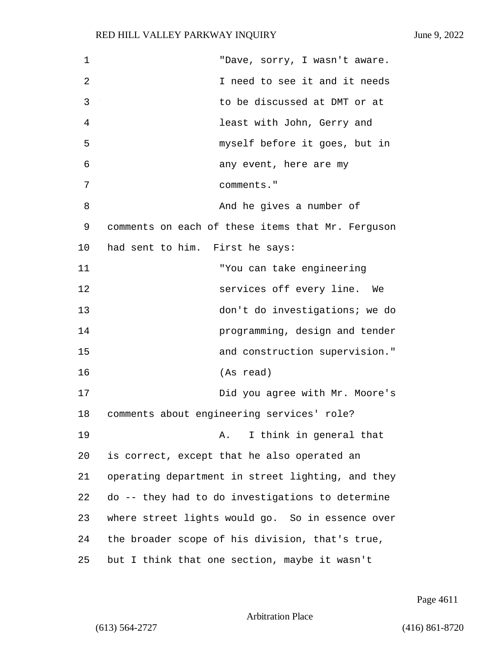| 1  | "Dave, sorry, I wasn't aware.                     |
|----|---------------------------------------------------|
| 2  | I need to see it and it needs                     |
| 3  | to be discussed at DMT or at                      |
| 4  | least with John, Gerry and                        |
| 5  | myself before it goes, but in                     |
| 6  | any event, here are my                            |
| 7  | comments."                                        |
| 8  | And he gives a number of                          |
| 9  | comments on each of these items that Mr. Ferguson |
| 10 | had sent to him. First he says:                   |
| 11 | "You can take engineering                         |
| 12 | services off every line. We                       |
| 13 | don't do investigations; we do                    |
| 14 | programming, design and tender                    |
| 15 | and construction supervision."                    |
| 16 | (As read)                                         |
| 17 | Did you agree with Mr. Moore's                    |
| 18 | comments about engineering services' role?        |
| 19 | I think in general that<br>Α.                     |
| 20 | is correct, except that he also operated an       |
| 21 | operating department in street lighting, and they |
| 22 | do -- they had to do investigations to determine  |
| 23 | where street lights would go. So in essence over  |
| 24 | the broader scope of his division, that's true,   |
| 25 | but I think that one section, maybe it wasn't     |

Page 4611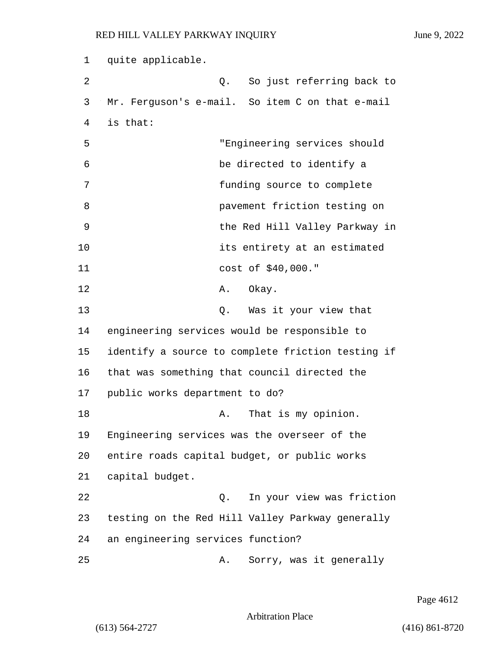1 quite applicable. 2 Q. So just referring back to 3 Mr. Ferguson's e-mail. So item C on that e-mail 4 is that: 5 "Engineering services should 6 be directed to identify a 7 funding source to complete 8 pavement friction testing on 9 the Red Hill Valley Parkway in 10 its entirety at an estimated 11 cost of \$40,000." 12 A. Okay. 13 Q. Was it your view that 14 engineering services would be responsible to 15 identify a source to complete friction testing if 16 that was something that council directed the 17 public works department to do? 18 A. That is my opinion. 19 Engineering services was the overseer of the 20 entire roads capital budget, or public works 21 capital budget. 22 Q. In your view was friction 23 testing on the Red Hill Valley Parkway generally 24 an engineering services function? 25 A. Sorry, was it generally

Page 4612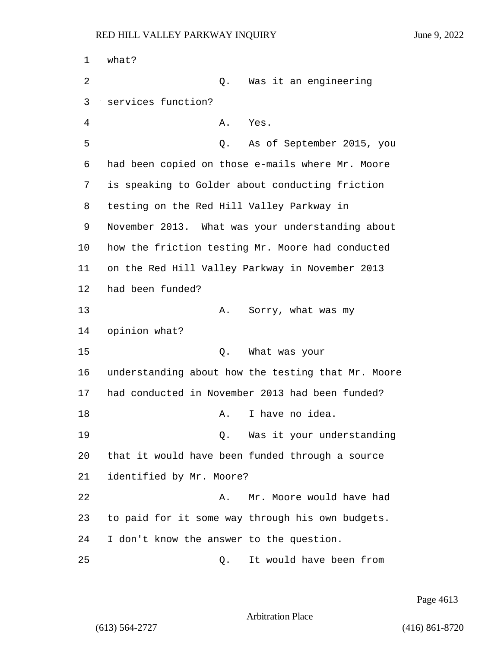1 what? 2 Q. Was it an engineering 3 services function? 4 A. Yes. 5 Q. As of September 2015, you 6 had been copied on those e-mails where Mr. Moore 7 is speaking to Golder about conducting friction 8 testing on the Red Hill Valley Parkway in 9 November 2013. What was your understanding about 10 how the friction testing Mr. Moore had conducted 11 on the Red Hill Valley Parkway in November 2013 12 had been funded? 13 A. Sorry, what was my 14 opinion what? 15 Q. What was your 16 understanding about how the testing that Mr. Moore 17 had conducted in November 2013 had been funded? 18 A. I have no idea. 19 Q. Was it your understanding 20 that it would have been funded through a source 21 identified by Mr. Moore? 22 A. Mr. Moore would have had 23 to paid for it some way through his own budgets. 24 I don't know the answer to the question. 25 Q. It would have been from

Page 4613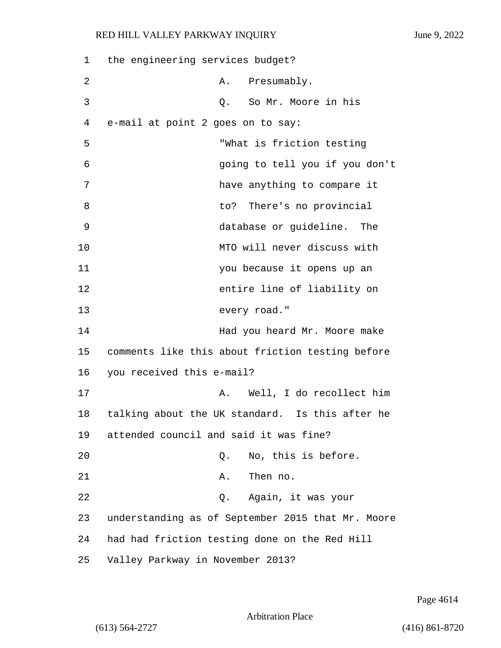| 1  | the engineering services budget?                  |
|----|---------------------------------------------------|
| 2  | Presumably.<br>Α.                                 |
| 3  | So Mr. Moore in his<br>Q.                         |
| 4  | e-mail at point 2 goes on to say:                 |
| 5  | "What is friction testing                         |
| 6  | going to tell you if you don't                    |
| 7  | have anything to compare it                       |
| 8  | to? There's no provincial                         |
| 9  | database or guideline. The                        |
| 10 | MTO will never discuss with                       |
| 11 | you because it opens up an                        |
| 12 | entire line of liability on                       |
| 13 | every road."                                      |
| 14 | Had you heard Mr. Moore make                      |
| 15 | comments like this about friction testing before  |
| 16 | you received this e-mail?                         |
| 17 | Well, I do recollect him<br>Α.                    |
| 18 | talking about the UK standard. Is this after he   |
| 19 | attended council and said it was fine?            |
| 20 | No, this is before.<br>Q.                         |
| 21 | Then no.<br>Α.                                    |
| 22 | Again, it was your<br>Q.                          |
| 23 | understanding as of September 2015 that Mr. Moore |
| 24 | had had friction testing done on the Red Hill     |
| 25 | Valley Parkway in November 2013?                  |

Page 4614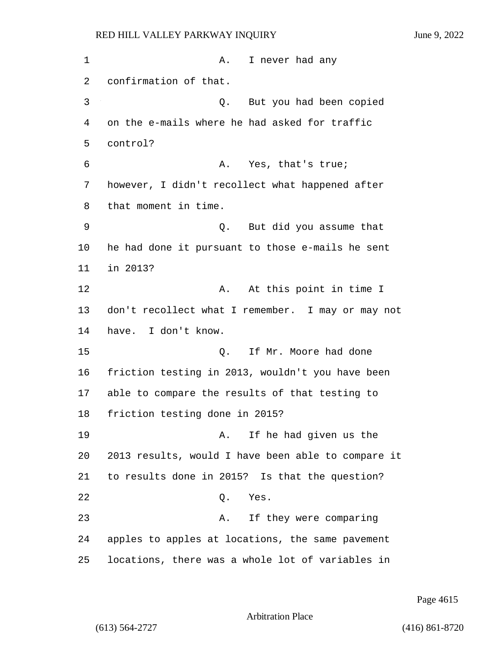1 A. I never had any 2 confirmation of that. 3 Q. But you had been copied 4 on the e-mails where he had asked for traffic 5 control? 6 A. Yes, that's true; 7 however, I didn't recollect what happened after 8 that moment in time. 9 Q. But did you assume that 10 he had done it pursuant to those e-mails he sent 11 in 2013? 12 A. At this point in time I 13 don't recollect what I remember. I may or may not 14 have. I don't know. 15 C. If Mr. Moore had done 16 friction testing in 2013, wouldn't you have been 17 able to compare the results of that testing to 18 friction testing done in 2015? 19 A. If he had given us the 20 2013 results, would I have been able to compare it 21 to results done in 2015? Is that the question? 22 Q. Yes. 23 A. If they were comparing 24 apples to apples at locations, the same pavement 25 locations, there was a whole lot of variables in

Page 4615

Arbitration Place

(613) 564-2727 (416) 861-8720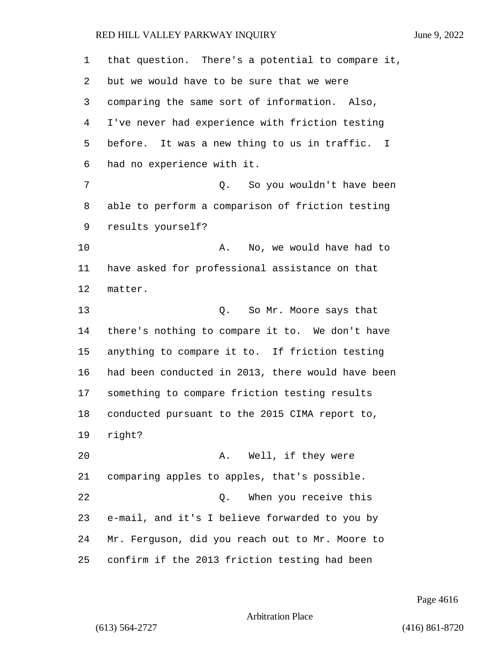| 1  | that question. There's a potential to compare it, |
|----|---------------------------------------------------|
| 2  | but we would have to be sure that we were         |
| 3  | comparing the same sort of information. Also,     |
| 4  | I've never had experience with friction testing   |
| 5  | before. It was a new thing to us in traffic. I    |
| 6  | had no experience with it.                        |
| 7  | Q. So you wouldn't have been                      |
| 8  | able to perform a comparison of friction testing  |
| 9  | results yourself?                                 |
| 10 | No, we would have had to<br>Α.                    |
| 11 | have asked for professional assistance on that    |
| 12 | matter.                                           |
| 13 | Q. So Mr. Moore says that                         |
| 14 | there's nothing to compare it to. We don't have   |
| 15 | anything to compare it to. If friction testing    |
| 16 | had been conducted in 2013, there would have been |
| 17 | something to compare friction testing results     |
| 18 | conducted pursuant to the 2015 CIMA report to,    |
| 19 | right?                                            |
| 20 | Well, if they were<br>Α.                          |
| 21 | comparing apples to apples, that's possible.      |
| 22 | When you receive this<br>Q.                       |
| 23 | e-mail, and it's I believe forwarded to you by    |
| 24 | Mr. Ferguson, did you reach out to Mr. Moore to   |
| 25 | confirm if the 2013 friction testing had been     |

Page 4616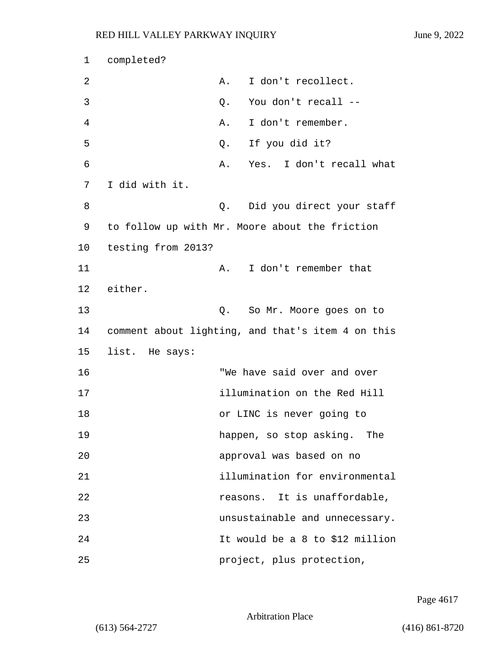```
1 completed?
2 A. I don't recollect.
3 Q. You don't recall --
4 A. I don't remember.
5 Q. If you did it?
6 A. Yes. I don't recall what
7 I did with it.
8 and 10. Did you direct your staff
9 to follow up with Mr. Moore about the friction
10 testing from 2013?
11 A. I don't remember that
12 either.
13 Q. So Mr. Moore goes on to
14 comment about lighting, and that's item 4 on this
15 list. He says:
16 "We have said over and over
17 illumination on the Red Hill
18 or LINC is never going to
19 happen, so stop asking. The
20 approval was based on no
21 illumination for environmental
22 reasons. It is unaffordable,
23 unsustainable and unnecessary.
24 It would be a 8 to $12 million
25 project, plus protection,
```
Page 4617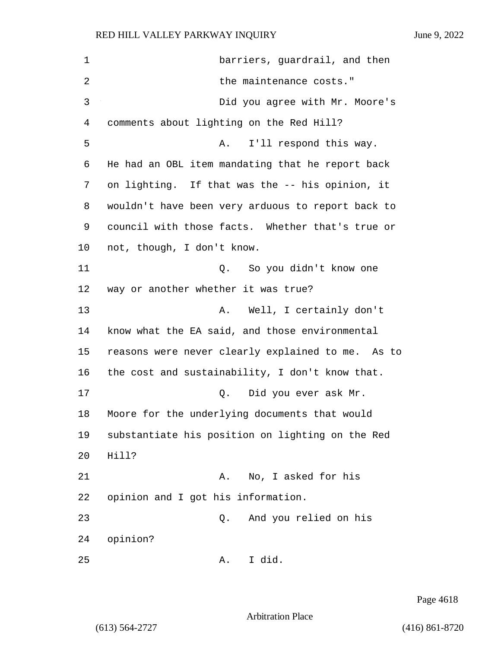1 barriers, guardrail, and then 2 the maintenance costs." 3 Did you agree with Mr. Moore's 4 comments about lighting on the Red Hill? 5 A. I'll respond this way. 6 He had an OBL item mandating that he report back 7 on lighting. If that was the -- his opinion, it 8 wouldn't have been very arduous to report back to 9 council with those facts. Whether that's true or 10 not, though, I don't know. 11 Q. So you didn't know one 12 way or another whether it was true? 13 A. Well, I certainly don't 14 know what the EA said, and those environmental 15 reasons were never clearly explained to me. As to 16 the cost and sustainability, I don't know that. 17 Q. Did you ever ask Mr. 18 Moore for the underlying documents that would 19 substantiate his position on lighting on the Red 20 Hill? 21 A. No, I asked for his 22 opinion and I got his information. 23 Q. And you relied on his 24 opinion? 25 A. I did.

Page 4618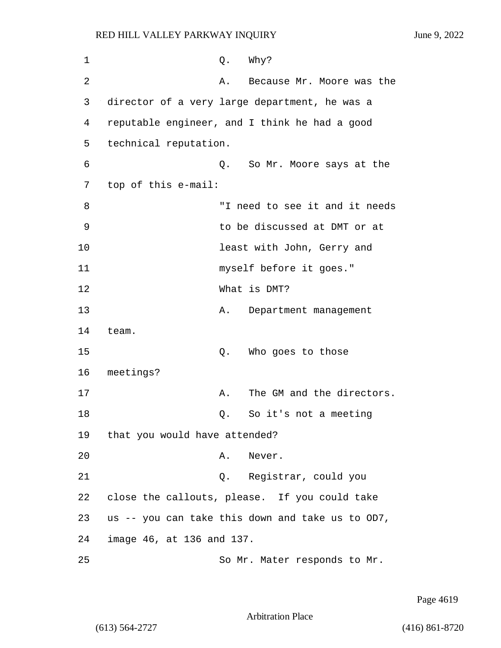| 1  |                               | Q. | Why?                                             |
|----|-------------------------------|----|--------------------------------------------------|
| 2  |                               | Α. | Because Mr. Moore was the                        |
| 3  |                               |    | director of a very large department, he was a    |
| 4  |                               |    | reputable engineer, and I think he had a good    |
| 5  | technical reputation.         |    |                                                  |
| 6  |                               |    | Q. So Mr. Moore says at the                      |
| 7  | top of this e-mail:           |    |                                                  |
| 8  |                               |    | "I need to see it and it needs                   |
| 9  |                               |    | to be discussed at DMT or at                     |
| 10 |                               |    | least with John, Gerry and                       |
| 11 |                               |    | myself before it goes."                          |
| 12 |                               |    | What is DMT?                                     |
| 13 |                               | Α. | Department management                            |
| 14 | team.                         |    |                                                  |
| 15 |                               | Q. | Who goes to those                                |
| 16 | meetings?                     |    |                                                  |
| 17 |                               | Α. | The GM and the directors.                        |
| 18 |                               | Q. | So it's not a meeting                            |
| 19 | that you would have attended? |    |                                                  |
| 20 |                               | Α. | Never.                                           |
| 21 |                               |    | Q. Registrar, could you                          |
| 22 |                               |    | close the callouts, please. If you could take    |
| 23 |                               |    | us -- you can take this down and take us to OD7, |
| 24 | image 46, at 136 and 137.     |    |                                                  |
| 25 |                               |    | So Mr. Mater responds to Mr.                     |

Page 4619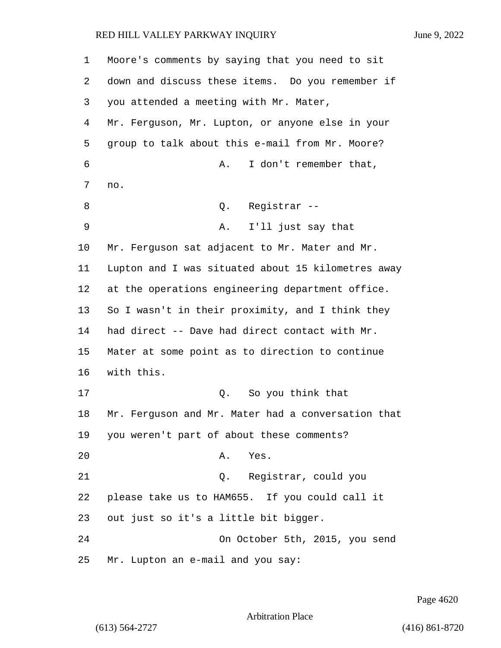| 1       | Moore's comments by saying that you need to sit    |  |  |  |
|---------|----------------------------------------------------|--|--|--|
| 2       | down and discuss these items. Do you remember if   |  |  |  |
| 3       | you attended a meeting with Mr. Mater,             |  |  |  |
| 4       | Mr. Ferguson, Mr. Lupton, or anyone else in your   |  |  |  |
| 5       | group to talk about this e-mail from Mr. Moore?    |  |  |  |
| 6       | I don't remember that,<br>Α.                       |  |  |  |
| 7       | no.                                                |  |  |  |
| 8       | Registrar --<br>Q.                                 |  |  |  |
| 9       | I'll just say that<br>Α.                           |  |  |  |
| $10 \,$ | Mr. Ferguson sat adjacent to Mr. Mater and Mr.     |  |  |  |
| 11      | Lupton and I was situated about 15 kilometres away |  |  |  |
| 12      | at the operations engineering department office.   |  |  |  |
| 13      | So I wasn't in their proximity, and I think they   |  |  |  |
| 14      | had direct -- Dave had direct contact with Mr.     |  |  |  |
| 15      | Mater at some point as to direction to continue    |  |  |  |
| 16      | with this.                                         |  |  |  |
| 17      | So you think that<br>Q.                            |  |  |  |
| 18      | Mr. Ferguson and Mr. Mater had a conversation that |  |  |  |
| 19      | you weren't part of about these comments?          |  |  |  |
| 20      | Yes.<br>Α.                                         |  |  |  |
| 21      | Q. Registrar, could you                            |  |  |  |
| 22      | please take us to HAM655. If you could call it     |  |  |  |
| 23      | out just so it's a little bit bigger.              |  |  |  |
| 24      | On October 5th, 2015, you send                     |  |  |  |
| 25      | Mr. Lupton an e-mail and you say:                  |  |  |  |

Page 4620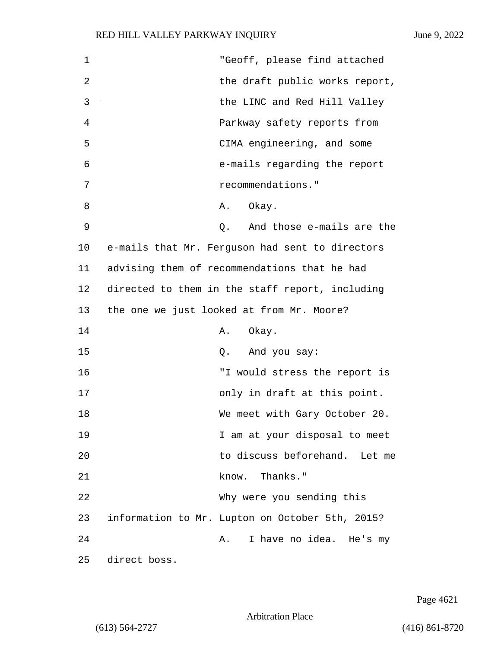| 1  | "Geoff, please find attached                    |
|----|-------------------------------------------------|
| 2  | the draft public works report,                  |
| 3  | the LINC and Red Hill Valley                    |
| 4  | Parkway safety reports from                     |
| 5  | CIMA engineering, and some                      |
| 6  | e-mails regarding the report                    |
| 7  | recommendations."                               |
| 8  | Okay.<br>Α.                                     |
| 9  | And those e-mails are the<br>Q.                 |
| 10 | e-mails that Mr. Ferguson had sent to directors |
| 11 | advising them of recommendations that he had    |
| 12 | directed to them in the staff report, including |
| 13 | the one we just looked at from Mr. Moore?       |
| 14 | Okay.<br>Α.                                     |
| 15 | And you say:<br>Q.                              |
| 16 | "I would stress the report is                   |
| 17 | only in draft at this point.                    |
| 18 | We meet with Gary October 20.                   |
| 19 | I am at your disposal to meet                   |
| 20 | to discuss beforehand. Let me                   |
| 21 | know. Thanks."                                  |
| 22 | Why were you sending this                       |
| 23 | information to Mr. Lupton on October 5th, 2015? |
| 24 | I have no idea. He's my<br>Α.                   |
| 25 | direct boss.                                    |

Page 4621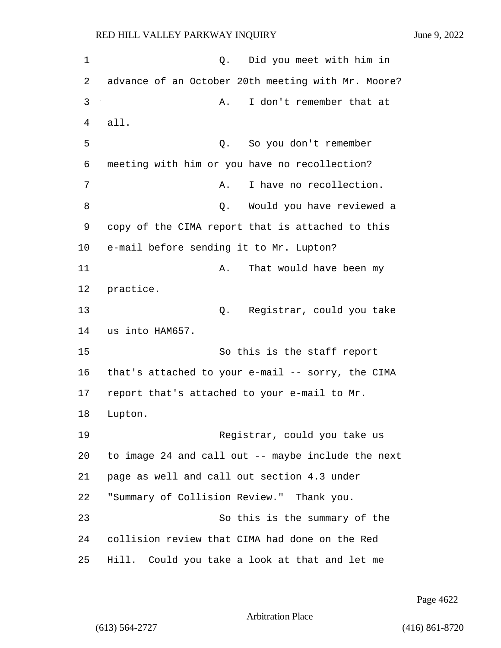1 Q. Did you meet with him in 2 advance of an October 20th meeting with Mr. Moore? 3 A. I don't remember that at 4 all. 5 Q. So you don't remember 6 meeting with him or you have no recollection? 7 A. I have no recollection. 8 a v 2. Would you have reviewed a 9 copy of the CIMA report that is attached to this 10 e-mail before sending it to Mr. Lupton? 11 A. That would have been my 12 practice. 13 Q. Registrar, could you take 14 us into HAM657. 15 So this is the staff report 16 that's attached to your e-mail -- sorry, the CIMA 17 report that's attached to your e-mail to Mr. 18 Lupton. 19 Registrar, could you take us 20 to image 24 and call out -- maybe include the next 21 page as well and call out section 4.3 under 22 "Summary of Collision Review." Thank you. 23 So this is the summary of the 24 collision review that CIMA had done on the Red 25 Hill. Could you take a look at that and let me

Page 4622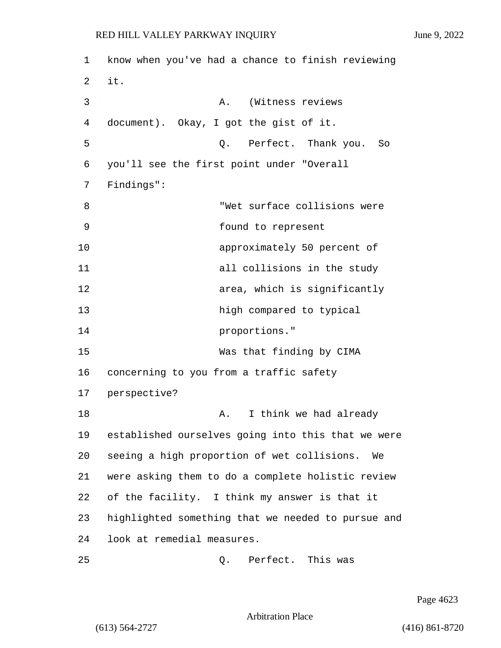1 know when you've had a chance to finish reviewing 2 it. 3 A. (Witness reviews 4 document). Okay, I got the gist of it. 5 Q. Perfect. Thank you. So 6 you'll see the first point under "Overall 7 Findings": 8 "Wet surface collisions were 9 found to represent 10 approximately 50 percent of 11 all collisions in the study 12 area, which is significantly 13 high compared to typical 14 proportions." 15 Was that finding by CIMA 16 concerning to you from a traffic safety 17 perspective? 18 A. I think we had already 19 established ourselves going into this that we were 20 seeing a high proportion of wet collisions. We 21 were asking them to do a complete holistic review 22 of the facility. I think my answer is that it 23 highlighted something that we needed to pursue and 24 look at remedial measures. 25 Q. Perfect. This was

Page 4623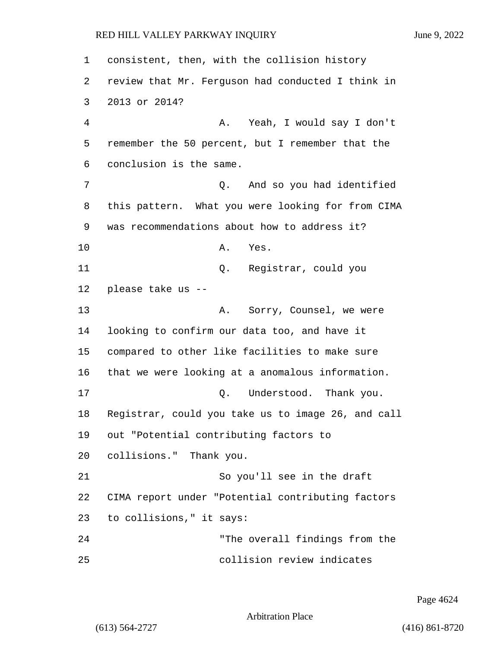consistent, then, with the collision history review that Mr. Ferguson had conducted I think in 2013 or 2014? 4 A. Yeah, I would say I don't remember the 50 percent, but I remember that the conclusion is the same. 7 Q. And so you had identified this pattern. What you were looking for from CIMA was recommendations about how to address it? 10 A. Yes. 11 Q. Registrar, could you please take us -- 13 A. Sorry, Counsel, we were looking to confirm our data too, and have it compared to other like facilities to make sure that we were looking at a anomalous information. 17 C. Understood. Thank you. Registrar, could you take us to image 26, and call out "Potential contributing factors to collisions." Thank you. 21 So you'll see in the draft CIMA report under "Potential contributing factors to collisions," it says: 24 "The overall findings from the 25 collision review indicates

Page 4624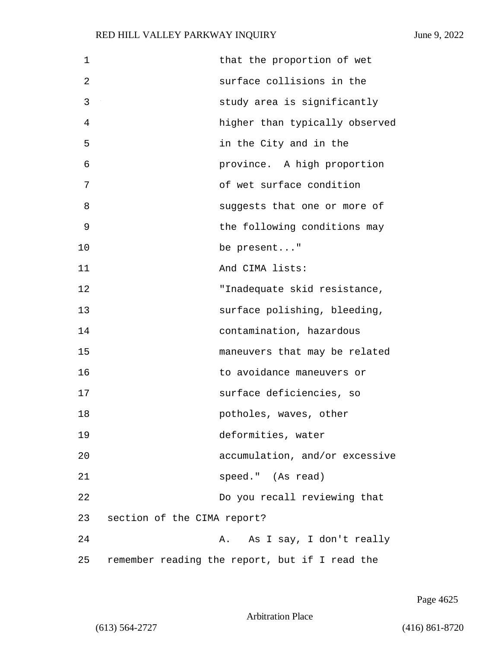| $\mathbf 1$ | that the proportion of wet                     |
|-------------|------------------------------------------------|
| 2           | surface collisions in the                      |
| 3           | study area is significantly                    |
| 4           | higher than typically observed                 |
| 5           | in the City and in the                         |
| 6           | province. A high proportion                    |
| 7           | of wet surface condition                       |
| 8           | suggests that one or more of                   |
| 9           | the following conditions may                   |
| 10          | be present"                                    |
| 11          | And CIMA lists:                                |
| 12          | "Inadequate skid resistance,                   |
| 13          | surface polishing, bleeding,                   |
| 14          | contamination, hazardous                       |
| 15          | maneuvers that may be related                  |
| 16          | to avoidance maneuvers or                      |
| 17          | surface deficiencies, so                       |
| 18          | potholes, waves, other                         |
| 19          | deformities, water                             |
| 20          | accumulation, and/or excessive                 |
| 21          | speed." (As read)                              |
| 22          | Do you recall reviewing that                   |
| 23          | section of the CIMA report?                    |
| 24          | A. As I say, I don't really                    |
| 25          | remember reading the report, but if I read the |

Page 4625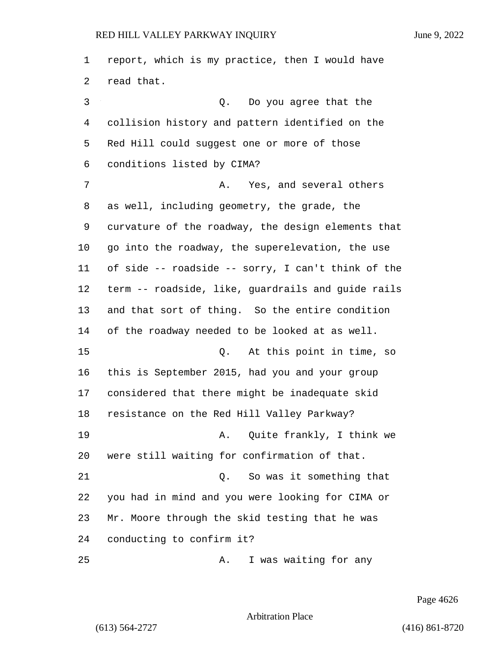report, which is my practice, then I would have read that. 3 Q. Do you agree that the collision history and pattern identified on the Red Hill could suggest one or more of those conditions listed by CIMA? 7 A. Yes, and several others as well, including geometry, the grade, the curvature of the roadway, the design elements that go into the roadway, the superelevation, the use of side -- roadside -- sorry, I can't think of the term -- roadside, like, guardrails and guide rails and that sort of thing. So the entire condition of the roadway needed to be looked at as well. 15 Q. At this point in time, so this is September 2015, had you and your group considered that there might be inadequate skid resistance on the Red Hill Valley Parkway? 19 A. Quite frankly, I think we were still waiting for confirmation of that. 21 Q. So was it something that you had in mind and you were looking for CIMA or Mr. Moore through the skid testing that he was conducting to confirm it? 25 A. I was waiting for any

Page 4626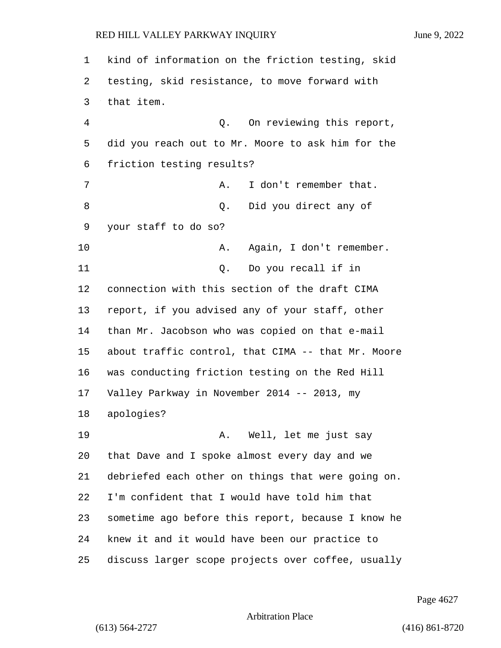| 1  | kind of information on the friction testing, skid  |
|----|----------------------------------------------------|
| 2  | testing, skid resistance, to move forward with     |
| 3  | that item.                                         |
| 4  | On reviewing this report,<br>Q.                    |
| 5  | did you reach out to Mr. Moore to ask him for the  |
| 6  | friction testing results?                          |
| 7  | I don't remember that.<br>Α.                       |
| 8  | Did you direct any of<br>Q.                        |
| 9  | your staff to do so?                               |
| 10 | Again, I don't remember.<br>Α.                     |
| 11 | Do you recall if in<br>Q.                          |
| 12 | connection with this section of the draft CIMA     |
| 13 | report, if you advised any of your staff, other    |
| 14 | than Mr. Jacobson who was copied on that e-mail    |
| 15 | about traffic control, that CIMA -- that Mr. Moore |
| 16 | was conducting friction testing on the Red Hill    |
| 17 | Valley Parkway in November 2014 -- 2013, my        |
| 18 | apologies?                                         |
| 19 | A. Well, let me just say                           |
| 20 | that Dave and I spoke almost every day and we      |
| 21 | debriefed each other on things that were going on. |
| 22 | I'm confident that I would have told him that      |
| 23 | sometime ago before this report, because I know he |
| 24 | knew it and it would have been our practice to     |
| 25 | discuss larger scope projects over coffee, usually |

Page 4627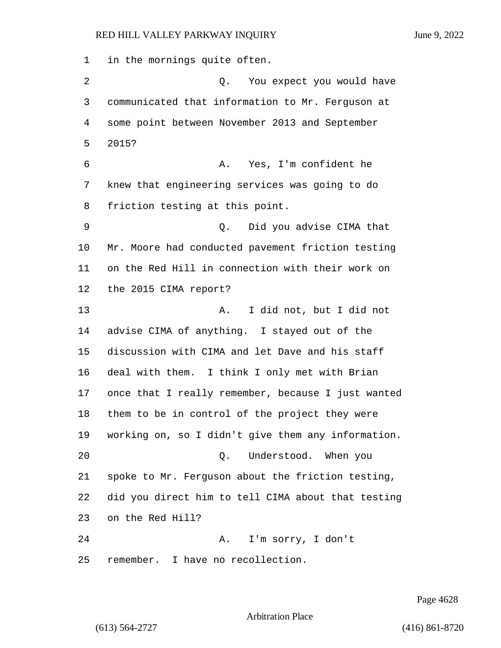in the mornings quite often. 2 Q. You expect you would have communicated that information to Mr. Ferguson at some point between November 2013 and September 2015? 6 A. Yes, I'm confident he knew that engineering services was going to do friction testing at this point. 9 Q. Did you advise CIMA that Mr. Moore had conducted pavement friction testing on the Red Hill in connection with their work on the 2015 CIMA report? 13 A. I did not, but I did not advise CIMA of anything. I stayed out of the discussion with CIMA and let Dave and his staff deal with them. I think I only met with Brian once that I really remember, because I just wanted them to be in control of the project they were working on, so I didn't give them any information. 20 Q. Understood. When you spoke to Mr. Ferguson about the friction testing, did you direct him to tell CIMA about that testing on the Red Hill? 24 A. I'm sorry, I don't remember. I have no recollection.

Page 4628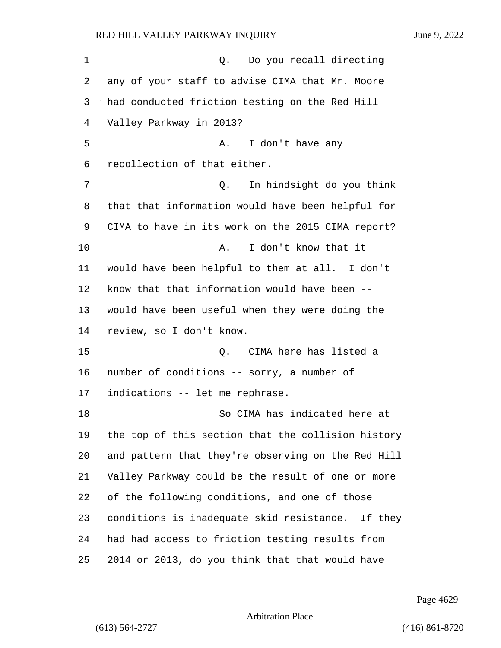1 0. Do you recall directing any of your staff to advise CIMA that Mr. Moore had conducted friction testing on the Red Hill Valley Parkway in 2013? 5 A. I don't have any recollection of that either. 7 Q. In hindsight do you think that that information would have been helpful for CIMA to have in its work on the 2015 CIMA report? 10 A. I don't know that it would have been helpful to them at all. I don't know that that information would have been -- would have been useful when they were doing the review, so I don't know. 15 Q. CIMA here has listed a number of conditions -- sorry, a number of indications -- let me rephrase. 18 So CIMA has indicated here at the top of this section that the collision history and pattern that they're observing on the Red Hill Valley Parkway could be the result of one or more of the following conditions, and one of those conditions is inadequate skid resistance. If they had had access to friction testing results from 2014 or 2013, do you think that that would have

Page 4629

### Arbitration Place

(613) 564-2727 (416) 861-8720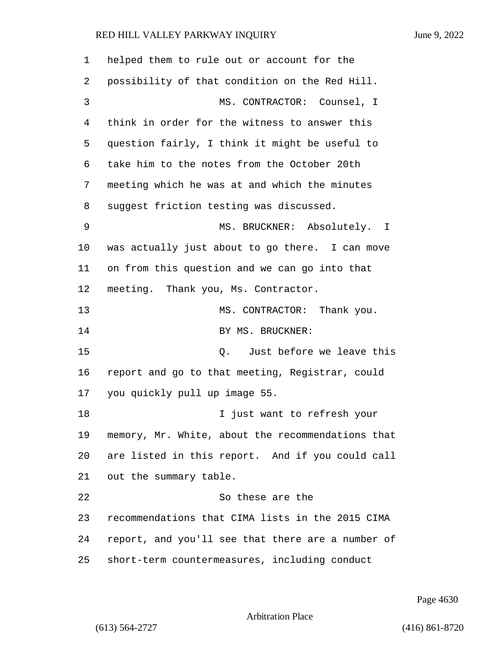| 1  | helped them to rule out or account for the        |  |
|----|---------------------------------------------------|--|
| 2  | possibility of that condition on the Red Hill.    |  |
| 3  | MS. CONTRACTOR: Counsel, I                        |  |
| 4  | think in order for the witness to answer this     |  |
| 5  | question fairly, I think it might be useful to    |  |
| 6  | take him to the notes from the October 20th       |  |
| 7  | meeting which he was at and which the minutes     |  |
| 8  | suggest friction testing was discussed.           |  |
| 9  | MS. BRUCKNER: Absolutely. I                       |  |
| 10 | was actually just about to go there. I can move   |  |
| 11 | on from this question and we can go into that     |  |
| 12 | meeting. Thank you, Ms. Contractor.               |  |
| 13 | MS. CONTRACTOR: Thank you.                        |  |
| 14 | BY MS. BRUCKNER:                                  |  |
| 15 | Just before we leave this<br>Q.                   |  |
| 16 | report and go to that meeting, Registrar, could   |  |
| 17 | you quickly pull up image 55.                     |  |
| 18 | I just want to refresh your                       |  |
| 19 | memory, Mr. White, about the recommendations that |  |
| 20 | are listed in this report. And if you could call  |  |
| 21 | out the summary table.                            |  |
| 22 | So these are the                                  |  |
| 23 | recommendations that CIMA lists in the 2015 CIMA  |  |
| 24 | report, and you'll see that there are a number of |  |
| 25 | short-term countermeasures, including conduct     |  |

Page 4630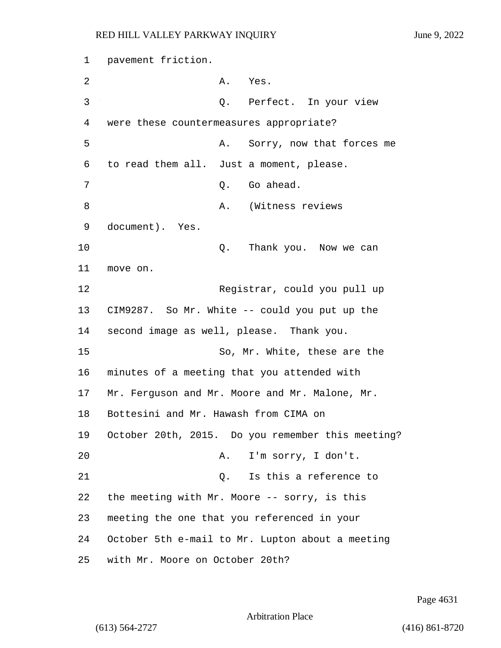1 pavement friction. 2 A. Yes. 3 Q. Perfect. In your view 4 were these countermeasures appropriate? 5 A. Sorry, now that forces me 6 to read them all. Just a moment, please. 7 C. Go ahead. 8 A. (Witness reviews 9 document). Yes. 10 Q. Thank you. Now we can 11 move on. 12 Reqistrar, could you pull up 13 CIM9287. So Mr. White -- could you put up the 14 second image as well, please. Thank you. 15 So, Mr. White, these are the 16 minutes of a meeting that you attended with 17 Mr. Ferguson and Mr. Moore and Mr. Malone, Mr. 18 Bottesini and Mr. Hawash from CIMA on 19 October 20th, 2015. Do you remember this meeting? 20 A. I'm sorry, I don't. 21 Q. Is this a reference to 22 the meeting with Mr. Moore -- sorry, is this 23 meeting the one that you referenced in your 24 October 5th e-mail to Mr. Lupton about a meeting 25 with Mr. Moore on October 20th?

Page 4631

```
Arbitration Place
```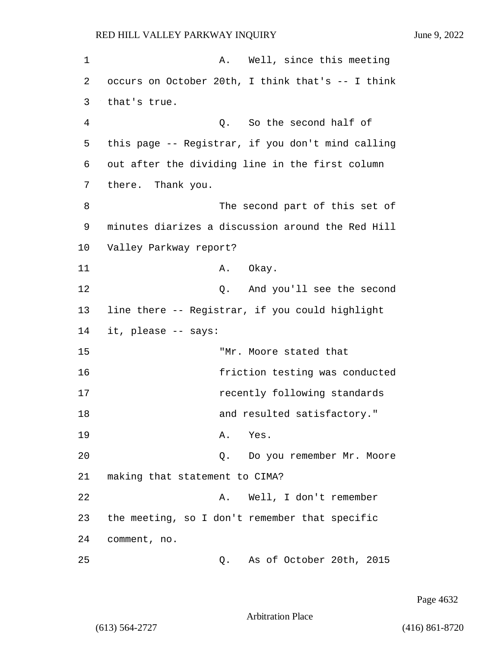| 1  | A. Well, since this meeting                       |
|----|---------------------------------------------------|
| 2  | occurs on October 20th, I think that's -- I think |
| 3  | that's true.                                      |
| 4  | So the second half of<br>Q.                       |
| 5  | this page -- Registrar, if you don't mind calling |
| 6  | out after the dividing line in the first column   |
| 7  | there. Thank you.                                 |
| 8  | The second part of this set of                    |
| 9  | minutes diarizes a discussion around the Red Hill |
| 10 | Valley Parkway report?                            |
| 11 | A. Okay.                                          |
| 12 | And you'll see the second<br>Q.                   |
| 13 | line there -- Registrar, if you could highlight   |
| 14 | it, please -- says:                               |
| 15 | "Mr. Moore stated that                            |
| 16 | friction testing was conducted                    |
| 17 | recently following standards                      |
| 18 | and resulted satisfactory."                       |
| 19 | A. Yes.                                           |
| 20 | Do you remember Mr. Moore<br>Q.                   |
| 21 | making that statement to CIMA?                    |
| 22 | Well, I don't remember<br>Α.                      |
| 23 | the meeting, so I don't remember that specific    |
| 24 | comment, no.                                      |
| 25 | As of October 20th, 2015<br>Q.                    |

Page 4632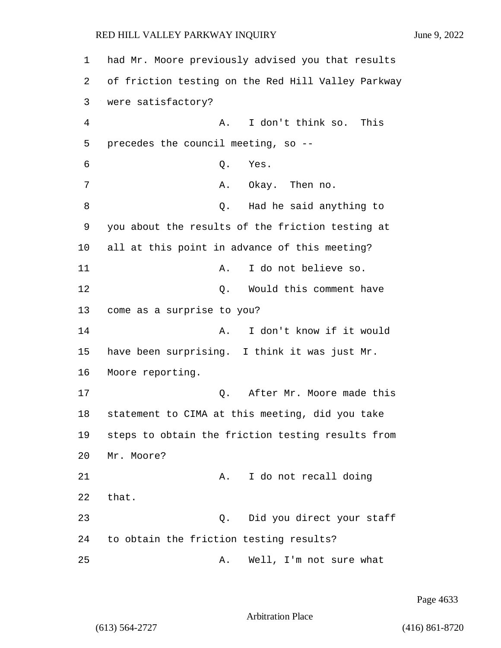| 1  | had Mr. Moore previously advised you that results  |
|----|----------------------------------------------------|
| 2  | of friction testing on the Red Hill Valley Parkway |
| 3  | were satisfactory?                                 |
| 4  | I don't think so. This<br>Α.                       |
| 5  | precedes the council meeting, so --                |
| 6  | Q.<br>Yes.                                         |
| 7  | Okay. Then no.<br>Α.                               |
| 8  | Had he said anything to<br>Q.                      |
| 9  | you about the results of the friction testing at   |
| 10 | all at this point in advance of this meeting?      |
| 11 | I do not believe so.<br>Α.                         |
| 12 | Would this comment have<br>Q.                      |
| 13 | come as a surprise to you?                         |
| 14 | I don't know if it would<br>Α.                     |
| 15 | have been surprising. I think it was just Mr.      |
| 16 | Moore reporting.                                   |
| 17 | After Mr. Moore made this<br>Q.                    |
| 18 | statement to CIMA at this meeting, did you take    |
| 19 | steps to obtain the friction testing results from  |
| 20 | Mr. Moore?                                         |
| 21 | I do not recall doing<br>Α.                        |
| 22 | that.                                              |
| 23 | Did you direct your staff<br>Q.                    |
| 24 | to obtain the friction testing results?            |
| 25 | Well, I'm not sure what<br>Α.                      |

Page 4633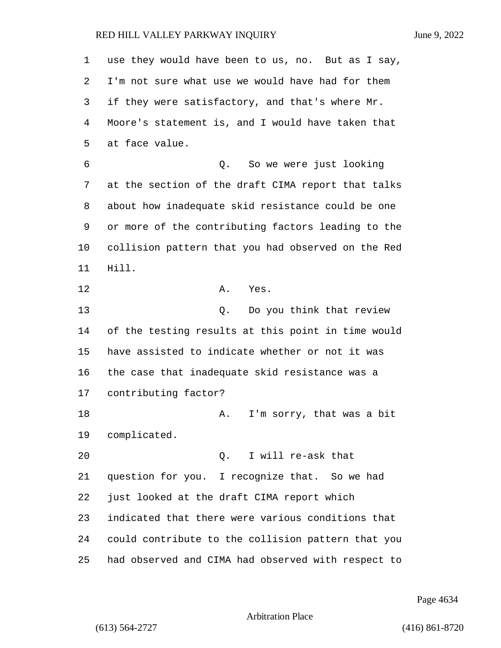| 1  | use they would have been to us, no. But as I say,  |
|----|----------------------------------------------------|
| 2  | I'm not sure what use we would have had for them   |
| 3  | if they were satisfactory, and that's where Mr.    |
| 4  | Moore's statement is, and I would have taken that  |
| 5  | at face value.                                     |
| 6  | So we were just looking<br>Q.                      |
| 7  | at the section of the draft CIMA report that talks |
| 8  | about how inadequate skid resistance could be one  |
| 9  | or more of the contributing factors leading to the |
| 10 | collision pattern that you had observed on the Red |
| 11 | Hill.                                              |
| 12 | Yes.<br>Α.                                         |
| 13 | Do you think that review<br>Q.                     |
| 14 | of the testing results at this point in time would |
| 15 | have assisted to indicate whether or not it was    |
| 16 | the case that inadequate skid resistance was a     |
| 17 | contributing factor?                               |
| 18 | I'm sorry, that was a bit<br>Α.                    |
| 19 | complicated.                                       |
| 20 | I will re-ask that<br>$\circ$ .                    |
| 21 | question for you. I recognize that. So we had      |
| 22 | just looked at the draft CIMA report which         |
| 23 | indicated that there were various conditions that  |
| 24 | could contribute to the collision pattern that you |
| 25 | had observed and CIMA had observed with respect to |

Page 4634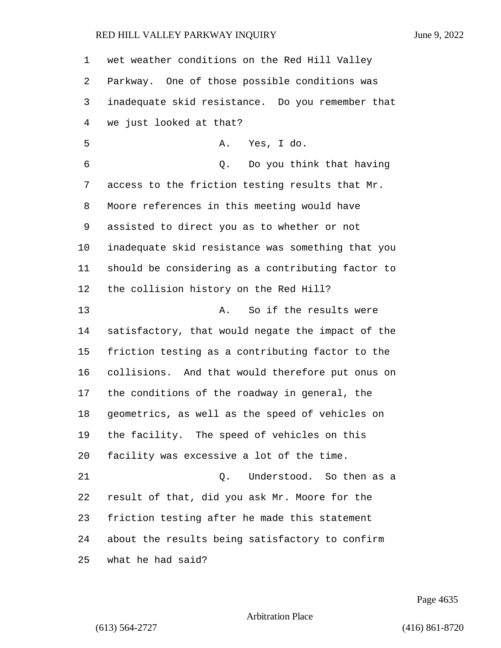wet weather conditions on the Red Hill Valley Parkway. One of those possible conditions was inadequate skid resistance. Do you remember that we just looked at that? 5 A. Yes, I do. 6 Q. Do you think that having access to the friction testing results that Mr. Moore references in this meeting would have assisted to direct you as to whether or not inadequate skid resistance was something that you should be considering as a contributing factor to the collision history on the Red Hill? 13 A. So if the results were satisfactory, that would negate the impact of the friction testing as a contributing factor to the collisions. And that would therefore put onus on the conditions of the roadway in general, the geometrics, as well as the speed of vehicles on the facility. The speed of vehicles on this facility was excessive a lot of the time. 21 Q. Understood. So then as a result of that, did you ask Mr. Moore for the friction testing after he made this statement about the results being satisfactory to confirm what he had said?

Page 4635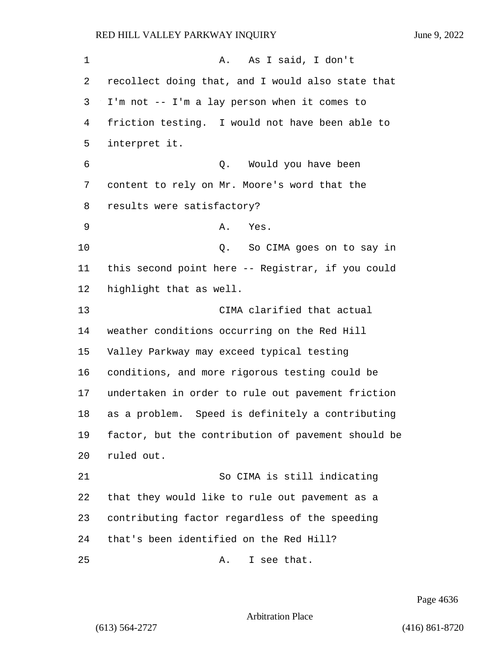1 A. As I said, I don't recollect doing that, and I would also state that I'm not -- I'm a lay person when it comes to friction testing. I would not have been able to interpret it. 6 Q. Would you have been content to rely on Mr. Moore's word that the results were satisfactory? 9 A. Yes. 10 Q. So CIMA goes on to say in this second point here -- Registrar, if you could highlight that as well. 13 CIMA clarified that actual weather conditions occurring on the Red Hill Valley Parkway may exceed typical testing conditions, and more rigorous testing could be undertaken in order to rule out pavement friction as a problem. Speed is definitely a contributing factor, but the contribution of pavement should be ruled out. 21 So CIMA is still indicating that they would like to rule out pavement as a contributing factor regardless of the speeding that's been identified on the Red Hill? 25 A. I see that.

Page 4636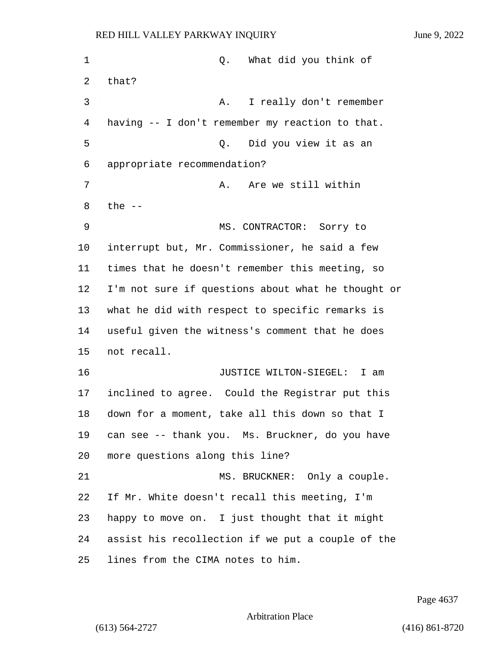1 C. What did you think of that? 3 A. I really don't remember having -- I don't remember my reaction to that. 5 Q. Did you view it as an appropriate recommendation? 7 A. Are we still within the -- 9 MS. CONTRACTOR: Sorry to interrupt but, Mr. Commissioner, he said a few times that he doesn't remember this meeting, so I'm not sure if questions about what he thought or what he did with respect to specific remarks is useful given the witness's comment that he does not recall. 16 JUSTICE WILTON-SIEGEL: I am inclined to agree. Could the Registrar put this down for a moment, take all this down so that I can see -- thank you. Ms. Bruckner, do you have more questions along this line? 21 MS. BRUCKNER: Only a couple. If Mr. White doesn't recall this meeting, I'm happy to move on. I just thought that it might assist his recollection if we put a couple of the lines from the CIMA notes to him.

Page 4637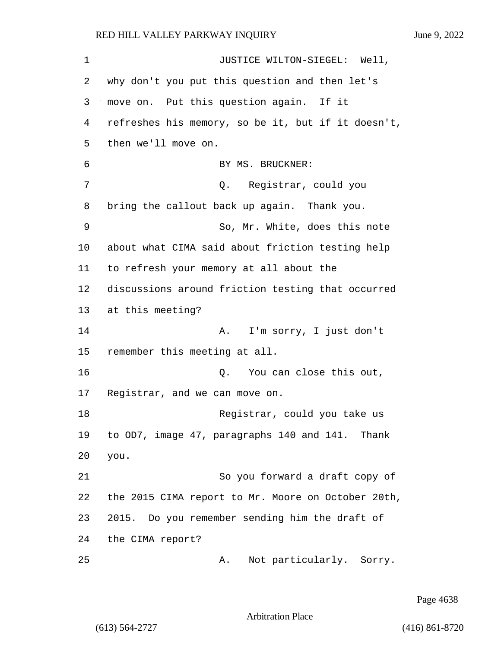1 JUSTICE WILTON-SIEGEL: Well, 2 why don't you put this question and then let's 3 move on. Put this question again. If it 4 refreshes his memory, so be it, but if it doesn't, 5 then we'll move on. 6 BY MS. BRUCKNER: 7 Q. Registrar, could you 8 bring the callout back up again. Thank you. 9 So, Mr. White, does this note 10 about what CIMA said about friction testing help 11 to refresh your memory at all about the 12 discussions around friction testing that occurred 13 at this meeting? 14 A. I'm sorry, I just don't 15 remember this meeting at all. 16 Q. You can close this out, 17 Registrar, and we can move on. 18 Registrar, could you take us 19 to OD7, image 47, paragraphs 140 and 141. Thank 20 you. 21 So you forward a draft copy of 22 the 2015 CIMA report to Mr. Moore on October 20th, 23 2015. Do you remember sending him the draft of 24 the CIMA report? 25 A. Not particularly. Sorry.

Page 4638

Arbitration Place

(613) 564-2727 (416) 861-8720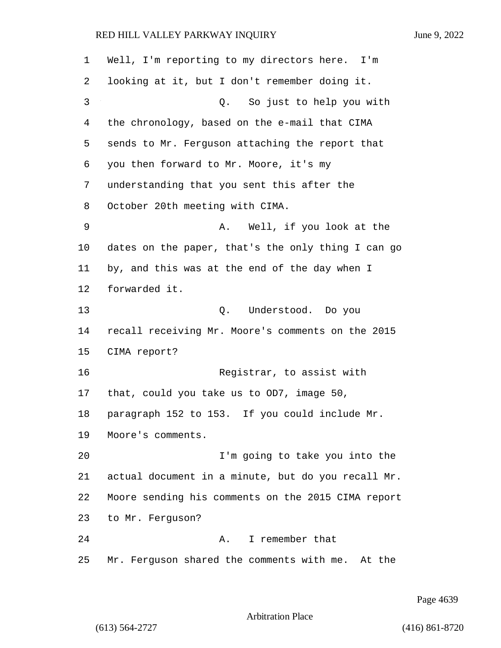| $\mathbf 1$ | Well, I'm reporting to my directors here. I'm      |  |
|-------------|----------------------------------------------------|--|
| 2           | looking at it, but I don't remember doing it.      |  |
| 3           | Q. So just to help you with                        |  |
| 4           | the chronology, based on the e-mail that CIMA      |  |
| 5           | sends to Mr. Ferguson attaching the report that    |  |
| 6           | you then forward to Mr. Moore, it's my             |  |
| 7           | understanding that you sent this after the         |  |
| 8           | October 20th meeting with CIMA.                    |  |
| 9           | Well, if you look at the<br>Α.                     |  |
| 10          | dates on the paper, that's the only thing I can go |  |
| 11          | by, and this was at the end of the day when I      |  |
| 12          | forwarded it.                                      |  |
| 13          | Q. Understood. Do you                              |  |
| 14          | recall receiving Mr. Moore's comments on the 2015  |  |
| 15          | CIMA report?                                       |  |
| 16          | Registrar, to assist with                          |  |
| 17          | that, could you take us to OD7, image 50,          |  |
| 18          | paragraph 152 to 153. If you could include Mr.     |  |
| 19          | Moore's comments.                                  |  |
| 20          | I'm going to take you into the                     |  |
| 21          | actual document in a minute, but do you recall Mr. |  |
| 22          | Moore sending his comments on the 2015 CIMA report |  |
| 23          | to Mr. Ferquson?                                   |  |
| 24          | I remember that<br>A.,                             |  |
| 25          | Mr. Ferguson shared the comments with me. At the   |  |

Page 4639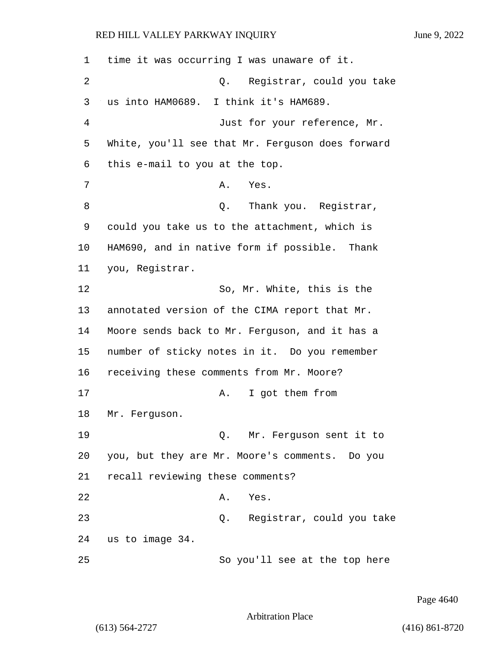| 1  | time it was occurring I was unaware of it.       |
|----|--------------------------------------------------|
| 2  | Registrar, could you take<br>Q.                  |
| 3  | us into HAM0689. I think it's HAM689.            |
| 4  | Just for your reference, Mr.                     |
| 5  | White, you'll see that Mr. Ferguson does forward |
| 6  | this e-mail to you at the top.                   |
| 7  | Α.<br>Yes.                                       |
| 8  | Thank you. Registrar,<br>Q.                      |
| 9  | could you take us to the attachment, which is    |
| 10 | HAM690, and in native form if possible. Thank    |
| 11 | you, Registrar.                                  |
| 12 | So, Mr. White, this is the                       |
| 13 | annotated version of the CIMA report that Mr.    |
| 14 | Moore sends back to Mr. Ferguson, and it has a   |
| 15 | number of sticky notes in it. Do you remember    |
| 16 | receiving these comments from Mr. Moore?         |
| 17 | I got them from<br>Α.                            |
| 18 | Mr. Ferguson.                                    |
| 19 | Q. Mr. Ferguson sent it to                       |
| 20 | you, but they are Mr. Moore's comments. Do you   |
| 21 | recall reviewing these comments?                 |
| 22 | Α.<br>Yes.                                       |
| 23 | Registrar, could you take<br>Q.                  |
| 24 | us to image 34.                                  |
| 25 | So you'll see at the top here                    |

Page 4640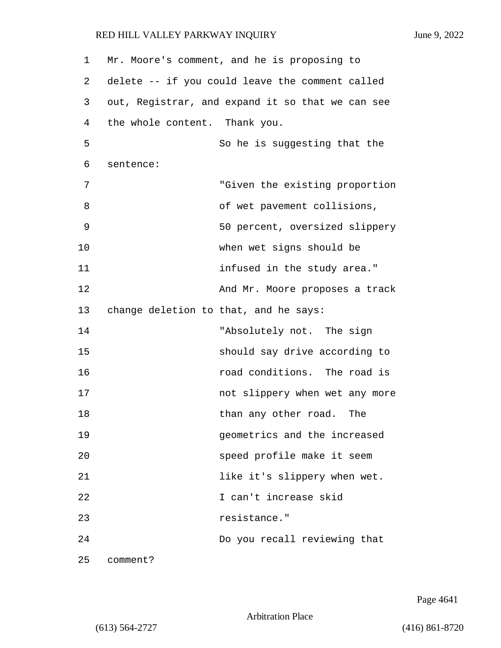1 Mr. Moore's comment, and he is proposing to 2 delete -- if you could leave the comment called 3 out, Registrar, and expand it so that we can see 4 the whole content. Thank you. 5 So he is suggesting that the 6 sentence: 7 "Given the existing proportion 8 of wet pavement collisions, 9 50 percent, oversized slippery 10 when wet signs should be 11 **infused in the study area.**" 12 And Mr. Moore proposes a track 13 change deletion to that, and he says: 14 The sign with a bandwich with the sign with the sign in the sign in the sign in the sign in the sign in the sign in the sign in the sign in the sign in the sign in the sign in the sign in the sign in the sign in the sig 15 should say drive according to 16 road conditions. The road is 17 not slippery when wet any more 18 than any other road. The 19 geometrics and the increased 20 speed profile make it seem 21 **like it's slippery when wet.** 22 I can't increase skid 23 resistance." 24 Do you recall reviewing that

25 comment?

Page 4641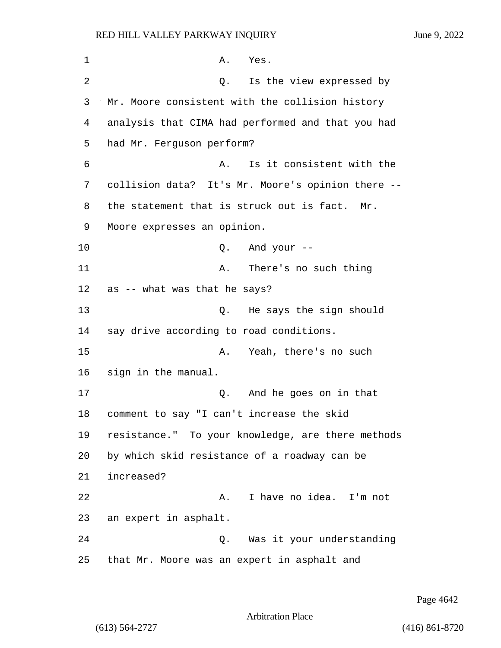1 A. Yes. 2 a Q. Is the view expressed by 3 Mr. Moore consistent with the collision history 4 analysis that CIMA had performed and that you had 5 had Mr. Ferguson perform? 6 A. Is it consistent with the 7 collision data? It's Mr. Moore's opinion there -- 8 the statement that is struck out is fact. Mr. 9 Moore expresses an opinion. 10 Q. And your -- 11 A. There's no such thing 12 as -- what was that he says? 13 Q. He says the sign should 14 say drive according to road conditions. 15 A. Yeah, there's no such 16 sign in the manual. 17 Q. And he goes on in that 18 comment to say "I can't increase the skid 19 resistance." To your knowledge, are there methods 20 by which skid resistance of a roadway can be 21 increased? 22 A. I have no idea. I'm not 23 an expert in asphalt. 24 Q. Was it your understanding 25 that Mr. Moore was an expert in asphalt and

Page 4642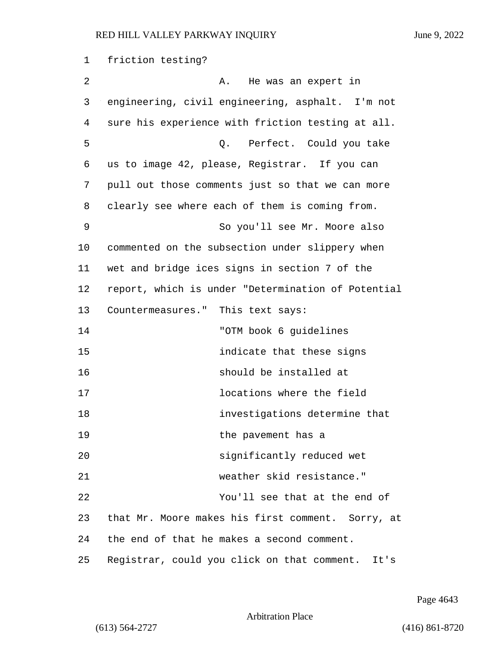1 friction testing? 2 A. He was an expert in 3 engineering, civil engineering, asphalt. I'm not 4 sure his experience with friction testing at all. 5 Q. Perfect. Could you take 6 us to image 42, please, Registrar. If you can 7 pull out those comments just so that we can more 8 clearly see where each of them is coming from. 9 So you'll see Mr. Moore also 10 commented on the subsection under slippery when 11 wet and bridge ices signs in section 7 of the 12 report, which is under "Determination of Potential 13 Countermeasures." This text says: 14 "OTM book 6 guidelines 15 indicate that these signs 16 should be installed at 17 locations where the field 18 investigations determine that 19 the pavement has a 20 significantly reduced wet 21 weather skid resistance." 22 You'll see that at the end of 23 that Mr. Moore makes his first comment. Sorry, at 24 the end of that he makes a second comment. 25 Registrar, could you click on that comment. It's

Page 4643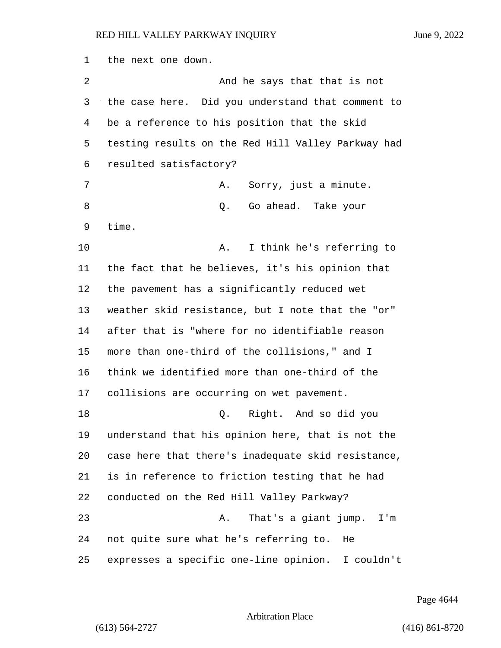the next one down. 2 And he says that that is not the case here. Did you understand that comment to be a reference to his position that the skid testing results on the Red Hill Valley Parkway had resulted satisfactory? 7 A. Sorry, just a minute. 8 also controlled. Contract Contract Contract Contract Contract Contract Out of the U.S. contract Contract Contract Contract Out of the Summary of the Summary of the Summary of the Summary of the Summary of the Summary of time. 10 A. I think he's referring to the fact that he believes, it's his opinion that the pavement has a significantly reduced wet weather skid resistance, but I note that the "or" after that is "where for no identifiable reason more than one-third of the collisions," and I think we identified more than one-third of the collisions are occurring on wet pavement. 18 Q. Right. And so did you understand that his opinion here, that is not the case here that there's inadequate skid resistance, is in reference to friction testing that he had conducted on the Red Hill Valley Parkway? 23 A. That's a giant jump. I'm not quite sure what he's referring to. He expresses a specific one-line opinion. I couldn't

Page 4644

Arbitration Place

(613) 564-2727 (416) 861-8720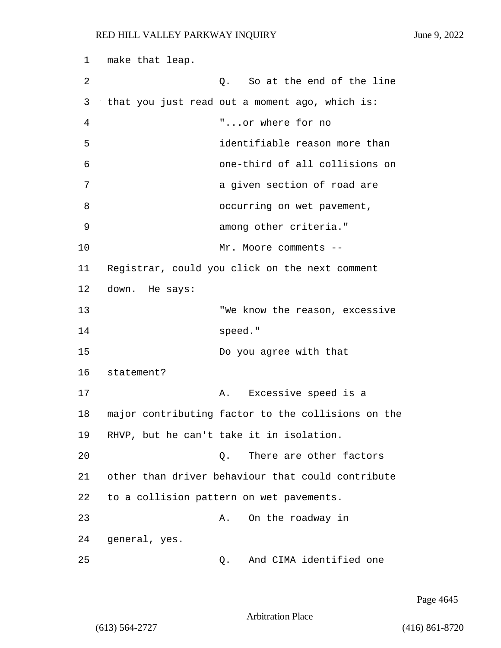1 make that leap. 2 a contract C. So at the end of the line 3 that you just read out a moment ago, which is: 4 "...or where for no 5 identifiable reason more than 6 one-third of all collisions on 7 a given section of road are 8 occurring on wet pavement, 9 among other criteria." 10 Mr. Moore comments --11 Registrar, could you click on the next comment 12 down. He says: 13 TWE know the reason, excessive 14 speed." 15 Do you agree with that 16 statement? 17 A. Excessive speed is a 18 major contributing factor to the collisions on the 19 RHVP, but he can't take it in isolation. 20 a. C. There are other factors 21 other than driver behaviour that could contribute 22 to a collision pattern on wet pavements. 23 A. On the roadway in 24 general, yes. 25 Q. And CIMA identified one

Page 4645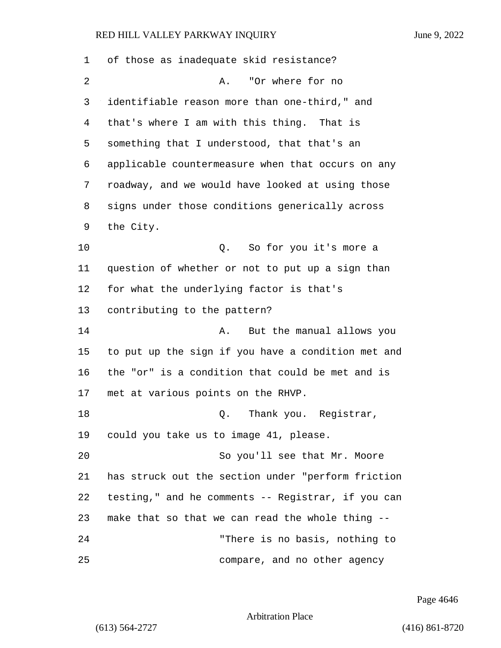| 1  | of those as inadequate skid resistance?            |
|----|----------------------------------------------------|
| 2  | "Or where for no<br>Α.                             |
| 3  | identifiable reason more than one-third," and      |
| 4  | that's where I am with this thing. That is         |
| 5  | something that I understood, that that's an        |
| 6  | applicable countermeasure when that occurs on any  |
| 7  | roadway, and we would have looked at using those   |
| 8  | signs under those conditions generically across    |
| 9  | the City.                                          |
| 10 | So for you it's more a<br>Q.                       |
| 11 | question of whether or not to put up a sign than   |
| 12 | for what the underlying factor is that's           |
| 13 | contributing to the pattern?                       |
| 14 | But the manual allows you<br>Α.                    |
| 15 | to put up the sign if you have a condition met and |
| 16 | the "or" is a condition that could be met and is   |
| 17 | met at various points on the RHVP.                 |
| 18 | Thank you. Registrar,<br>Q.                        |
| 19 | could you take us to image 41, please.             |
| 20 | So you'll see that Mr. Moore                       |
| 21 | has struck out the section under "perform friction |
| 22 | testing," and he comments -- Registrar, if you can |
| 23 | make that so that we can read the whole thing --   |
| 24 | "There is no basis, nothing to                     |
| 25 | compare, and no other agency                       |

Page 4646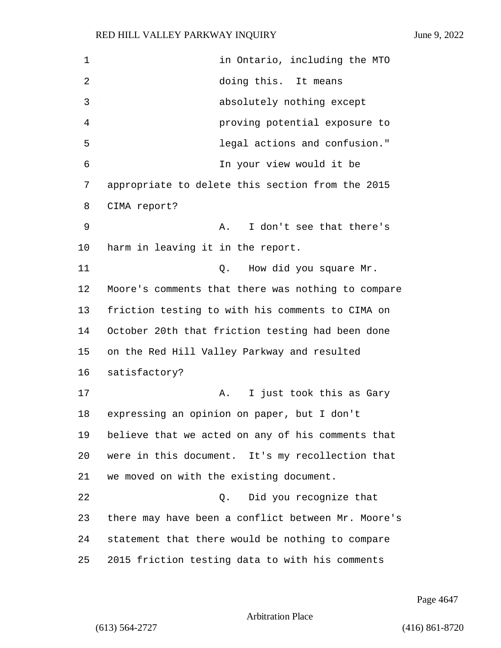1 in Ontario, including the MTO 2 doing this. It means 3 absolutely nothing except 4 proving potential exposure to 5 legal actions and confusion." 6 In your view would it be 7 appropriate to delete this section from the 2015 8 CIMA report? 9 A. I don't see that there's 10 harm in leaving it in the report. 11 Q. How did you square Mr. 12 Moore's comments that there was nothing to compare 13 friction testing to with his comments to CIMA on 14 October 20th that friction testing had been done 15 on the Red Hill Valley Parkway and resulted 16 satisfactory? 17 A. I just took this as Gary 18 expressing an opinion on paper, but I don't 19 believe that we acted on any of his comments that 20 were in this document. It's my recollection that 21 we moved on with the existing document. 22 Q. Did you recognize that 23 there may have been a conflict between Mr. Moore's 24 statement that there would be nothing to compare 25 2015 friction testing data to with his comments

Page 4647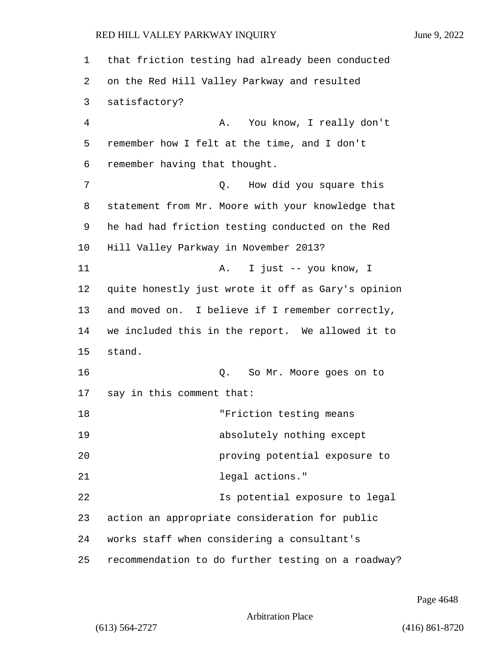1 that friction testing had already been conducted 2 on the Red Hill Valley Parkway and resulted 3 satisfactory? 4 A. You know, I really don't 5 remember how I felt at the time, and I don't 6 remember having that thought. 7 O. How did you square this 8 statement from Mr. Moore with your knowledge that 9 he had had friction testing conducted on the Red 10 Hill Valley Parkway in November 2013? 11 A. I just -- you know, I 12 quite honestly just wrote it off as Gary's opinion 13 and moved on. I believe if I remember correctly, 14 we included this in the report. We allowed it to 15 stand. 16 Q. So Mr. Moore goes on to 17 say in this comment that: 18 The Terriction testing means 19 absolutely nothing except 20 proving potential exposure to 21 legal actions." 22 Is potential exposure to legal 23 action an appropriate consideration for public 24 works staff when considering a consultant's 25 recommendation to do further testing on a roadway?

Page 4648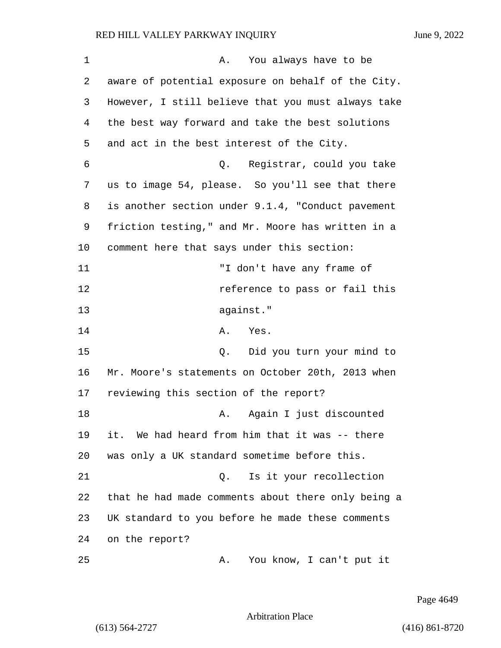| 1  | A. You always have to be                           |
|----|----------------------------------------------------|
| 2  | aware of potential exposure on behalf of the City. |
| 3  | However, I still believe that you must always take |
| 4  | the best way forward and take the best solutions   |
| 5  | and act in the best interest of the City.          |
| 6  | Registrar, could you take<br>Q.                    |
| 7  | us to image 54, please. So you'll see that there   |
| 8  | is another section under 9.1.4, "Conduct pavement  |
| 9  | friction testing," and Mr. Moore has written in a  |
| 10 | comment here that says under this section:         |
| 11 | "I don't have any frame of                         |
| 12 | reference to pass or fail this                     |
| 13 | against."                                          |
| 14 | A. Yes.                                            |
| 15 | Q. Did you turn your mind to                       |
| 16 | Mr. Moore's statements on October 20th, 2013 when  |
| 17 | reviewing this section of the report?              |
| 18 | Again I just discounted<br>Α.                      |
| 19 | it. We had heard from him that it was -- there     |
| 20 | was only a UK standard sometime before this.       |
| 21 | Is it your recollection<br>Q.                      |
| 22 | that he had made comments about there only being a |
| 23 | UK standard to you before he made these comments   |
| 24 | on the report?                                     |
| 25 | You know, I can't put it<br>Α.                     |

Page 4649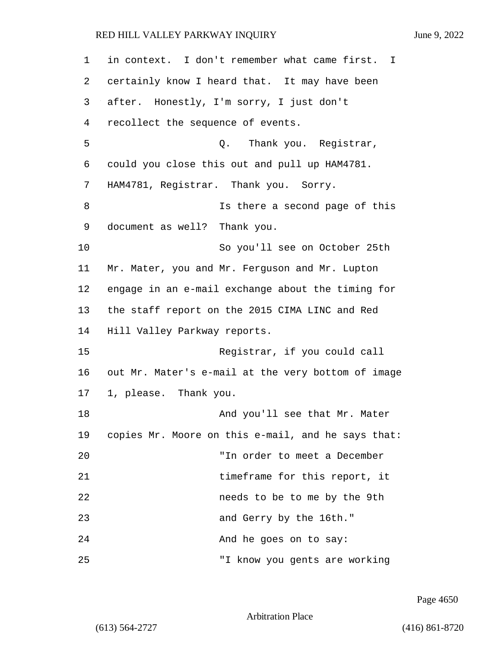| 1  | in context. I don't remember what came first. I    |
|----|----------------------------------------------------|
| 2  | certainly know I heard that. It may have been      |
| 3  | after. Honestly, I'm sorry, I just don't           |
| 4  | recollect the sequence of events.                  |
| 5  | Thank you. Registrar,<br>Q.                        |
| 6  | could you close this out and pull up HAM4781.      |
| 7  | HAM4781, Registrar. Thank you. Sorry.              |
| 8  | Is there a second page of this                     |
| 9  | document as well? Thank you.                       |
| 10 | So you'll see on October 25th                      |
| 11 | Mr. Mater, you and Mr. Ferguson and Mr. Lupton     |
| 12 | engage in an e-mail exchange about the timing for  |
| 13 | the staff report on the 2015 CIMA LINC and Red     |
| 14 | Hill Valley Parkway reports.                       |
| 15 | Registrar, if you could call                       |
| 16 | out Mr. Mater's e-mail at the very bottom of image |
| 17 | 1, please. Thank you.                              |
| 18 | And you'll see that Mr. Mater                      |
| 19 | copies Mr. Moore on this e-mail, and he says that: |
| 20 | "In order to meet a December                       |
| 21 | timeframe for this report, it                      |
| 22 | needs to be to me by the 9th                       |
| 23 | and Gerry by the 16th."                            |
| 24 | And he goes on to say:                             |
| 25 | "I know you gents are working                      |

Page 4650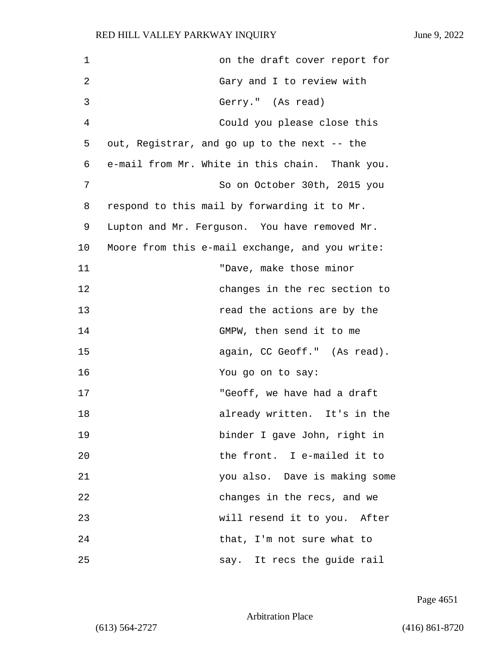| $\mathbf 1$ | on the draft cover report for                   |
|-------------|-------------------------------------------------|
| 2           | Gary and I to review with                       |
| 3           | Gerry." (As read)                               |
| 4           | Could you please close this                     |
| 5           | out, Registrar, and go up to the next -- the    |
| 6           | e-mail from Mr. White in this chain. Thank you. |
| 7           | So on October 30th, 2015 you                    |
| 8           | respond to this mail by forwarding it to Mr.    |
| 9           | Lupton and Mr. Ferguson. You have removed Mr.   |
| 10          | Moore from this e-mail exchange, and you write: |
| 11          | "Dave, make those minor                         |
| 12          | changes in the rec section to                   |
| 13          | read the actions are by the                     |
| 14          | GMPW, then send it to me                        |
| 15          | again, CC Geoff." (As read).                    |
| 16          | You go on to say:                               |
| 17          | "Geoff, we have had a draft                     |
| 18          | already written. It's in the                    |
| 19          | binder I gave John, right in                    |
| 20          | the front. I e-mailed it to                     |
| 21          | you also. Dave is making some                   |
| 22          | changes in the recs, and we                     |
| 23          | will resend it to you. After                    |
| 24          | that, I'm not sure what to                      |
| 25          | say. It recs the guide rail                     |

Page 4651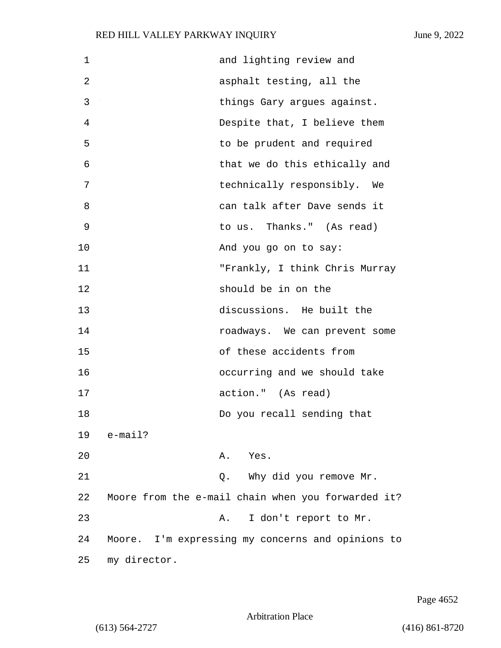| 1           |              | and lighting review and                            |
|-------------|--------------|----------------------------------------------------|
| 2           |              | asphalt testing, all the                           |
| 3           |              | things Gary argues against.                        |
| 4           |              | Despite that, I believe them                       |
| 5           |              | to be prudent and required                         |
| 6           |              | that we do this ethically and                      |
| 7           |              | technically responsibly. We                        |
| 8           |              | can talk after Dave sends it                       |
| $\mathsf 9$ |              | to us. Thanks." (As read)                          |
| 10          |              | And you go on to say:                              |
| 11          |              | "Frankly, I think Chris Murray                     |
| 12          |              | should be in on the                                |
| 13          |              | discussions. He built the                          |
| 14          |              | roadways. We can prevent some                      |
| 15          |              | of these accidents from                            |
| 16          |              | occurring and we should take                       |
| 17          |              | action." (As read)                                 |
| 18          |              | Do you recall sending that                         |
| 19          | e-mail?      |                                                    |
| 20          |              | A. Yes.                                            |
| 21          |              | Why did you remove Mr.<br>Q.                       |
| 22          |              | Moore from the e-mail chain when you forwarded it? |
| 23          |              | I don't report to Mr.<br>Α.                        |
| 24          |              | Moore. I'm expressing my concerns and opinions to  |
| 25          | my director. |                                                    |

Page 4652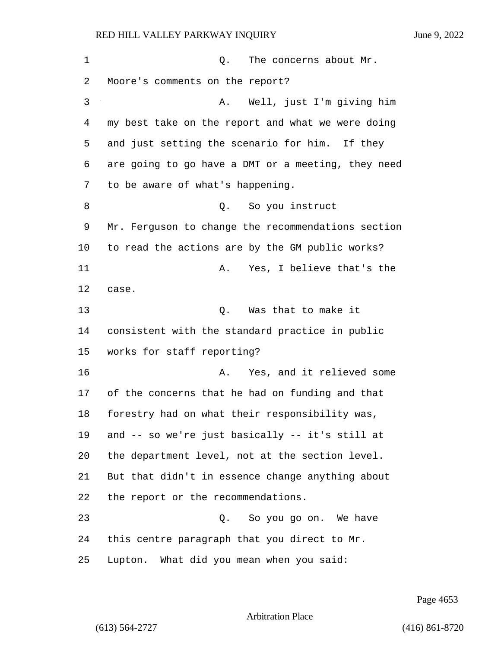| 1  | The concerns about Mr.<br>Q.                       |
|----|----------------------------------------------------|
| 2  | Moore's comments on the report?                    |
| 3  | Well, just I'm giving him<br>Α.                    |
| 4  | my best take on the report and what we were doing  |
| 5  | and just setting the scenario for him. If they     |
| 6  | are going to go have a DMT or a meeting, they need |
| 7  | to be aware of what's happening.                   |
| 8  | So you instruct<br>Q.                              |
| 9  | Mr. Ferguson to change the recommendations section |
| 10 | to read the actions are by the GM public works?    |
| 11 | Yes, I believe that's the<br>Α.                    |
| 12 | case.                                              |
| 13 | Was that to make it<br>Q.                          |
| 14 | consistent with the standard practice in public    |
| 15 | works for staff reporting?                         |
| 16 | Yes, and it relieved some<br>Α.                    |
| 17 | of the concerns that he had on funding and that    |
| 18 | forestry had on what their responsibility was,     |
| 19 | and -- so we're just basically -- it's still at    |
| 20 | the department level, not at the section level.    |
| 21 | But that didn't in essence change anything about   |
| 22 | the report or the recommendations.                 |
| 23 | Q. So you go on. We have                           |
| 24 | this centre paragraph that you direct to Mr.       |
| 25 | Lupton. What did you mean when you said:           |

Page 4653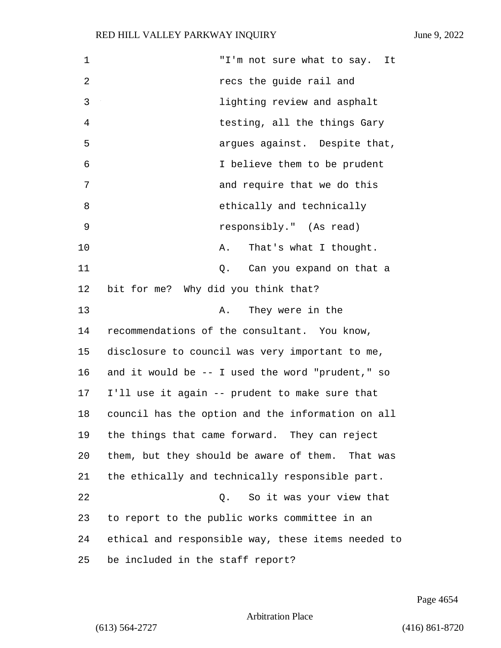| 1  | "I'm not sure what to say. It                      |
|----|----------------------------------------------------|
| 2  | recs the guide rail and                            |
| 3  | lighting review and asphalt                        |
| 4  | testing, all the things Gary                       |
| 5  | argues against. Despite that,                      |
| 6  | I believe them to be prudent                       |
| 7  | and require that we do this                        |
| 8  | ethically and technically                          |
| 9  | responsibly." (As read)                            |
| 10 | That's what I thought.<br>Α.                       |
| 11 | Can you expand on that a<br>Q.                     |
| 12 | bit for me? Why did you think that?                |
| 13 | They were in the<br>Α.                             |
| 14 | recommendations of the consultant. You know,       |
| 15 | disclosure to council was very important to me,    |
| 16 | and it would be $-$ I used the word "prudent," so  |
| 17 | I'll use it again -- prudent to make sure that     |
| 18 | council has the option and the information on all  |
| 19 | the things that came forward. They can reject      |
| 20 | them, but they should be aware of them. That was   |
| 21 | the ethically and technically responsible part.    |
| 22 | So it was your view that<br>Q.                     |
| 23 | to report to the public works committee in an      |
| 24 | ethical and responsible way, these items needed to |
| 25 | be included in the staff report?                   |

Page 4654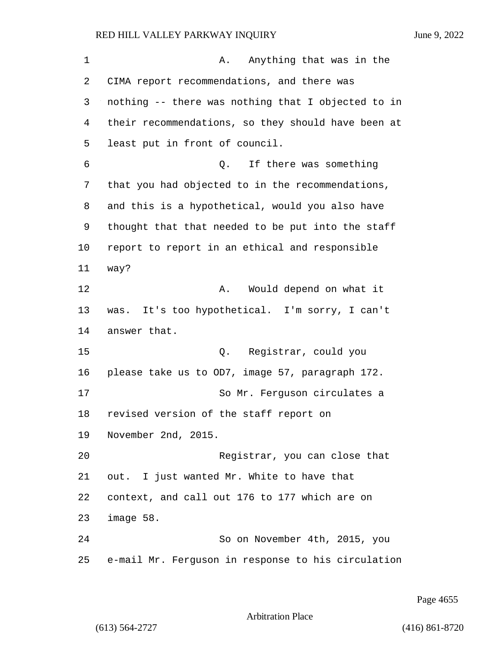1 A. Anything that was in the CIMA report recommendations, and there was nothing -- there was nothing that I objected to in their recommendations, so they should have been at least put in front of council. 6 Q. If there was something that you had objected to in the recommendations, and this is a hypothetical, would you also have thought that that needed to be put into the staff report to report in an ethical and responsible way? 12 A. Would depend on what it was. It's too hypothetical. I'm sorry, I can't answer that. 15 Q. Registrar, could you please take us to OD7, image 57, paragraph 172. 17 So Mr. Ferquson circulates a revised version of the staff report on November 2nd, 2015. 20 Registrar, you can close that out. I just wanted Mr. White to have that context, and call out 176 to 177 which are on image 58. 24 So on November 4th, 2015, you e-mail Mr. Ferguson in response to his circulation

Page 4655

Arbitration Place

(613) 564-2727 (416) 861-8720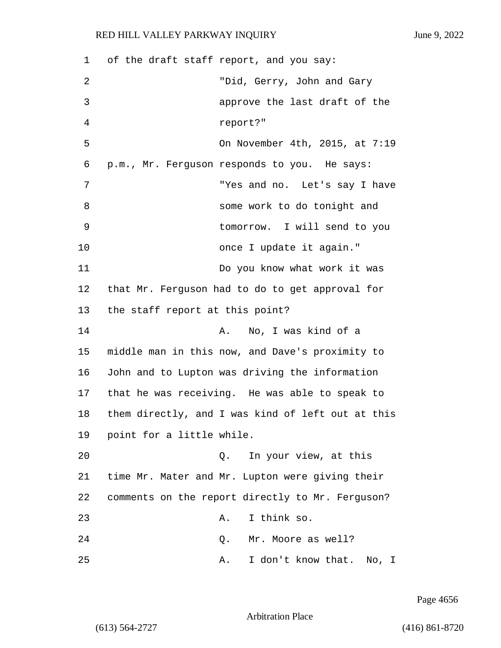1 of the draft staff report, and you say: 2 "Did, Gerry, John and Gary 3 approve the last draft of the 4 report?" 5 On November 4th, 2015, at 7:19 6 p.m., Mr. Ferguson responds to you. He says: 7 "Yes and no. Let's say I have 8 some work to do tonight and 9 tomorrow. I will send to you 10 once I update it again." 11 Do you know what work it was 12 that Mr. Ferguson had to do to get approval for 13 the staff report at this point? 14 A. No, I was kind of a 15 middle man in this now, and Dave's proximity to 16 John and to Lupton was driving the information 17 that he was receiving. He was able to speak to 18 them directly, and I was kind of left out at this 19 point for a little while. 20 Q. In your view, at this 21 time Mr. Mater and Mr. Lupton were giving their 22 comments on the report directly to Mr. Ferguson? 23 A. I think so. 24 Q. Mr. Moore as well? 25 A. I don't know that. No, I

Page 4656

Arbitration Place

(613) 564-2727 (416) 861-8720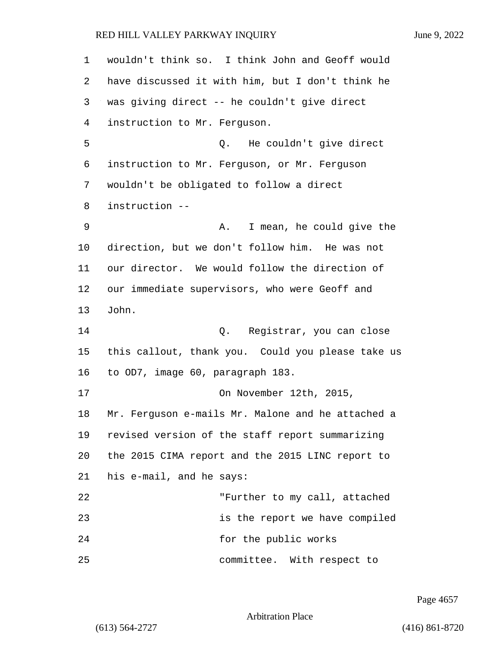| 1  | wouldn't think so. I think John and Geoff would   |
|----|---------------------------------------------------|
| 2  | have discussed it with him, but I don't think he  |
| 3  | was giving direct -- he couldn't give direct      |
| 4  | instruction to Mr. Ferguson.                      |
| 5  | He couldn't give direct<br>Q.                     |
| 6  | instruction to Mr. Ferguson, or Mr. Ferguson      |
| 7  | wouldn't be obligated to follow a direct          |
| 8  | instruction --                                    |
| 9  | I mean, he could give the<br>Α.                   |
| 10 | direction, but we don't follow him. He was not    |
| 11 | our director. We would follow the direction of    |
| 12 | our immediate supervisors, who were Geoff and     |
| 13 | John.                                             |
| 14 | Registrar, you can close<br>Q.                    |
| 15 | this callout, thank you. Could you please take us |
| 16 | to OD7, image 60, paragraph 183.                  |
| 17 | On November 12th, 2015,                           |
| 18 | Mr. Ferguson e-mails Mr. Malone and he attached a |
| 19 | revised version of the staff report summarizing   |
| 20 | the 2015 CIMA report and the 2015 LINC report to  |
| 21 | his e-mail, and he says:                          |
| 22 | "Further to my call, attached                     |
| 23 | is the report we have compiled                    |
| 24 | for the public works                              |
| 25 | committee. With respect to                        |

Page 4657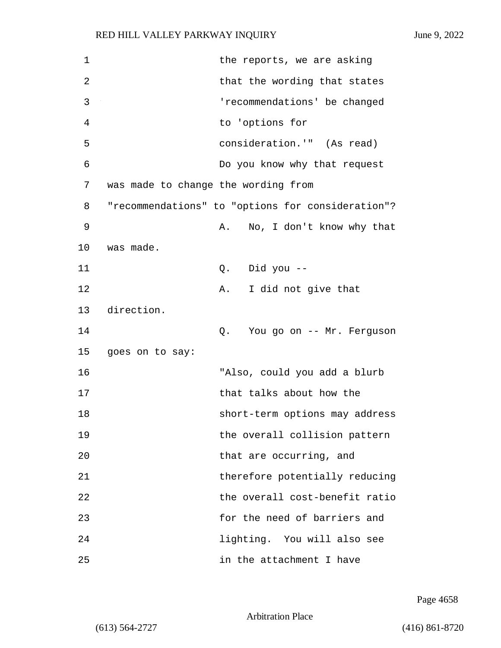| 1  | the reports, we are asking                        |  |
|----|---------------------------------------------------|--|
| 2  | that the wording that states                      |  |
| 3  | 'recommendations' be changed                      |  |
| 4  | to 'options for                                   |  |
| 5  | consideration.'" (As read)                        |  |
| 6  | Do you know why that request                      |  |
| 7  | was made to change the wording from               |  |
| 8  | "recommendations" to "options for consideration"? |  |
| 9  | No, I don't know why that<br>Α.                   |  |
| 10 | was made.                                         |  |
| 11 | Q. Did you --                                     |  |
| 12 | I did not give that<br>Α.                         |  |
| 13 | direction.                                        |  |
| 14 | Q. You go on -- Mr. Ferguson                      |  |
| 15 | goes on to say:                                   |  |
| 16 | "Also, could you add a blurb                      |  |
| 17 | that talks about how the                          |  |
| 18 | short-term options may address                    |  |
| 19 | the overall collision pattern                     |  |
| 20 | that are occurring, and                           |  |
| 21 | therefore potentially reducing                    |  |
| 22 | the overall cost-benefit ratio                    |  |
| 23 | for the need of barriers and                      |  |
| 24 | lighting. You will also see                       |  |
| 25 | in the attachment I have                          |  |

Page 4658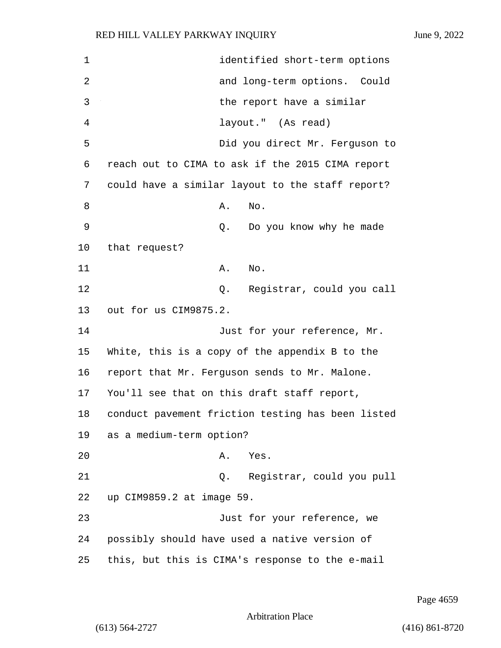| $\mathbf 1$    | identified short-term options                     |
|----------------|---------------------------------------------------|
| $\overline{2}$ | and long-term options. Could                      |
| 3              | the report have a similar                         |
| 4              | layout." (As read)                                |
| 5              | Did you direct Mr. Ferguson to                    |
| 6              | reach out to CIMA to ask if the 2015 CIMA report  |
| 7              | could have a similar layout to the staff report?  |
| 8              | No.<br>Α.                                         |
| 9              | Do you know why he made<br>Q.                     |
| 10             | that request?                                     |
| 11             | No.<br>Α.                                         |
| 12             | Registrar, could you call<br>Q.                   |
| 13             | out for us CIM9875.2.                             |
| 14             | Just for your reference, Mr.                      |
| 15             | White, this is a copy of the appendix B to the    |
| 16             | report that Mr. Ferguson sends to Mr. Malone.     |
| 17             | You'll see that on this draft staff report,       |
| 18             | conduct pavement friction testing has been listed |
| 19             | as a medium-term option?                          |
| 20             | Yes.<br>Α.                                        |
| 21             | Registrar, could you pull<br>Q.                   |
| 22             | up CIM9859.2 at image 59.                         |
| 23             | Just for your reference, we                       |
| 24             | possibly should have used a native version of     |
| 25             | this, but this is CIMA's response to the e-mail   |

Page 4659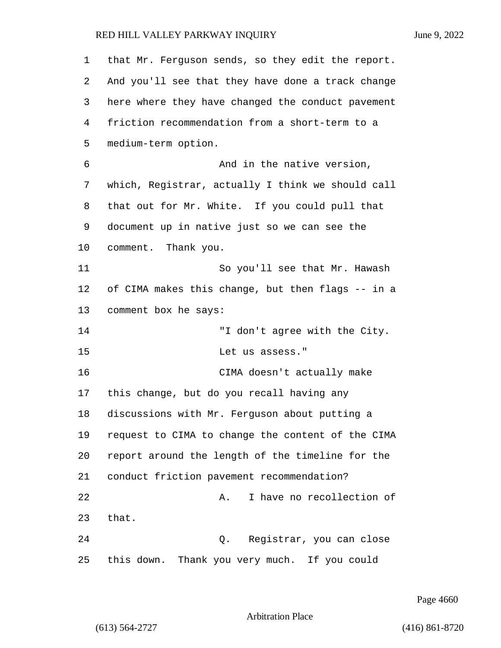| 1  | that Mr. Ferguson sends, so they edit the report. |
|----|---------------------------------------------------|
| 2  | And you'll see that they have done a track change |
| 3  | here where they have changed the conduct pavement |
| 4  | friction recommendation from a short-term to a    |
| 5  | medium-term option.                               |
| 6  | And in the native version,                        |
| 7  | which, Registrar, actually I think we should call |
| 8  | that out for Mr. White. If you could pull that    |
| 9  | document up in native just so we can see the      |
| 10 | comment. Thank you.                               |
| 11 | So you'll see that Mr. Hawash                     |
| 12 | of CIMA makes this change, but then flags -- in a |
| 13 | comment box he says:                              |
| 14 | "I don't agree with the City.                     |
| 15 | Let us assess."                                   |
| 16 | CIMA doesn't actually make                        |
| 17 | this change, but do you recall having any         |
| 18 | discussions with Mr. Ferguson about putting a     |
| 19 | request to CIMA to change the content of the CIMA |
| 20 | report around the length of the timeline for the  |
| 21 | conduct friction pavement recommendation?         |
| 22 | I have no recollection of<br>Α.                   |
| 23 | that.                                             |
| 24 | Registrar, you can close<br>Q.                    |
| 25 | this down. Thank you very much. If you could      |

Page 4660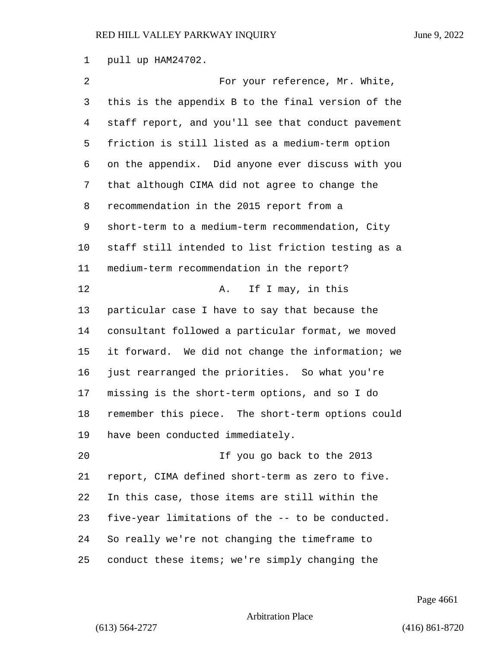pull up HAM24702.

2 For your reference, Mr. White, this is the appendix B to the final version of the staff report, and you'll see that conduct pavement friction is still listed as a medium-term option on the appendix. Did anyone ever discuss with you that although CIMA did not agree to change the recommendation in the 2015 report from a short-term to a medium-term recommendation, City staff still intended to list friction testing as a medium-term recommendation in the report? 12 A. If I may, in this particular case I have to say that because the consultant followed a particular format, we moved it forward. We did not change the information; we just rearranged the priorities. So what you're missing is the short-term options, and so I do remember this piece. The short-term options could have been conducted immediately. 20 If you go back to the 2013 report, CIMA defined short-term as zero to five. In this case, those items are still within the five-year limitations of the -- to be conducted. So really we're not changing the timeframe to conduct these items; we're simply changing the

Page 4661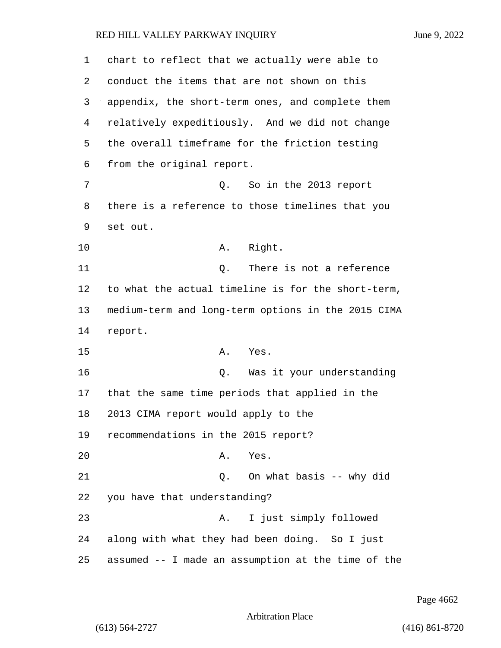| 1  | chart to reflect that we actually were able to     |
|----|----------------------------------------------------|
| 2  | conduct the items that are not shown on this       |
| 3  | appendix, the short-term ones, and complete them   |
| 4  | relatively expeditiously. And we did not change    |
| 5  | the overall timeframe for the friction testing     |
| 6  | from the original report.                          |
| 7  | So in the 2013 report<br>Q.                        |
| 8  | there is a reference to those timelines that you   |
| 9  | set out.                                           |
| 10 | Right.<br>Α.                                       |
| 11 | There is not a reference<br>Q.                     |
| 12 | to what the actual timeline is for the short-term, |
| 13 | medium-term and long-term options in the 2015 CIMA |
| 14 | report.                                            |
| 15 | Α.<br>Yes.                                         |
| 16 | Was it your understanding<br>Q.                    |
| 17 | that the same time periods that applied in the     |
| 18 | 2013 CIMA report would apply to the                |
| 19 | recommendations in the 2015 report?                |
| 20 | Yes.<br>Α.                                         |
| 21 | On what basis -- why did<br>Q.                     |
| 22 | you have that understanding?                       |
| 23 | I just simply followed<br>Α.                       |
| 24 | along with what they had been doing. So I just     |
| 25 | assumed -- I made an assumption at the time of the |

Page 4662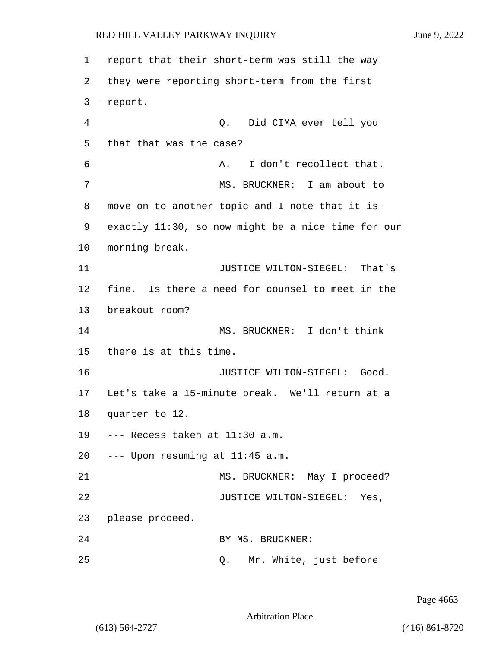1 report that their short-term was still the way 2 they were reporting short-term from the first 3 report. 4 Q. Did CIMA ever tell you 5 that that was the case? 6 A. I don't recollect that. 7 MS. BRUCKNER: I am about to 8 move on to another topic and I note that it is 9 exactly 11:30, so now might be a nice time for our 10 morning break. 11 JUSTICE WILTON-SIEGEL: That's 12 fine. Is there a need for counsel to meet in the 13 breakout room? 14 MS. BRUCKNER: I don't think 15 there is at this time. 16 **JUSTICE WILTON-SIEGEL:** Good. 17 Let's take a 15-minute break. We'll return at a 18 quarter to 12. 19 --- Recess taken at 11:30 a.m. 20 --- Upon resuming at 11:45 a.m. 21 MS. BRUCKNER: May I proceed? 22 JUSTICE WILTON-SIEGEL: Yes, 23 please proceed. 24 BY MS. BRUCKNER: 25 Q. Mr. White, just before

Page 4663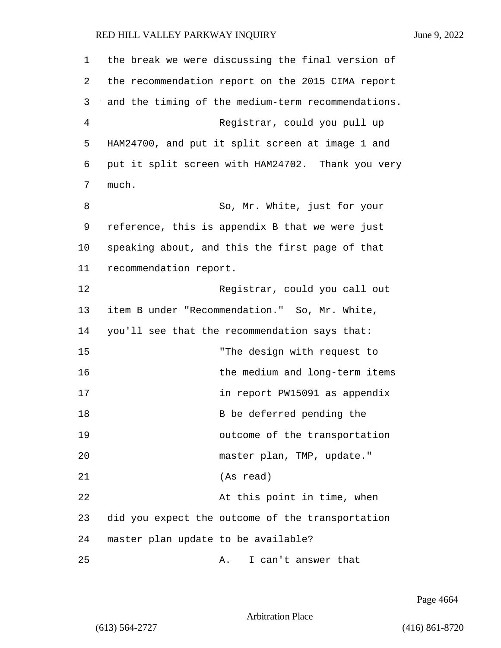| 1  | the break we were discussing the final version of  |
|----|----------------------------------------------------|
| 2  | the recommendation report on the 2015 CIMA report  |
| 3  | and the timing of the medium-term recommendations. |
| 4  | Registrar, could you pull up                       |
| 5  | HAM24700, and put it split screen at image 1 and   |
| 6  | put it split screen with HAM24702. Thank you very  |
| 7  | much.                                              |
| 8  | So, Mr. White, just for your                       |
| 9  | reference, this is appendix B that we were just    |
| 10 | speaking about, and this the first page of that    |
| 11 | recommendation report.                             |
| 12 | Registrar, could you call out                      |
| 13 | item B under "Recommendation." So, Mr. White,      |
| 14 | you'll see that the recommendation says that:      |
| 15 | "The design with request to                        |
| 16 | the medium and long-term items                     |
| 17 | in report PW15091 as appendix                      |
| 18 | B be deferred pending the                          |
| 19 | outcome of the transportation                      |
| 20 | master plan, TMP, update."                         |
| 21 | (As read)                                          |
| 22 | At this point in time, when                        |
| 23 | did you expect the outcome of the transportation   |
| 24 | master plan update to be available?                |
| 25 | I can't answer that<br>Α.                          |

Page 4664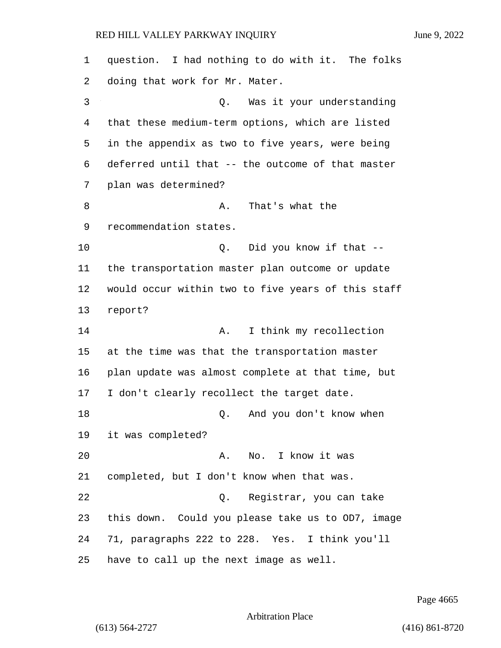question. I had nothing to do with it. The folks doing that work for Mr. Mater. 3 Q. Was it your understanding that these medium-term options, which are listed in the appendix as two to five years, were being deferred until that -- the outcome of that master plan was determined? 8 A. That's what the recommendation states. 10 Q. Did you know if that -- the transportation master plan outcome or update would occur within two to five years of this staff report? 14 A. I think my recollection at the time was that the transportation master plan update was almost complete at that time, but I don't clearly recollect the target date. 18 Q. And you don't know when it was completed? 20 A. No. I know it was completed, but I don't know when that was. 22 Q. Registrar, you can take this down. Could you please take us to OD7, image 71, paragraphs 222 to 228. Yes. I think you'll have to call up the next image as well.

Page 4665

Arbitration Place

(613) 564-2727 (416) 861-8720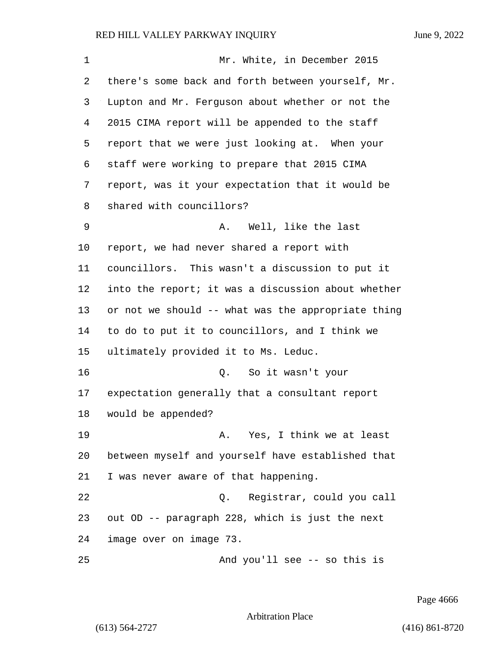| 1  | Mr. White, in December 2015                        |
|----|----------------------------------------------------|
| 2  | there's some back and forth between yourself, Mr.  |
| 3  | Lupton and Mr. Ferguson about whether or not the   |
| 4  | 2015 CIMA report will be appended to the staff     |
| 5  | report that we were just looking at. When your     |
| 6  | staff were working to prepare that 2015 CIMA       |
| 7  | report, was it your expectation that it would be   |
| 8  | shared with councillors?                           |
| 9  | Well, like the last<br>Α.                          |
| 10 | report, we had never shared a report with          |
| 11 | councillors. This wasn't a discussion to put it    |
| 12 | into the report; it was a discussion about whether |
| 13 | or not we should -- what was the appropriate thing |
| 14 | to do to put it to councillors, and I think we     |
| 15 | ultimately provided it to Ms. Leduc.               |
| 16 | So it wasn't your<br>Q.                            |
| 17 | expectation generally that a consultant report     |
| 18 | would be appended?                                 |
| 19 | A. Yes, I think we at least                        |
| 20 | between myself and yourself have established that  |
| 21 | I was never aware of that happening.               |
| 22 | Q. Registrar, could you call                       |
| 23 | out OD -- paragraph 228, which is just the next    |
| 24 | image over on image 73.                            |
| 25 | And you'll see -- so this is                       |

Page 4666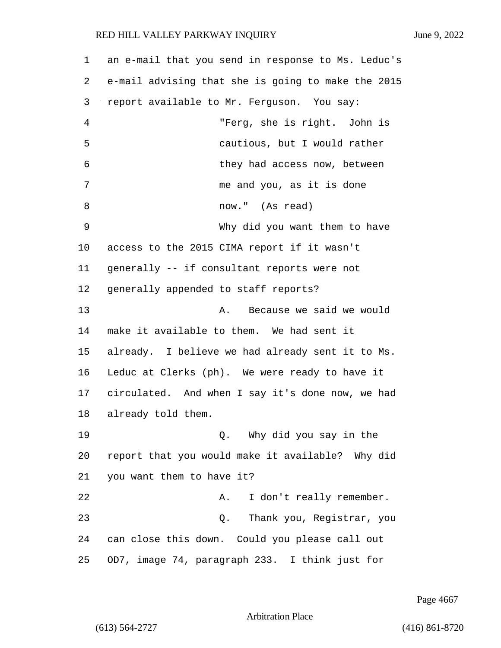| $\mathbf 1$ | an e-mail that you send in response to Ms. Leduc's |
|-------------|----------------------------------------------------|
| 2           | e-mail advising that she is going to make the 2015 |
| 3           | report available to Mr. Ferguson. You say:         |
| 4           | "Ferg, she is right. John is                       |
| 5           | cautious, but I would rather                       |
| 6           | they had access now, between                       |
| 7           | me and you, as it is done                          |
| 8           | now." (As read)                                    |
| 9           | Why did you want them to have                      |
| $10 \,$     | access to the 2015 CIMA report if it wasn't        |
| 11          | generally -- if consultant reports were not        |
| 12          | generally appended to staff reports?               |
| 13          | Because we said we would<br>Α.                     |
| 14          | make it available to them. We had sent it          |
| 15          | already. I believe we had already sent it to Ms.   |
| 16          | Leduc at Clerks (ph). We were ready to have it     |
| 17          | circulated. And when I say it's done now, we had   |
| 18          | already told them.                                 |
| 19          | Why did you say in the<br>Q.                       |
| 20          | report that you would make it available? Why did   |
| 21          | you want them to have it?                          |
| 22          | I don't really remember.<br>Α.                     |
| 23          | Thank you, Registrar, you<br>Q.                    |
| 24          | can close this down. Could you please call out     |
| 25          | OD7, image 74, paragraph 233. I think just for     |

Page 4667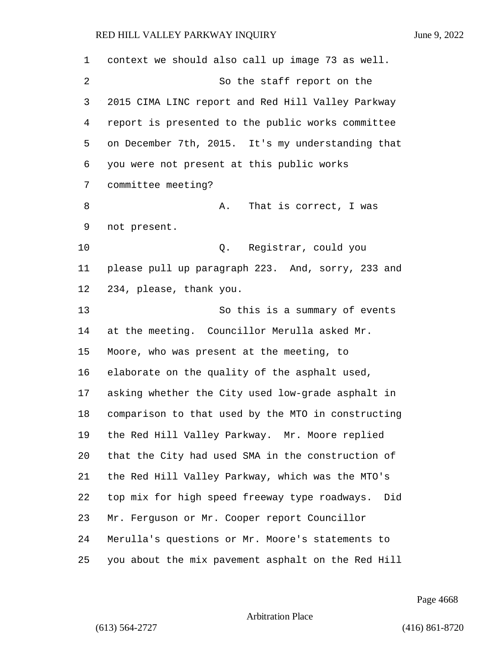| 1  | context we should also call up image 73 as well.     |
|----|------------------------------------------------------|
| 2  | So the staff report on the                           |
| 3  | 2015 CIMA LINC report and Red Hill Valley Parkway    |
| 4  | report is presented to the public works committee    |
| 5  | on December 7th, 2015. It's my understanding that    |
| 6  | you were not present at this public works            |
| 7  | committee meeting?                                   |
| 8  | That is correct, I was<br>Α.                         |
| 9  | not present.                                         |
| 10 | Registrar, could you<br>Q.                           |
| 11 | please pull up paragraph 223. And, sorry, 233 and    |
| 12 | 234, please, thank you.                              |
| 13 | So this is a summary of events                       |
| 14 | at the meeting. Councillor Merulla asked Mr.         |
| 15 | Moore, who was present at the meeting, to            |
| 16 | elaborate on the quality of the asphalt used,        |
| 17 | asking whether the City used low-grade asphalt in    |
| 18 | comparison to that used by the MTO in constructing   |
| 19 | the Red Hill Valley Parkway. Mr. Moore replied       |
| 20 | that the City had used SMA in the construction of    |
| 21 | the Red Hill Valley Parkway, which was the MTO's     |
| 22 | top mix for high speed freeway type roadways.<br>Did |
| 23 | Mr. Ferguson or Mr. Cooper report Councillor         |
| 24 | Merulla's questions or Mr. Moore's statements to     |
| 25 | you about the mix pavement asphalt on the Red Hill   |

Page 4668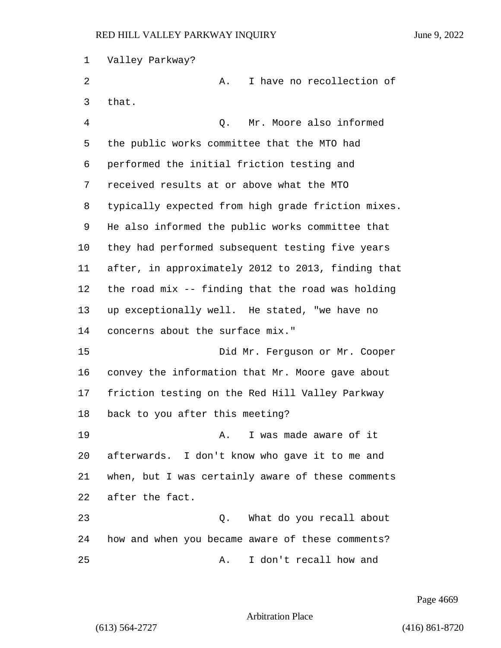| 1  | Valley Parkway?                                    |
|----|----------------------------------------------------|
| 2  | I have no recollection of<br>Α.                    |
| 3  | that.                                              |
| 4  | Mr. Moore also informed<br>Q.                      |
| 5  | the public works committee that the MTO had        |
| 6  | performed the initial friction testing and         |
| 7  | received results at or above what the MTO          |
| 8  | typically expected from high grade friction mixes. |
| 9  | He also informed the public works committee that   |
| 10 | they had performed subsequent testing five years   |
| 11 | after, in approximately 2012 to 2013, finding that |
| 12 | the road mix -- finding that the road was holding  |
| 13 | up exceptionally well. He stated, "we have no      |
| 14 | concerns about the surface mix."                   |
| 15 | Did Mr. Ferguson or Mr. Cooper                     |
| 16 | convey the information that Mr. Moore gave about   |
| 17 | friction testing on the Red Hill Valley Parkway    |
| 18 | back to you after this meeting?                    |
| 19 | I was made aware of it<br>Α.                       |
| 20 | afterwards. I don't know who gave it to me and     |
| 21 | when, but I was certainly aware of these comments  |
| 22 | after the fact.                                    |
| 23 | What do you recall about<br>Q.                     |
| 24 | how and when you became aware of these comments?   |
| 25 | I don't recall how and<br>Α.                       |

Page 4669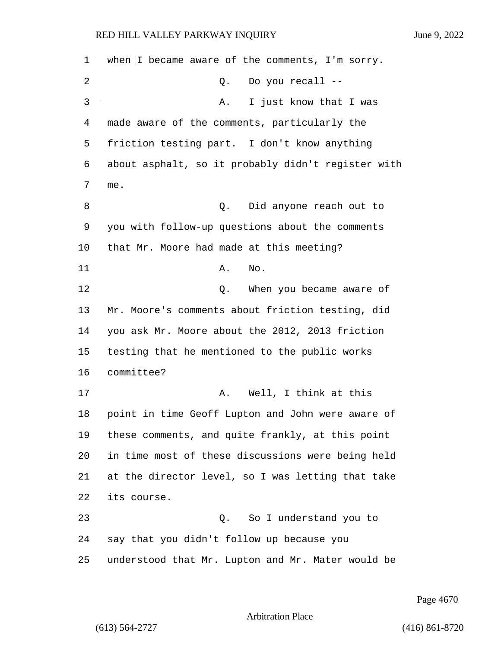when I became aware of the comments, I'm sorry. 2 Q. Do you recall -- 3 A. I just know that I was made aware of the comments, particularly the friction testing part. I don't know anything about asphalt, so it probably didn't register with me. 8 anyone reach out to be the U. Did anyone reach out to you with follow-up questions about the comments that Mr. Moore had made at this meeting? 11 A. No. **12** O. When you became aware of Mr. Moore's comments about friction testing, did you ask Mr. Moore about the 2012, 2013 friction testing that he mentioned to the public works committee? 17 A. Well, I think at this point in time Geoff Lupton and John were aware of these comments, and quite frankly, at this point in time most of these discussions were being held at the director level, so I was letting that take its course. 23 Q. So I understand you to say that you didn't follow up because you understood that Mr. Lupton and Mr. Mater would be

Page 4670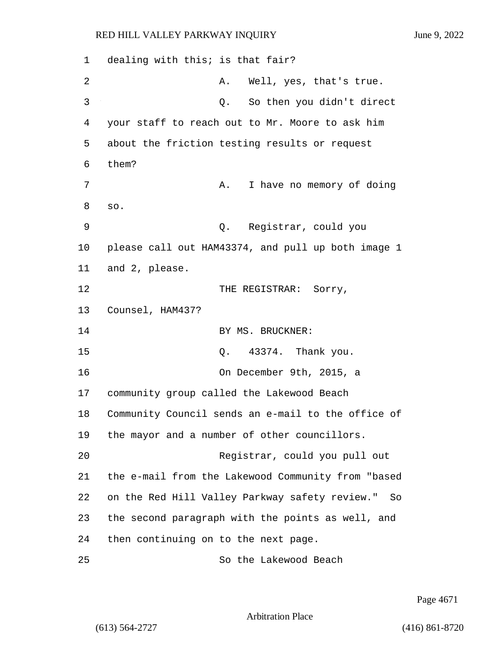1 dealing with this; is that fair? 2 A. Well, yes, that's true. 3 Q. So then you didn't direct 4 your staff to reach out to Mr. Moore to ask him 5 about the friction testing results or request 6 them? 7 A. I have no memory of doing 8 so. 9 Q. Registrar, could you 10 please call out HAM43374, and pull up both image 1 11 and 2, please. 12 THE REGISTRAR: Sorry, 13 Counsel, HAM437? 14 BY MS. BRUCKNER: 15 Q. 43374. Thank you. 16 On December 9th, 2015, a 17 community group called the Lakewood Beach 18 Community Council sends an e-mail to the office of 19 the mayor and a number of other councillors. 20 Registrar, could you pull out 21 the e-mail from the Lakewood Community from "based 22 on the Red Hill Valley Parkway safety review." So 23 the second paragraph with the points as well, and 24 then continuing on to the next page. 25 So the Lakewood Beach

Page 4671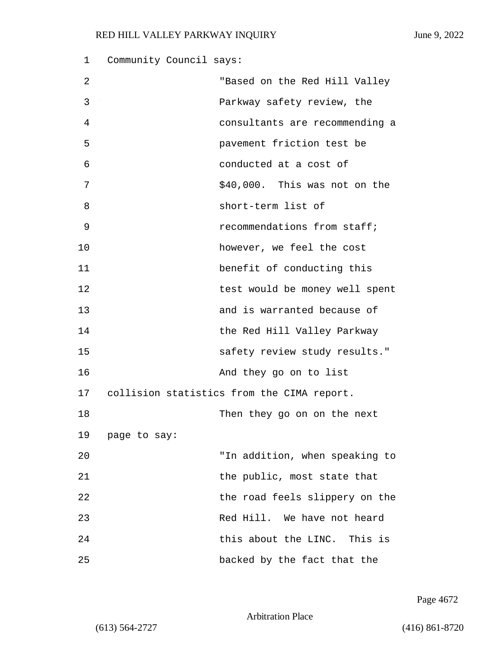| 1  | Community Council says:                    |
|----|--------------------------------------------|
| 2  | "Based on the Red Hill Valley              |
| 3  | Parkway safety review, the                 |
| 4  | consultants are recommending a             |
| 5  | pavement friction test be                  |
| 6  | conducted at a cost of                     |
| 7  | \$40,000. This was not on the              |
| 8  | short-term list of                         |
| 9  | recommendations from staff;                |
| 10 | however, we feel the cost                  |
| 11 | benefit of conducting this                 |
| 12 | test would be money well spent             |
| 13 | and is warranted because of                |
| 14 | the Red Hill Valley Parkway                |
| 15 | safety review study results."              |
| 16 | And they go on to list                     |
| 17 | collision statistics from the CIMA report. |
| 18 | Then they go on on the next                |
| 19 | page to say:                               |
| 20 | "In addition, when speaking to             |
| 21 | the public, most state that                |
| 22 | the road feels slippery on the             |
| 23 | Red Hill. We have not heard                |
| 24 | this about the LINC. This is               |
| 25 | backed by the fact that the                |

Page 4672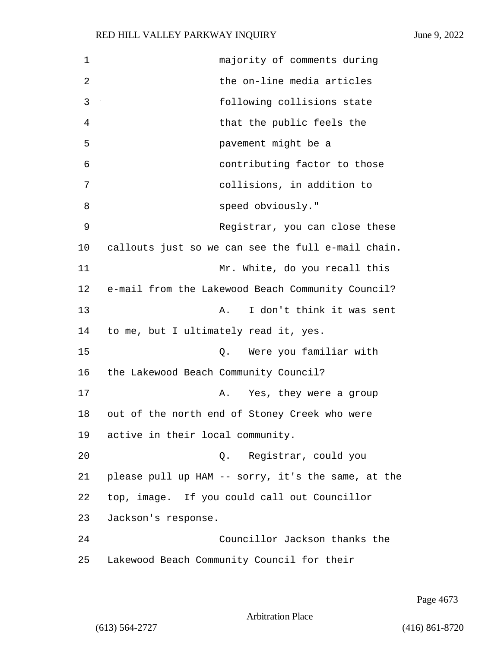| 1  | majority of comments during                        |
|----|----------------------------------------------------|
| 2  | the on-line media articles                         |
| 3  | following collisions state                         |
| 4  | that the public feels the                          |
| 5  | pavement might be a                                |
| 6  | contributing factor to those                       |
| 7  | collisions, in addition to                         |
| 8  | speed obviously."                                  |
| 9  | Registrar, you can close these                     |
| 10 | callouts just so we can see the full e-mail chain. |
| 11 | Mr. White, do you recall this                      |
| 12 | e-mail from the Lakewood Beach Community Council?  |
| 13 | I don't think it was sent<br>Α.                    |
| 14 | to me, but I ultimately read it, yes.              |
| 15 | Were you familiar with<br>Q.                       |
| 16 | the Lakewood Beach Community Council?              |
| 17 | Yes, they were a group<br>Α.                       |
| 18 | out of the north end of Stoney Creek who were      |
| 19 | active in their local community.                   |
| 20 | Registrar, could you<br>Q.                         |
| 21 | please pull up HAM -- sorry, it's the same, at the |
| 22 | top, image. If you could call out Councillor       |
| 23 | Jackson's response.                                |
| 24 | Councillor Jackson thanks the                      |
| 25 | Lakewood Beach Community Council for their         |

Page 4673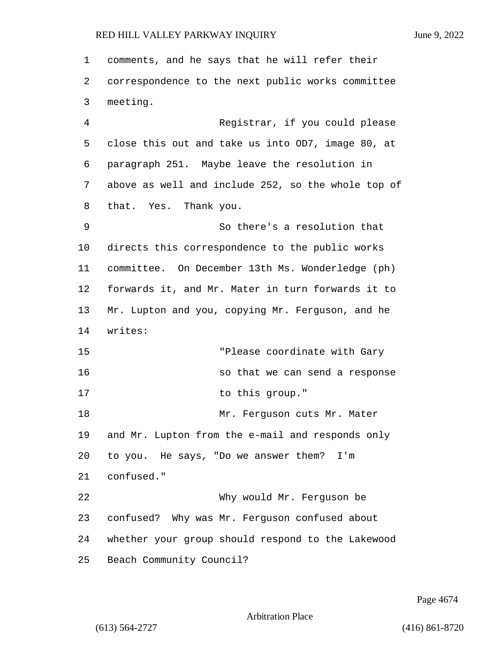comments, and he says that he will refer their correspondence to the next public works committee meeting. 4 Registrar, if you could please close this out and take us into OD7, image 80, at paragraph 251. Maybe leave the resolution in above as well and include 252, so the whole top of that. Yes. Thank you. 9 So there's a resolution that directs this correspondence to the public works committee. On December 13th Ms. Wonderledge (ph) forwards it, and Mr. Mater in turn forwards it to Mr. Lupton and you, copying Mr. Ferguson, and he writes: 15 "Please coordinate with Gary 16 so that we can send a response 17 to this group." 18 Mr. Ferguson cuts Mr. Mater and Mr. Lupton from the e-mail and responds only to you. He says, "Do we answer them? I'm confused." 22 Why would Mr. Ferguson be confused? Why was Mr. Ferguson confused about whether your group should respond to the Lakewood Beach Community Council?

Page 4674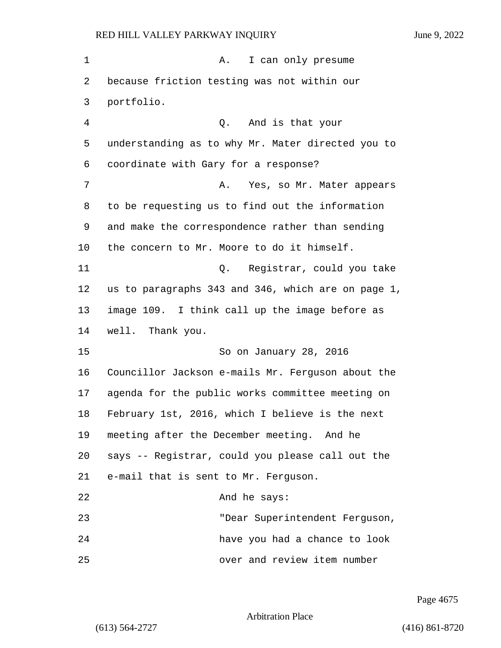| 1       | I can only presume<br>Α.                           |
|---------|----------------------------------------------------|
| 2       | because friction testing was not within our        |
| 3       | portfolio.                                         |
| 4       | Q. And is that your                                |
| 5       | understanding as to why Mr. Mater directed you to  |
| 6       | coordinate with Gary for a response?               |
| 7       | Yes, so Mr. Mater appears<br>Α.                    |
| 8       | to be requesting us to find out the information    |
| 9       | and make the correspondence rather than sending    |
| $10 \,$ | the concern to Mr. Moore to do it himself.         |
| 11      | Q. Registrar, could you take                       |
| 12      | us to paragraphs 343 and 346, which are on page 1, |
| 13      | image 109. I think call up the image before as     |
| 14      | well. Thank you.                                   |
| 15      | So on January 28, 2016                             |
| 16      | Councillor Jackson e-mails Mr. Ferguson about the  |
| 17      | agenda for the public works committee meeting on   |
| 18      | February 1st, 2016, which I believe is the next    |
| 19      | meeting after the December meeting. And he         |
| 20      | says -- Registrar, could you please call out the   |
| 21      | e-mail that is sent to Mr. Ferguson.               |
| 22      | And he says:                                       |
| 23      | "Dear Superintendent Ferguson,                     |
| 24      | have you had a chance to look                      |
| 25      | over and review item number                        |

Page 4675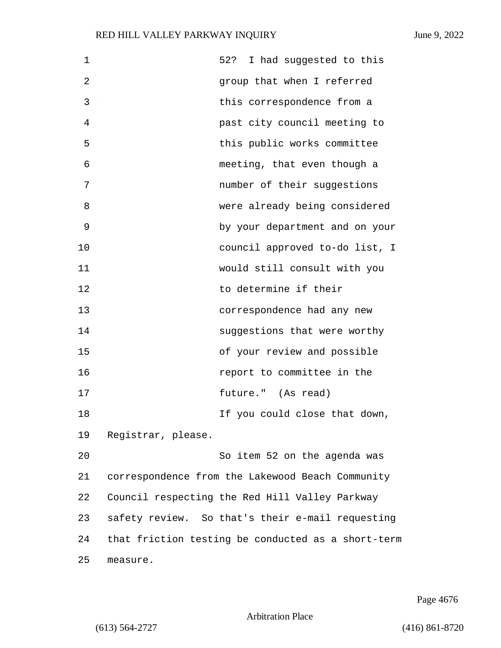| $\mathbf 1$ | 52? I had suggested to this                        |  |
|-------------|----------------------------------------------------|--|
| 2           | group that when I referred                         |  |
| 3           | this correspondence from a                         |  |
| 4           | past city council meeting to                       |  |
| 5           | this public works committee                        |  |
| 6           | meeting, that even though a                        |  |
| 7           | number of their suggestions                        |  |
| 8           | were already being considered                      |  |
| 9           | by your department and on your                     |  |
| 10          | council approved to-do list, I                     |  |
| 11          | would still consult with you                       |  |
| 12          | to determine if their                              |  |
| 13          | correspondence had any new                         |  |
| 14          | suggestions that were worthy                       |  |
| 15          | of your review and possible                        |  |
| 16          | report to committee in the                         |  |
| 17          | future." (As read)                                 |  |
| 18          | If you could close that down,                      |  |
| 19          | Registrar, please.                                 |  |
| 20          | So item 52 on the agenda was                       |  |
| 21          | correspondence from the Lakewood Beach Community   |  |
| 22          | Council respecting the Red Hill Valley Parkway     |  |
| 23          | safety review. So that's their e-mail requesting   |  |
| 24          | that friction testing be conducted as a short-term |  |
| 25          | measure.                                           |  |

Page 4676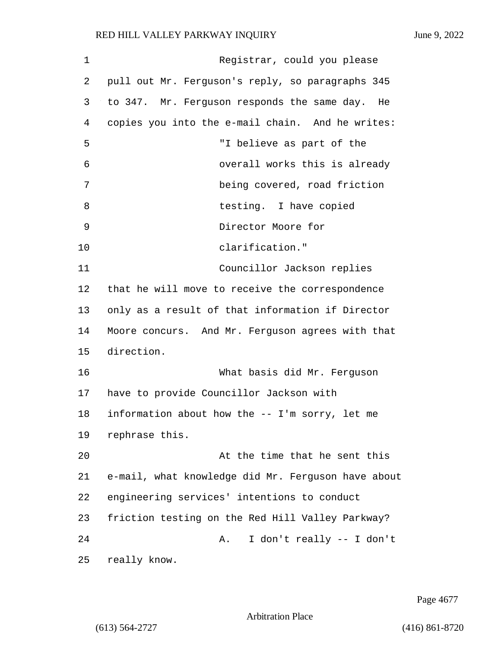| 1  | Registrar, could you please                        |
|----|----------------------------------------------------|
| 2  | pull out Mr. Ferguson's reply, so paragraphs 345   |
| 3  | to 347. Mr. Ferguson responds the same day. He     |
| 4  | copies you into the e-mail chain. And he writes:   |
| 5  | "I believe as part of the                          |
| 6  | overall works this is already                      |
| 7  | being covered, road friction                       |
| 8  | testing. I have copied                             |
| 9  | Director Moore for                                 |
| 10 | clarification."                                    |
| 11 | Councillor Jackson replies                         |
| 12 | that he will move to receive the correspondence    |
| 13 | only as a result of that information if Director   |
| 14 | Moore concurs. And Mr. Ferguson agrees with that   |
| 15 | direction.                                         |
| 16 | What basis did Mr. Ferguson                        |
| 17 | have to provide Councillor Jackson with            |
| 18 | information about how the -- I'm sorry, let me     |
| 19 | rephrase this.                                     |
| 20 | At the time that he sent this                      |
| 21 | e-mail, what knowledge did Mr. Ferguson have about |
| 22 | engineering services' intentions to conduct        |
| 23 | friction testing on the Red Hill Valley Parkway?   |
| 24 | I don't really -- I don't<br>Α.                    |
| 25 | really know.                                       |

Page 4677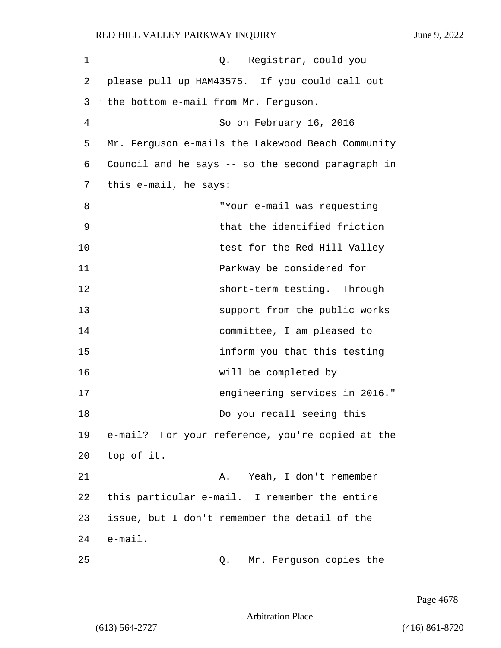| $\mathbf 1$ | Q. Registrar, could you                           |
|-------------|---------------------------------------------------|
| 2           | please pull up HAM43575. If you could call out    |
| 3           | the bottom e-mail from Mr. Ferguson.              |
| 4           | So on February 16, 2016                           |
| 5           | Mr. Ferguson e-mails the Lakewood Beach Community |
| 6           | Council and he says -- so the second paragraph in |
| 7           | this e-mail, he says:                             |
| 8           | "Your e-mail was requesting                       |
| 9           | that the identified friction                      |
| 10          | test for the Red Hill Valley                      |
| 11          | Parkway be considered for                         |
| 12          | short-term testing. Through                       |
| 13          | support from the public works                     |
| 14          | committee, I am pleased to                        |
| 15          | inform you that this testing                      |
| 16          | will be completed by                              |
| 17          | engineering services in 2016."                    |
| 18          | Do you recall seeing this                         |
| 19          | e-mail? For your reference, you're copied at the  |
| 20          | top of it.                                        |
| 21          | Yeah, I don't remember<br>Α.                      |
| 22          | this particular e-mail. I remember the entire     |
| 23          | issue, but I don't remember the detail of the     |
| 24          | $e$ -mail.                                        |
| 25          | Mr. Ferguson copies the<br>Q.                     |

Page 4678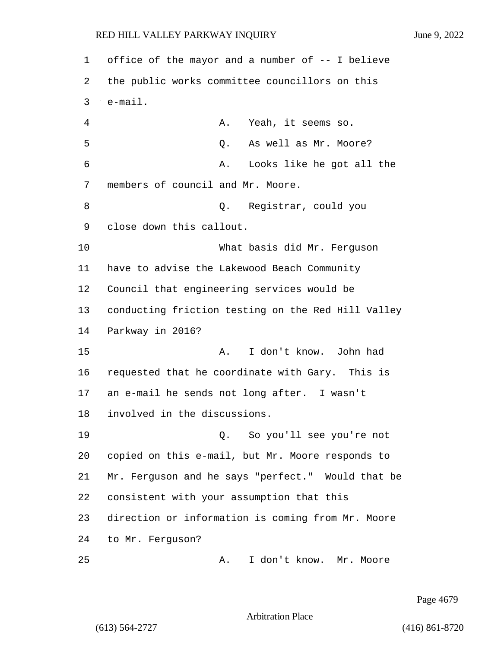| 1  | office of the mayor and a number of -- I believe   |
|----|----------------------------------------------------|
| 2  | the public works committee councillors on this     |
| 3  | $e$ -mail.                                         |
| 4  | Yeah, it seems so.<br>Α.                           |
| 5  | As well as Mr. Moore?<br>Q.                        |
| 6  | Looks like he got all the<br>Α.                    |
| 7  | members of council and Mr. Moore.                  |
| 8  | Registrar, could you<br>Q.                         |
| 9  | close down this callout.                           |
| 10 | What basis did Mr. Ferguson                        |
| 11 | have to advise the Lakewood Beach Community        |
| 12 | Council that engineering services would be         |
| 13 | conducting friction testing on the Red Hill Valley |
| 14 | Parkway in 2016?                                   |
| 15 | I don't know. John had<br>Α.                       |
| 16 | requested that he coordinate with Gary. This is    |
| 17 | an e-mail he sends not long after. I wasn't        |
| 18 | involved in the discussions.                       |
| 19 | So you'll see you're not<br>Q.                     |
| 20 | copied on this e-mail, but Mr. Moore responds to   |
| 21 | Mr. Ferguson and he says "perfect." Would that be  |
| 22 | consistent with your assumption that this          |
| 23 | direction or information is coming from Mr. Moore  |
| 24 | to Mr. Ferguson?                                   |
| 25 | I don't know. Mr. Moore<br>Α.                      |

Page 4679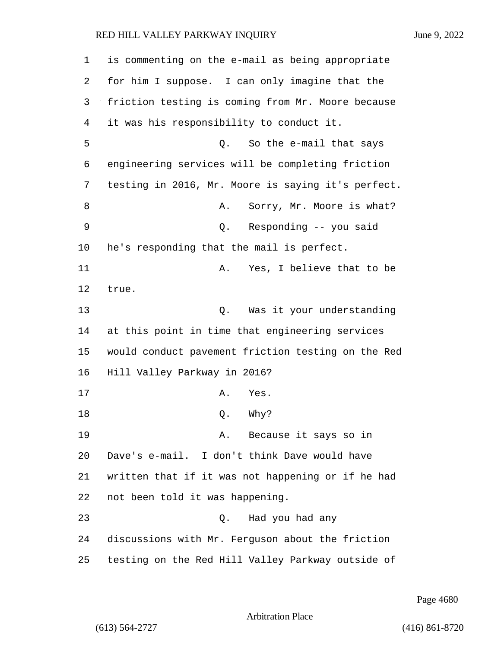| 1  | is commenting on the e-mail as being appropriate   |
|----|----------------------------------------------------|
| 2  | for him I suppose. I can only imagine that the     |
| 3  | friction testing is coming from Mr. Moore because  |
| 4  | it was his responsibility to conduct it.           |
| 5  | So the e-mail that says<br>Q.                      |
| 6  | engineering services will be completing friction   |
| 7  | testing in 2016, Mr. Moore is saying it's perfect. |
| 8  | Sorry, Mr. Moore is what?<br>Α.                    |
| 9  | Responding -- you said<br>Q.                       |
| 10 | he's responding that the mail is perfect.          |
| 11 | Yes, I believe that to be<br>Α.                    |
| 12 | true.                                              |
| 13 | Was it your understanding<br>Q.                    |
| 14 | at this point in time that engineering services    |
| 15 | would conduct pavement friction testing on the Red |
| 16 | Hill Valley Parkway in 2016?                       |
| 17 | Yes.<br>Α.                                         |
| 18 | Why?<br>Q.                                         |
| 19 | Because it says so in<br>Α.                        |
| 20 | Dave's e-mail. I don't think Dave would have       |
| 21 | written that if it was not happening or if he had  |
| 22 | not been told it was happening.                    |
| 23 | Had you had any<br>Q.                              |
| 24 | discussions with Mr. Ferguson about the friction   |
| 25 | testing on the Red Hill Valley Parkway outside of  |

Page 4680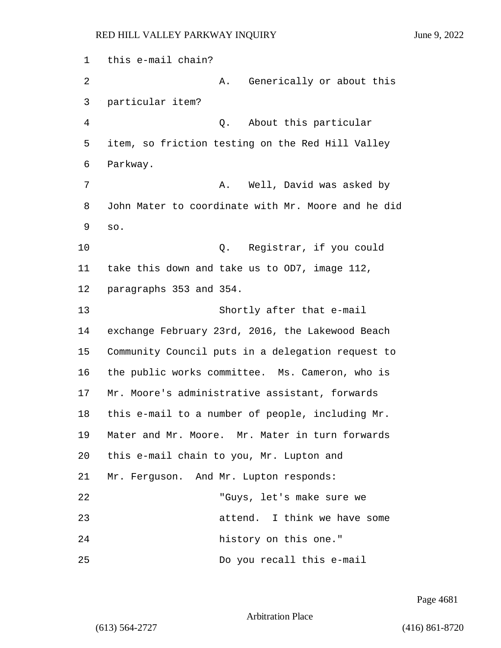1 this e-mail chain? 2 A. Generically or about this 3 particular item? 4 Q. About this particular 5 item, so friction testing on the Red Hill Valley 6 Parkway. 7 A. Well, David was asked by 8 John Mater to coordinate with Mr. Moore and he did 9 so. 10 Q. Registrar, if you could 11 take this down and take us to OD7, image 112, 12 paragraphs 353 and 354. 13 Shortly after that e-mail 14 exchange February 23rd, 2016, the Lakewood Beach 15 Community Council puts in a delegation request to 16 the public works committee. Ms. Cameron, who is 17 Mr. Moore's administrative assistant, forwards 18 this e-mail to a number of people, including Mr. 19 Mater and Mr. Moore. Mr. Mater in turn forwards 20 this e-mail chain to you, Mr. Lupton and 21 Mr. Ferguson. And Mr. Lupton responds: 22 "Guys, let's make sure we 23 attend. I think we have some 24 history on this one." 25 Do you recall this e-mail

Page 4681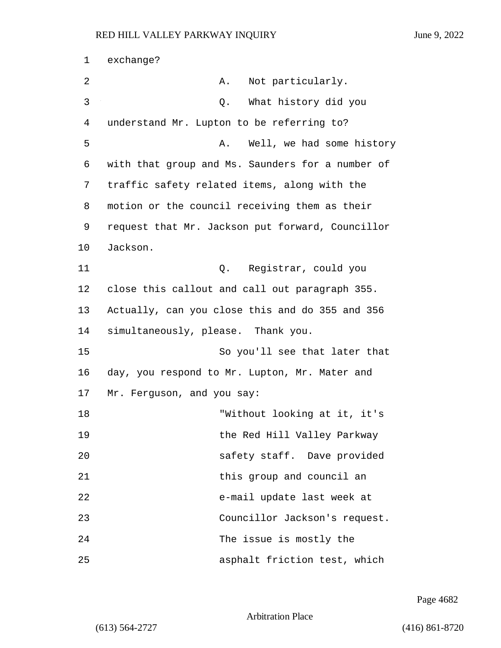1 exchange? 2 A. Not particularly. 3 Q. What history did you 4 understand Mr. Lupton to be referring to? 5 A. Well, we had some history 6 with that group and Ms. Saunders for a number of 7 traffic safety related items, along with the 8 motion or the council receiving them as their 9 request that Mr. Jackson put forward, Councillor 10 Jackson. 11 Q. Registrar, could you 12 close this callout and call out paragraph 355. 13 Actually, can you close this and do 355 and 356 14 simultaneously, please. Thank you. 15 So you'll see that later that 16 day, you respond to Mr. Lupton, Mr. Mater and 17 Mr. Ferguson, and you say: 18 "Without looking at it, it's 19 the Red Hill Valley Parkway 20 safety staff. Dave provided 21 this group and council an 22 e-mail update last week at 23 Councillor Jackson's request. 24 The issue is mostly the 25 asphalt friction test, which

Page 4682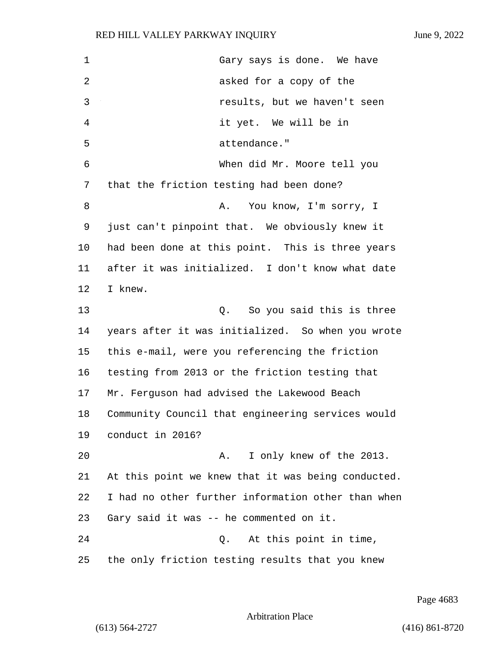| $\mathbf 1$ | Gary says is done. We have                         |
|-------------|----------------------------------------------------|
| 2           | asked for a copy of the                            |
| 3           | results, but we haven't seen                       |
| 4           | it yet. We will be in                              |
| 5           | attendance."                                       |
| 6           | When did Mr. Moore tell you                        |
| 7           | that the friction testing had been done?           |
| 8           | You know, I'm sorry, I<br>Α.                       |
| 9           | just can't pinpoint that. We obviously knew it     |
| 10          | had been done at this point. This is three years   |
| 11          | after it was initialized. I don't know what date   |
| 12          | I knew.                                            |
| 13          | So you said this is three<br>Q.                    |
| 14          | years after it was initialized. So when you wrote  |
| 15          | this e-mail, were you referencing the friction     |
| 16          | testing from 2013 or the friction testing that     |
| 17          | Mr. Ferguson had advised the Lakewood Beach        |
| 18          | Community Council that engineering services would  |
| 19          | conduct in 2016?                                   |
| 20          | I only knew of the 2013.<br>Α.                     |
| 21          | At this point we knew that it was being conducted. |
| 22          | I had no other further information other than when |
| 23          | Gary said it was -- he commented on it.            |
| 24          | At this point in time,<br>Q.                       |
| 25          | the only friction testing results that you knew    |

Page 4683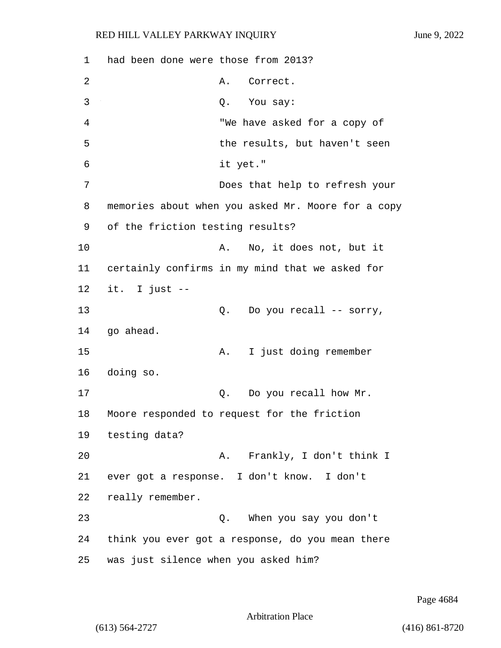1 had been done were those from 2013? 2 A. Correct. 3 Q. You say: 4 "We have asked for a copy of 5 the results, but haven't seen 6 it yet." 7 Does that help to refresh your 8 memories about when you asked Mr. Moore for a copy 9 of the friction testing results? 10 A. No, it does not, but it 11 certainly confirms in my mind that we asked for 12 it. I just -- 13  $Q.$  Do you recall -- sorry, 14 go ahead. 15 A. I just doing remember 16 doing so. 17 Q. Do you recall how Mr. 18 Moore responded to request for the friction 19 testing data? 20 A. Frankly, I don't think I 21 ever got a response. I don't know. I don't 22 really remember. 23 Q. When you say you don't 24 think you ever got a response, do you mean there 25 was just silence when you asked him?

Page 4684

```
Arbitration Place
```
(613) 564-2727 (416) 861-8720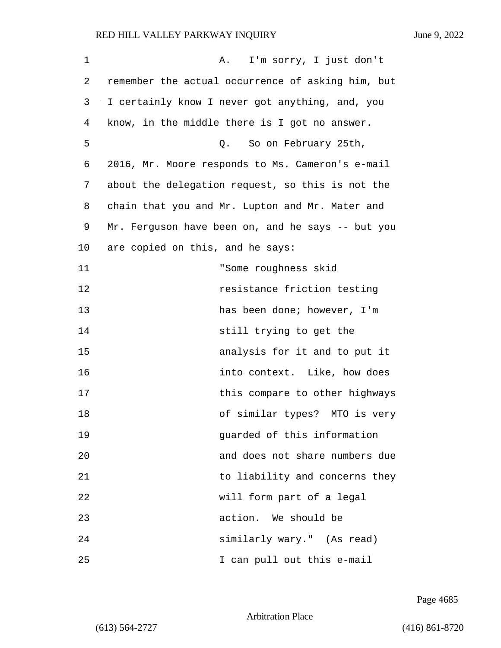| $\mathbf 1$ | A. I'm sorry, I just don't                        |
|-------------|---------------------------------------------------|
| 2           | remember the actual occurrence of asking him, but |
| 3           | I certainly know I never got anything, and, you   |
| 4           | know, in the middle there is I got no answer.     |
| 5           | Q. So on February 25th,                           |
| 6           | 2016, Mr. Moore responds to Ms. Cameron's e-mail  |
| 7           | about the delegation request, so this is not the  |
| 8           | chain that you and Mr. Lupton and Mr. Mater and   |
| 9           | Mr. Ferguson have been on, and he says -- but you |
| 10          | are copied on this, and he says:                  |
| 11          | "Some roughness skid                              |
| 12          | resistance friction testing                       |
| 13          | has been done; however, I'm                       |
| 14          | still trying to get the                           |
| 15          | analysis for it and to put it                     |
| 16          | into context. Like, how does                      |
| 17          | this compare to other highways                    |
| 18          | of similar types? MTO is very                     |
| 19          | guarded of this information                       |
| 20          | and does not share numbers due                    |
| 21          | to liability and concerns they                    |
| 22          | will form part of a legal                         |
| 23          | action. We should be                              |
| 24          | similarly wary." (As read)                        |
| 25          | I can pull out this e-mail                        |

Page 4685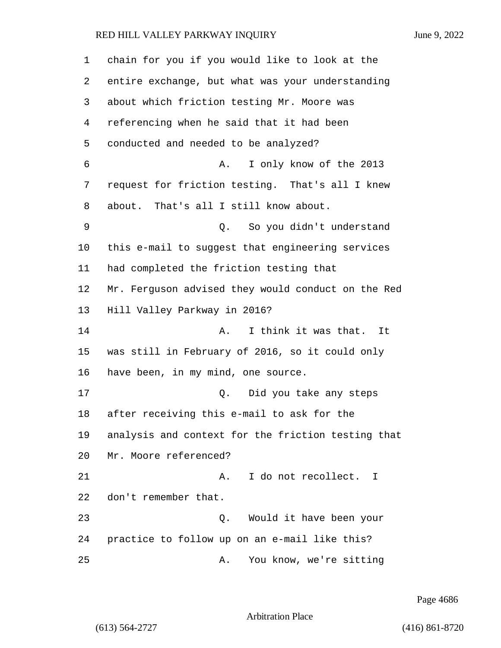| 1  | chain for you if you would like to look at the     |
|----|----------------------------------------------------|
| 2  | entire exchange, but what was your understanding   |
| 3  | about which friction testing Mr. Moore was         |
| 4  | referencing when he said that it had been          |
| 5  | conducted and needed to be analyzed?               |
| 6  | I only know of the 2013<br>Α.                      |
| 7  | request for friction testing. That's all I knew    |
| 8  | about. That's all I still know about.              |
| 9  | So you didn't understand<br>Q.                     |
| 10 | this e-mail to suggest that engineering services   |
| 11 | had completed the friction testing that            |
| 12 | Mr. Ferguson advised they would conduct on the Red |
| 13 | Hill Valley Parkway in 2016?                       |
| 14 | I think it was that.<br>Α.<br>It                   |
| 15 | was still in February of 2016, so it could only    |
| 16 | have been, in my mind, one source.                 |
| 17 | Did you take any steps<br>Q.                       |
| 18 | after receiving this e-mail to ask for the         |
| 19 | analysis and context for the friction testing that |
| 20 | Mr. Moore referenced?                              |
| 21 | I do not recollect. I<br>Α.                        |
| 22 | don't remember that.                               |
| 23 | Would it have been your<br>Q.                      |
| 24 | practice to follow up on an e-mail like this?      |
| 25 | You know, we're sitting<br>Α.                      |

Page 4686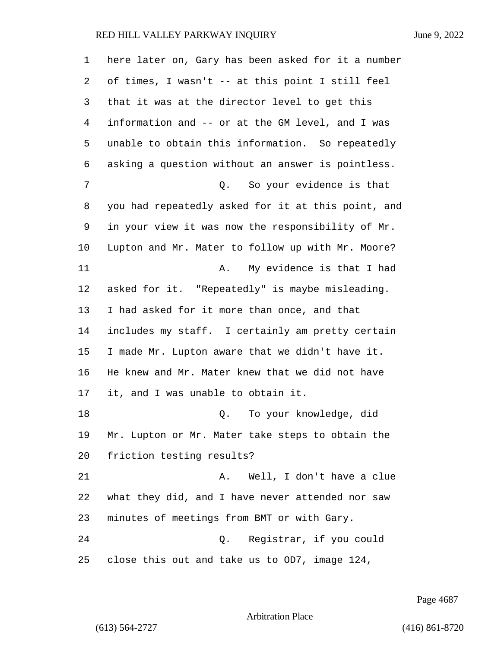| 1  | here later on, Gary has been asked for it a number |
|----|----------------------------------------------------|
| 2  | of times, I wasn't -- at this point I still feel   |
| 3  | that it was at the director level to get this      |
| 4  | information and -- or at the GM level, and I was   |
| 5  | unable to obtain this information. So repeatedly   |
| 6  | asking a question without an answer is pointless.  |
| 7  | Q. So your evidence is that                        |
| 8  | you had repeatedly asked for it at this point, and |
| 9  | in your view it was now the responsibility of Mr.  |
| 10 | Lupton and Mr. Mater to follow up with Mr. Moore?  |
| 11 | My evidence is that I had<br>Α.                    |
| 12 | asked for it. "Repeatedly" is maybe misleading.    |
| 13 | I had asked for it more than once, and that        |
| 14 | includes my staff. I certainly am pretty certain   |
| 15 | I made Mr. Lupton aware that we didn't have it.    |
| 16 | He knew and Mr. Mater knew that we did not have    |
| 17 | it, and I was unable to obtain it.                 |
| 18 | To your knowledge, did<br>Q.                       |
| 19 | Mr. Lupton or Mr. Mater take steps to obtain the   |
| 20 | friction testing results?                          |
| 21 | Well, I don't have a clue<br>Α.                    |
| 22 | what they did, and I have never attended nor saw   |
| 23 | minutes of meetings from BMT or with Gary.         |
| 24 | Registrar, if you could<br>Q.                      |
| 25 | close this out and take us to OD7, image 124,      |

Page 4687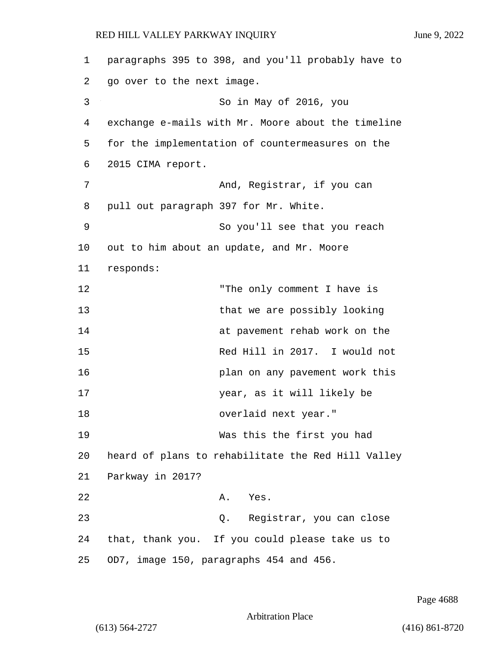1 paragraphs 395 to 398, and you'll probably have to 2 go over to the next image. 3 So in May of 2016, you 4 exchange e-mails with Mr. Moore about the timeline 5 for the implementation of countermeasures on the 6 2015 CIMA report. 7 And, Reqistrar, if you can 8 pull out paragraph 397 for Mr. White. 9 So you'll see that you reach 10 out to him about an update, and Mr. Moore 11 responds: 12 The only comment I have is 13 that we are possibly looking 14 at pavement rehab work on the 15 Red Hill in 2017. I would not 16 plan on any pavement work this 17 year, as it will likely be 18 overlaid next year." 19 Was this the first you had 20 heard of plans to rehabilitate the Red Hill Valley 21 Parkway in 2017? 22 A. Yes. 23 Q. Registrar, you can close 24 that, thank you. If you could please take us to 25 OD7, image 150, paragraphs 454 and 456.

Page 4688

Arbitration Place

(613) 564-2727 (416) 861-8720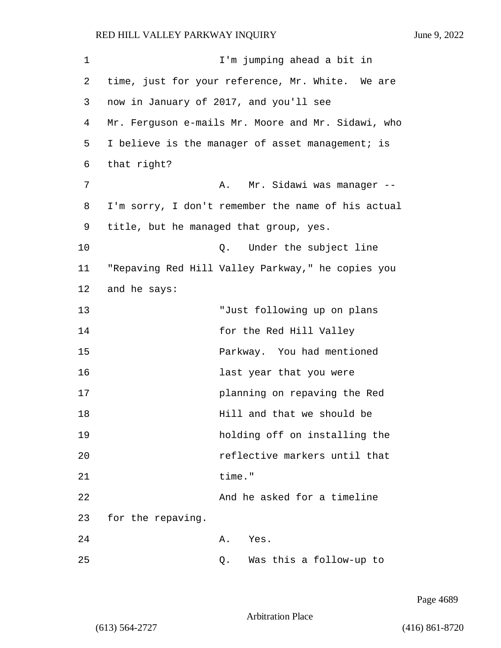1 I'm jumping ahead a bit in 2 time, just for your reference, Mr. White. We are 3 now in January of 2017, and you'll see 4 Mr. Ferguson e-mails Mr. Moore and Mr. Sidawi, who 5 I believe is the manager of asset management; is 6 that right? 7 A. Mr. Sidawi was manager --8 I'm sorry, I don't remember the name of his actual 9 title, but he managed that group, yes. 10 Q. Under the subject line 11 "Repaving Red Hill Valley Parkway," he copies you 12 and he says: 13 "Just following up on plans 14 for the Red Hill Valley 15 Parkway. You had mentioned 16 last year that you were 17 planning on repaving the Red 18 Hill and that we should be 19 holding off on installing the 20 reflective markers until that 21 time." 22 And he asked for a timeline 23 for the repaving. 24 A. Yes. 25 Q. Was this a follow-up to

Page 4689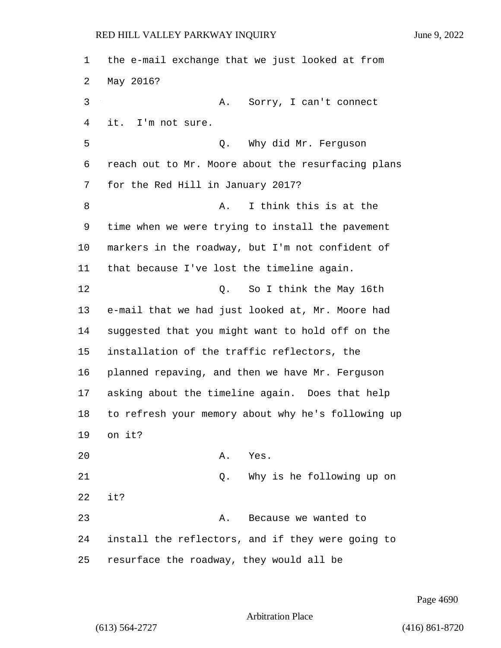the e-mail exchange that we just looked at from May 2016? 3 A. Sorry, I can't connect it. I'm not sure. 5 Q. Why did Mr. Ferguson reach out to Mr. Moore about the resurfacing plans for the Red Hill in January 2017? 8 A. I think this is at the time when we were trying to install the pavement markers in the roadway, but I'm not confident of that because I've lost the timeline again. 12 Q. So I think the May 16th e-mail that we had just looked at, Mr. Moore had suggested that you might want to hold off on the installation of the traffic reflectors, the planned repaving, and then we have Mr. Ferguson asking about the timeline again. Does that help to refresh your memory about why he's following up on it? 20 A. Yes. 21 Q. Why is he following up on it? 23 A. Because we wanted to install the reflectors, and if they were going to resurface the roadway, they would all be

Page 4690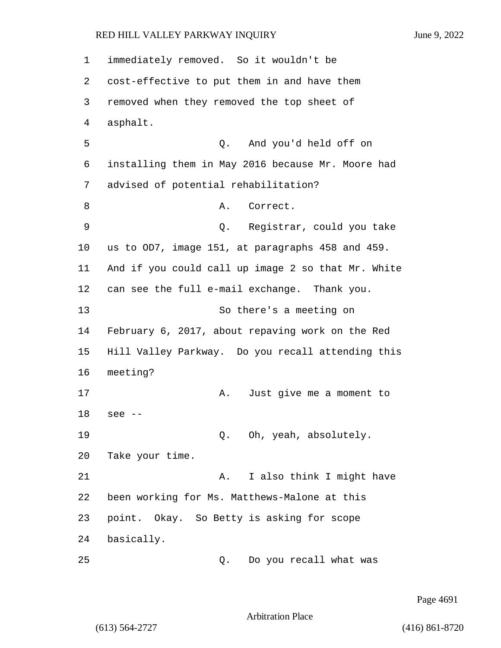1 immediately removed. So it wouldn't be 2 cost-effective to put them in and have them 3 removed when they removed the top sheet of 4 asphalt. 5 Q. And you'd held off on 6 installing them in May 2016 because Mr. Moore had 7 advised of potential rehabilitation? 8 A. Correct. 9 Q. Registrar, could you take 10 us to OD7, image 151, at paragraphs 458 and 459. 11 And if you could call up image 2 so that Mr. White 12 can see the full e-mail exchange. Thank you. 13 So there's a meeting on 14 February 6, 2017, about repaving work on the Red 15 Hill Valley Parkway. Do you recall attending this 16 meeting? 17 A. Just give me a moment to 18 see -- 19 Q. Oh, yeah, absolutely. 20 Take your time. 21 A. I also think I might have 22 been working for Ms. Matthews-Malone at this 23 point. Okay. So Betty is asking for scope 24 basically. 25 Q. Do you recall what was

Page 4691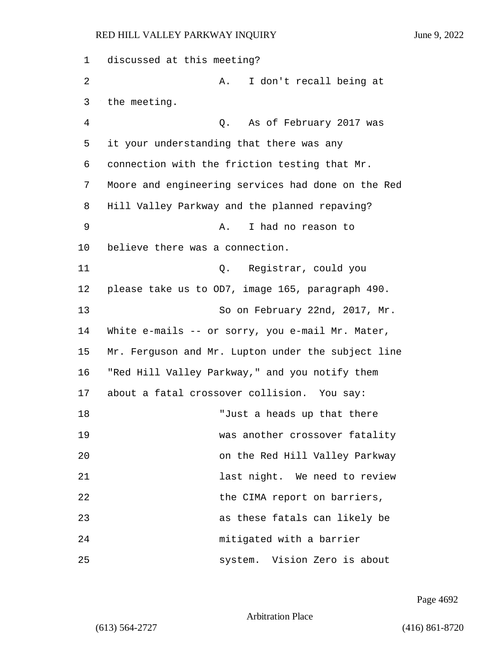1 discussed at this meeting? 2 A. I don't recall being at 3 the meeting. 4 Q. As of February 2017 was 5 it your understanding that there was any 6 connection with the friction testing that Mr. 7 Moore and engineering services had done on the Red 8 Hill Valley Parkway and the planned repaving? 9 A. I had no reason to 10 believe there was a connection. 11 Q. Registrar, could you 12 please take us to OD7, image 165, paragraph 490. 13 So on February 22nd, 2017, Mr. 14 White e-mails -- or sorry, you e-mail Mr. Mater, 15 Mr. Ferguson and Mr. Lupton under the subject line 16 "Red Hill Valley Parkway," and you notify them 17 about a fatal crossover collision. You say: 18 Tust a heads up that there 19 was another crossover fatality 20 on the Red Hill Valley Parkway 21 **12** last night. We need to review 22 the CIMA report on barriers, 23 as these fatals can likely be 24 mitigated with a barrier 25 system. Vision Zero is about

Page 4692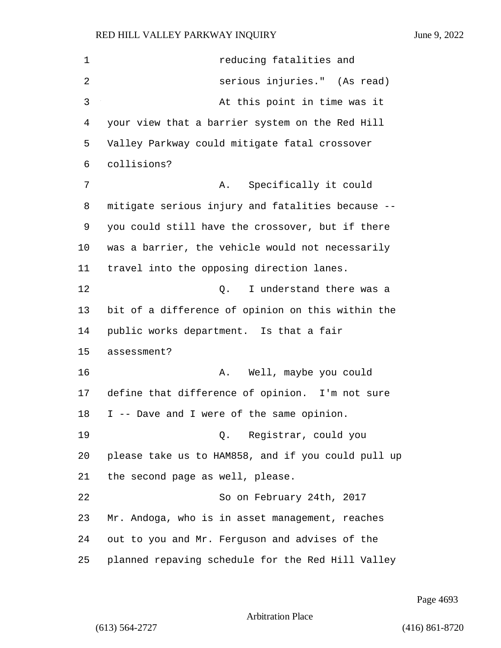*reducing fatalities and* 2 serious injuries." (As read) 3 At this point in time was it your view that a barrier system on the Red Hill Valley Parkway could mitigate fatal crossover collisions? 7 A. Specifically it could mitigate serious injury and fatalities because -- you could still have the crossover, but if there was a barrier, the vehicle would not necessarily travel into the opposing direction lanes. 12 C. I understand there was a bit of a difference of opinion on this within the public works department. Is that a fair assessment? 16 A. Well, maybe you could define that difference of opinion. I'm not sure I -- Dave and I were of the same opinion. 19 Q. Registrar, could you please take us to HAM858, and if you could pull up the second page as well, please. 22 So on February 24th, 2017 Mr. Andoga, who is in asset management, reaches out to you and Mr. Ferguson and advises of the planned repaving schedule for the Red Hill Valley

Page 4693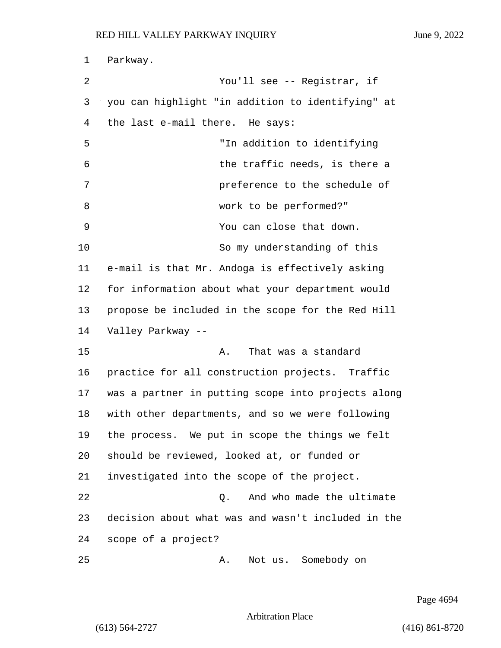1 Parkway. 2 You'll see -- Registrar, if 3 you can highlight "in addition to identifying" at 4 the last e-mail there. He says: 5 "In addition to identifying 6 the traffic needs, is there a 7 preference to the schedule of 8 work to be performed?" 9 You can close that down. 10 So my understanding of this 11 e-mail is that Mr. Andoga is effectively asking 12 for information about what your department would 13 propose be included in the scope for the Red Hill 14 Valley Parkway -- 15 A. That was a standard 16 practice for all construction projects. Traffic 17 was a partner in putting scope into projects along 18 with other departments, and so we were following 19 the process. We put in scope the things we felt 20 should be reviewed, looked at, or funded or 21 investigated into the scope of the project. 22 Q. And who made the ultimate 23 decision about what was and wasn't included in the 24 scope of a project? 25 A. Not us. Somebody on

Page 4694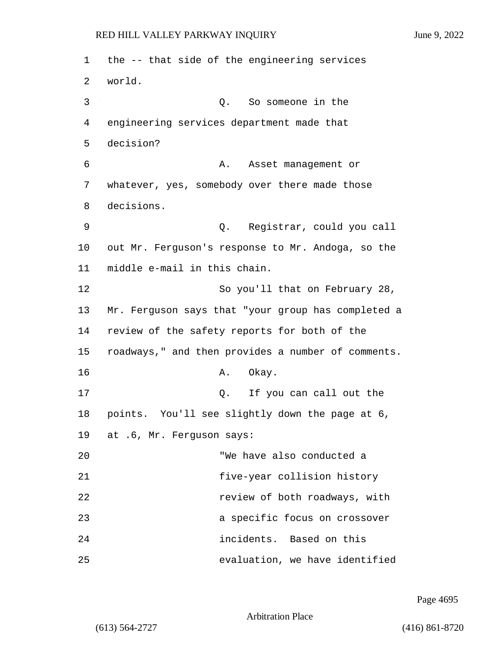1 the -- that side of the engineering services 2 world. 3 Q. So someone in the 4 engineering services department made that 5 decision? 6 A. Asset management or 7 whatever, yes, somebody over there made those 8 decisions. 9 Q. Registrar, could you call 10 out Mr. Ferguson's response to Mr. Andoga, so the 11 middle e-mail in this chain. 12 So you'll that on February 28, 13 Mr. Ferguson says that "your group has completed a 14 review of the safety reports for both of the 15 roadways," and then provides a number of comments. 16 A. Okay. 17 and 17 Q. If you can call out the 18 points. You'll see slightly down the page at 6, 19 at .6, Mr. Ferguson says: 20 "We have also conducted a 21 five-year collision history 22 *Particulary review of both roadways, with* 23 a specific focus on crossover 24 incidents. Based on this 25 evaluation, we have identified

Page 4695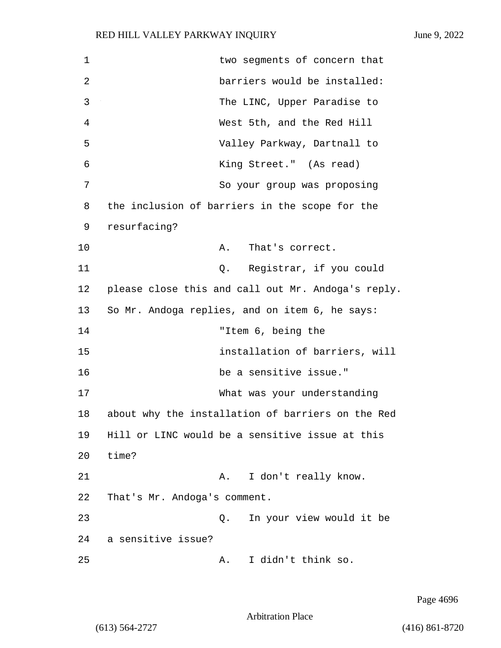1 two segments of concern that 2 barriers would be installed: 3 The LINC, Upper Paradise to 4 West 5th, and the Red Hill 5 Valley Parkway, Dartnall to 6 King Street." (As read) 7 So your group was proposing 8 the inclusion of barriers in the scope for the 9 resurfacing? 10 A. That's correct. 11 Q. Registrar, if you could 12 please close this and call out Mr. Andoga's reply. 13 So Mr. Andoga replies, and on item 6, he says: 14 "Item 6, being the 15 installation of barriers, will 16 be a sensitive issue." 17 What was your understanding 18 about why the installation of barriers on the Red 19 Hill or LINC would be a sensitive issue at this 20 time? 21 A. I don't really know. 22 That's Mr. Andoga's comment. 23 Q. In your view would it be 24 a sensitive issue? 25 A. I didn't think so.

Page 4696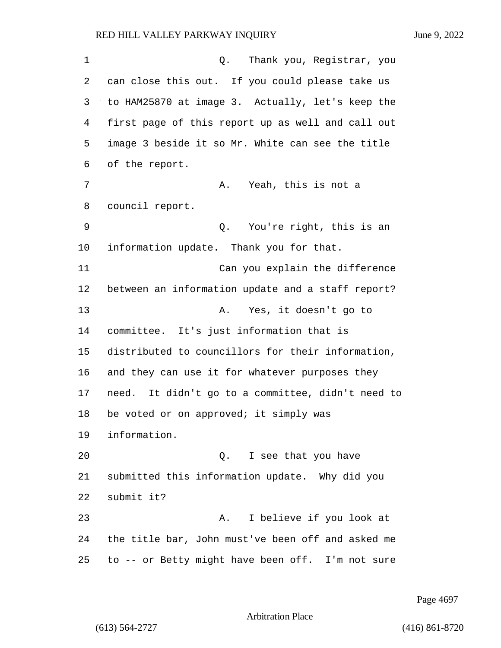1 Q. Thank you, Registrar, you can close this out. If you could please take us to HAM25870 at image 3. Actually, let's keep the first page of this report up as well and call out image 3 beside it so Mr. White can see the title of the report. 7 A. Yeah, this is not a council report. 9 Q. You're right, this is an information update. Thank you for that. 11 Can you explain the difference between an information update and a staff report? 13 A. Yes, it doesn't go to committee. It's just information that is distributed to councillors for their information, and they can use it for whatever purposes they need. It didn't go to a committee, didn't need to 18 be voted or on approved; it simply was information. 20 Q. I see that you have submitted this information update. Why did you submit it? 23 A. I believe if you look at the title bar, John must've been off and asked me to -- or Betty might have been off. I'm not sure

Page 4697

Arbitration Place

(613) 564-2727 (416) 861-8720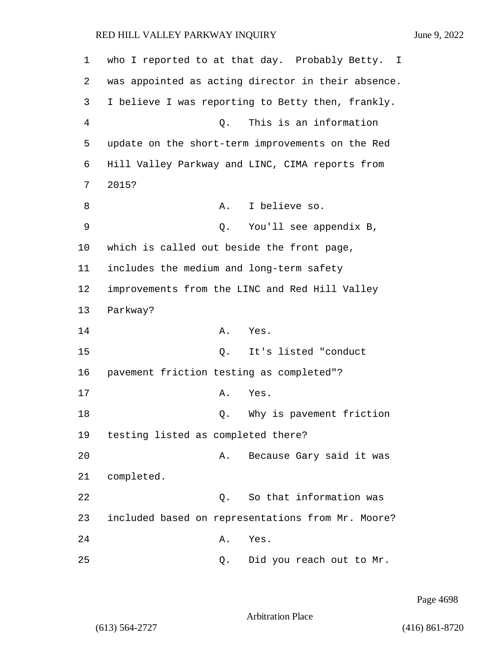| 1  | who I reported to at that day. Probably Betty. I   |
|----|----------------------------------------------------|
| 2  | was appointed as acting director in their absence. |
| 3  | I believe I was reporting to Betty then, frankly.  |
| 4  | This is an information<br>Q.                       |
| 5  | update on the short-term improvements on the Red   |
| 6  | Hill Valley Parkway and LINC, CIMA reports from    |
| 7  | 2015?                                              |
| 8  | I believe so.<br>Α.                                |
| 9  | You'll see appendix B,<br>Q.                       |
| 10 | which is called out beside the front page,         |
| 11 | includes the medium and long-term safety           |
| 12 | improvements from the LINC and Red Hill Valley     |
| 13 | Parkway?                                           |
| 14 | Yes.<br>Α.                                         |
| 15 | It's listed "conduct<br>Q.                         |
| 16 | pavement friction testing as completed"?           |
| 17 | Α.<br>Yes.                                         |
| 18 | Why is pavement friction<br>Q.                     |
| 19 | testing listed as completed there?                 |
| 20 | Because Gary said it was<br>Α.                     |
| 21 | completed.                                         |
| 22 | So that information was<br>Q.                      |
| 23 | included based on representations from Mr. Moore?  |
| 24 | Yes.<br>Α.                                         |
| 25 | Did you reach out to Mr.<br>Q.                     |

Page 4698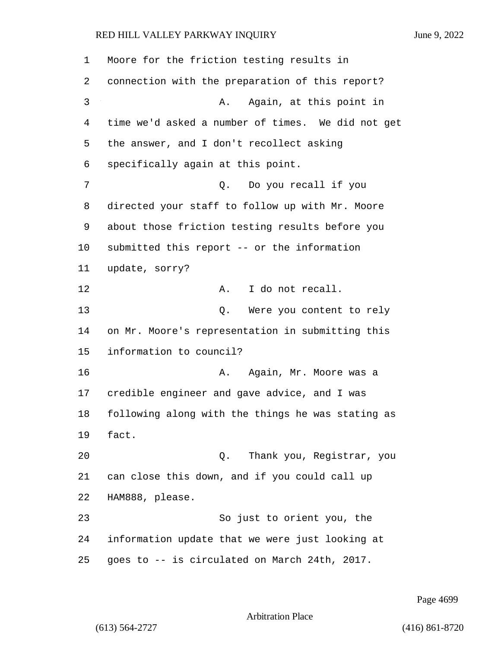Moore for the friction testing results in connection with the preparation of this report? 3 A. Again, at this point in time we'd asked a number of times. We did not get the answer, and I don't recollect asking specifically again at this point. 7 Q. Do you recall if you directed your staff to follow up with Mr. Moore about those friction testing results before you submitted this report -- or the information update, sorry? 12 A. I do not recall. 13 Q. Were you content to rely on Mr. Moore's representation in submitting this information to council? 16 A. Again, Mr. Moore was a credible engineer and gave advice, and I was following along with the things he was stating as fact. 20 Q. Thank you, Registrar, you can close this down, and if you could call up HAM888, please. 23 So just to orient you, the information update that we were just looking at goes to -- is circulated on March 24th, 2017.

Page 4699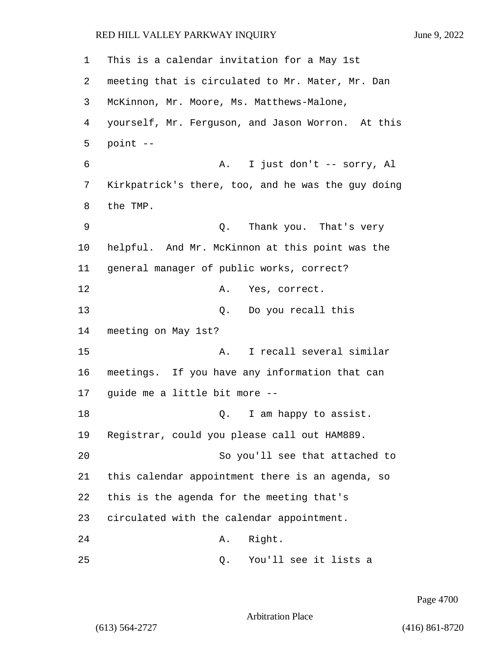1 This is a calendar invitation for a May 1st 2 meeting that is circulated to Mr. Mater, Mr. Dan 3 McKinnon, Mr. Moore, Ms. Matthews-Malone, 4 yourself, Mr. Ferguson, and Jason Worron. At this 5 point -- 6 A. I just don't -- sorry, Al 7 Kirkpatrick's there, too, and he was the guy doing 8 the TMP. 9 Q. Thank you. That's very 10 helpful. And Mr. McKinnon at this point was the 11 general manager of public works, correct? 12 A. Yes, correct. 13 Q. Do you recall this 14 meeting on May 1st? 15 A. I recall several similar 16 meetings. If you have any information that can 17 guide me a little bit more -- 18 am happy to assist. 19 Registrar, could you please call out HAM889. 20 So you'll see that attached to 21 this calendar appointment there is an agenda, so 22 this is the agenda for the meeting that's 23 circulated with the calendar appointment. 24 A. Right. 25 Q. You'll see it lists a

Page 4700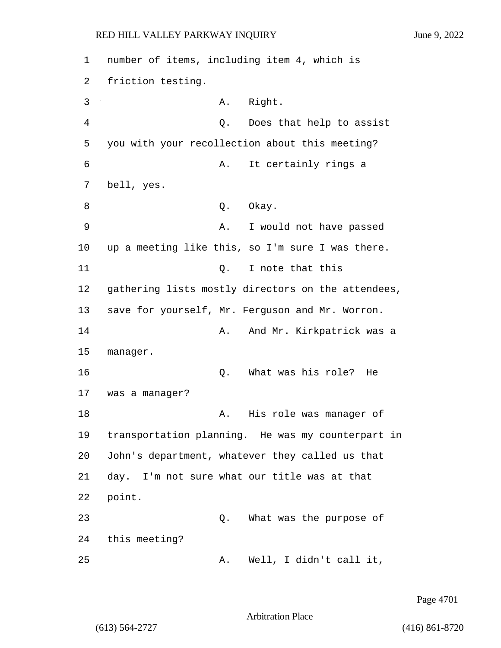1 number of items, including item 4, which is 2 friction testing. 3 A. Right. 4 Q. Does that help to assist 5 you with your recollection about this meeting? 6 A. It certainly rings a 7 bell, yes. 8 Q. Okay. 9 A. I would not have passed 10 up a meeting like this, so I'm sure I was there. 11 Q. I note that this 12 gathering lists mostly directors on the attendees, 13 save for yourself, Mr. Ferguson and Mr. Worron. 14 A. And Mr. Kirkpatrick was a 15 manager. 16 Q. What was his role? He 17 was a manager? 18 A. His role was manager of 19 transportation planning. He was my counterpart in 20 John's department, whatever they called us that 21 day. I'm not sure what our title was at that 22 point. 23 Q. What was the purpose of 24 this meeting? 25 A. Well, I didn't call it,

Page 4701

Arbitration Place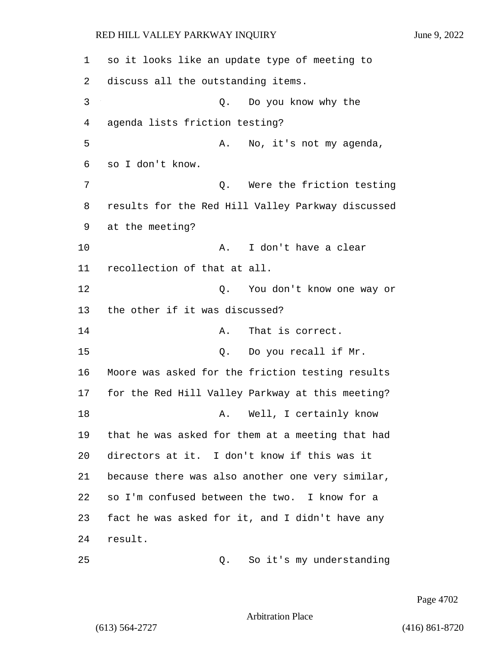1 so it looks like an update type of meeting to 2 discuss all the outstanding items. 3 Q. Do you know why the 4 agenda lists friction testing? 5 A. No, it's not my agenda, 6 so I don't know. 7 Q. Were the friction testing 8 results for the Red Hill Valley Parkway discussed 9 at the meeting? 10 A. I don't have a clear 11 recollection of that at all. 12 Q. You don't know one way or 13 the other if it was discussed? 14 A. That is correct. 15 0. Do you recall if Mr. 16 Moore was asked for the friction testing results 17 for the Red Hill Valley Parkway at this meeting? 18 A. Well, I certainly know 19 that he was asked for them at a meeting that had 20 directors at it. I don't know if this was it 21 because there was also another one very similar, 22 so I'm confused between the two. I know for a 23 fact he was asked for it, and I didn't have any 24 result. 25 Q. So it's my understanding

Page 4702

Arbitration Place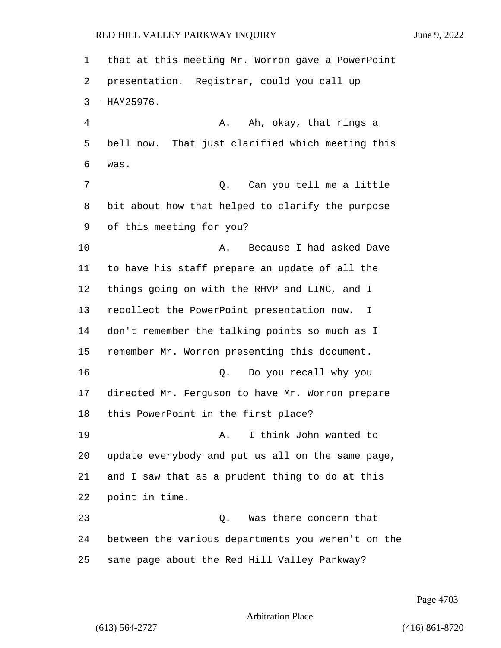that at this meeting Mr. Worron gave a PowerPoint presentation. Registrar, could you call up HAM25976. 4 A. Ah, okay, that rings a bell now. That just clarified which meeting this was. 7 Can you tell me a little bit about how that helped to clarify the purpose of this meeting for you? 10 A. Because I had asked Dave to have his staff prepare an update of all the things going on with the RHVP and LINC, and I recollect the PowerPoint presentation now. I don't remember the talking points so much as I remember Mr. Worron presenting this document. 16 Q. Do you recall why you directed Mr. Ferguson to have Mr. Worron prepare this PowerPoint in the first place? 19 A. I think John wanted to update everybody and put us all on the same page, and I saw that as a prudent thing to do at this point in time. 23 Q. Was there concern that between the various departments you weren't on the same page about the Red Hill Valley Parkway?

Page 4703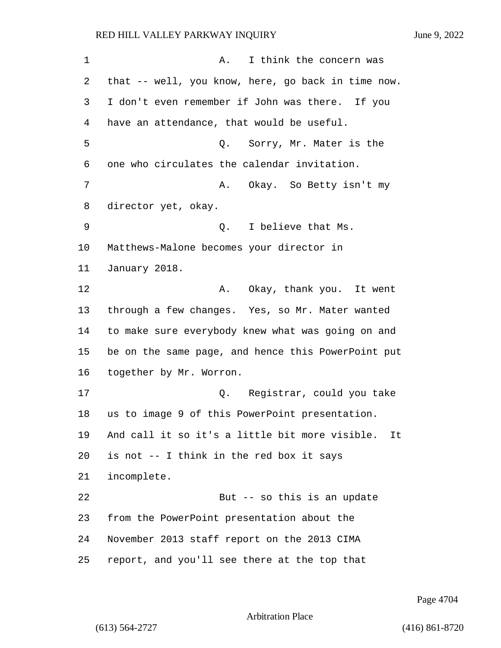1 A. I think the concern was that -- well, you know, here, go back in time now. I don't even remember if John was there. If you have an attendance, that would be useful. 5 Q. Sorry, Mr. Mater is the one who circulates the calendar invitation. 7 A. Okay. So Betty isn't my director yet, okay. 9 Q. I believe that Ms. Matthews-Malone becomes your director in January 2018. **A.** Okay, thank you. It went through a few changes. Yes, so Mr. Mater wanted to make sure everybody knew what was going on and be on the same page, and hence this PowerPoint put together by Mr. Worron. 17 Q. Registrar, could you take us to image 9 of this PowerPoint presentation. And call it so it's a little bit more visible. It is not -- I think in the red box it says incomplete. 22 But -- so this is an update from the PowerPoint presentation about the November 2013 staff report on the 2013 CIMA report, and you'll see there at the top that

Page 4704

```
Arbitration Place
```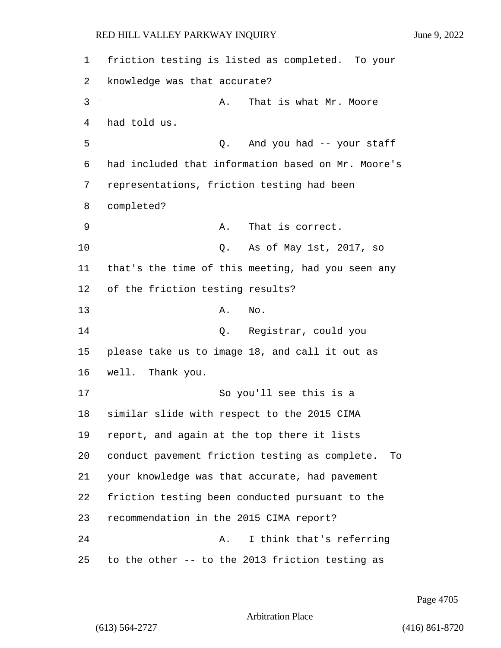friction testing is listed as completed. To your knowledge was that accurate? 3 A. That is what Mr. Moore had told us. 5 Q. And you had -- your staff had included that information based on Mr. Moore's representations, friction testing had been completed? 9 A. That is correct. 10 Q. As of May 1st, 2017, so that's the time of this meeting, had you seen any of the friction testing results? 13 A. No. 14 Q. Registrar, could you please take us to image 18, and call it out as well. Thank you. 17 So you'll see this is a similar slide with respect to the 2015 CIMA report, and again at the top there it lists conduct pavement friction testing as complete. To your knowledge was that accurate, had pavement friction testing been conducted pursuant to the recommendation in the 2015 CIMA report? 24 A. I think that's referring to the other -- to the 2013 friction testing as

Page 4705

Arbitration Place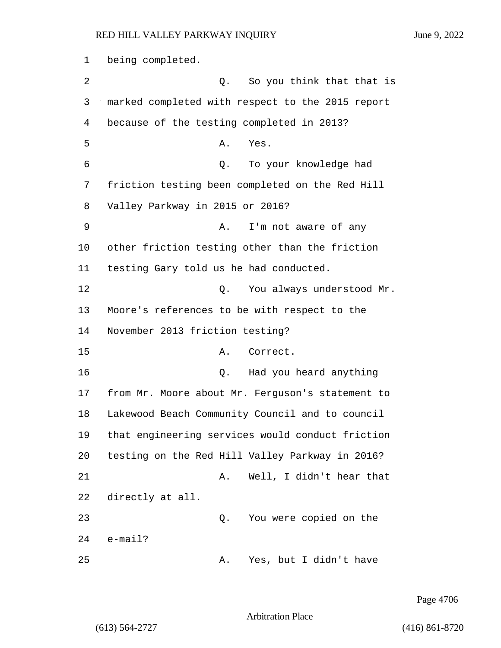1 being completed. 2 2 Q. So you think that that is 3 marked completed with respect to the 2015 report 4 because of the testing completed in 2013? 5 A. Yes. 6 Q. To your knowledge had 7 friction testing been completed on the Red Hill 8 Valley Parkway in 2015 or 2016? 9 A. I'm not aware of any 10 other friction testing other than the friction 11 testing Gary told us he had conducted. 12 C. You always understood Mr. 13 Moore's references to be with respect to the 14 November 2013 friction testing? 15 A. Correct. 16 Q. Had you heard anything 17 from Mr. Moore about Mr. Ferguson's statement to 18 Lakewood Beach Community Council and to council 19 that engineering services would conduct friction 20 testing on the Red Hill Valley Parkway in 2016? 21 A. Well, I didn't hear that 22 directly at all. 23 Q. You were copied on the 24 e-mail? 25 A. Yes, but I didn't have

Page 4706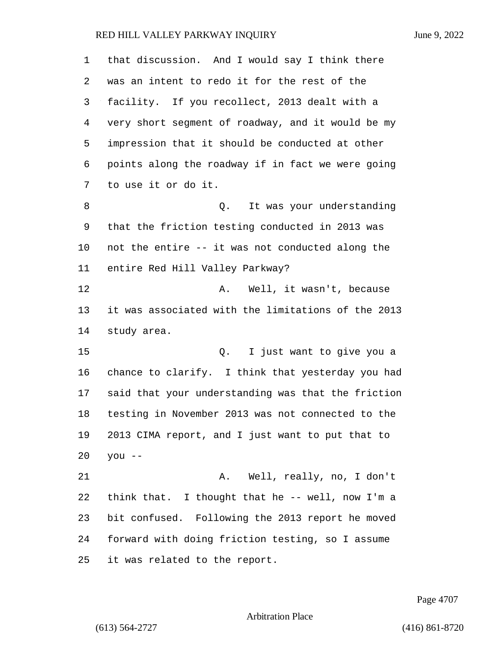| $\mathbf{1}$ | that discussion. And I would say I think there     |
|--------------|----------------------------------------------------|
| 2            | was an intent to redo it for the rest of the       |
| 3            | facility. If you recollect, 2013 dealt with a      |
| 4            | very short segment of roadway, and it would be my  |
| 5            | impression that it should be conducted at other    |
| 6            | points along the roadway if in fact we were going  |
| 7            | to use it or do it.                                |
| 8            | It was your understanding<br>Q.                    |
| 9            | that the friction testing conducted in 2013 was    |
| 10           | not the entire -- it was not conducted along the   |
| 11           | entire Red Hill Valley Parkway?                    |
| 12           | Well, it wasn't, because<br>Α.                     |
| 13           | it was associated with the limitations of the 2013 |
| 14           | study area.                                        |
| 15           | I just want to give you a<br>Q.                    |
| 16           | chance to clarify. I think that yesterday you had  |
| 17           | said that your understanding was that the friction |
| 18           | testing in November 2013 was not connected to the  |
| 19           | 2013 CIMA report, and I just want to put that to   |
| 20           | $you --$                                           |
| 21           | Well, really, no, I don't<br>Α.                    |
| 22           | think that. I thought that he -- well, now I'm a   |
| 23           | bit confused. Following the 2013 report he moved   |
| 24           | forward with doing friction testing, so I assume   |
| 25           | it was related to the report.                      |

Page 4707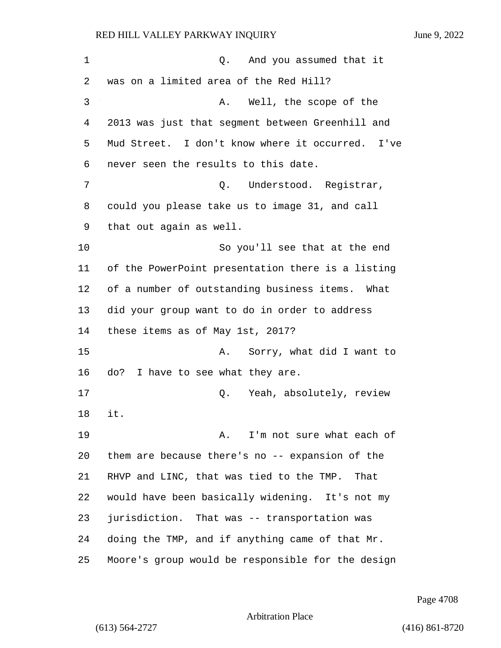1 and you assumed that it was on a limited area of the Red Hill? 3 A. Well, the scope of the 2013 was just that segment between Greenhill and Mud Street. I don't know where it occurred. I've never seen the results to this date. 7 C. Understood. Reqistrar, could you please take us to image 31, and call that out again as well. 10 So you'll see that at the end of the PowerPoint presentation there is a listing of a number of outstanding business items. What did your group want to do in order to address these items as of May 1st, 2017? 15 A. Sorry, what did I want to do? I have to see what they are. 17 absolutely, review of the Mean Absolutely, review it. **A.** I'm not sure what each of them are because there's no -- expansion of the RHVP and LINC, that was tied to the TMP. That would have been basically widening. It's not my jurisdiction. That was -- transportation was doing the TMP, and if anything came of that Mr. Moore's group would be responsible for the design

Page 4708

Arbitration Place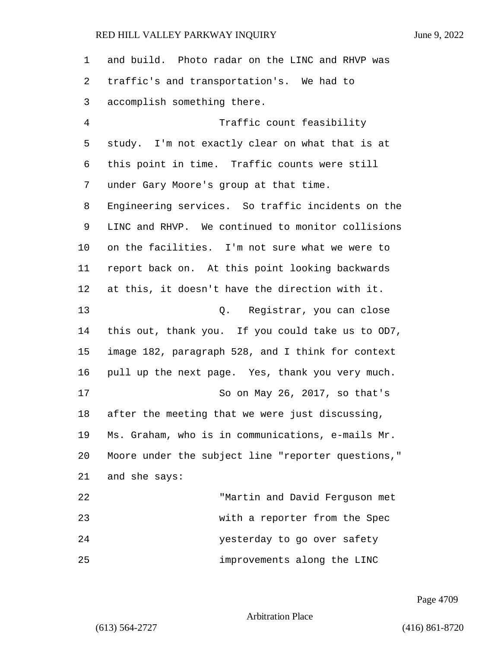| $\mathbf 1$ | and build. Photo radar on the LINC and RHVP was    |
|-------------|----------------------------------------------------|
| 2           | traffic's and transportation's. We had to          |
| 3           | accomplish something there.                        |
| 4           | Traffic count feasibility                          |
| 5           | study. I'm not exactly clear on what that is at    |
| 6           | this point in time. Traffic counts were still      |
| 7           | under Gary Moore's group at that time.             |
| 8           | Engineering services. So traffic incidents on the  |
| 9           | LINC and RHVP. We continued to monitor collisions  |
| $10 \,$     | on the facilities. I'm not sure what we were to    |
| 11          | report back on. At this point looking backwards    |
| 12          | at this, it doesn't have the direction with it.    |
| 13          | Q. Registrar, you can close                        |
| 14          | this out, thank you. If you could take us to OD7,  |
| 15          | image 182, paragraph 528, and I think for context  |
| 16          | pull up the next page. Yes, thank you very much.   |
| 17          | So on May 26, 2017, so that's                      |
| 18          | after the meeting that we were just discussing,    |
| 19          | Ms. Graham, who is in communications, e-mails Mr.  |
| 20          | Moore under the subject line "reporter questions," |
| 21          | and she says:                                      |
| 22          | "Martin and David Ferguson met                     |
| 23          | with a reporter from the Spec                      |
| 24          | yesterday to go over safety                        |
| 25          | improvements along the LINC                        |

Page 4709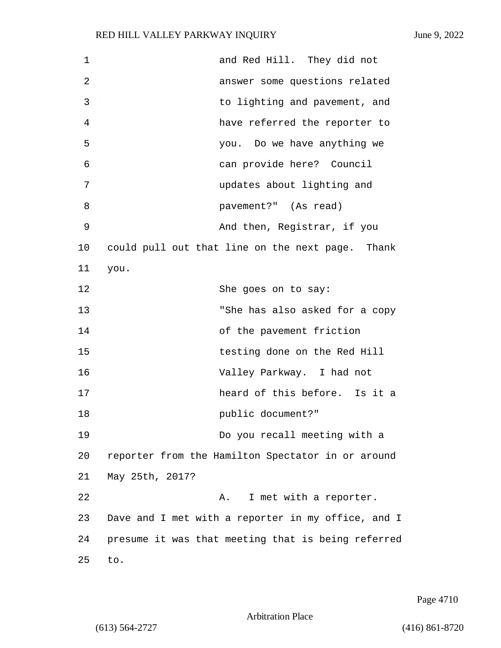| $\mathbf 1$    | and Red Hill. They did not                         |
|----------------|----------------------------------------------------|
| $\overline{2}$ | answer some questions related                      |
| 3              | to lighting and pavement, and                      |
| 4              | have referred the reporter to                      |
| 5              | you. Do we have anything we                        |
| 6              | can provide here? Council                          |
| 7              | updates about lighting and                         |
| 8              | pavement?" (As read)                               |
| 9              | And then, Registrar, if you                        |
| 10             | could pull out that line on the next page. Thank   |
| 11             | you.                                               |
| 12             | She goes on to say:                                |
| 13             | "She has also asked for a copy                     |
| 14             | of the pavement friction                           |
| 15             | testing done on the Red Hill                       |
| 16             | Valley Parkway. I had not                          |
| 17             | heard of this before. Is it a                      |
| 18             | public document?"                                  |
| 19             | Do you recall meeting with a                       |
| 20             | reporter from the Hamilton Spectator in or around  |
| 21             | May 25th, 2017?                                    |
| 22             | I met with a reporter.<br>Α.                       |
| 23             | Dave and I met with a reporter in my office, and I |
| 24             | presume it was that meeting that is being referred |
| 25             | to.                                                |

Page 4710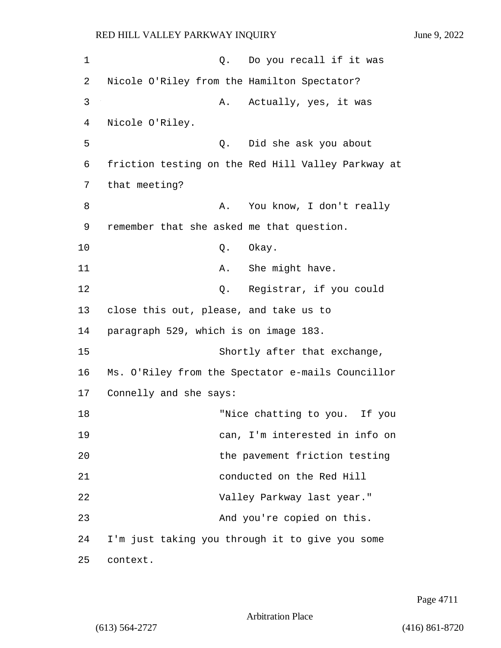| 1  | Do you recall if it was<br>Q.                      |
|----|----------------------------------------------------|
| 2  | Nicole O'Riley from the Hamilton Spectator?        |
| 3  | Actually, yes, it was<br>Α.                        |
| 4  | Nicole O'Riley.                                    |
| 5  | Did she ask you about<br>Q.                        |
| 6  | friction testing on the Red Hill Valley Parkway at |
| 7  | that meeting?                                      |
| 8  | You know, I don't really<br>Α.                     |
| 9  | remember that she asked me that question.          |
| 10 | Q. Okay.                                           |
| 11 | She might have.<br>Α.                              |
| 12 | Registrar, if you could<br>Q.                      |
| 13 | close this out, please, and take us to             |
| 14 | paragraph 529, which is on image 183.              |
| 15 | Shortly after that exchange,                       |
| 16 | Ms. O'Riley from the Spectator e-mails Councillor  |
| 17 | Connelly and she says:                             |
| 18 | "Nice chatting to you. If you                      |
| 19 | can, I'm interested in info on                     |
| 20 | the pavement friction testing                      |
| 21 | conducted on the Red Hill                          |
| 22 | Valley Parkway last year."                         |
| 23 | And you're copied on this.                         |
| 24 | I'm just taking you through it to give you some    |
| 25 | context.                                           |

Page 4711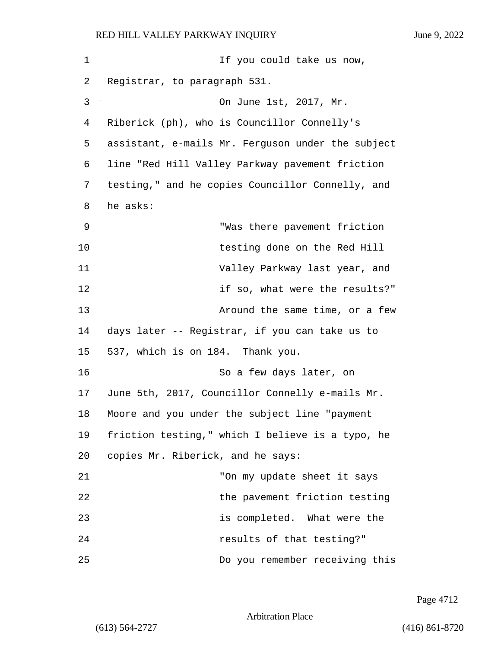| 1  | If you could take us now,                         |
|----|---------------------------------------------------|
| 2  | Registrar, to paragraph 531.                      |
| 3  | On June 1st, 2017, Mr.                            |
| 4  | Riberick (ph), who is Councillor Connelly's       |
| 5  | assistant, e-mails Mr. Ferguson under the subject |
| 6  | line "Red Hill Valley Parkway pavement friction   |
| 7  | testing," and he copies Councillor Connelly, and  |
| 8  | he asks:                                          |
| 9  | "Was there pavement friction                      |
| 10 | testing done on the Red Hill                      |
| 11 | Valley Parkway last year, and                     |
| 12 | if so, what were the results?"                    |
| 13 | Around the same time, or a few                    |
| 14 | days later -- Registrar, if you can take us to    |
| 15 | 537, which is on 184. Thank you.                  |
| 16 | So a few days later, on                           |
| 17 | June 5th, 2017, Councillor Connelly e-mails Mr.   |
| 18 | Moore and you under the subject line "payment     |
| 19 | friction testing," which I believe is a typo, he  |
| 20 | copies Mr. Riberick, and he says:                 |
| 21 | "On my update sheet it says                       |
| 22 | the pavement friction testing                     |
| 23 | is completed. What were the                       |
| 24 | results of that testing?"                         |
| 25 | Do you remember receiving this                    |

Page 4712

Arbitration Place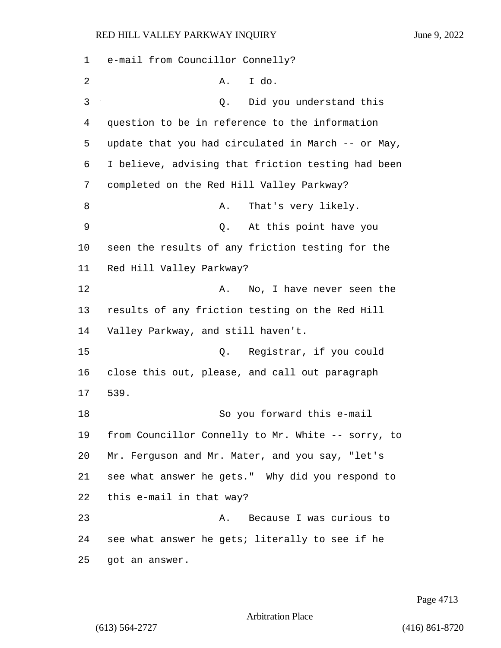e-mail from Councillor Connelly? 2 A. I do. 3 Q. Did you understand this question to be in reference to the information update that you had circulated in March -- or May, I believe, advising that friction testing had been completed on the Red Hill Valley Parkway? 8 A. That's very likely. 9 Q. At this point have you seen the results of any friction testing for the Red Hill Valley Parkway? 12 A. No, I have never seen the results of any friction testing on the Red Hill Valley Parkway, and still haven't. 15 Q. Registrar, if you could close this out, please, and call out paragraph 17 539. 18 So you forward this e-mail from Councillor Connelly to Mr. White -- sorry, to Mr. Ferguson and Mr. Mater, and you say, "let's see what answer he gets." Why did you respond to this e-mail in that way? 23 A. Because I was curious to see what answer he gets; literally to see if he got an answer.

Page 4713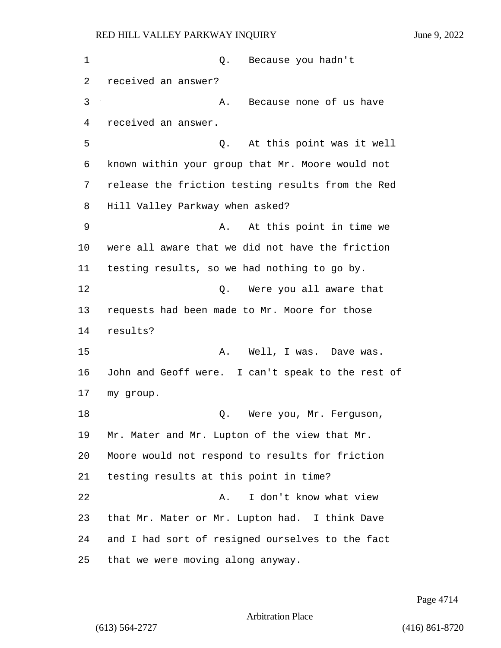1 C. Because you hadn't received an answer? 3 A. Because none of us have received an answer. 5 Q. At this point was it well known within your group that Mr. Moore would not release the friction testing results from the Red Hill Valley Parkway when asked? 9 A. At this point in time we were all aware that we did not have the friction testing results, so we had nothing to go by. 12 O. Were you all aware that requests had been made to Mr. Moore for those 14 results? 15 A. Well, I was. Dave was. John and Geoff were. I can't speak to the rest of my group. 18 D. Were you, Mr. Ferguson, Mr. Mater and Mr. Lupton of the view that Mr. Moore would not respond to results for friction testing results at this point in time? 22 A. I don't know what view that Mr. Mater or Mr. Lupton had. I think Dave and I had sort of resigned ourselves to the fact

25 that we were moving along anyway.

Page 4714

Arbitration Place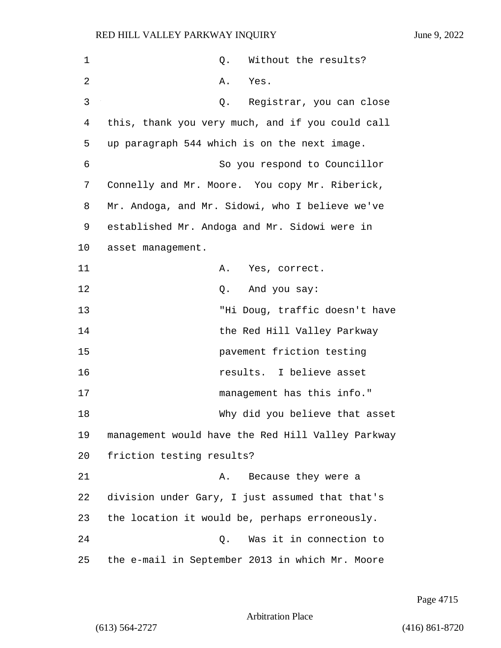| $\mathbf 1$ | Without the results?<br>Q.                        |
|-------------|---------------------------------------------------|
| 2           | Yes.<br>Α.                                        |
| 3           | Registrar, you can close<br>Q.                    |
| 4           | this, thank you very much, and if you could call  |
| 5           | up paragraph 544 which is on the next image.      |
| 6           | So you respond to Councillor                      |
| 7           | Connelly and Mr. Moore. You copy Mr. Riberick,    |
| 8           | Mr. Andoga, and Mr. Sidowi, who I believe we've   |
| 9           | established Mr. Andoga and Mr. Sidowi were in     |
| 10          | asset management.                                 |
| 11          | Yes, correct.<br>Α.                               |
| 12          | And you say:<br>Q.                                |
| 13          | "Hi Doug, traffic doesn't have                    |
| 14          | the Red Hill Valley Parkway                       |
| 15          | pavement friction testing                         |
| 16          | results. I believe asset                          |
| 17          | management has this info."                        |
| 18          | Why did you believe that asset                    |
| 19          | management would have the Red Hill Valley Parkway |
| 20          | friction testing results?                         |
| 21          | Because they were a<br>Α.                         |
| 22          | division under Gary, I just assumed that that's   |
| 23          | the location it would be, perhaps erroneously.    |
| 24          | Was it in connection to<br>$Q$ .                  |
| 25          | the e-mail in September 2013 in which Mr. Moore   |

Page 4715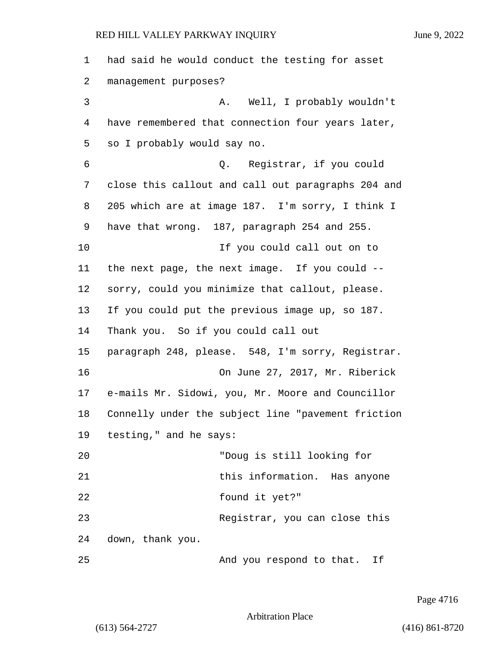| $\mathbf 1$ | had said he would conduct the testing for asset    |
|-------------|----------------------------------------------------|
| 2           | management purposes?                               |
| 3           | Well, I probably wouldn't<br>А.                    |
| 4           | have remembered that connection four years later,  |
| 5           | so I probably would say no.                        |
| 6           | Q. Registrar, if you could                         |
| 7           | close this callout and call out paragraphs 204 and |
| 8           | 205 which are at image 187. I'm sorry, I think I   |
| 9           | have that wrong. 187, paragraph 254 and 255.       |
| 10          | If you could call out on to                        |
| 11          | the next page, the next image. If you could --     |
| 12          | sorry, could you minimize that callout, please.    |
| 13          | If you could put the previous image up, so 187.    |
| 14          | Thank you. So if you could call out                |
| 15          | paragraph 248, please. 548, I'm sorry, Registrar.  |
| 16          | On June 27, 2017, Mr. Riberick                     |
| 17          | e-mails Mr. Sidowi, you, Mr. Moore and Councillor  |
| 18          | Connelly under the subject line "pavement friction |
| 19          | testing," and he says:                             |
| 20          | "Doug is still looking for                         |
| 21          | this information. Has anyone                       |
| 22          | found it yet?"                                     |
| 23          | Reqistrar, you can close this                      |
| 24          | down, thank you.                                   |
| 25          | And you respond to that. If                        |

Page 4716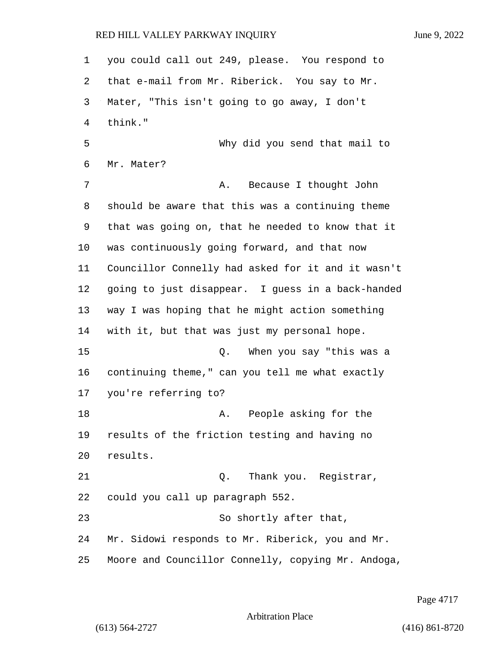you could call out 249, please. You respond to that e-mail from Mr. Riberick. You say to Mr. Mater, "This isn't going to go away, I don't think." 5 Why did you send that mail to Mr. Mater? 7 A. Because I thought John should be aware that this was a continuing theme that was going on, that he needed to know that it was continuously going forward, and that now Councillor Connelly had asked for it and it wasn't going to just disappear. I guess in a back-handed way I was hoping that he might action something with it, but that was just my personal hope. 15 Q. When you say "this was a continuing theme," can you tell me what exactly you're referring to? **A.** People asking for the results of the friction testing and having no results. 21 C. Thank you. Registrar, could you call up paragraph 552. 23 So shortly after that, Mr. Sidowi responds to Mr. Riberick, you and Mr. Moore and Councillor Connelly, copying Mr. Andoga,

Page 4717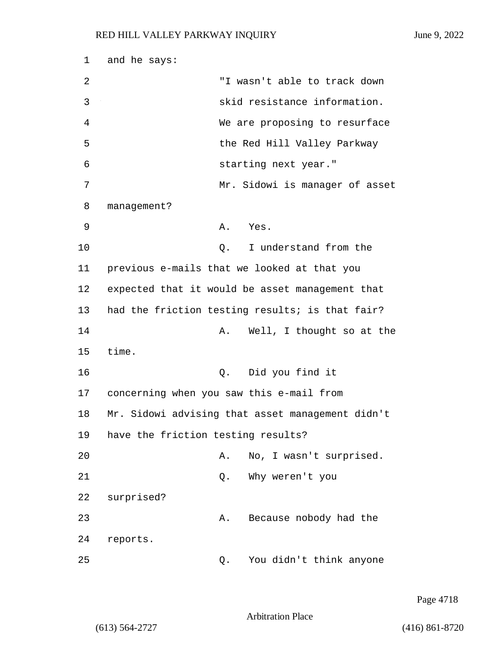| 1  | and he says:                                     |
|----|--------------------------------------------------|
| 2  | "I wasn't able to track down                     |
| 3  | skid resistance information.                     |
| 4  | We are proposing to resurface                    |
| 5  | the Red Hill Valley Parkway                      |
| 6  | starting next year."                             |
| 7  | Mr. Sidowi is manager of asset                   |
| 8  | management?                                      |
| 9  | A. Yes.                                          |
| 10 | I understand from the<br>Q.                      |
| 11 | previous e-mails that we looked at that you      |
| 12 | expected that it would be asset management that  |
| 13 | had the friction testing results; is that fair?  |
| 14 | Well, I thought so at the<br>Α.                  |
| 15 | time.                                            |
| 16 | Q. Did you find it                               |
| 17 | concerning when you saw this e-mail from         |
| 18 | Mr. Sidowi advising that asset management didn't |
| 19 | have the friction testing results?               |
| 20 | No, I wasn't surprised.<br>Α.                    |
| 21 | Why weren't you<br>Q.                            |
| 22 | surprised?                                       |
| 23 | Because nobody had the<br>Α.                     |
| 24 | reports.                                         |
| 25 | You didn't think anyone<br>Q.                    |

Page 4718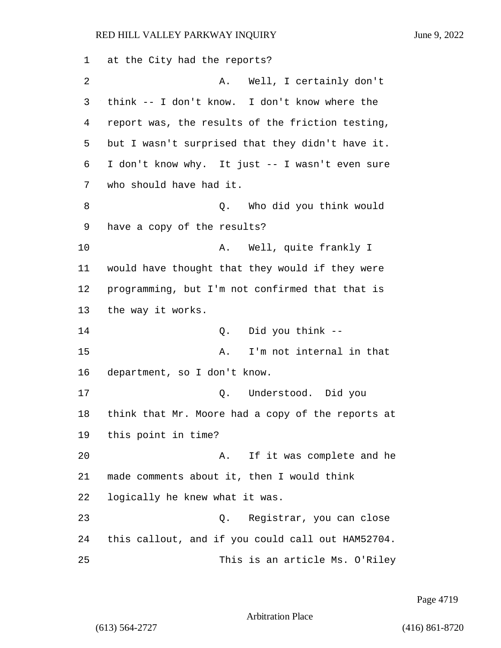at the City had the reports? 2 A. Well, I certainly don't think -- I don't know. I don't know where the report was, the results of the friction testing, but I wasn't surprised that they didn't have it. I don't know why. It just -- I wasn't even sure who should have had it. 8 Q. Who did you think would have a copy of the results? 10 A. Well, quite frankly I would have thought that they would if they were programming, but I'm not confirmed that that is the way it works. 14 Q. Did you think -- 15 A. I'm not internal in that department, so I don't know. 17 Q. Understood. Did you think that Mr. Moore had a copy of the reports at this point in time? 20 A. If it was complete and he made comments about it, then I would think logically he knew what it was. 23 Q. Registrar, you can close this callout, and if you could call out HAM52704. 25 This is an article Ms. O'Riley

Page 4719

Arbitration Place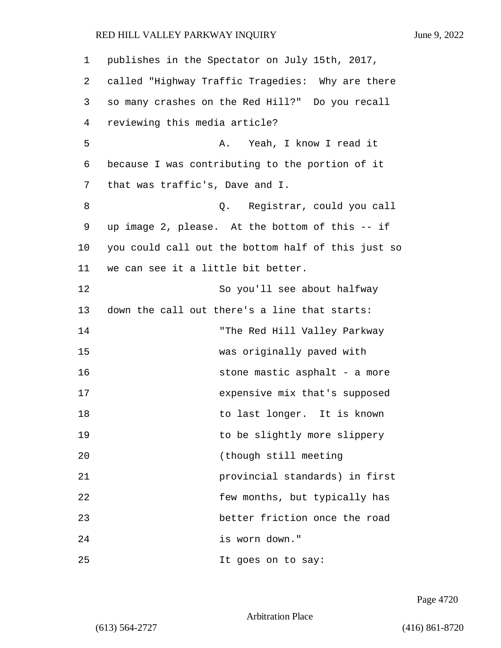| 1  | publishes in the Spectator on July 15th, 2017,     |
|----|----------------------------------------------------|
| 2  | called "Highway Traffic Tragedies: Why are there   |
| 3  | so many crashes on the Red Hill?" Do you recall    |
| 4  | reviewing this media article?                      |
| 5  | Yeah, I know I read it<br>Α.                       |
| 6  | because I was contributing to the portion of it    |
| 7  | that was traffic's, Dave and I.                    |
| 8  | Registrar, could you call<br>Q.                    |
| 9  | up image 2, please. At the bottom of this -- if    |
| 10 | you could call out the bottom half of this just so |
| 11 | we can see it a little bit better.                 |
| 12 | So you'll see about halfway                        |
| 13 | down the call out there's a line that starts:      |
| 14 | "The Red Hill Valley Parkway                       |
| 15 | was originally paved with                          |
| 16 | stone mastic asphalt - a more                      |
| 17 | expensive mix that's supposed                      |
| 18 | to last longer. It is known                        |
| 19 | to be slightly more slippery                       |
| 20 | (though still meeting                              |
| 21 | provincial standards) in first                     |
| 22 | few months, but typically has                      |
| 23 | better friction once the road                      |
| 24 | is worn down."                                     |
| 25 | It goes on to say:                                 |

Page 4720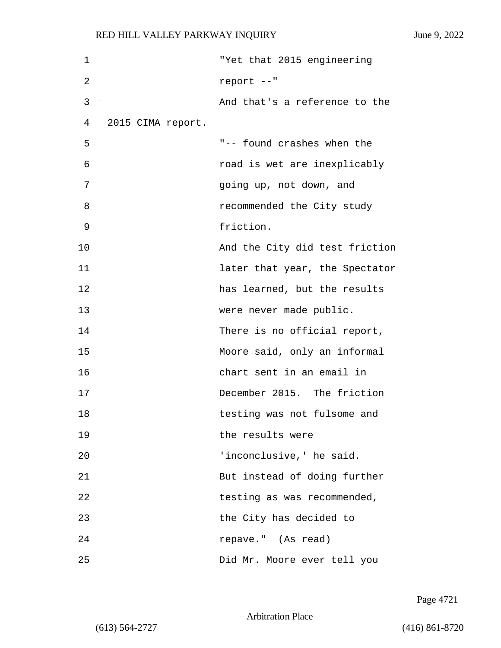| 1  |                   | "Yet that 2015 engineering     |
|----|-------------------|--------------------------------|
| 2  |                   | report --"                     |
| 3  |                   | And that's a reference to the  |
| 4  | 2015 CIMA report. |                                |
| 5  |                   | "-- found crashes when the     |
| 6  |                   | road is wet are inexplicably   |
| 7  |                   | going up, not down, and        |
| 8  |                   | recommended the City study     |
| 9  |                   | friction.                      |
| 10 |                   | And the City did test friction |
| 11 |                   | later that year, the Spectator |
| 12 |                   | has learned, but the results   |
| 13 |                   | were never made public.        |
| 14 |                   | There is no official report,   |
| 15 |                   | Moore said, only an informal   |
| 16 |                   | chart sent in an email in      |
| 17 |                   | December 2015. The friction    |
| 18 |                   | testing was not fulsome and    |
| 19 |                   | the results were               |
| 20 |                   | 'inconclusive,' he said.       |
| 21 |                   | But instead of doing further   |
| 22 |                   | testing as was recommended,    |
| 23 |                   | the City has decided to        |
| 24 |                   | repave." (As read)             |
| 25 |                   | Did Mr. Moore ever tell you    |

Page 4721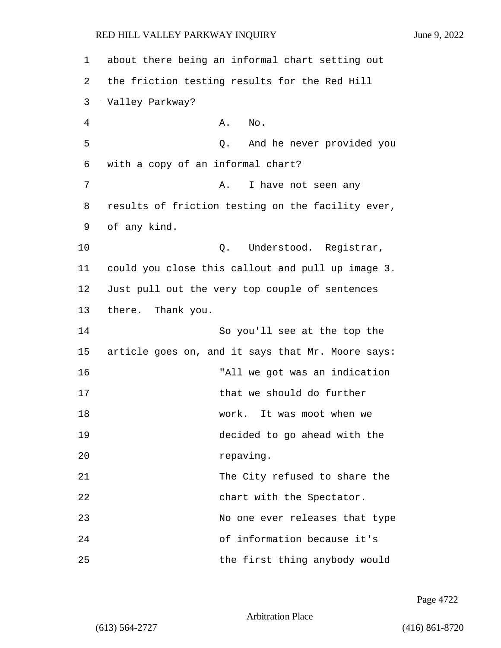| 1  | about there being an informal chart setting out   |
|----|---------------------------------------------------|
| 2  | the friction testing results for the Red Hill     |
| 3  | Valley Parkway?                                   |
| 4  | Α.<br>No.                                         |
| 5  | And he never provided you<br>Q.                   |
| 6  | with a copy of an informal chart?                 |
| 7  | I have not seen any<br>Α.                         |
| 8  | results of friction testing on the facility ever, |
| 9  | of any kind.                                      |
| 10 | Understood. Registrar,<br>Q.                      |
| 11 | could you close this callout and pull up image 3. |
| 12 | Just pull out the very top couple of sentences    |
| 13 | there. Thank you.                                 |
| 14 | So you'll see at the top the                      |
| 15 | article goes on, and it says that Mr. Moore says: |
| 16 | "All we got was an indication                     |
| 17 | that we should do further                         |
| 18 | It was moot when we<br>work.                      |
| 19 | decided to go ahead with the                      |
| 20 | repaving.                                         |
| 21 | The City refused to share the                     |
| 22 | chart with the Spectator.                         |
| 23 | No one ever releases that type                    |
| 24 | of information because it's                       |
| 25 | the first thing anybody would                     |

Page 4722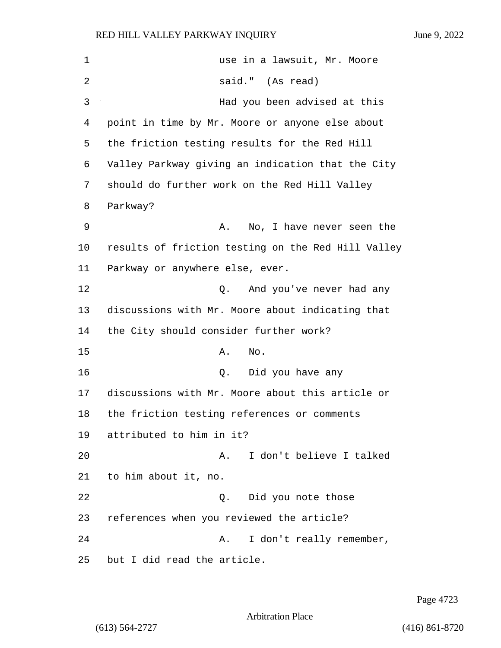| 1              | use in a lawsuit, Mr. Moore                        |
|----------------|----------------------------------------------------|
| $\overline{2}$ | said." (As read)                                   |
| 3              | Had you been advised at this                       |
| 4              | point in time by Mr. Moore or anyone else about    |
| 5              | the friction testing results for the Red Hill      |
| 6              | Valley Parkway giving an indication that the City  |
| 7              | should do further work on the Red Hill Valley      |
| 8              | Parkway?                                           |
| 9              | No, I have never seen the<br>Α.                    |
| 10             | results of friction testing on the Red Hill Valley |
| 11             | Parkway or anywhere else, ever.                    |
| 12             | And you've never had any<br>Q.                     |
| 13             | discussions with Mr. Moore about indicating that   |
| 14             | the City should consider further work?             |
| 15             | Α.<br>No.                                          |
| 16             | Did you have any<br>Q.                             |
| 17             | discussions with Mr. Moore about this article or   |
| 18             | the friction testing references or comments        |
| 19             | attributed to him in it?                           |
| 20             | I don't believe I talked<br>Α.                     |
| 21             | to him about it, no.                               |
| 22             | Did you note those<br>Q.                           |
| 23             | references when you reviewed the article?          |
| 24             | I don't really remember,<br>Α.                     |
| 25             | but I did read the article.                        |

Page 4723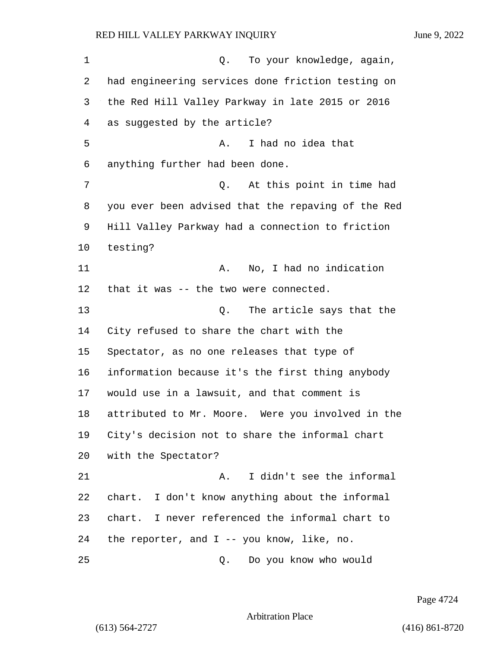1 Q. To your knowledge, again, had engineering services done friction testing on the Red Hill Valley Parkway in late 2015 or 2016 as suggested by the article? 5 A. I had no idea that anything further had been done. 7 Q. At this point in time had you ever been advised that the repaving of the Red Hill Valley Parkway had a connection to friction testing? 11 A. No, I had no indication that it was -- the two were connected. 13 C. The article says that the City refused to share the chart with the Spectator, as no one releases that type of information because it's the first thing anybody would use in a lawsuit, and that comment is attributed to Mr. Moore. Were you involved in the City's decision not to share the informal chart with the Spectator? 21 A. I didn't see the informal chart. I don't know anything about the informal chart. I never referenced the informal chart to the reporter, and I -- you know, like, no.

25 Q. Do you know who would

Page 4724

Arbitration Place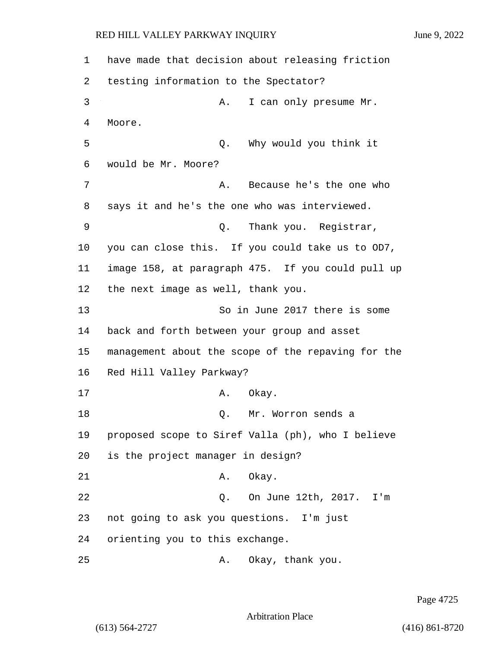1 have made that decision about releasing friction 2 testing information to the Spectator? 3 A. I can only presume Mr. 4 Moore. 5 Q. Why would you think it 6 would be Mr. Moore? 7 A. Because he's the one who 8 says it and he's the one who was interviewed. 9 Q. Thank you. Registrar, 10 you can close this. If you could take us to OD7, 11 image 158, at paragraph 475. If you could pull up 12 the next image as well, thank you. 13 So in June 2017 there is some 14 back and forth between your group and asset 15 management about the scope of the repaving for the 16 Red Hill Valley Parkway? 17 A. Okay. 18 Q. Mr. Worron sends a 19 proposed scope to Siref Valla (ph), who I believe 20 is the project manager in design? 21 A. Okay. 22 Q. On June 12th, 2017. I'm 23 not going to ask you questions. I'm just 24 orienting you to this exchange. 25 A. Okay, thank you.

Page 4725

Arbitration Place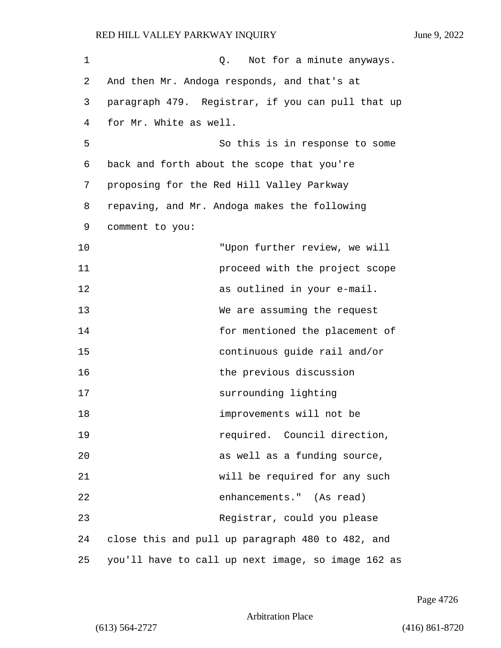| 1  | Not for a minute anyways.<br>Q.                    |  |  |  |
|----|----------------------------------------------------|--|--|--|
| 2  | And then Mr. Andoga responds, and that's at        |  |  |  |
| 3  | paragraph 479. Registrar, if you can pull that up  |  |  |  |
| 4  | for Mr. White as well.                             |  |  |  |
| 5  | So this is in response to some                     |  |  |  |
| 6  | back and forth about the scope that you're         |  |  |  |
| 7  | proposing for the Red Hill Valley Parkway          |  |  |  |
| 8  | repaving, and Mr. Andoga makes the following       |  |  |  |
| 9  | comment to you:                                    |  |  |  |
| 10 | "Upon further review, we will                      |  |  |  |
| 11 | proceed with the project scope                     |  |  |  |
| 12 | as outlined in your e-mail.                        |  |  |  |
| 13 | We are assuming the request                        |  |  |  |
| 14 | for mentioned the placement of                     |  |  |  |
| 15 | continuous guide rail and/or                       |  |  |  |
| 16 | the previous discussion                            |  |  |  |
| 17 | surrounding lighting                               |  |  |  |
| 18 | improvements will not be                           |  |  |  |
| 19 | required. Council direction,                       |  |  |  |
| 20 | as well as a funding source,                       |  |  |  |
| 21 | will be required for any such                      |  |  |  |
| 22 | enhancements." (As read)                           |  |  |  |
| 23 | Registrar, could you please                        |  |  |  |
| 24 | close this and pull up paragraph 480 to 482, and   |  |  |  |
| 25 | you'll have to call up next image, so image 162 as |  |  |  |

Page 4726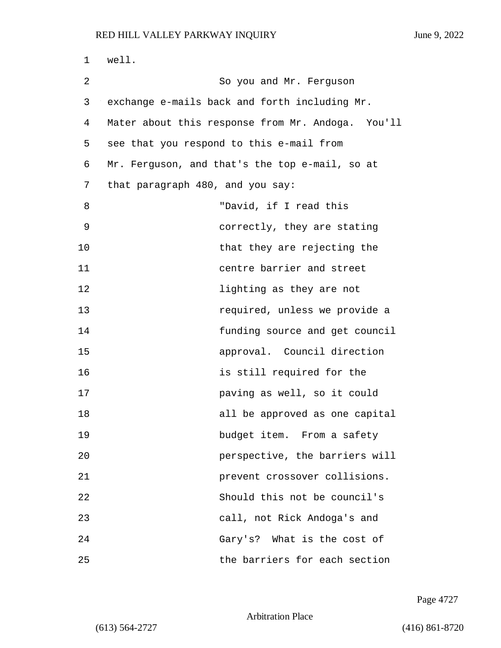| 1  | well.                                             |  |  |  |
|----|---------------------------------------------------|--|--|--|
| 2  | So you and Mr. Ferguson                           |  |  |  |
| 3  | exchange e-mails back and forth including Mr.     |  |  |  |
| 4  | Mater about this response from Mr. Andoga. You'll |  |  |  |
| 5  | see that you respond to this e-mail from          |  |  |  |
| 6  | Mr. Ferguson, and that's the top e-mail, so at    |  |  |  |
| 7  | that paragraph 480, and you say:                  |  |  |  |
| 8  | "David, if I read this                            |  |  |  |
| 9  | correctly, they are stating                       |  |  |  |
| 10 | that they are rejecting the                       |  |  |  |
| 11 | centre barrier and street                         |  |  |  |
| 12 | lighting as they are not                          |  |  |  |
| 13 | required, unless we provide a                     |  |  |  |
| 14 | funding source and get council                    |  |  |  |
| 15 | approval. Council direction                       |  |  |  |
| 16 | is still required for the                         |  |  |  |
| 17 | paving as well, so it could                       |  |  |  |
| 18 | all be approved as one capital                    |  |  |  |
| 19 | budget item. From a safety                        |  |  |  |
| 20 | perspective, the barriers will                    |  |  |  |
| 21 | prevent crossover collisions.                     |  |  |  |
| 22 | Should this not be council's                      |  |  |  |
| 23 | call, not Rick Andoga's and                       |  |  |  |
| 24 | Gary's? What is the cost of                       |  |  |  |
| 25 | the barriers for each section                     |  |  |  |

Page 4727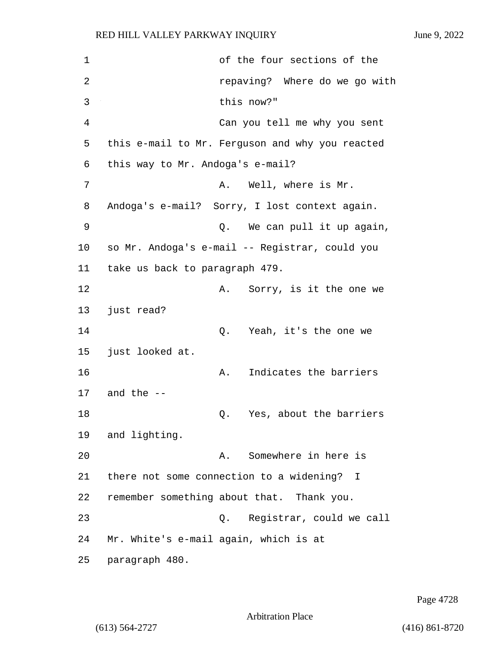1 of the four sections of the 2 *repaving?* Where do we go with 3 this now?" 4 Can you tell me why you sent 5 this e-mail to Mr. Ferguson and why you reacted 6 this way to Mr. Andoga's e-mail? 7 A. Well, where is Mr. 8 Andoga's e-mail? Sorry, I lost context again. 9 Q. We can pull it up again, 10 so Mr. Andoga's e-mail -- Registrar, could you 11 take us back to paragraph 479. 12 A. Sorry, is it the one we 13 just read? 14 Q. Yeah, it's the one we 15 just looked at. 16 A. Indicates the barriers 17 and the -- 18 Q. Yes, about the barriers 19 and lighting. 20 A. Somewhere in here is 21 there not some connection to a widening? I 22 remember something about that. Thank you. 23 Q. Registrar, could we call 24 Mr. White's e-mail again, which is at 25 paragraph 480.

Page 4728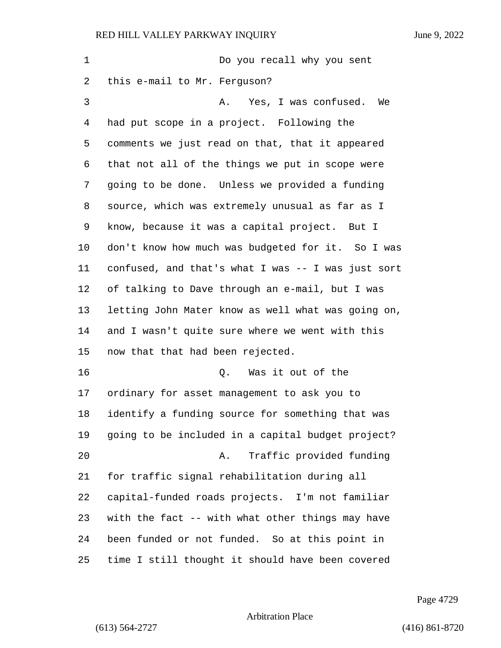1 Do you recall why you sent this e-mail to Mr. Ferguson? 3 A. Yes, I was confused. We had put scope in a project. Following the comments we just read on that, that it appeared that not all of the things we put in scope were going to be done. Unless we provided a funding source, which was extremely unusual as far as I know, because it was a capital project. But I don't know how much was budgeted for it. So I was confused, and that's what I was -- I was just sort of talking to Dave through an e-mail, but I was letting John Mater know as well what was going on, and I wasn't quite sure where we went with this now that that had been rejected. 16 Q. Was it out of the ordinary for asset management to ask you to identify a funding source for something that was going to be included in a capital budget project? 20 A. Traffic provided funding for traffic signal rehabilitation during all capital-funded roads projects. I'm not familiar with the fact -- with what other things may have been funded or not funded. So at this point in time I still thought it should have been covered

Page 4729

Arbitration Place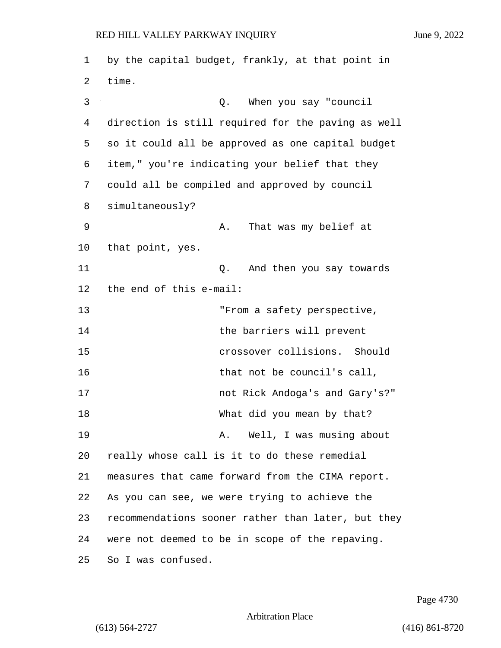1 by the capital budget, frankly, at that point in 2 time. 3 Q. When you say "council 4 direction is still required for the paving as well 5 so it could all be approved as one capital budget 6 item," you're indicating your belief that they 7 could all be compiled and approved by council 8 simultaneously? 9 A. That was my belief at 10 that point, yes. 11 Q. And then you say towards 12 the end of this e-mail: 13 Trom a safety perspective, 14 the barriers will prevent 15 crossover collisions. Should 16 that not be council's call, 17 not Rick Andoga's and Gary's?" 18 What did you mean by that? 19 A. Well, I was musing about 20 really whose call is it to do these remedial 21 measures that came forward from the CIMA report. 22 As you can see, we were trying to achieve the 23 recommendations sooner rather than later, but they 24 were not deemed to be in scope of the repaving. 25 So I was confused.

Page 4730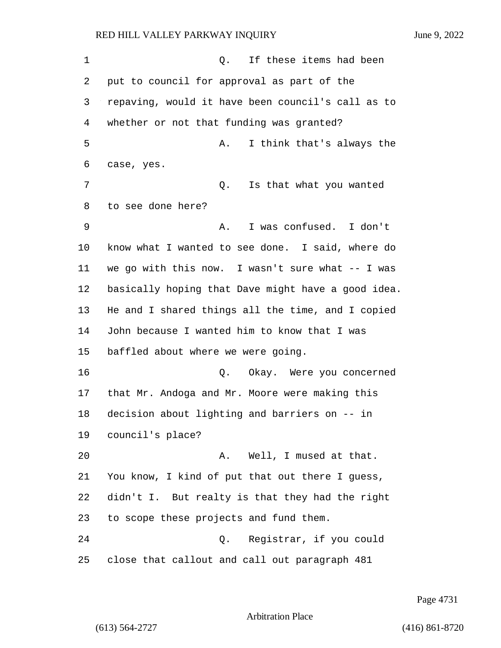1 and  $\Omega$ . If these items had been put to council for approval as part of the repaving, would it have been council's call as to whether or not that funding was granted? 5 A. I think that's always the case, yes. 7 C. Is that what you wanted to see done here? 9 A. I was confused. I don't know what I wanted to see done. I said, where do we go with this now. I wasn't sure what -- I was basically hoping that Dave might have a good idea. He and I shared things all the time, and I copied John because I wanted him to know that I was baffled about where we were going. 16 Q. Okay. Were you concerned that Mr. Andoga and Mr. Moore were making this decision about lighting and barriers on -- in council's place? 20 A. Well, I mused at that. You know, I kind of put that out there I guess, didn't I. But realty is that they had the right to scope these projects and fund them. 24 Q. Registrar, if you could close that callout and call out paragraph 481

Page 4731

Arbitration Place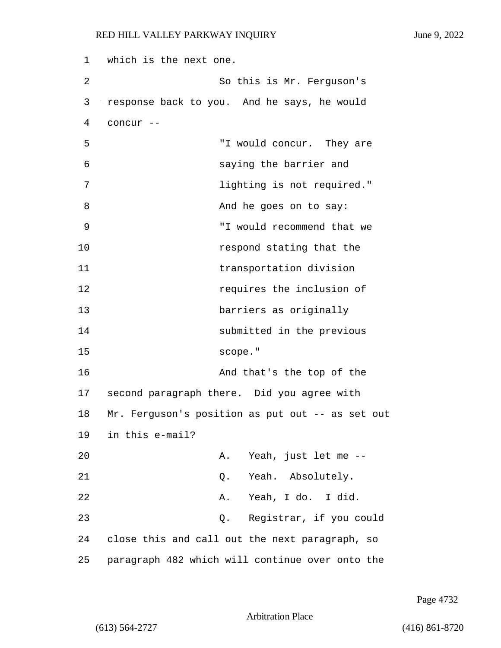1 which is the next one. 2 So this is Mr. Ferguson's 3 response back to you. And he says, he would 4 concur -- 5 "I would concur. They are 6 saying the barrier and 7 lighting is not required." 8 And he goes on to say: 9 "I would recommend that we 10 **respond stating that the** 11 transportation division 12 **12 requires** the inclusion of 13 barriers as originally 14 submitted in the previous 15 scope." 16 And that's the top of the 17 second paragraph there. Did you agree with 18 Mr. Ferguson's position as put out -- as set out 19 in this e-mail? 20 A. Yeah, just let me -- 21 Q. Yeah. Absolutely. 22 A. Yeah, I do. I did. 23 Q. Registrar, if you could 24 close this and call out the next paragraph, so 25 paragraph 482 which will continue over onto the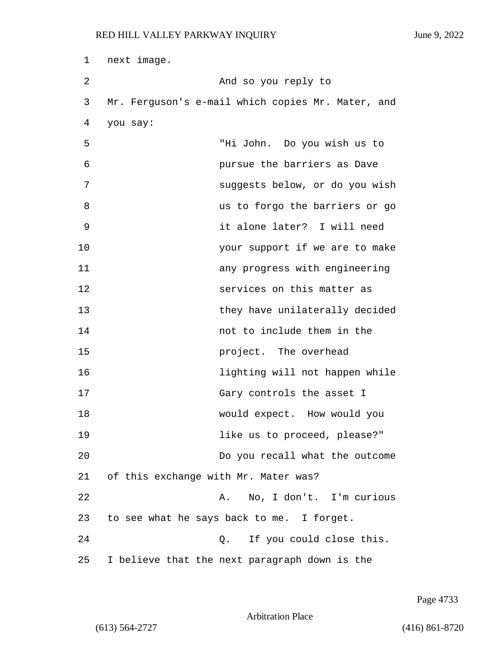| 1  | next image.                                       |  |  |
|----|---------------------------------------------------|--|--|
| 2  | And so you reply to                               |  |  |
| 3  | Mr. Ferguson's e-mail which copies Mr. Mater, and |  |  |
| 4  | you say:                                          |  |  |
| 5  | "Hi John. Do you wish us to                       |  |  |
| 6  | pursue the barriers as Dave                       |  |  |
| 7  | suggests below, or do you wish                    |  |  |
| 8  | us to forgo the barriers or go                    |  |  |
| 9  | it alone later? I will need                       |  |  |
| 10 | your support if we are to make                    |  |  |
| 11 | any progress with engineering                     |  |  |
| 12 | services on this matter as                        |  |  |
| 13 | they have unilaterally decided                    |  |  |
| 14 | not to include them in the                        |  |  |
| 15 | project. The overhead                             |  |  |
| 16 | lighting will not happen while                    |  |  |
| 17 | Gary controls the asset I                         |  |  |
| 18 | would expect. How would you                       |  |  |
| 19 | like us to proceed, please?"                      |  |  |
| 20 | Do you recall what the outcome                    |  |  |
| 21 | of this exchange with Mr. Mater was?              |  |  |
| 22 | A. No, I don't. I'm curious                       |  |  |
| 23 | to see what he says back to me. I forget.         |  |  |
| 24 | If you could close this.<br>Q.                    |  |  |
| 25 | I believe that the next paragraph down is the     |  |  |

Page 4733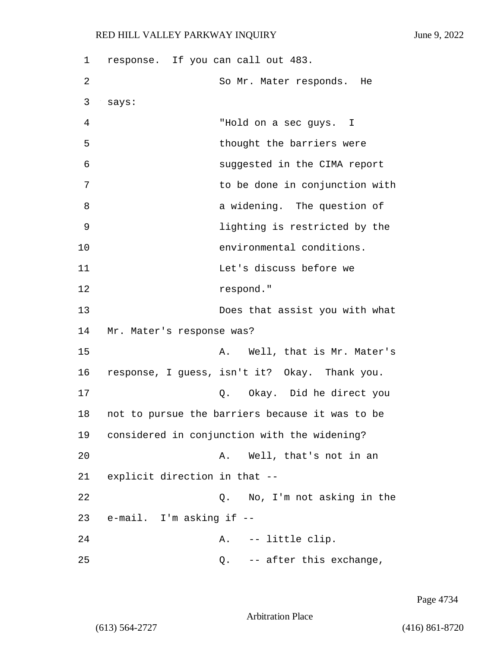1 response. If you can call out 483. 2 So Mr. Mater responds. He 3 says: 4 "Hold on a sec guys. I 5 thought the barriers were 6 suggested in the CIMA report 7 to be done in conjunction with 8 a widening. The question of 9 lighting is restricted by the 10 environmental conditions. 11 Let's discuss before we 12 respond." 13 Does that assist you with what 14 Mr. Mater's response was? 15 A. Well, that is Mr. Mater's 16 response, I guess, isn't it? Okay. Thank you. 17 Q. Okay. Did he direct you 18 not to pursue the barriers because it was to be 19 considered in conjunction with the widening? 20 A. Well, that's not in an 21 explicit direction in that -- 22 Q. No, I'm not asking in the 23 e-mail. I'm asking if -- 24 A. -- little clip. 25 Q. -- after this exchange,

Page 4734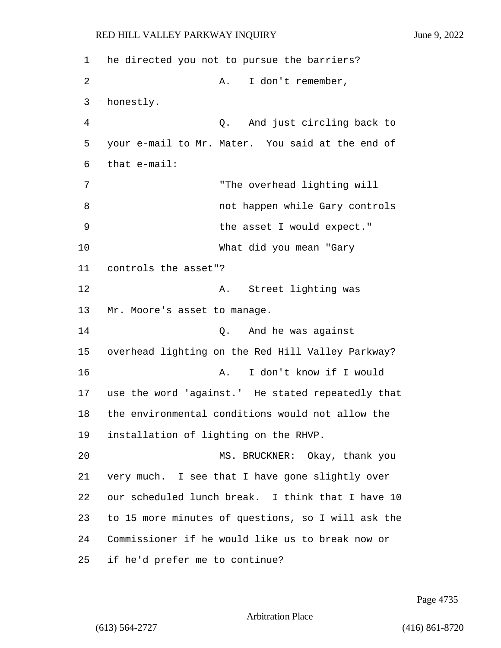1 he directed you not to pursue the barriers? 2 A. I don't remember, 3 honestly. 4 Q. And just circling back to 5 your e-mail to Mr. Mater. You said at the end of 6 that e-mail: 7 "The overhead lighting will 8 and 100 not happen while Gary controls 9 the asset I would expect." 10 What did you mean "Gary 11 controls the asset"? 12 A. Street lighting was 13 Mr. Moore's asset to manage. 14 Q. And he was against 15 overhead lighting on the Red Hill Valley Parkway? 16 A. I don't know if I would 17 use the word 'against.' He stated repeatedly that 18 the environmental conditions would not allow the 19 installation of lighting on the RHVP. 20 MS. BRUCKNER: Okay, thank you 21 very much. I see that I have gone slightly over 22 our scheduled lunch break. I think that I have 10 23 to 15 more minutes of questions, so I will ask the 24 Commissioner if he would like us to break now or 25 if he'd prefer me to continue?

Page 4735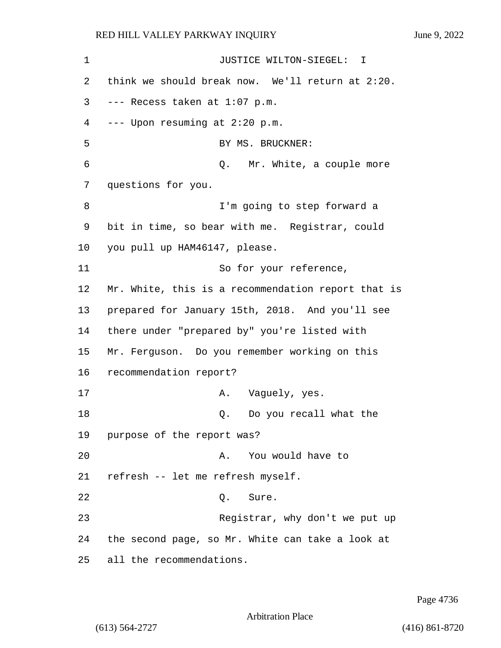1 JUSTICE WILTON-SIEGEL: I 2 think we should break now. We'll return at 2:20.  $3$  --- Recess taken at  $1:07$  p.m. 4 --- Upon resuming at 2:20 p.m. 5 BY MS. BRUCKNER: 6 Q. Mr. White, a couple more 7 questions for you. 8 I'm going to step forward a 9 bit in time, so bear with me. Registrar, could 10 you pull up HAM46147, please. 11 So for your reference, 12 Mr. White, this is a recommendation report that is 13 prepared for January 15th, 2018. And you'll see 14 there under "prepared by" you're listed with 15 Mr. Ferguson. Do you remember working on this 16 recommendation report? 17 A. Vaguely, yes. 18 and 18 Q. Do you recall what the 19 purpose of the report was? 20 A. You would have to 21 refresh -- let me refresh myself. 22 Q. Sure. 23 Registrar, why don't we put up 24 the second page, so Mr. White can take a look at 25 all the recommendations.

Page 4736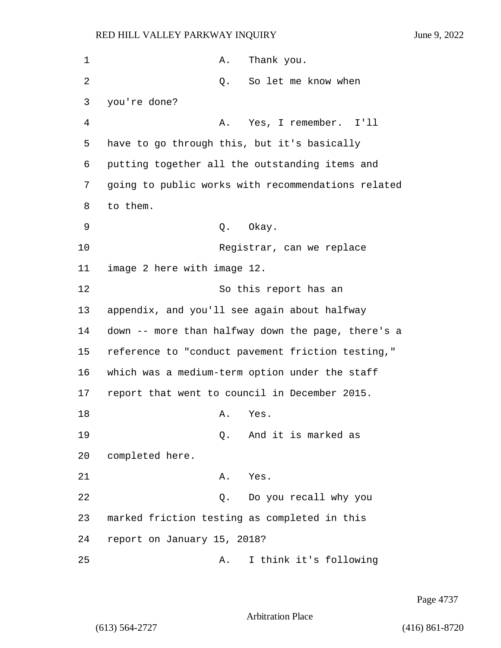| 1  | Thank you.<br>Α.                                   |
|----|----------------------------------------------------|
| 2  | So let me know when<br>Q.                          |
| 3  | you're done?                                       |
| 4  | Yes, I remember. I'll<br>Α.                        |
| 5  | have to go through this, but it's basically        |
| 6  | putting together all the outstanding items and     |
| 7  | going to public works with recommendations related |
| 8  | to them.                                           |
| 9  | Q. Okay.                                           |
| 10 | Registrar, can we replace                          |
| 11 | image 2 here with image 12.                        |
| 12 | So this report has an                              |
| 13 | appendix, and you'll see again about halfway       |
| 14 | down -- more than halfway down the page, there's a |
| 15 | reference to "conduct pavement friction testing,"  |
| 16 | which was a medium-term option under the staff     |
| 17 | report that went to council in December 2015.      |
| 18 | Α.<br>Yes                                          |
| 19 | And it is marked as<br>Q.                          |
| 20 | completed here.                                    |
| 21 | Yes.<br>Α.                                         |
| 22 | Do you recall why you<br>Q.                        |
| 23 | marked friction testing as completed in this       |
| 24 | report on January 15, 2018?                        |
| 25 | I think it's following<br>Α.                       |

Page 4737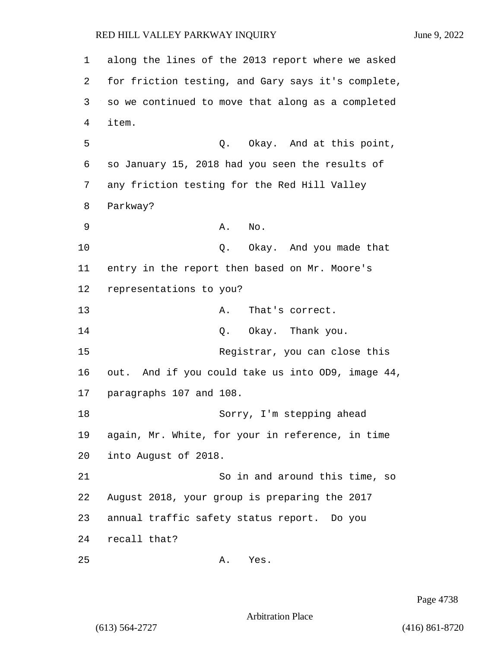1 along the lines of the 2013 report where we asked 2 for friction testing, and Gary says it's complete, 3 so we continued to move that along as a completed 4 item. 5 Q. Okay. And at this point, 6 so January 15, 2018 had you seen the results of 7 any friction testing for the Red Hill Valley 8 Parkway? 9 A. No. 10 Q. Okay. And you made that 11 entry in the report then based on Mr. Moore's 12 representations to you? 13 A. That's correct. 14 Q. Okay. Thank you. 15 Registrar, you can close this 16 out. And if you could take us into OD9, image 44, 17 paragraphs 107 and 108. 18 Sorry, I'm stepping ahead 19 again, Mr. White, for your in reference, in time 20 into August of 2018. 21 So in and around this time, so 22 August 2018, your group is preparing the 2017 23 annual traffic safety status report. Do you 24 recall that? 25 A. Yes.

Page 4738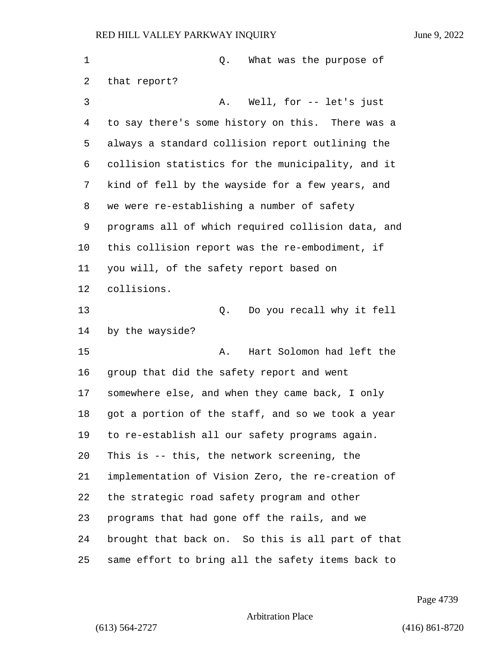| 1  | What was the purpose of<br>Q.                      |
|----|----------------------------------------------------|
| 2  | that report?                                       |
| 3  | Well, for -- let's just<br>Α.                      |
| 4  | to say there's some history on this. There was a   |
| 5  | always a standard collision report outlining the   |
| 6  | collision statistics for the municipality, and it  |
| 7  | kind of fell by the wayside for a few years, and   |
| 8  | we were re-establishing a number of safety         |
| 9  | programs all of which required collision data, and |
| 10 | this collision report was the re-embodiment, if    |
| 11 | you will, of the safety report based on            |
| 12 | collisions.                                        |
| 13 | Do you recall why it fell<br>Q.                    |
| 14 | by the wayside?                                    |
| 15 | Hart Solomon had left the<br>Α.                    |
| 16 | group that did the safety report and went          |
| 17 | somewhere else, and when they came back, I only    |
| 18 | got a portion of the staff, and so we took a year  |
| 19 | to re-establish all our safety programs again.     |
| 20 | This is -- this, the network screening, the        |
| 21 | implementation of Vision Zero, the re-creation of  |
| 22 | the strategic road safety program and other        |
| 23 | programs that had gone off the rails, and we       |
| 24 | brought that back on. So this is all part of that  |
| 25 | same effort to bring all the safety items back to  |

Page 4739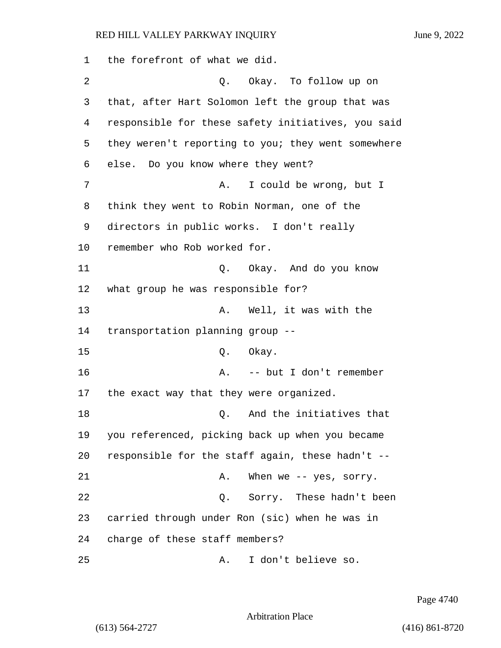the forefront of what we did. 2 Q. Okay. To follow up on that, after Hart Solomon left the group that was responsible for these safety initiatives, you said they weren't reporting to you; they went somewhere else. Do you know where they went? 7 A. I could be wrong, but I think they went to Robin Norman, one of the directors in public works. I don't really remember who Rob worked for. 11 Q. Okay. And do you know what group he was responsible for? 13 A. Well, it was with the transportation planning group -- 15 0. Okay. 16 A. -- but I don't remember the exact way that they were organized. **18** Q. And the initiatives that you referenced, picking back up when you became responsible for the staff again, these hadn't -- 21 A. When we -- yes, sorry. 22 Q. Sorry. These hadn't been carried through under Ron (sic) when he was in charge of these staff members? 25 A. I don't believe so.

Page 4740

Arbitration Place

(613) 564-2727 (416) 861-8720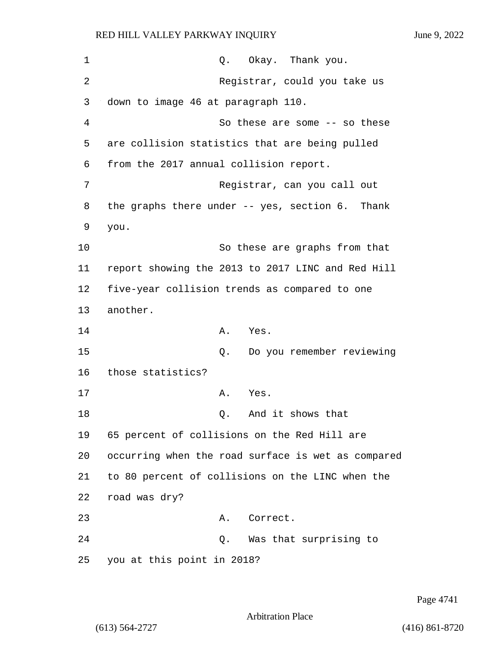| 1  | Q. Okay. Thank you.                                |
|----|----------------------------------------------------|
| 2  | Registrar, could you take us                       |
| 3  | down to image 46 at paragraph 110.                 |
| 4  | So these are some -- so these                      |
| 5  | are collision statistics that are being pulled     |
| 6  | from the 2017 annual collision report.             |
| 7  | Registrar, can you call out                        |
| 8  | the graphs there under -- yes, section 6. Thank    |
| 9  | you.                                               |
| 10 | So these are graphs from that                      |
| 11 | report showing the 2013 to 2017 LINC and Red Hill  |
| 12 | five-year collision trends as compared to one      |
| 13 | another.                                           |
| 14 | Α.<br>Yes.                                         |
| 15 | Do you remember reviewing<br>Q.                    |
| 16 | those statistics?                                  |
| 17 | Α.<br>Yes.                                         |
| 18 | And it shows that<br>Q.                            |
| 19 | 65 percent of collisions on the Red Hill are       |
| 20 | occurring when the road surface is wet as compared |
| 21 | to 80 percent of collisions on the LINC when the   |
| 22 | road was dry?                                      |
| 23 | Correct.<br>Α.                                     |
| 24 | Q. Was that surprising to                          |
| 25 | you at this point in 2018?                         |

Page 4741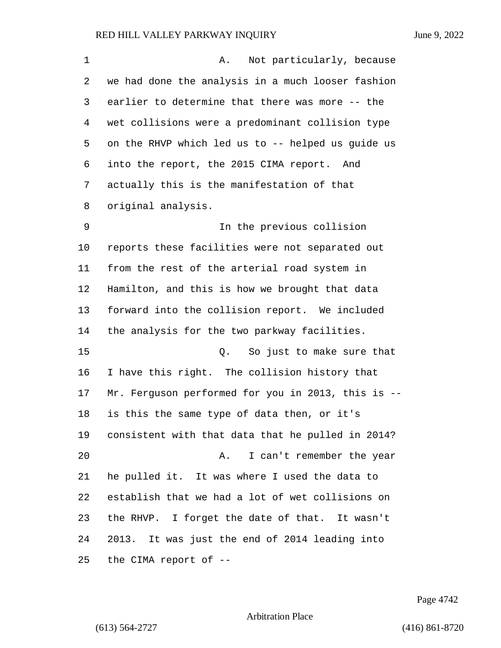| 1  | Not particularly, because<br>Α.                    |
|----|----------------------------------------------------|
| 2  | we had done the analysis in a much looser fashion  |
| 3  | earlier to determine that there was more -- the    |
| 4  | wet collisions were a predominant collision type   |
| 5  | on the RHVP which led us to -- helped us guide us  |
| 6  | into the report, the 2015 CIMA report. And         |
| 7  | actually this is the manifestation of that         |
| 8  | original analysis.                                 |
| 9  | In the previous collision                          |
| 10 | reports these facilities were not separated out    |
| 11 | from the rest of the arterial road system in       |
| 12 | Hamilton, and this is how we brought that data     |
| 13 | forward into the collision report. We included     |
| 14 | the analysis for the two parkway facilities.       |
| 15 | So just to make sure that<br>Q.                    |
| 16 | I have this right. The collision history that      |
| 17 | Mr. Ferguson performed for you in 2013, this is -- |
| 18 | is this the same type of data then, or it's        |
| 19 | consistent with that data that he pulled in 2014?  |
| 20 | I can't remember the year<br>Α.                    |
| 21 | he pulled it. It was where I used the data to      |
| 22 | establish that we had a lot of wet collisions on   |
| 23 | the RHVP. I forget the date of that. It wasn't     |
| 24 | 2013. It was just the end of 2014 leading into     |
| 25 | the CIMA report of --                              |

Page 4742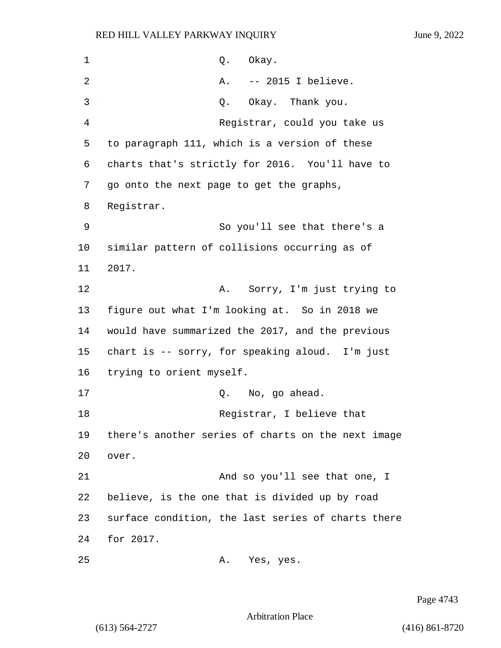| 1  | Okay.<br>Q.                                        |
|----|----------------------------------------------------|
| 2  | -- 2015 I believe.<br>Α.                           |
| 3  | Okay. Thank you.<br>Q.                             |
| 4  | Registrar, could you take us                       |
| 5  | to paragraph 111, which is a version of these      |
| 6  | charts that's strictly for 2016. You'll have to    |
| 7  | go onto the next page to get the graphs,           |
| 8  | Registrar.                                         |
| 9  | So you'll see that there's a                       |
| 10 | similar pattern of collisions occurring as of      |
| 11 | 2017.                                              |
| 12 | Sorry, I'm just trying to<br>Α.                    |
| 13 | figure out what I'm looking at. So in 2018 we      |
| 14 | would have summarized the 2017, and the previous   |
| 15 | chart is -- sorry, for speaking aloud. I'm just    |
| 16 | trying to orient myself.                           |
| 17 | No, go ahead.<br>Q.                                |
| 18 | Registrar, I believe that                          |
| 19 | there's another series of charts on the next image |
| 20 | over.                                              |
| 21 | And so you'll see that one, I                      |
| 22 | believe, is the one that is divided up by road     |
| 23 | surface condition, the last series of charts there |
| 24 | for 2017.                                          |
| 25 | A. Yes, yes.                                       |

Page 4743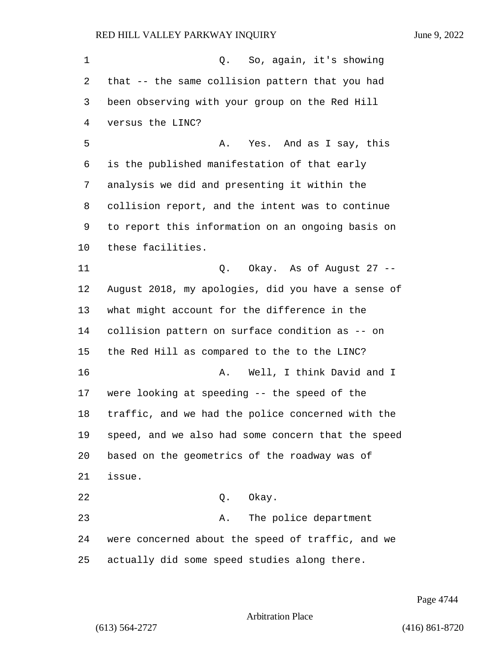1 Q. So, again, it's showing that -- the same collision pattern that you had been observing with your group on the Red Hill versus the LINC? 5 A. Yes. And as I say, this is the published manifestation of that early analysis we did and presenting it within the collision report, and the intent was to continue to report this information on an ongoing basis on these facilities. 11 Q. Okay. As of August 27 -- August 2018, my apologies, did you have a sense of what might account for the difference in the collision pattern on surface condition as -- on the Red Hill as compared to the to the LINC? 16 A. Well, I think David and I were looking at speeding -- the speed of the traffic, and we had the police concerned with the speed, and we also had some concern that the speed based on the geometrics of the roadway was of issue. 22 Q. Okay. 23 A. The police department were concerned about the speed of traffic, and we actually did some speed studies along there.

Page 4744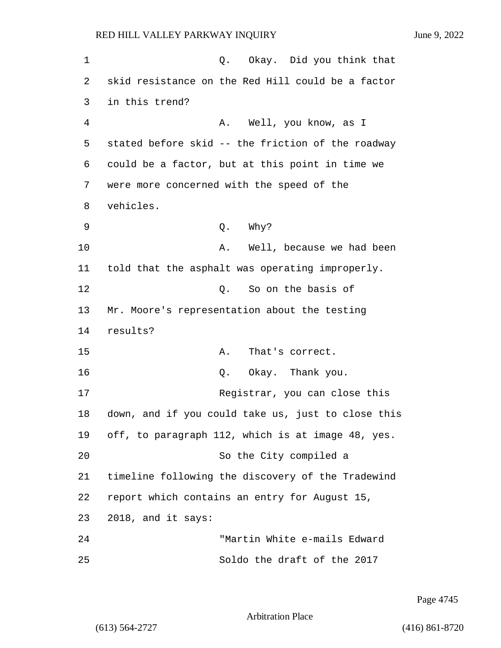1 C. Okay. Did you think that 2 skid resistance on the Red Hill could be a factor 3 in this trend? 4 A. Well, you know, as I 5 stated before skid -- the friction of the roadway 6 could be a factor, but at this point in time we 7 were more concerned with the speed of the 8 vehicles. 9 Q. Why? 10 A. Well, because we had been 11 told that the asphalt was operating improperly. 12 C. So on the basis of 13 Mr. Moore's representation about the testing 14 results? 15 A. That's correct. 16 Q. Okay. Thank you. 17 Registrar, you can close this 18 down, and if you could take us, just to close this 19 off, to paragraph 112, which is at image 48, yes. 20 So the City compiled a 21 timeline following the discovery of the Tradewind 22 report which contains an entry for August 15, 23 2018, and it says: 24 "Martin White e-mails Edward 25 Soldo the draft of the 2017

Page 4745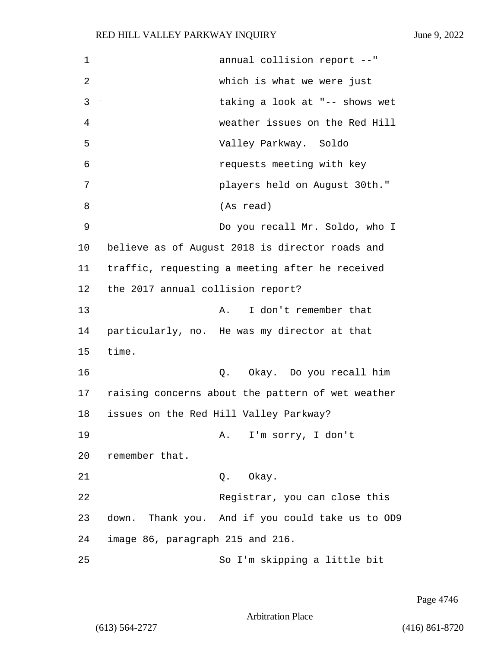| 1  | annual collision report --"                       |
|----|---------------------------------------------------|
| 2  | which is what we were just                        |
| 3  | taking a look at "-- shows wet                    |
| 4  | weather issues on the Red Hill                    |
| 5  | Valley Parkway. Soldo                             |
| 6  | requests meeting with key                         |
| 7  | players held on August 30th."                     |
| 8  | (As read)                                         |
| 9  | Do you recall Mr. Soldo, who I                    |
| 10 | believe as of August 2018 is director roads and   |
| 11 | traffic, requesting a meeting after he received   |
| 12 | the 2017 annual collision report?                 |
| 13 | I don't remember that<br>Α.                       |
| 14 | particularly, no. He was my director at that      |
| 15 | time.                                             |
| 16 | Q. Okay. Do you recall him                        |
| 17 | raising concerns about the pattern of wet weather |
| 18 | issues on the Red Hill Valley Parkway?            |
| 19 | A. I'm sorry, I don't                             |
| 20 | remember that.                                    |
| 21 | Okay.<br>Q.                                       |
| 22 | Registrar, you can close this                     |
| 23 | down. Thank you. And if you could take us to OD9  |
| 24 | image 86, paragraph 215 and 216.                  |
| 25 | So I'm skipping a little bit                      |

Page 4746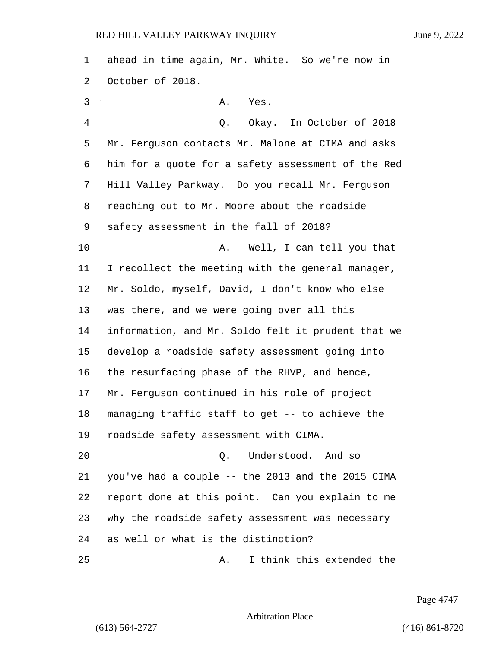ahead in time again, Mr. White. So we're now in October of 2018. 3 A. Yes. 4 Q. Okay. In October of 2018 Mr. Ferguson contacts Mr. Malone at CIMA and asks him for a quote for a safety assessment of the Red Hill Valley Parkway. Do you recall Mr. Ferguson reaching out to Mr. Moore about the roadside safety assessment in the fall of 2018? 10 A. Well, I can tell you that I recollect the meeting with the general manager, Mr. Soldo, myself, David, I don't know who else was there, and we were going over all this information, and Mr. Soldo felt it prudent that we develop a roadside safety assessment going into the resurfacing phase of the RHVP, and hence, Mr. Ferguson continued in his role of project managing traffic staff to get -- to achieve the roadside safety assessment with CIMA. 20 Q. Understood. And so you've had a couple -- the 2013 and the 2015 CIMA report done at this point. Can you explain to me why the roadside safety assessment was necessary as well or what is the distinction? 25 A. I think this extended the

Page 4747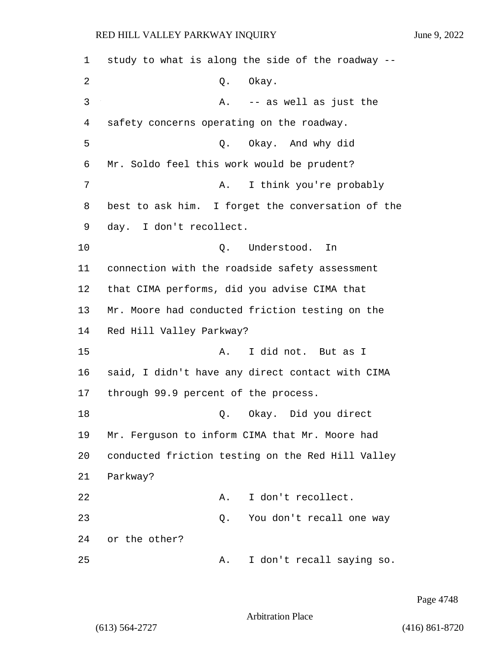| 1  | study to what is along the side of the roadway -- |
|----|---------------------------------------------------|
| 2  | Okay.<br>Q.                                       |
| 3  | -- as well as just the<br>Α.                      |
| 4  | safety concerns operating on the roadway.         |
| 5  | Q. Okay. And why did                              |
| 6  | Mr. Soldo feel this work would be prudent?        |
| 7  | I think you're probably<br>Α.                     |
| 8  | best to ask him. I forget the conversation of the |
| 9  | day. I don't recollect.                           |
| 10 | Understood.<br>Q.<br>In                           |
| 11 | connection with the roadside safety assessment    |
| 12 | that CIMA performs, did you advise CIMA that      |
| 13 | Mr. Moore had conducted friction testing on the   |
| 14 | Red Hill Valley Parkway?                          |
| 15 | I did not. But as I<br>Α.                         |
| 16 | said, I didn't have any direct contact with CIMA  |
| 17 | through 99.9 percent of the process.              |
| 18 | Okay. Did you direct<br>Q.                        |
| 19 | Mr. Ferguson to inform CIMA that Mr. Moore had    |
| 20 | conducted friction testing on the Red Hill Valley |
| 21 | Parkway?                                          |
| 22 | I don't recollect.<br>Α.                          |
| 23 | You don't recall one way<br>Q.                    |
| 24 | or the other?                                     |
| 25 | I don't recall saying so.<br>Α.                   |

Page 4748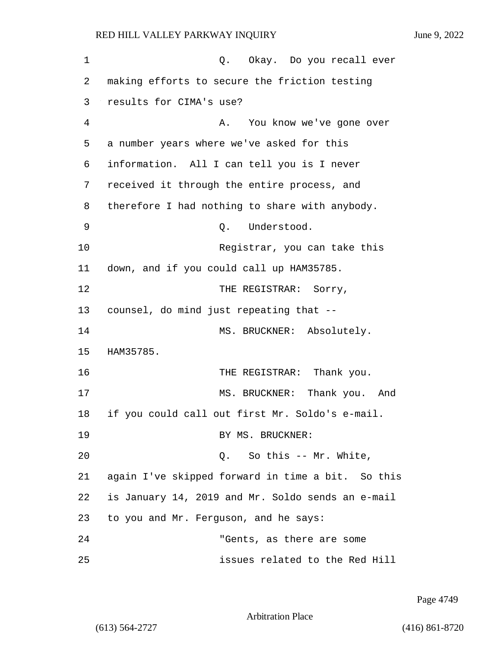1 C. Okay. Do you recall ever 2 making efforts to secure the friction testing 3 results for CIMA's use? 4 A. You know we've gone over 5 a number years where we've asked for this 6 information. All I can tell you is I never 7 received it through the entire process, and 8 therefore I had nothing to share with anybody. 9 O. Understood. 10 Registrar, you can take this 11 down, and if you could call up HAM35785. 12 THE REGISTRAR: Sorry, 13 counsel, do mind just repeating that -- 14 MS. BRUCKNER: Absolutely. 15 HAM35785. 16 THE REGISTRAR: Thank you. 17 MS. BRUCKNER: Thank you. And 18 if you could call out first Mr. Soldo's e-mail. 19 BY MS. BRUCKNER: 20 Q. So this -- Mr. White, 21 again I've skipped forward in time a bit. So this 22 is January 14, 2019 and Mr. Soldo sends an e-mail 23 to you and Mr. Ferguson, and he says: 24 "Gents, as there are some 25 issues related to the Red Hill

Page 4749

Arbitration Place

(613) 564-2727 (416) 861-8720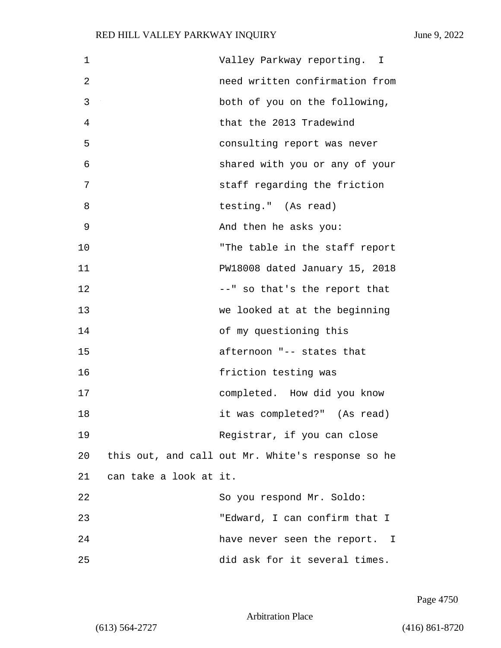| 1  |                        | Valley Parkway reporting. I                       |
|----|------------------------|---------------------------------------------------|
| 2  |                        | need written confirmation from                    |
| 3  |                        | both of you on the following,                     |
| 4  |                        | that the 2013 Tradewind                           |
| 5  |                        | consulting report was never                       |
| 6  |                        | shared with you or any of your                    |
| 7  |                        | staff regarding the friction                      |
| 8  |                        | testing." (As read)                               |
| 9  |                        | And then he asks you:                             |
| 10 |                        | "The table in the staff report                    |
| 11 |                        | PW18008 dated January 15, 2018                    |
| 12 |                        | --" so that's the report that                     |
| 13 |                        | we looked at at the beginning                     |
| 14 |                        | of my questioning this                            |
| 15 |                        | afternoon "-- states that                         |
| 16 |                        | friction testing was                              |
| 17 |                        | completed. How did you know                       |
| 18 |                        | it was completed?" (As read)                      |
| 19 |                        | Registrar, if you can close                       |
| 20 |                        | this out, and call out Mr. White's response so he |
| 21 | can take a look at it. |                                                   |
| 22 |                        | So you respond Mr. Soldo:                         |
| 23 |                        | "Edward, I can confirm that I                     |
| 24 |                        | have never seen the report. I                     |
| 25 |                        | did ask for it several times.                     |

Page 4750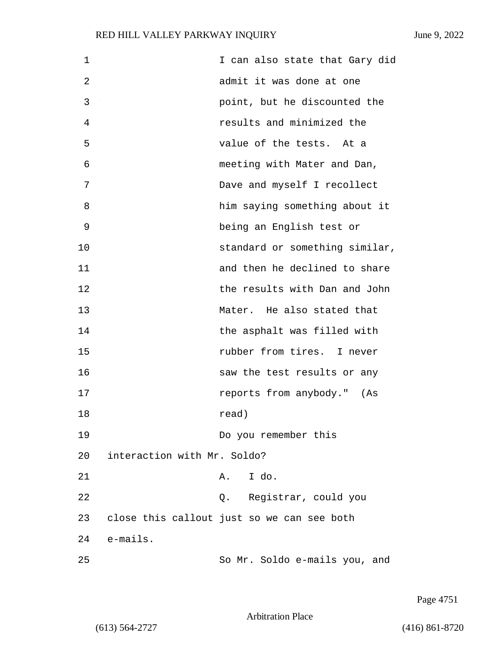| $\mathbf 1$ |                             | I can also state that Gary did             |
|-------------|-----------------------------|--------------------------------------------|
| 2           |                             | admit it was done at one                   |
| 3           |                             | point, but he discounted the               |
| 4           |                             | results and minimized the                  |
| 5           |                             | value of the tests. At a                   |
| 6           |                             | meeting with Mater and Dan,                |
| 7           |                             | Dave and myself I recollect                |
| 8           |                             | him saying something about it              |
| 9           |                             | being an English test or                   |
| 10          |                             | standard or something similar,             |
| 11          |                             | and then he declined to share              |
| 12          |                             | the results with Dan and John              |
| 13          |                             | Mater. He also stated that                 |
| 14          |                             | the asphalt was filled with                |
| 15          |                             | rubber from tires. I never                 |
| 16          |                             | saw the test results or any                |
| 17          |                             | reports from anybody." (As                 |
| 18          |                             | read)                                      |
| 19          |                             | Do you remember this                       |
| 20          | interaction with Mr. Soldo? |                                            |
| 21          |                             | I do.<br>Α.                                |
| 22          |                             | Q. Registrar, could you                    |
| 23          |                             | close this callout just so we can see both |
| 24          | e-mails.                    |                                            |
| 25          |                             | So Mr. Soldo e-mails you, and              |

Page 4751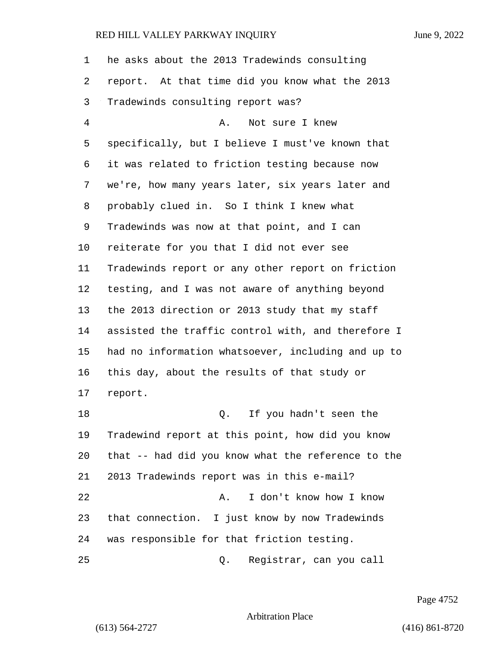| 1  | he asks about the 2013 Tradewinds consulting       |
|----|----------------------------------------------------|
| 2  | report. At that time did you know what the 2013    |
| 3  | Tradewinds consulting report was?                  |
| 4  | Not sure I knew<br>Α.                              |
| 5  | specifically, but I believe I must've known that   |
| 6  | it was related to friction testing because now     |
| 7  | we're, how many years later, six years later and   |
| 8  | probably clued in. So I think I knew what          |
| 9  | Tradewinds was now at that point, and I can        |
| 10 | reiterate for you that I did not ever see          |
| 11 | Tradewinds report or any other report on friction  |
| 12 | testing, and I was not aware of anything beyond    |
| 13 | the 2013 direction or 2013 study that my staff     |
| 14 | assisted the traffic control with, and therefore I |
| 15 | had no information whatsoever, including and up to |
| 16 | this day, about the results of that study or       |
| 17 | report.                                            |
| 18 | If you hadn't seen the<br>Q.                       |
| 19 | Tradewind report at this point, how did you know   |
| 20 | that -- had did you know what the reference to the |
| 21 | 2013 Tradewinds report was in this e-mail?         |
| 22 | I don't know how I know<br>Α.                      |
| 23 | that connection. I just know by now Tradewinds     |
| 24 | was responsible for that friction testing.         |
| 25 | Registrar, can you call<br>Q.                      |

Page 4752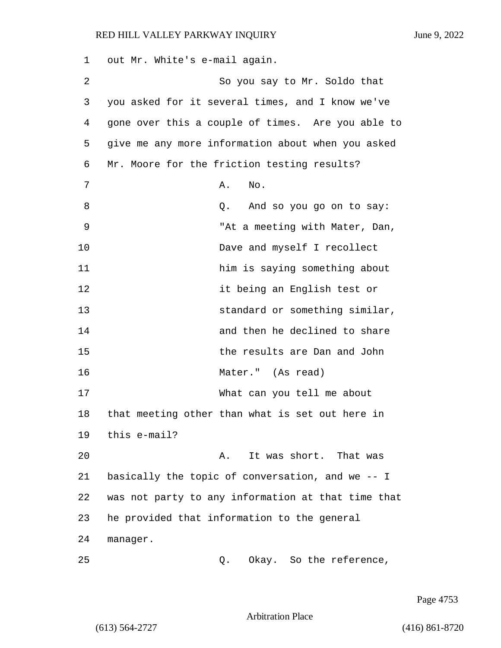1 out Mr. White's e-mail again. 2 So you say to Mr. Soldo that 3 you asked for it several times, and I know we've 4 gone over this a couple of times. Are you able to 5 give me any more information about when you asked 6 Mr. Moore for the friction testing results? 7 **A.** No. 8 and so you go on to say: 9 "At a meeting with Mater, Dan, 10 Dave and myself I recollect 11 **him is saying something about** 12 it being an English test or 13 standard or something similar, 14 and then he declined to share 15 the results are Dan and John 16 Mater." (As read) 17 What can you tell me about 18 that meeting other than what is set out here in 19 this e-mail? 20 **A.** It was short. That was 21 basically the topic of conversation, and we -- I 22 was not party to any information at that time that 23 he provided that information to the general 24 manager. 25 Q. Okay. So the reference,

Page 4753

Arbitration Place

(613) 564-2727 (416) 861-8720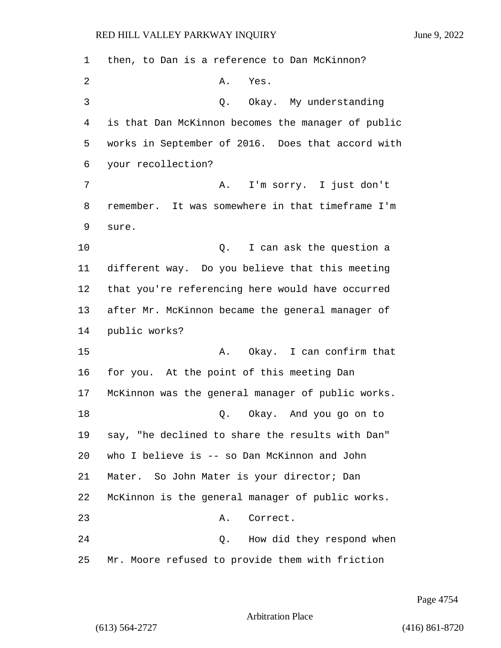| 1              | then, to Dan is a reference to Dan McKinnon?       |
|----------------|----------------------------------------------------|
| $\overline{2}$ | Α.<br>Yes.                                         |
| 3              | Okay. My understanding<br>Q.                       |
| 4              | is that Dan McKinnon becomes the manager of public |
| 5              | works in September of 2016. Does that accord with  |
| 6              | your recollection?                                 |
| 7              | I'm sorry. I just don't<br>Α.                      |
| 8              | remember. It was somewhere in that timeframe I'm   |
| 9              | sure.                                              |
| 10             | I can ask the question a<br>Q.                     |
| 11             | different way. Do you believe that this meeting    |
| 12             | that you're referencing here would have occurred   |
| 13             | after Mr. McKinnon became the general manager of   |
| 14             | public works?                                      |
| 15             | A. Okay. I can confirm that                        |
| 16             | for you. At the point of this meeting Dan          |
| 17             | McKinnon was the general manager of public works.  |
| 18             | Q. Okay. And you go on to                          |
| 19             | say, "he declined to share the results with Dan"   |
| 20             | who I believe is -- so Dan McKinnon and John       |
| 21             | Mater. So John Mater is your director; Dan         |
| 22             | McKinnon is the general manager of public works.   |
| 23             | Correct.<br>Α.                                     |
| 24             | How did they respond when<br>Q.                    |
| 25             | Mr. Moore refused to provide them with friction    |

Page 4754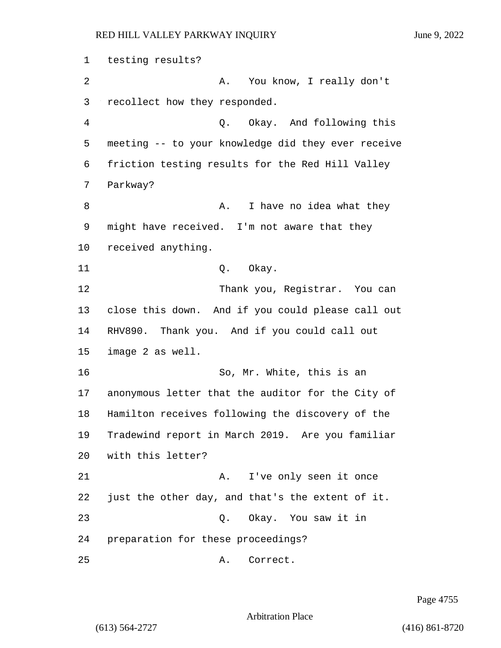1 testing results? 2 A. You know, I really don't 3 recollect how they responded. 4 Q. Okay. And following this 5 meeting -- to your knowledge did they ever receive 6 friction testing results for the Red Hill Valley 7 Parkway? 8 A. I have no idea what they 9 might have received. I'm not aware that they 10 received anything. 11 Q. Okay. 12 Thank you, Registrar. You can 13 close this down. And if you could please call out 14 RHV890. Thank you. And if you could call out 15 image 2 as well. 16 So, Mr. White, this is an 17 anonymous letter that the auditor for the City of 18 Hamilton receives following the discovery of the 19 Tradewind report in March 2019. Are you familiar 20 with this letter? 21 A. I've only seen it once 22 just the other day, and that's the extent of it. 23 Q. Okay. You saw it in 24 preparation for these proceedings? 25 A. Correct.

Page 4755

Arbitration Place

(613) 564-2727 (416) 861-8720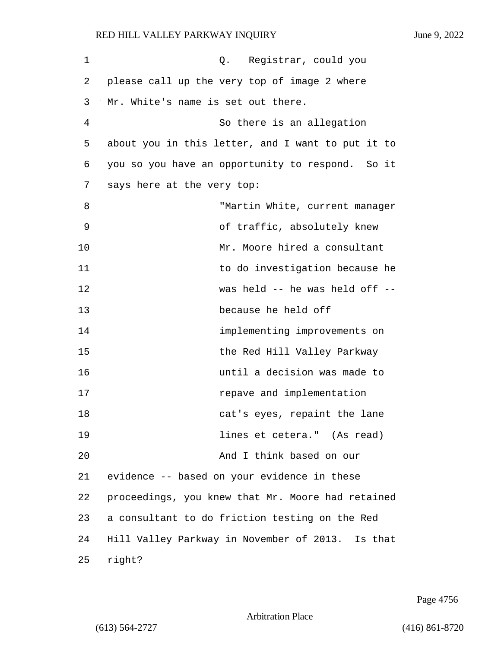| $\mathbf 1$ | Q. Registrar, could you                           |
|-------------|---------------------------------------------------|
| 2           | please call up the very top of image 2 where      |
| 3           | Mr. White's name is set out there.                |
| 4           | So there is an allegation                         |
| 5           | about you in this letter, and I want to put it to |
| 6           | you so you have an opportunity to respond. So it  |
| 7           | says here at the very top:                        |
| 8           | "Martin White, current manager                    |
| 9           | of traffic, absolutely knew                       |
| 10          | Mr. Moore hired a consultant                      |
| 11          | to do investigation because he                    |
| 12          | was held -- he was held off --                    |
| 13          | because he held off                               |
| 14          | implementing improvements on                      |
| 15          | the Red Hill Valley Parkway                       |
| 16          | until a decision was made to                      |
| 17          | repave and implementation                         |
| 18          | cat's eyes, repaint the lane                      |
| 19          | lines et cetera." (As read)                       |
| 20          | And I think based on our                          |
| 21          | evidence -- based on your evidence in these       |
| 22          | proceedings, you knew that Mr. Moore had retained |
| 23          | a consultant to do friction testing on the Red    |
| 24          | Hill Valley Parkway in November of 2013. Is that  |
| 25          | right?                                            |

Page 4756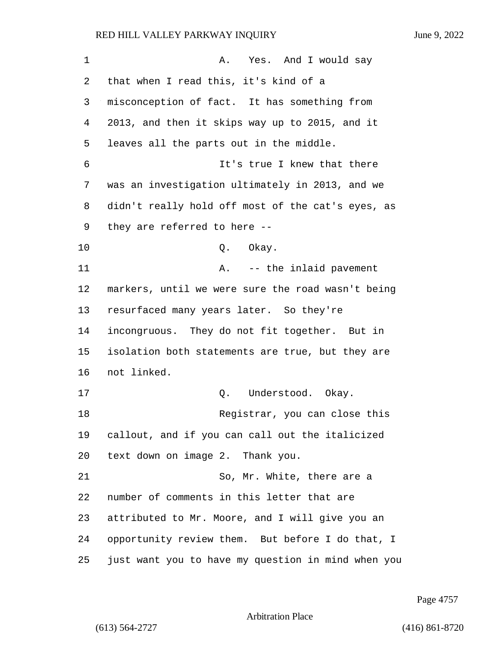| 1  | A. Yes. And I would say                            |
|----|----------------------------------------------------|
| 2  | that when I read this, it's kind of a              |
| 3  | misconception of fact. It has something from       |
| 4  | 2013, and then it skips way up to 2015, and it     |
| 5  | leaves all the parts out in the middle.            |
| 6  | It's true I knew that there                        |
| 7  | was an investigation ultimately in 2013, and we    |
| 8  | didn't really hold off most of the cat's eyes, as  |
| 9  | they are referred to here --                       |
| 10 | Okay.<br>Q.                                        |
| 11 | -- the inlaid pavement<br>Α.                       |
| 12 | markers, until we were sure the road wasn't being  |
| 13 | resurfaced many years later. So they're            |
| 14 | incongruous. They do not fit together. But in      |
| 15 | isolation both statements are true, but they are   |
| 16 | not linked.                                        |
| 17 | Understood. Okay.<br>Q.                            |
| 18 | Registrar, you can close this                      |
| 19 | callout, and if you can call out the italicized    |
| 20 | text down on image 2. Thank you.                   |
| 21 | So, Mr. White, there are a                         |
| 22 | number of comments in this letter that are         |
| 23 | attributed to Mr. Moore, and I will give you an    |
| 24 | opportunity review them. But before I do that, I   |
| 25 | just want you to have my question in mind when you |

Page 4757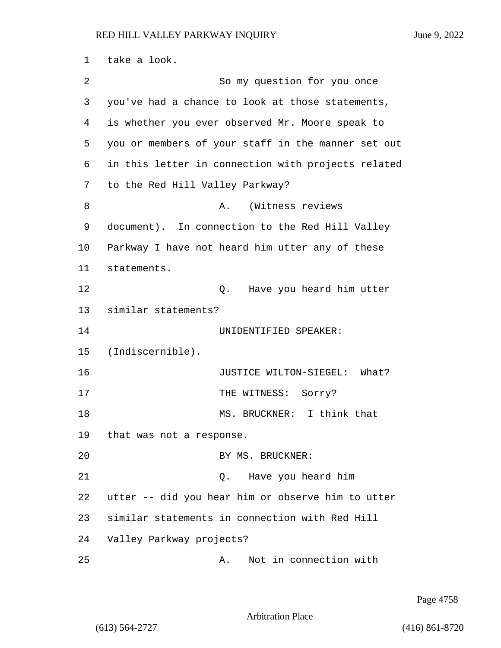| 1  | take a look.                                       |
|----|----------------------------------------------------|
| 2  | So my question for you once                        |
| 3  | you've had a chance to look at those statements,   |
| 4  | is whether you ever observed Mr. Moore speak to    |
| 5  | you or members of your staff in the manner set out |
| 6  | in this letter in connection with projects related |
| 7  | to the Red Hill Valley Parkway?                    |
| 8  | (Witness reviews<br>Α.                             |
| 9  | document). In connection to the Red Hill Valley    |
| 10 | Parkway I have not heard him utter any of these    |
| 11 | statements.                                        |
| 12 | Have you heard him utter<br>Q.                     |
| 13 | similar statements?                                |
| 14 | UNIDENTIFIED SPEAKER:                              |
| 15 | (Indiscernible).                                   |
| 16 | JUSTICE WILTON-SIEGEL:<br>What?                    |
| 17 | THE WITNESS: Sorry?                                |
| 18 | I think that<br>MS. BRUCKNER:                      |
| 19 | that was not a response.                           |
| 20 | BY MS. BRUCKNER:                                   |
| 21 | Have you heard him<br>Ο.                           |
| 22 | utter -- did you hear him or observe him to utter  |
| 23 | similar statements in connection with Red Hill     |
| 24 | Valley Parkway projects?                           |
| 25 | Not in connection with<br>Α.                       |

Page 4758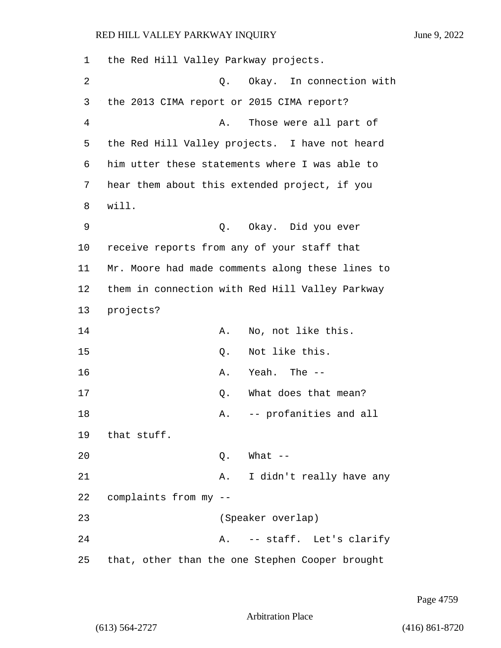| 1  | the Red Hill Valley Parkway projects.            |
|----|--------------------------------------------------|
| 2  | Q. Okay. In connection with                      |
| 3  | the 2013 CIMA report or 2015 CIMA report?        |
| 4  | Those were all part of<br>Α.                     |
| 5  | the Red Hill Valley projects. I have not heard   |
| 6  | him utter these statements where I was able to   |
| 7  | hear them about this extended project, if you    |
| 8  | will.                                            |
| 9  | Q. Okay. Did you ever                            |
| 10 | receive reports from any of your staff that      |
| 11 | Mr. Moore had made comments along these lines to |
| 12 | them in connection with Red Hill Valley Parkway  |
| 13 | projects?                                        |
| 14 | No, not like this.<br>Α.                         |
| 15 | Not like this.<br>Q.                             |
| 16 | Yeah. The --<br>Α.                               |
| 17 | What does that mean?<br>Q.                       |
| 18 | -- profanities and all<br>Α.                     |
| 19 | that stuff.                                      |
| 20 | $Q.$ What $-$                                    |
| 21 | I didn't really have any<br>Α.                   |
| 22 | complaints from my --                            |
| 23 | (Speaker overlap)                                |
| 24 | A. -- staff. Let's clarify                       |
| 25 | that, other than the one Stephen Cooper brought  |

Page 4759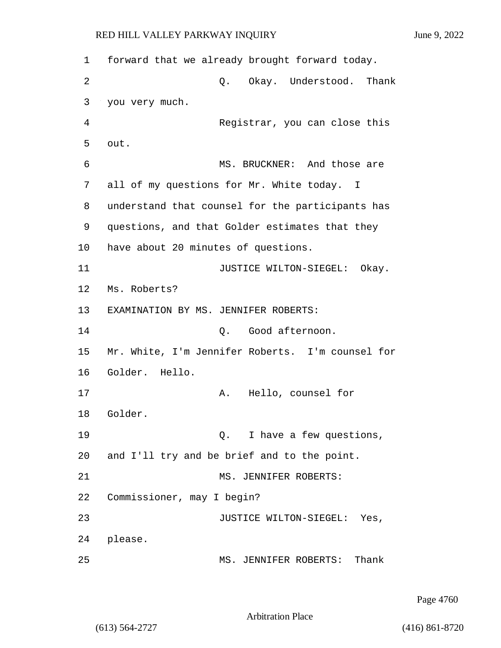1 forward that we already brought forward today. 2 Q. Okay. Understood. Thank 3 you very much. 4 Registrar, you can close this 5 out. 6 MS. BRUCKNER: And those are 7 all of my questions for Mr. White today. I 8 understand that counsel for the participants has 9 questions, and that Golder estimates that they 10 have about 20 minutes of questions. 11 JUSTICE WILTON-SIEGEL: Okay. 12 Ms. Roberts? 13 EXAMINATION BY MS. JENNIFER ROBERTS: 14 C. Good afternoon. 15 Mr. White, I'm Jennifer Roberts. I'm counsel for 16 Golder. Hello. 17 A. Hello, counsel for 18 Golder. 19 **Q.** I have a few questions, 20 and I'll try and be brief and to the point. 21 MS. JENNIFER ROBERTS: 22 Commissioner, may I begin? 23 JUSTICE WILTON-SIEGEL: Yes, 24 please. 25 MS. JENNIFER ROBERTS: Thank

Page 4760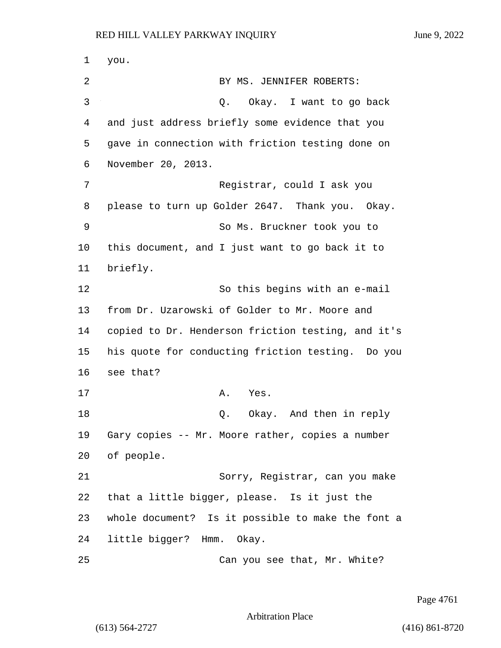1 you. 2 BY MS. JENNIFER ROBERTS: 3 Q. Okay. I want to go back 4 and just address briefly some evidence that you 5 gave in connection with friction testing done on 6 November 20, 2013. 7 Registrar, could I ask you 8 please to turn up Golder 2647. Thank you. Okay. 9 So Ms. Bruckner took you to 10 this document, and I just want to go back it to 11 briefly. 12 So this begins with an e-mail 13 from Dr. Uzarowski of Golder to Mr. Moore and 14 copied to Dr. Henderson friction testing, and it's 15 his quote for conducting friction testing. Do you 16 see that? 17 A. Yes. 18 **Q.** Okay. And then in reply 19 Gary copies -- Mr. Moore rather, copies a number 20 of people. 21 Sorry, Registrar, can you make 22 that a little bigger, please. Is it just the 23 whole document? Is it possible to make the font a 24 little bigger? Hmm. Okay. 25 Can you see that, Mr. White?

Page 4761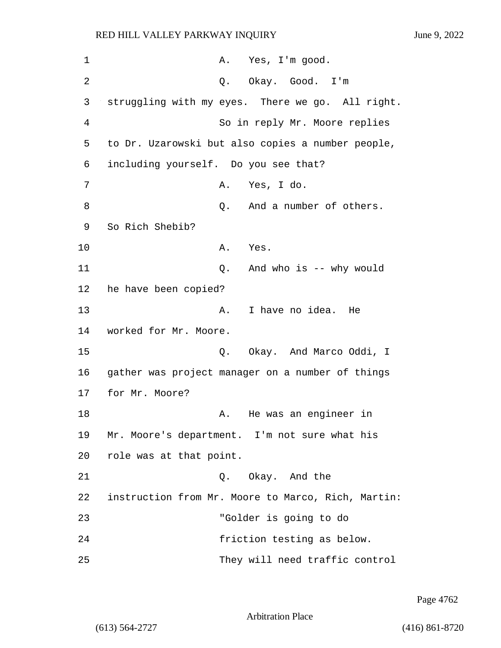| $\mathbf 1$    | A. Yes, I'm good.                                  |
|----------------|----------------------------------------------------|
| $\overline{2}$ | Q. Okay. Good. I'm                                 |
| 3              | struggling with my eyes. There we go. All right.   |
| $\overline{4}$ | So in reply Mr. Moore replies                      |
| 5              | to Dr. Uzarowski but also copies a number people,  |
| 6              | including yourself. Do you see that?               |
| 7              | Yes, I do.<br>Α.                                   |
| 8              | And a number of others.<br>Q.                      |
| 9              | So Rich Shebib?                                    |
| 10             | Α.<br>Yes.                                         |
| 11             | And who is -- why would<br>Q.                      |
| 12             | he have been copied?                               |
| 13             | I have no idea.<br>He<br>Α.                        |
| 14             | worked for Mr. Moore.                              |
| 15             | Okay. And Marco Oddi, I<br>Q.                      |
| 16             | gather was project manager on a number of things   |
| 17             | for Mr. Moore?                                     |
| 18             | He was an engineer in<br>Α.                        |
| 19             | Mr. Moore's department. I'm not sure what his      |
| 20             | role was at that point.                            |
| 21             | Q. Okay. And the                                   |
| 22             | instruction from Mr. Moore to Marco, Rich, Martin: |
| 23             | "Golder is going to do                             |
| 24             | friction testing as below.                         |
| 25             | They will need traffic control                     |

Page 4762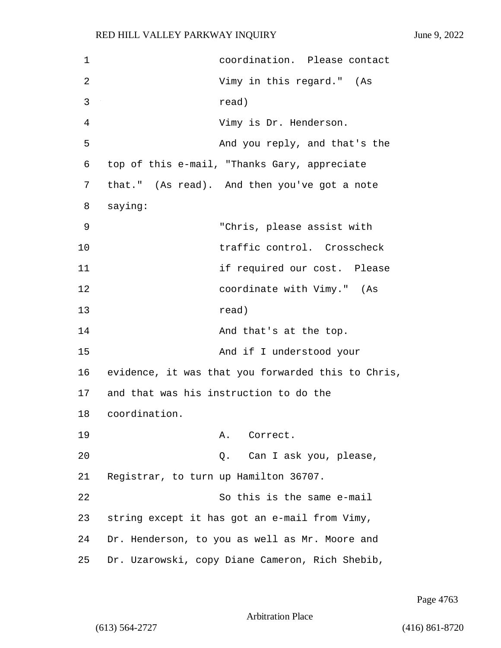| $\mathbf 1$ | coordination. Please contact                       |
|-------------|----------------------------------------------------|
| 2           | Vimy in this regard." (As                          |
| 3           | read)                                              |
| 4           | Vimy is Dr. Henderson.                             |
| 5           | And you reply, and that's the                      |
| 6           | top of this e-mail, "Thanks Gary, appreciate       |
| 7           | that." (As read). And then you've got a note       |
| 8           | saying:                                            |
| 9           | "Chris, please assist with                         |
| 10          | traffic control. Crosscheck                        |
| 11          | if required our cost. Please                       |
| 12          | coordinate with Vimy." (As                         |
| 13          | read)                                              |
| 14          | And that's at the top.                             |
| 15          | And if I understood your                           |
| 16          | evidence, it was that you forwarded this to Chris, |
| 17          | and that was his instruction to do the             |
| 18          | coordination.                                      |
| 19          | Α.<br>Correct.                                     |
| 20          | Can I ask you, please,<br>Q.                       |
| 21          | Registrar, to turn up Hamilton 36707.              |
| 22          | So this is the same e-mail                         |
| 23          | string except it has got an e-mail from Vimy,      |
| 24          | Dr. Henderson, to you as well as Mr. Moore and     |
| 25          | Dr. Uzarowski, copy Diane Cameron, Rich Shebib,    |

Page 4763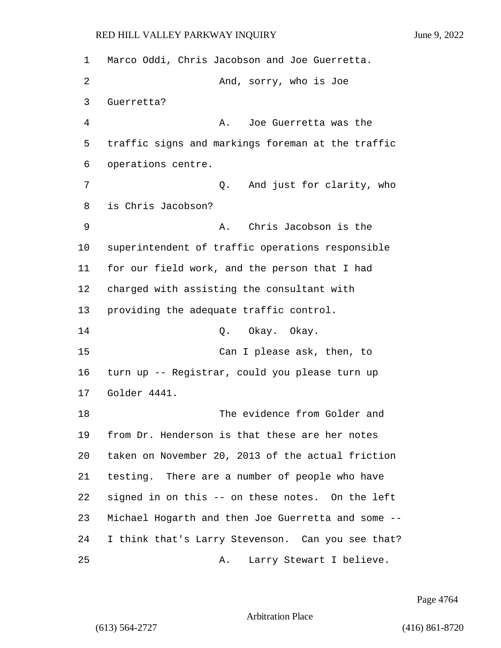| 1  | Marco Oddi, Chris Jacobson and Joe Guerretta.      |
|----|----------------------------------------------------|
| 2  | And, sorry, who is Joe                             |
| 3  | Guerretta?                                         |
| 4  | Joe Guerretta was the<br>Α.                        |
| 5  | traffic signs and markings foreman at the traffic  |
| 6  | operations centre.                                 |
| 7  | And just for clarity, who<br>Q.                    |
| 8  | is Chris Jacobson?                                 |
| 9  | Chris Jacobson is the<br>Α.                        |
| 10 | superintendent of traffic operations responsible   |
| 11 | for our field work, and the person that I had      |
| 12 | charged with assisting the consultant with         |
| 13 | providing the adequate traffic control.            |
| 14 | Okay. Okay.<br>Q.                                  |
| 15 | Can I please ask, then, to                         |
| 16 | turn up -- Registrar, could you please turn up     |
| 17 | Golder 4441.                                       |
| 18 | The evidence from Golder and                       |
| 19 | from Dr. Henderson is that these are her notes     |
| 20 | taken on November 20, 2013 of the actual friction  |
| 21 | testing. There are a number of people who have     |
| 22 | signed in on this -- on these notes. On the left   |
| 23 | Michael Hogarth and then Joe Guerretta and some -- |
| 24 | I think that's Larry Stevenson. Can you see that?  |
| 25 | Larry Stewart I believe.<br>Α.                     |

Page 4764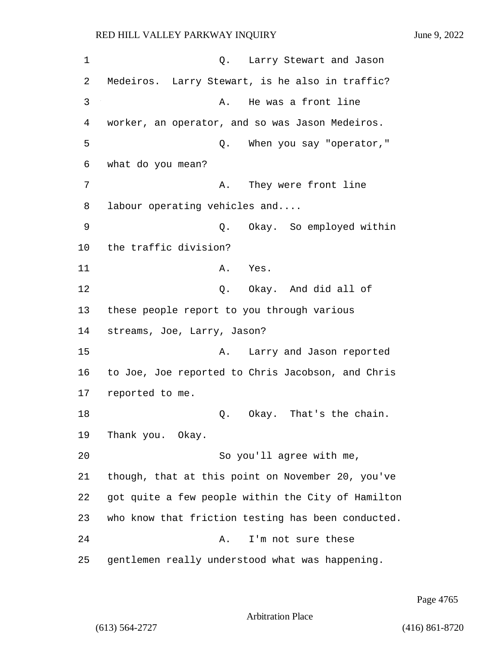| 1  | Larry Stewart and Jason<br>Q.                      |
|----|----------------------------------------------------|
| 2  | Medeiros. Larry Stewart, is he also in traffic?    |
| 3  | He was a front line<br>Α.                          |
| 4  | worker, an operator, and so was Jason Medeiros.    |
| 5  | When you say "operator,"<br>Q.                     |
| 6  | what do you mean?                                  |
| 7  | They were front line<br>Α.                         |
| 8  | labour operating vehicles and                      |
| 9  | Okay. So employed within<br>Q.                     |
| 10 | the traffic division?                              |
| 11 | Α.<br>Yes.                                         |
| 12 | Q. Okay. And did all of                            |
| 13 | these people report to you through various         |
| 14 | streams, Joe, Larry, Jason?                        |
| 15 | Larry and Jason reported<br>Α.                     |
| 16 | to Joe, Joe reported to Chris Jacobson, and Chris  |
| 17 | reported to me.                                    |
| 18 | Okay. That's the chain.<br>Q.                      |
| 19 | Thank you. Okay.                                   |
| 20 | So you'll agree with me,                           |
| 21 | though, that at this point on November 20, you've  |
| 22 | got quite a few people within the City of Hamilton |
| 23 | who know that friction testing has been conducted. |
| 24 | I'm not sure these<br>Α.                           |
| 25 | gentlemen really understood what was happening.    |

Page 4765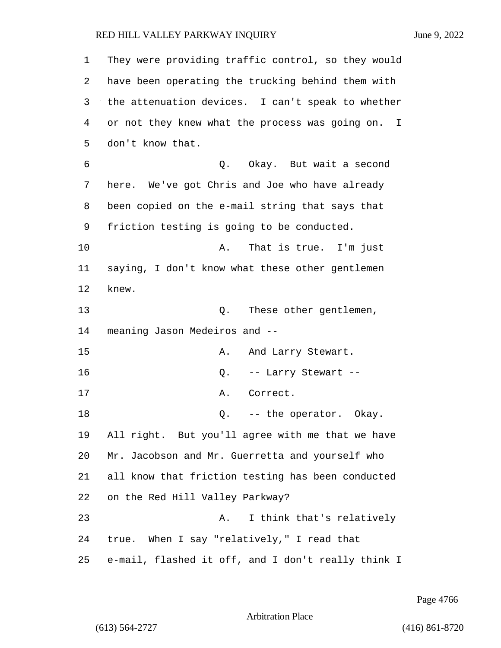| 1  | They were providing traffic control, so they would |
|----|----------------------------------------------------|
| 2  | have been operating the trucking behind them with  |
| 3  | the attenuation devices. I can't speak to whether  |
| 4  | or not they knew what the process was going on. I  |
| 5  | don't know that.                                   |
| 6  | Q. Okay. But wait a second                         |
| 7  | here. We've got Chris and Joe who have already     |
| 8  | been copied on the e-mail string that says that    |
| 9  | friction testing is going to be conducted.         |
| 10 | Α.<br>That is true. I'm just                       |
| 11 | saying, I don't know what these other gentlemen    |
| 12 | knew.                                              |
| 13 | These other gentlemen,<br>Q.                       |
| 14 | meaning Jason Medeiros and --                      |
| 15 | Α.<br>And Larry Stewart.                           |
| 16 | -- Larry Stewart --<br>Q.                          |
| 17 | Α.<br>Correct.                                     |
| 18 | Q. -- the operator. Okay.                          |
| 19 | All right. But you'll agree with me that we have   |
| 20 | Mr. Jacobson and Mr. Guerretta and yourself who    |
| 21 | all know that friction testing has been conducted  |
| 22 | on the Red Hill Valley Parkway?                    |
| 23 | I think that's relatively<br>Α.                    |
| 24 | true. When I say "relatively," I read that         |
| 25 | e-mail, flashed it off, and I don't really think I |

Page 4766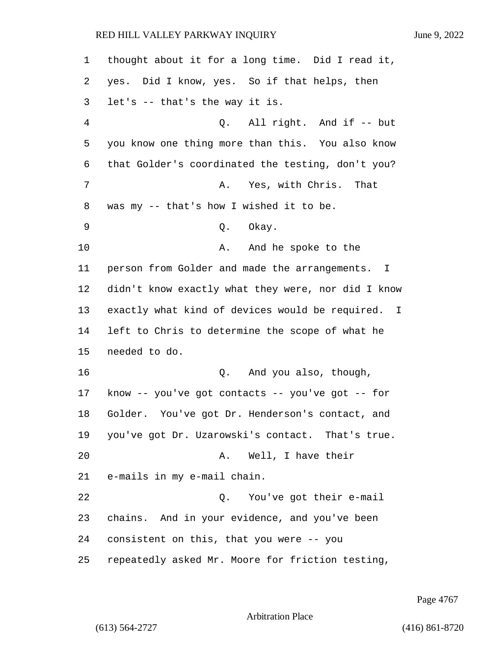| $\mathbf{1}$ | thought about it for a long time. Did I read it,   |
|--------------|----------------------------------------------------|
| 2            | yes. Did I know, yes. So if that helps, then       |
| 3            | let's -- that's the way it is.                     |
| 4            | Q. All right. And if -- but                        |
| 5            | you know one thing more than this. You also know   |
| 6            | that Golder's coordinated the testing, don't you?  |
| 7            | Yes, with Chris. That<br>Α.                        |
| 8            | was my -- that's how I wished it to be.            |
| 9            | Okay.<br>Q.                                        |
| 10           | And he spoke to the<br>Α.                          |
| 11           | person from Golder and made the arrangements. I    |
| 12           | didn't know exactly what they were, nor did I know |
| 13           | exactly what kind of devices would be required. I  |
| 14           | left to Chris to determine the scope of what he    |
| 15           | needed to do.                                      |
| 16           | Q. And you also, though,                           |
| 17           | know -- you've got contacts -- you've got -- for   |
| 18           | Golder. You've got Dr. Henderson's contact, and    |
| 19           | you've got Dr. Uzarowski's contact. That's true.   |
| 20           | Well, I have their<br>Α.                           |
| 21           | e-mails in my e-mail chain.                        |
| 22           | Q. You've got their e-mail                         |
| 23           | chains. And in your evidence, and you've been      |
| 24           | consistent on this, that you were -- you           |
| 25           | repeatedly asked Mr. Moore for friction testing,   |

Page 4767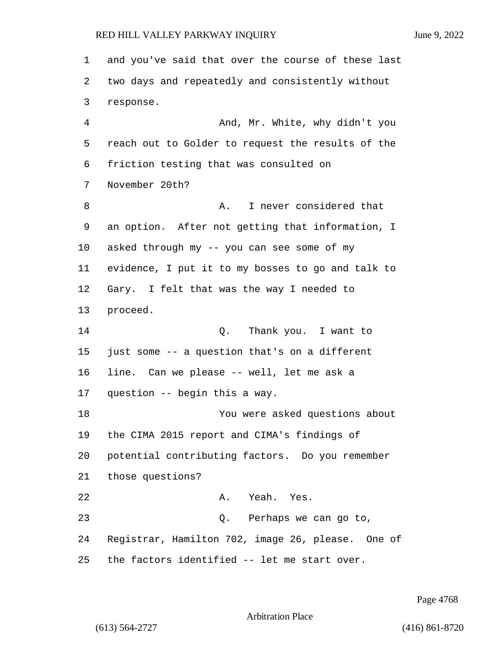and you've said that over the course of these last two days and repeatedly and consistently without response. 4 And, Mr. White, why didn't you reach out to Golder to request the results of the friction testing that was consulted on November 20th? 8 A. I never considered that an option. After not getting that information, I asked through my -- you can see some of my evidence, I put it to my bosses to go and talk to Gary. I felt that was the way I needed to proceed. 14 C. Thank you. I want to just some -- a question that's on a different line. Can we please -- well, let me ask a question -- begin this a way. 18 You were asked questions about the CIMA 2015 report and CIMA's findings of potential contributing factors. Do you remember those questions? 22 A. Yeah. Yes. 23 Q. Perhaps we can go to, Registrar, Hamilton 702, image 26, please. One of the factors identified -- let me start over.

Page 4768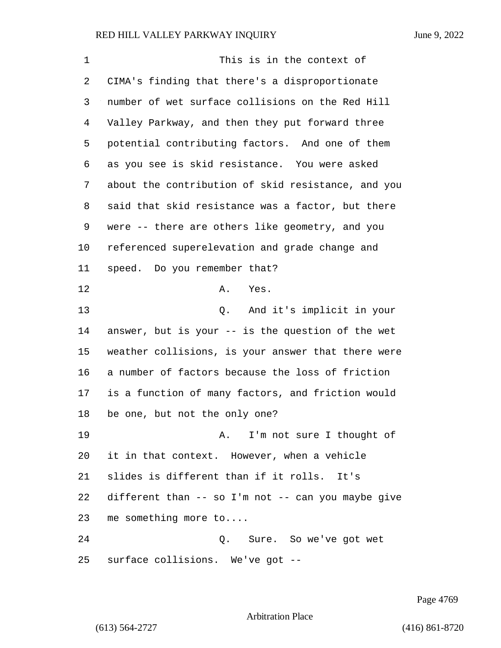| 1       | This is in the context of                          |
|---------|----------------------------------------------------|
| 2       | CIMA's finding that there's a disproportionate     |
| 3       | number of wet surface collisions on the Red Hill   |
| 4       | Valley Parkway, and then they put forward three    |
| 5       | potential contributing factors. And one of them    |
| 6       | as you see is skid resistance. You were asked      |
| 7       | about the contribution of skid resistance, and you |
| 8       | said that skid resistance was a factor, but there  |
| 9       | were -- there are others like geometry, and you    |
| $10 \,$ | referenced superelevation and grade change and     |
| 11      | speed. Do you remember that?                       |
| 12      | Yes.<br>Α.                                         |
| 13      | Q. And it's implicit in your                       |
| 14      | answer, but is your -- is the question of the wet  |
| 15      | weather collisions, is your answer that there were |
| 16      | a number of factors because the loss of friction   |
| 17      | is a function of many factors, and friction would  |
| 18      | be one, but not the only one?                      |
| 19      | A. I'm not sure I thought of                       |
| 20      | it in that context. However, when a vehicle        |
| 21      | slides is different than if it rolls. It's         |
| 22      | different than -- so I'm not -- can you maybe give |
| 23      | me something more to                               |
| 24      | Q. Sure. So we've got wet                          |
| 25      | surface collisions. We've got --                   |

Page 4769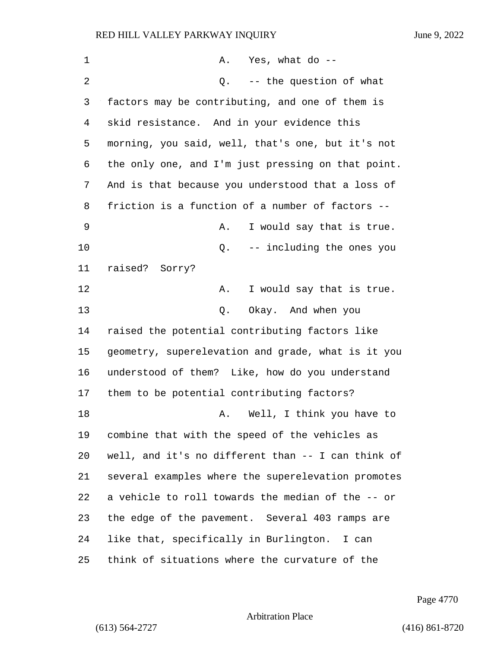| 1  | Yes, what do --<br>A.                              |
|----|----------------------------------------------------|
| 2  | $Q.$ -- the question of what                       |
| 3  | factors may be contributing, and one of them is    |
| 4  | skid resistance. And in your evidence this         |
| 5  | morning, you said, well, that's one, but it's not  |
| 6  | the only one, and I'm just pressing on that point. |
| 7  | And is that because you understood that a loss of  |
| 8  | friction is a function of a number of factors --   |
| 9  | I would say that is true.<br>Α.                    |
| 10 | -- including the ones you<br>Q.                    |
| 11 | raised? Sorry?                                     |
| 12 | I would say that is true.<br>Α.                    |
| 13 | Okay. And when you<br>Q.                           |
| 14 | raised the potential contributing factors like     |
| 15 | geometry, superelevation and grade, what is it you |
| 16 | understood of them? Like, how do you understand    |
| 17 | them to be potential contributing factors?         |
| 18 | Well, I think you have to<br>Α.                    |
| 19 | combine that with the speed of the vehicles as     |
| 20 | well, and it's no different than -- I can think of |
| 21 | several examples where the superelevation promotes |
| 22 | a vehicle to roll towards the median of the -- or  |
| 23 | the edge of the pavement. Several 403 ramps are    |
| 24 | like that, specifically in Burlington. I can       |
| 25 | think of situations where the curvature of the     |

Page 4770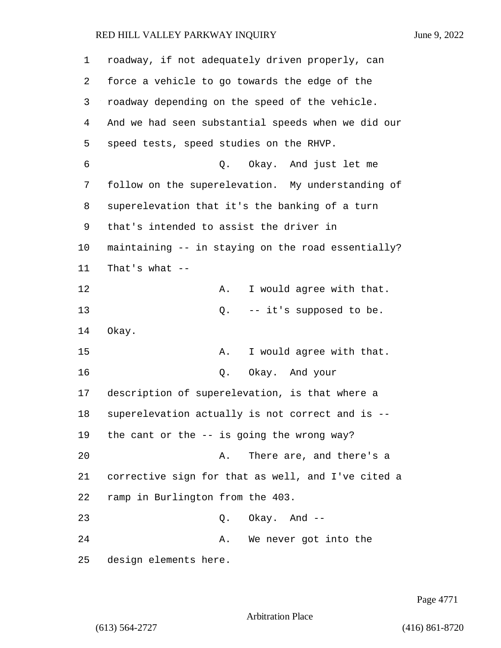| 1  | roadway, if not adequately driven properly, can    |
|----|----------------------------------------------------|
| 2  | force a vehicle to go towards the edge of the      |
| 3  | roadway depending on the speed of the vehicle.     |
| 4  | And we had seen substantial speeds when we did our |
| 5  | speed tests, speed studies on the RHVP.            |
| 6  | Q. Okay. And just let me                           |
| 7  | follow on the superelevation. My understanding of  |
| 8  | superelevation that it's the banking of a turn     |
| 9  | that's intended to assist the driver in            |
| 10 | maintaining -- in staying on the road essentially? |
| 11 | That's what $--$                                   |
| 12 | I would agree with that.<br>Α.                     |
| 13 | -- it's supposed to be.<br>Q.                      |
| 14 | Okay.                                              |
| 15 | I would agree with that.<br>Α.                     |
| 16 | Okay. And your<br>Q.                               |
| 17 | description of superelevation, is that where a     |
| 18 | superelevation actually is not correct and is --   |
| 19 | the cant or the $--$ is going the wrong way?       |
| 20 | There are, and there's a<br>Α.                     |
| 21 | corrective sign for that as well, and I've cited a |
| 22 | ramp in Burlington from the 403.                   |
| 23 | $Q.$ Okay. And $-$                                 |
| 24 | We never got into the<br>Α.                        |
| 25 | design elements here.                              |

Page 4771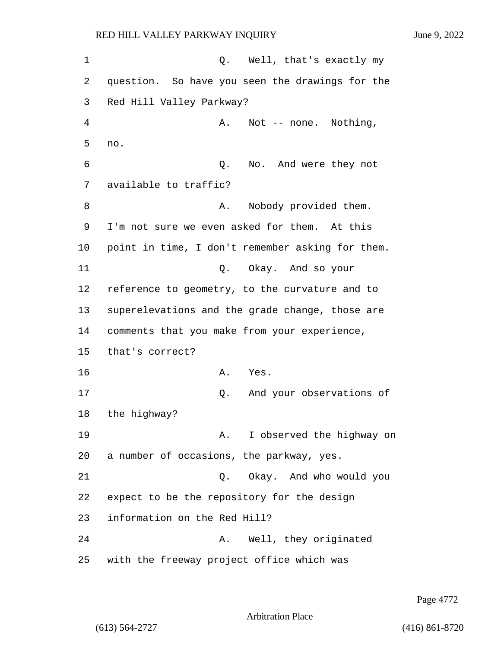1 Q. Well, that's exactly my 2 question. So have you seen the drawings for the 3 Red Hill Valley Parkway? 4 A. Not -- none. Nothing, 5 no. 6 Q. No. And were they not 7 available to traffic? 8 A. Nobody provided them. 9 I'm not sure we even asked for them. At this 10 point in time, I don't remember asking for them. 11 Q. Okay. And so your 12 reference to geometry, to the curvature and to 13 superelevations and the grade change, those are 14 comments that you make from your experience, 15 that's correct? 16 A. Yes. 17 Q. And your observations of 18 the highway? 19 A. I observed the highway on 20 a number of occasions, the parkway, yes. 21 Q. Okay. And who would you 22 expect to be the repository for the design 23 information on the Red Hill? 24 A. Well, they originated 25 with the freeway project office which was

Page 4772

Arbitration Place

(613) 564-2727 (416) 861-8720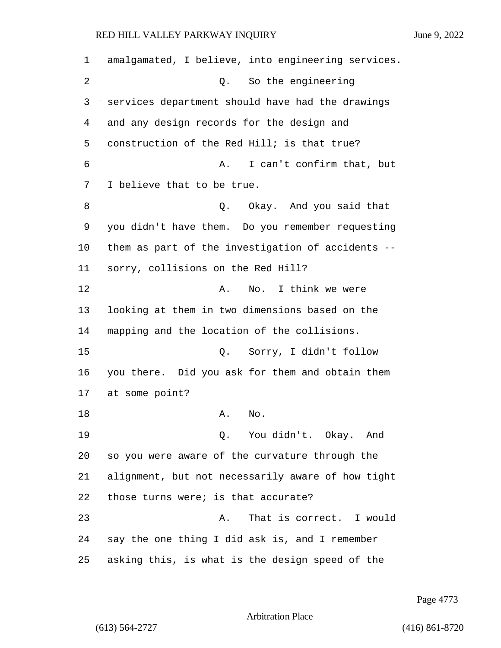amalgamated, I believe, into engineering services. 2 Q. So the engineering services department should have had the drawings and any design records for the design and construction of the Red Hill; is that true? 6 A. I can't confirm that, but I believe that to be true. 8 and you said that **8** and you said that you didn't have them. Do you remember requesting them as part of the investigation of accidents -- sorry, collisions on the Red Hill? 12 A. No. I think we were looking at them in two dimensions based on the mapping and the location of the collisions. 15 Q. Sorry, I didn't follow you there. Did you ask for them and obtain them at some point? 18 A. No. 19 Q. You didn't. Okay. And so you were aware of the curvature through the alignment, but not necessarily aware of how tight those turns were; is that accurate? 23 A. That is correct. I would say the one thing I did ask is, and I remember asking this, is what is the design speed of the

Page 4773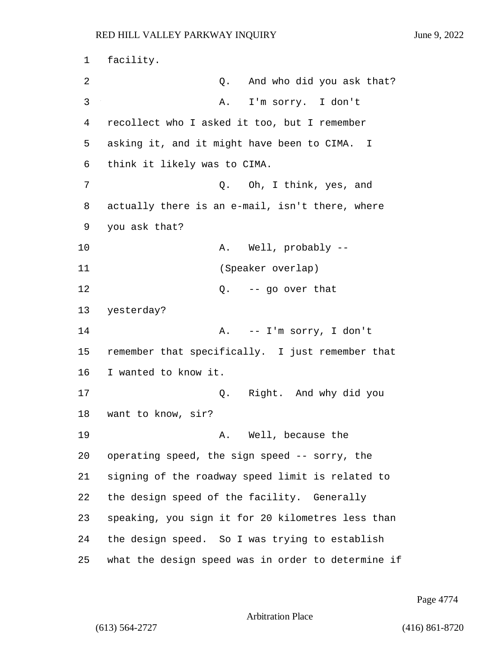facility. 2 and who did you ask that? 3 A. I'm sorry. I don't recollect who I asked it too, but I remember asking it, and it might have been to CIMA. I think it likely was to CIMA. 7 Q. Oh, I think, yes, and actually there is an e-mail, isn't there, where you ask that? 10 A. Well, probably -- 11 (Speaker overlap) 12 Q. -- go over that yesterday? 14 A. -- I'm sorry, I don't remember that specifically. I just remember that I wanted to know it. 17 Q. Right. And why did you want to know, sir? 19 A. Well, because the operating speed, the sign speed -- sorry, the signing of the roadway speed limit is related to the design speed of the facility. Generally speaking, you sign it for 20 kilometres less than the design speed. So I was trying to establish what the design speed was in order to determine if

Page 4774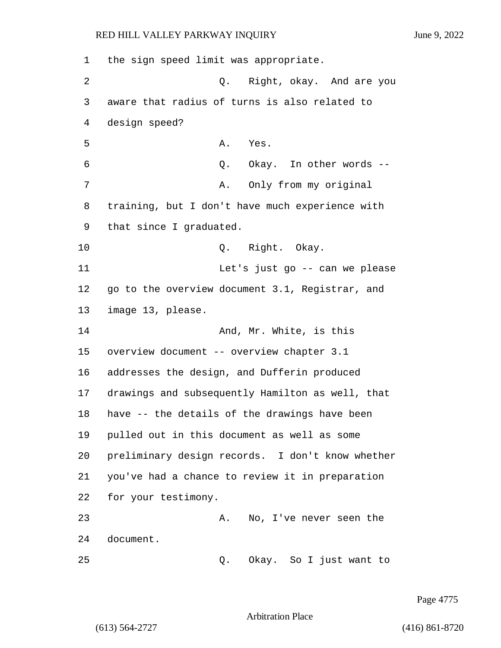the sign speed limit was appropriate. 2 Q. Right, okay. And are you aware that radius of turns is also related to design speed? 5 A. Yes. 6 Q. Okay. In other words -- 7 A. Only from my original training, but I don't have much experience with that since I graduated. 10 Q. Right. Okay. 11 Let's just go -- can we please go to the overview document 3.1, Registrar, and image 13, please. 14 And, Mr. White, is this overview document -- overview chapter 3.1 addresses the design, and Dufferin produced drawings and subsequently Hamilton as well, that have -- the details of the drawings have been pulled out in this document as well as some preliminary design records. I don't know whether you've had a chance to review it in preparation for your testimony. 23 A. No, I've never seen the document. 25 Q. Okay. So I just want to

Page 4775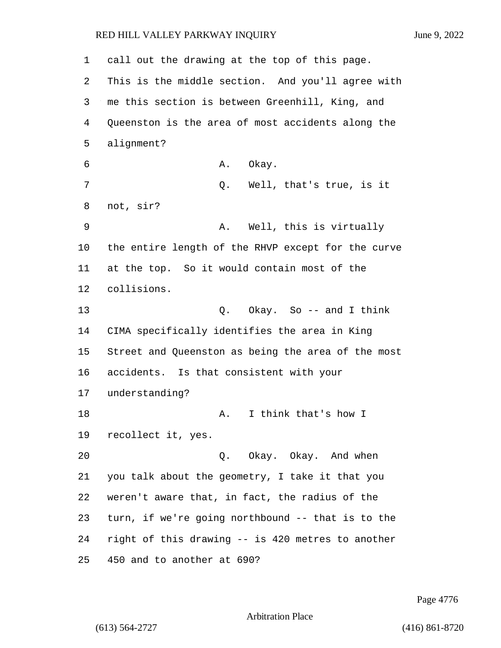call out the drawing at the top of this page. This is the middle section. And you'll agree with me this section is between Greenhill, King, and Queenston is the area of most accidents along the alignment? 6 A. Okay. 7 Q. Well, that's true, is it not, sir? 9 A. Well, this is virtually the entire length of the RHVP except for the curve at the top. So it would contain most of the collisions. 13 Q. Okay. So -- and I think CIMA specifically identifies the area in King Street and Queenston as being the area of the most accidents. Is that consistent with your understanding? 18 A. I think that's how I recollect it, yes. 20 Q. Okay. Okay. And when you talk about the geometry, I take it that you weren't aware that, in fact, the radius of the turn, if we're going northbound -- that is to the right of this drawing -- is 420 metres to another 450 and to another at 690?

Page 4776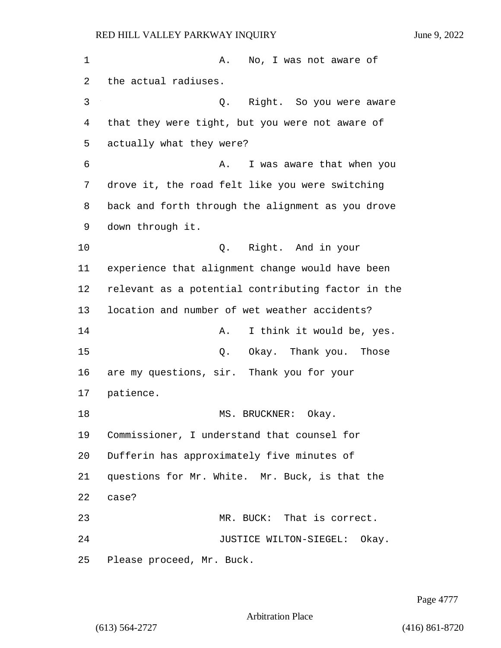1 A. No, I was not aware of the actual radiuses. 3 Q. Right. So you were aware that they were tight, but you were not aware of actually what they were? **6** A. I was aware that when you drove it, the road felt like you were switching back and forth through the alignment as you drove down through it. 10 Q. Right. And in your experience that alignment change would have been relevant as a potential contributing factor in the location and number of wet weather accidents? **A.** I think it would be, yes. 15 C. Okay. Thank you. Those are my questions, sir. Thank you for your patience. 18 MS. BRUCKNER: Okay. Commissioner, I understand that counsel for Dufferin has approximately five minutes of questions for Mr. White. Mr. Buck, is that the case? 23 MR. BUCK: That is correct. **JUSTICE WILTON-SIEGEL:** Okay. Please proceed, Mr. Buck.

Page 4777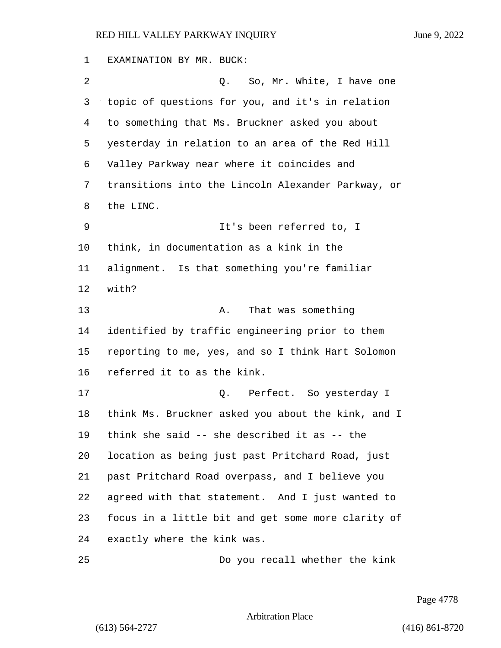EXAMINATION BY MR. BUCK: 2 Q. So, Mr. White, I have one topic of questions for you, and it's in relation to something that Ms. Bruckner asked you about yesterday in relation to an area of the Red Hill Valley Parkway near where it coincides and transitions into the Lincoln Alexander Parkway, or the LINC. 9 It's been referred to, I think, in documentation as a kink in the alignment. Is that something you're familiar with? 13 A. That was something identified by traffic engineering prior to them reporting to me, yes, and so I think Hart Solomon referred it to as the kink. 17 C. Perfect. So yesterday I think Ms. Bruckner asked you about the kink, and I think she said -- she described it as -- the location as being just past Pritchard Road, just past Pritchard Road overpass, and I believe you agreed with that statement. And I just wanted to focus in a little bit and get some more clarity of exactly where the kink was. 25 Do you recall whether the kink

Page 4778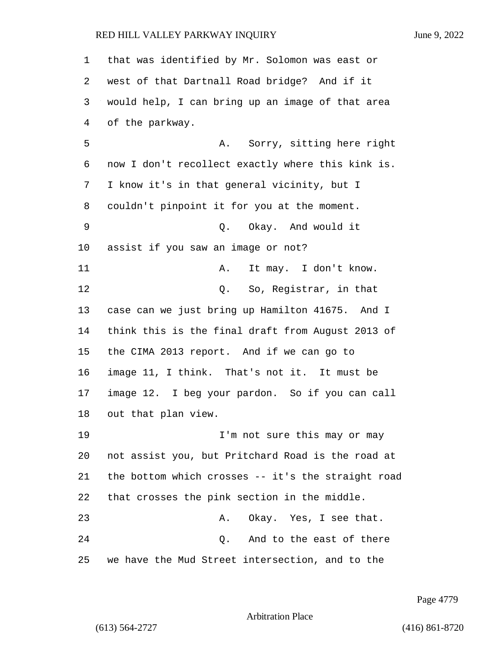that was identified by Mr. Solomon was east or west of that Dartnall Road bridge? And if it would help, I can bring up an image of that area of the parkway. 5 A. Sorry, sitting here right now I don't recollect exactly where this kink is. I know it's in that general vicinity, but I couldn't pinpoint it for you at the moment. 9 Q. Okay. And would it assist if you saw an image or not? 11 A. It may. I don't know. 12 C. So, Reqistrar, in that case can we just bring up Hamilton 41675. And I think this is the final draft from August 2013 of the CIMA 2013 report. And if we can go to image 11, I think. That's not it. It must be image 12. I beg your pardon. So if you can call out that plan view. 19 I'm not sure this may or may not assist you, but Pritchard Road is the road at the bottom which crosses -- it's the straight road that crosses the pink section in the middle. 23 A. Okay. Yes, I see that. 24 Q. And to the east of there we have the Mud Street intersection, and to the

Page 4779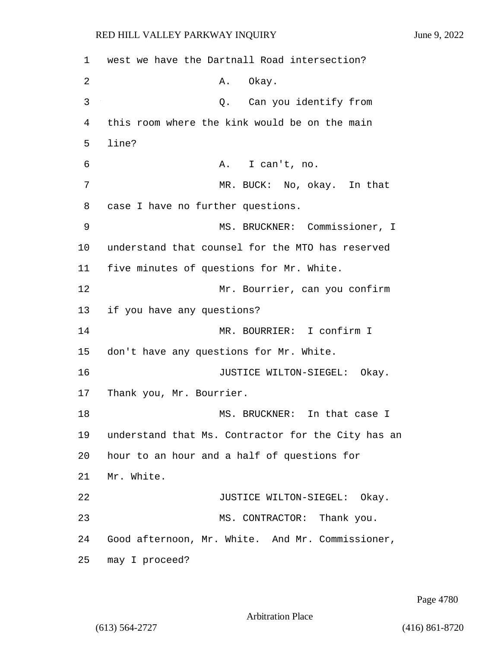1 west we have the Dartnall Road intersection? 2 A. Okay. 3 Q. Can you identify from 4 this room where the kink would be on the main 5 line? 6 A. I can't, no. 7 MR. BUCK: No, okay. In that 8 case I have no further questions. 9 MS. BRUCKNER: Commissioner, I 10 understand that counsel for the MTO has reserved 11 five minutes of questions for Mr. White. 12 Mr. Bourrier, can you confirm 13 if you have any questions? 14 MR. BOURRIER: I confirm I 15 don't have any questions for Mr. White. 16 **JUSTICE WILTON-SIEGEL:** Okay. 17 Thank you, Mr. Bourrier. 18 MS. BRUCKNER: In that case I 19 understand that Ms. Contractor for the City has an 20 hour to an hour and a half of questions for 21 Mr. White. 22 JUSTICE WILTON-SIEGEL: Okay. 23 MS. CONTRACTOR: Thank you. 24 Good afternoon, Mr. White. And Mr. Commissioner, 25 may I proceed?

Page 4780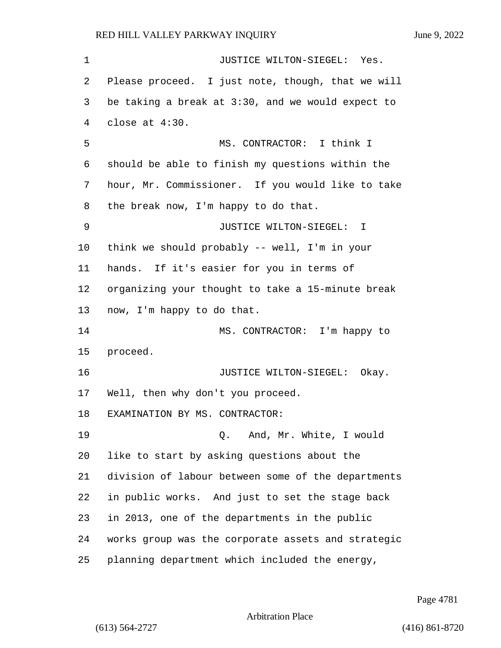1 JUSTICE WILTON-SIEGEL: Yes. Please proceed. I just note, though, that we will be taking a break at 3:30, and we would expect to close at 4:30. 5 MS. CONTRACTOR: I think I should be able to finish my questions within the hour, Mr. Commissioner. If you would like to take the break now, I'm happy to do that. 9 JUSTICE WILTON-SIEGEL: I think we should probably -- well, I'm in your hands. If it's easier for you in terms of organizing your thought to take a 15-minute break now, I'm happy to do that. 14 MS. CONTRACTOR: I'm happy to proceed. **JUSTICE WILTON-SIEGEL:** Okay. Well, then why don't you proceed. EXAMINATION BY MS. CONTRACTOR: 19 Q. And, Mr. White, I would like to start by asking questions about the division of labour between some of the departments in public works. And just to set the stage back in 2013, one of the departments in the public works group was the corporate assets and strategic planning department which included the energy,

Page 4781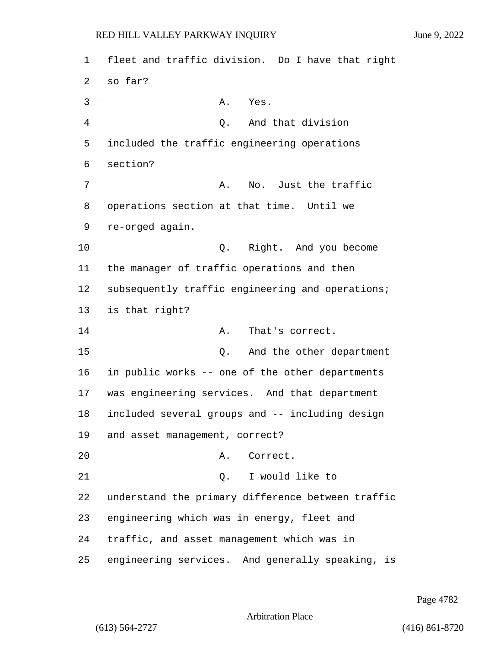1 fleet and traffic division. Do I have that right 2 so far? 3 A. Yes. 4 Q. And that division 5 included the traffic engineering operations 6 section? 7 A. No. Just the traffic 8 operations section at that time. Until we 9 re-orged again. 10 Q. Right. And you become 11 the manager of traffic operations and then 12 subsequently traffic engineering and operations; 13 is that right? 14 A. That's correct. 15 Q. And the other department 16 in public works -- one of the other departments 17 was engineering services. And that department 18 included several groups and -- including design 19 and asset management, correct? 20 A. Correct. 21 Q. I would like to 22 understand the primary difference between traffic 23 engineering which was in energy, fleet and 24 traffic, and asset management which was in 25 engineering services. And generally speaking, is

Page 4782

Arbitration Place

(613) 564-2727 (416) 861-8720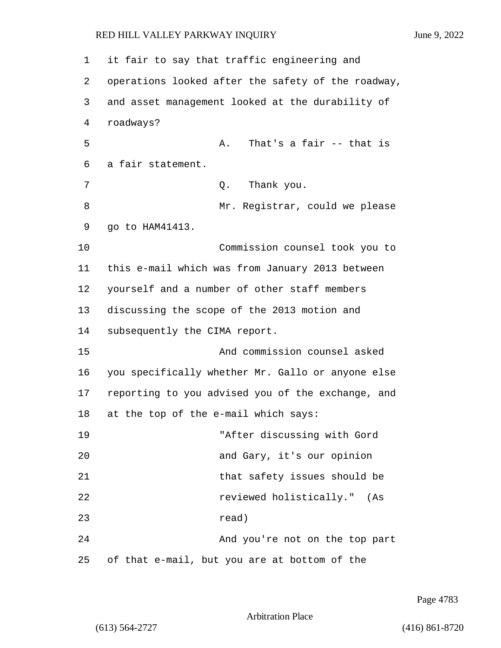| 1  | it fair to say that traffic engineering and        |
|----|----------------------------------------------------|
| 2  | operations looked after the safety of the roadway, |
| 3  | and asset management looked at the durability of   |
| 4  | roadways?                                          |
| 5  | That's a fair $-$ - that is<br>Α.                  |
| 6  | a fair statement.                                  |
| 7  | Thank you.<br>Q.                                   |
| 8  | Mr. Registrar, could we please                     |
| 9  | go to HAM41413.                                    |
| 10 | Commission counsel took you to                     |
| 11 | this e-mail which was from January 2013 between    |
| 12 | yourself and a number of other staff members       |
| 13 | discussing the scope of the 2013 motion and        |
| 14 | subsequently the CIMA report.                      |
| 15 | And commission counsel asked                       |
| 16 | you specifically whether Mr. Gallo or anyone else  |
| 17 | reporting to you advised you of the exchange, and  |
| 18 | at the top of the e-mail which says:               |
| 19 | "After discussing with Gord                        |
| 20 | and Gary, it's our opinion                         |
| 21 | that safety issues should be                       |
| 22 | reviewed holistically." (As                        |
| 23 | read)                                              |
| 24 | And you're not on the top part                     |
| 25 | of that e-mail, but you are at bottom of the       |

Page 4783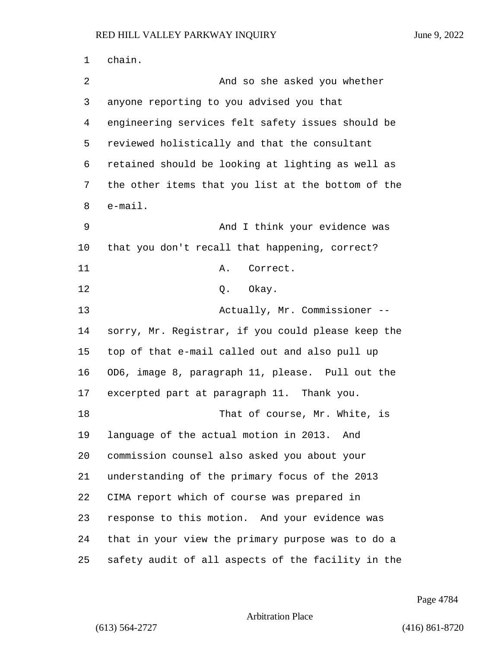chain. 2 And so she asked you whether anyone reporting to you advised you that engineering services felt safety issues should be reviewed holistically and that the consultant retained should be looking at lighting as well as the other items that you list at the bottom of the e-mail. 9 And I think your evidence was that you don't recall that happening, correct? 11 A. Correct. 12 0. Okay. 13 Actually, Mr. Commissioner -- sorry, Mr. Registrar, if you could please keep the top of that e-mail called out and also pull up OD6, image 8, paragraph 11, please. Pull out the excerpted part at paragraph 11. Thank you. 18 That of course, Mr. White, is language of the actual motion in 2013. And commission counsel also asked you about your understanding of the primary focus of the 2013 CIMA report which of course was prepared in response to this motion. And your evidence was that in your view the primary purpose was to do a safety audit of all aspects of the facility in the

Page 4784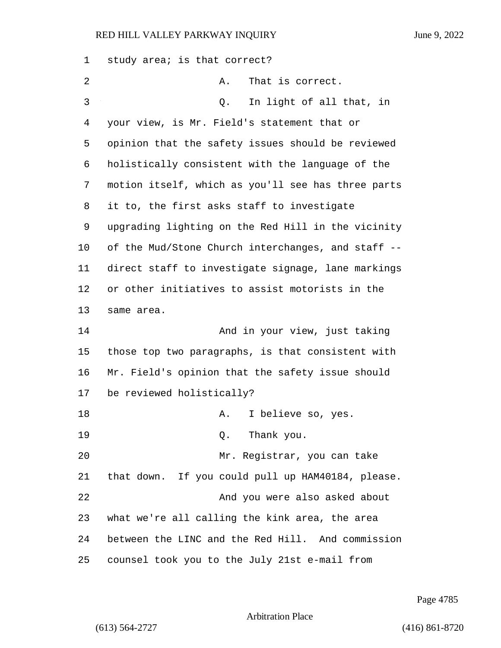| 1  | study area; is that correct?                       |
|----|----------------------------------------------------|
| 2  | That is correct.<br>Α.                             |
| 3  | In light of all that, in<br>Q.                     |
| 4  | your view, is Mr. Field's statement that or        |
| 5  | opinion that the safety issues should be reviewed  |
| 6  | holistically consistent with the language of the   |
| 7  | motion itself, which as you'll see has three parts |
| 8  | it to, the first asks staff to investigate         |
| 9  | upgrading lighting on the Red Hill in the vicinity |
| 10 | of the Mud/Stone Church interchanges, and staff -- |
| 11 | direct staff to investigate signage, lane markings |
| 12 | or other initiatives to assist motorists in the    |
| 13 | same area.                                         |
| 14 | And in your view, just taking                      |
| 15 | those top two paragraphs, is that consistent with  |
| 16 | Mr. Field's opinion that the safety issue should   |
| 17 | be reviewed holistically?                          |
| 18 | I believe so, yes.<br>А.                           |
| 19 | Thank you.<br>Q.                                   |
| 20 | Mr. Registrar, you can take                        |
| 21 | that down. If you could pull up HAM40184, please.  |
| 22 | And you were also asked about                      |
| 23 | what we're all calling the kink area, the area     |
| 24 | between the LINC and the Red Hill. And commission  |
| 25 | counsel took you to the July 21st e-mail from      |

Page 4785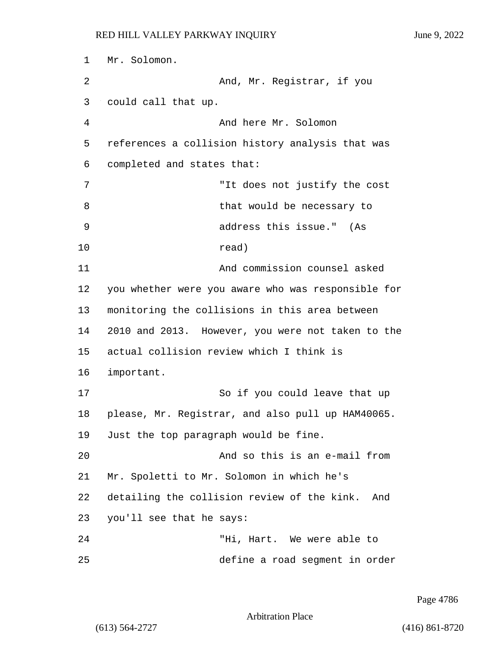1 Mr. Solomon. 2 And, Mr. Registrar, if you 3 could call that up. 4 And here Mr. Solomon 5 references a collision history analysis that was 6 completed and states that: 7 "It does not justify the cost 8 be necessary to that would be necessary to 9 address this issue." (As 10 read) 11 And commission counsel asked 12 you whether were you aware who was responsible for 13 monitoring the collisions in this area between 14 2010 and 2013. However, you were not taken to the 15 actual collision review which I think is 16 important. 17 So if you could leave that up 18 please, Mr. Registrar, and also pull up HAM40065. 19 Just the top paragraph would be fine. 20 And so this is an e-mail from 21 Mr. Spoletti to Mr. Solomon in which he's 22 detailing the collision review of the kink. And 23 you'll see that he says: 24 "Hi, Hart. We were able to

25 define a road segment in order

Page 4786

Arbitration Place

(613) 564-2727 (416) 861-8720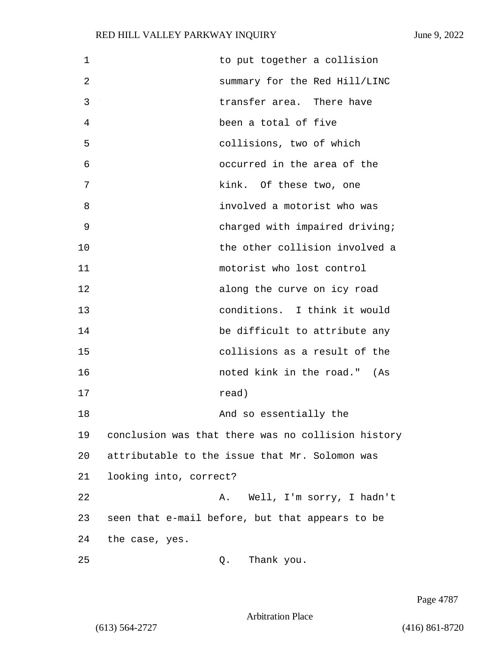| 1  | to put together a collision                        |
|----|----------------------------------------------------|
| 2  | summary for the Red Hill/LINC                      |
| 3  | transfer area. There have                          |
| 4  | been a total of five                               |
| 5  | collisions, two of which                           |
| 6  | occurred in the area of the                        |
| 7  | kink. Of these two, one                            |
| 8  | involved a motorist who was                        |
| 9  | charged with impaired driving;                     |
| 10 | the other collision involved a                     |
| 11 | motorist who lost control                          |
| 12 | along the curve on icy road                        |
| 13 | conditions. I think it would                       |
| 14 | be difficult to attribute any                      |
| 15 | collisions as a result of the                      |
| 16 | noted kink in the road." (As                       |
| 17 | read)                                              |
| 18 | And so essentially the                             |
| 19 | conclusion was that there was no collision history |
| 20 | attributable to the issue that Mr. Solomon was     |
| 21 | looking into, correct?                             |
| 22 | Well, I'm sorry, I hadn't<br>Α.                    |
| 23 | seen that e-mail before, but that appears to be    |
| 24 | the case, yes.                                     |
| 25 | Thank you.<br>Q.                                   |

Page 4787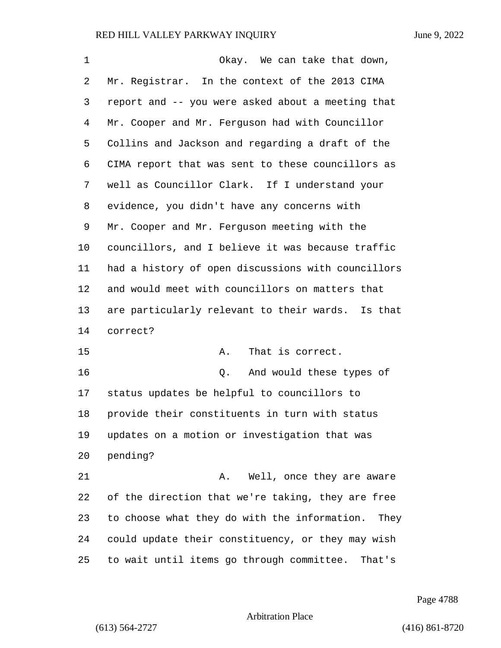| 1  | Okay. We can take that down,                         |
|----|------------------------------------------------------|
| 2  | Mr. Registrar. In the context of the 2013 CIMA       |
| 3  | report and -- you were asked about a meeting that    |
| 4  | Mr. Cooper and Mr. Ferguson had with Councillor      |
| 5  | Collins and Jackson and regarding a draft of the     |
| 6  | CIMA report that was sent to these councillors as    |
| 7  | well as Councillor Clark. If I understand your       |
| 8  | evidence, you didn't have any concerns with          |
| 9  | Mr. Cooper and Mr. Ferguson meeting with the         |
| 10 | councillors, and I believe it was because traffic    |
| 11 | had a history of open discussions with councillors   |
| 12 | and would meet with councillors on matters that      |
| 13 | are particularly relevant to their wards. Is that    |
| 14 | correct?                                             |
| 15 | That is correct.<br>Α.                               |
| 16 | And would these types of<br>Q.                       |
| 17 | status updates be helpful to councillors to          |
| 18 | provide their constituents in turn with status       |
| 19 | updates on a motion or investigation that was        |
| 20 | pending?                                             |
| 21 | Well, once they are aware<br>Α.                      |
| 22 | of the direction that we're taking, they are free    |
| 23 | to choose what they do with the information.<br>They |
| 24 | could update their constituency, or they may wish    |
| 25 | to wait until items go through committee. That's     |

Page 4788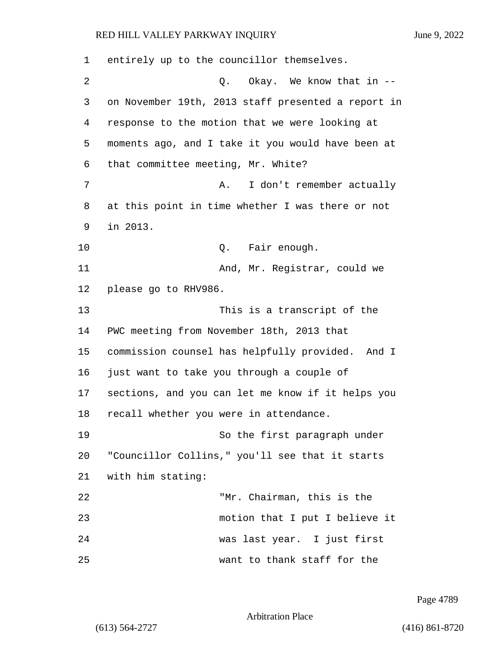| 1  | entirely up to the councillor themselves.          |
|----|----------------------------------------------------|
| 2  | Q. Okay. We know that in --                        |
| 3  | on November 19th, 2013 staff presented a report in |
| 4  | response to the motion that we were looking at     |
| 5  | moments ago, and I take it you would have been at  |
| 6  | that committee meeting, Mr. White?                 |
| 7  | I don't remember actually<br>Α.                    |
| 8  | at this point in time whether I was there or not   |
| 9  | in 2013.                                           |
| 10 | Fair enough.<br>Q.                                 |
| 11 | And, Mr. Registrar, could we                       |
| 12 | please go to RHV986.                               |
| 13 | This is a transcript of the                        |
| 14 | PWC meeting from November 18th, 2013 that          |
| 15 | commission counsel has helpfully provided. And I   |
| 16 | just want to take you through a couple of          |
| 17 | sections, and you can let me know if it helps you  |
| 18 | recall whether you were in attendance.             |
| 19 | So the first paragraph under                       |
| 20 | "Councillor Collins," you'll see that it starts    |
| 21 | with him stating:                                  |
| 22 | "Mr. Chairman, this is the                         |
| 23 | motion that I put I believe it                     |
| 24 | was last year. I just first                        |
| 25 | want to thank staff for the                        |

Page 4789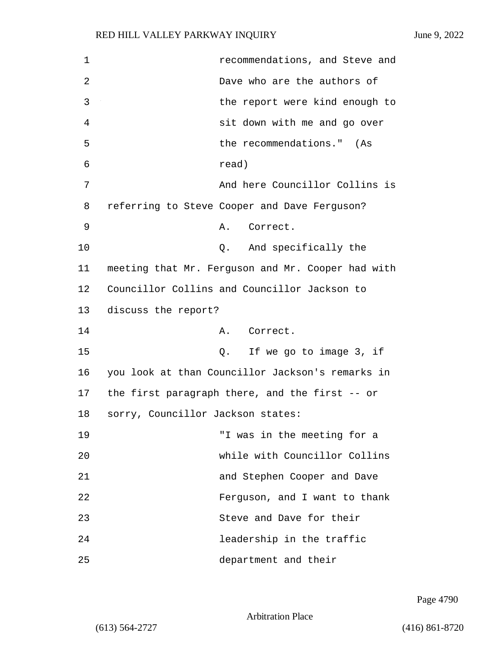| 1  | recommendations, and Steve and                    |
|----|---------------------------------------------------|
| 2  | Dave who are the authors of                       |
| 3  | the report were kind enough to                    |
| 4  | sit down with me and go over                      |
| 5  | the recommendations." (As                         |
| 6  | read)                                             |
| 7  | And here Councillor Collins is                    |
| 8  | referring to Steve Cooper and Dave Ferguson?      |
| 9  | Correct.<br>Α.                                    |
| 10 | Q. And specifically the                           |
| 11 | meeting that Mr. Ferguson and Mr. Cooper had with |
| 12 | Councillor Collins and Councillor Jackson to      |
| 13 | discuss the report?                               |
| 14 | Correct.<br>Α.                                    |
| 15 | If we go to image 3, if<br>Q.                     |
| 16 | you look at than Councillor Jackson's remarks in  |
| 17 | the first paragraph there, and the first -- or    |
| 18 | sorry, Councillor Jackson states:                 |
| 19 | "I was in the meeting for a                       |
| 20 | while with Councillor Collins                     |
| 21 | and Stephen Cooper and Dave                       |
| 22 | Ferguson, and I want to thank                     |
| 23 | Steve and Dave for their                          |
| 24 | leadership in the traffic                         |
| 25 | department and their                              |

Page 4790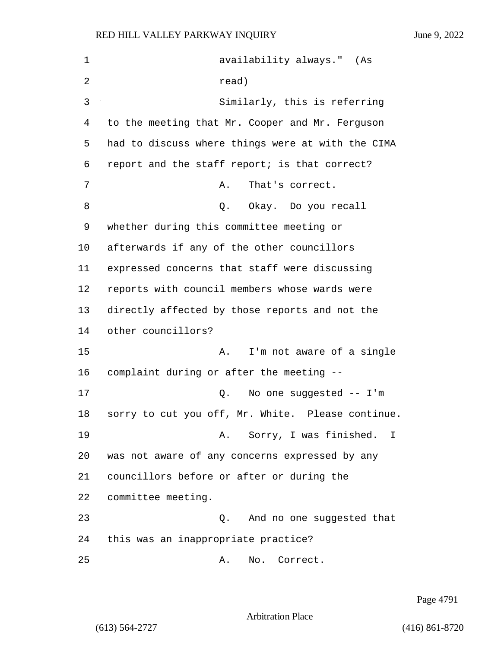| $\mathbf 1$ | availability always." (As                         |
|-------------|---------------------------------------------------|
| 2           | read)                                             |
| 3           | Similarly, this is referring                      |
| 4           | to the meeting that Mr. Cooper and Mr. Ferguson   |
| 5           | had to discuss where things were at with the CIMA |
| 6           | report and the staff report; is that correct?     |
| 7           | That's correct.<br>Α.                             |
| 8           | Q. Okay. Do you recall                            |
| 9           | whether during this committee meeting or          |
| 10          | afterwards if any of the other councillors        |
| 11          | expressed concerns that staff were discussing     |
| 12          | reports with council members whose wards were     |
| 13          | directly affected by those reports and not the    |
| 14          | other councillors?                                |
| 15          | I'm not aware of a single<br>Α.                   |
| 16          | complaint during or after the meeting --          |
| 17          | No one suggested $--$ I'm<br>Q.                   |
| 18          | sorry to cut you off, Mr. White. Please continue. |
| 19          | A. Sorry, I was finished.<br>$\perp$              |
| 20          | was not aware of any concerns expressed by any    |
| 21          | councillors before or after or during the         |
| 22          | committee meeting.                                |
| 23          | And no one suggested that<br>Q.                   |
| 24          | this was an inappropriate practice?               |
| 25          | No. Correct.<br>Α.                                |

Page 4791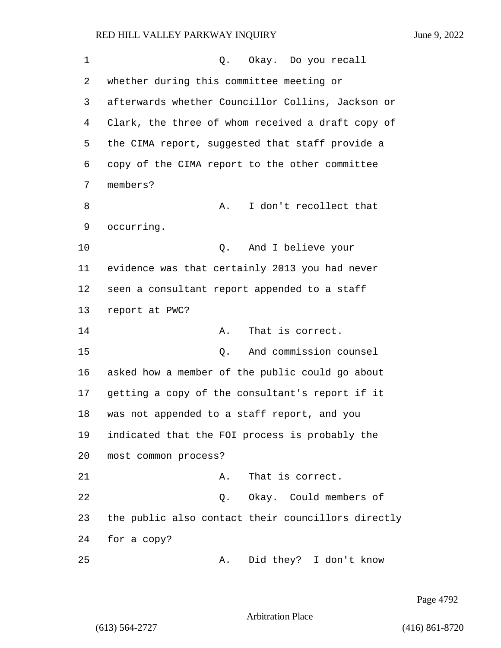| 1  | Q. Okay. Do you recall                             |
|----|----------------------------------------------------|
| 2  | whether during this committee meeting or           |
| 3  | afterwards whether Councillor Collins, Jackson or  |
| 4  | Clark, the three of whom received a draft copy of  |
| 5  | the CIMA report, suggested that staff provide a    |
| 6  | copy of the CIMA report to the other committee     |
| 7  | members?                                           |
| 8  | I don't recollect that<br>Α.                       |
| 9  | occurring.                                         |
| 10 | And I believe your<br>Q.                           |
| 11 | evidence was that certainly 2013 you had never     |
| 12 | seen a consultant report appended to a staff       |
| 13 | report at PWC?                                     |
| 14 | That is correct.<br>Α.                             |
| 15 | And commission counsel<br>Q.                       |
| 16 | asked how a member of the public could go about    |
| 17 | getting a copy of the consultant's report if it    |
| 18 | was not appended to a staff report, and you        |
| 19 | indicated that the FOI process is probably the     |
| 20 | most common process?                               |
| 21 | That is correct.<br>Α.                             |
| 22 | Q. Okay. Could members of                          |
| 23 | the public also contact their councillors directly |
| 24 | for a copy?                                        |
| 25 | Did they? I don't know<br>Α.                       |

Page 4792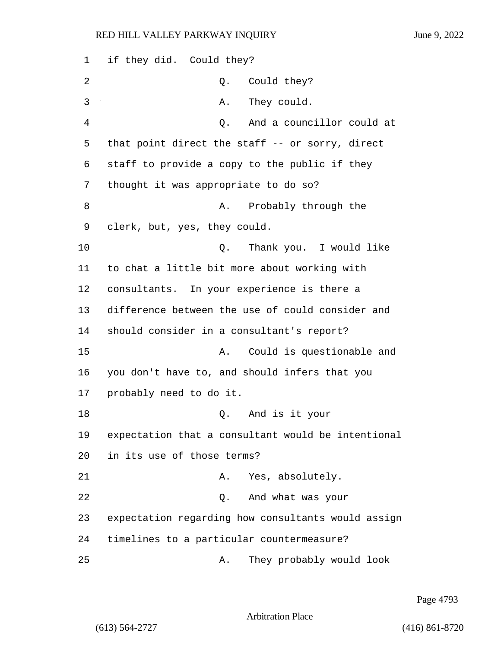| 1  | if they did. Could they?                           |
|----|----------------------------------------------------|
| 2  | Could they?<br>Q.                                  |
| 3  | They could.<br>Α.                                  |
| 4  | And a councillor could at<br>Q.                    |
| 5  | that point direct the staff -- or sorry, direct    |
| 6  | staff to provide a copy to the public if they      |
| 7  | thought it was appropriate to do so?               |
| 8  | Probably through the<br>Α.                         |
| 9  | clerk, but, yes, they could.                       |
| 10 | Thank you. I would like<br>Q.                      |
| 11 | to chat a little bit more about working with       |
| 12 | consultants. In your experience is there a         |
| 13 | difference between the use of could consider and   |
| 14 | should consider in a consultant's report?          |
| 15 | Could is questionable and<br>Α.                    |
| 16 | you don't have to, and should infers that you      |
| 17 | probably need to do it.                            |
| 18 | Q. And is it your                                  |
| 19 | expectation that a consultant would be intentional |
| 20 | in its use of those terms?                         |
| 21 | Yes, absolutely.<br>Α.                             |
| 22 | And what was your<br>Q.                            |
| 23 | expectation regarding how consultants would assign |
| 24 | timelines to a particular countermeasure?          |
| 25 | They probably would look<br>Α.                     |

Page 4793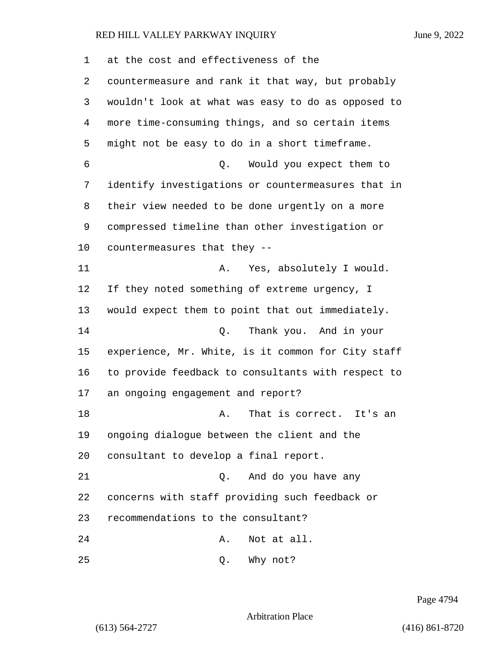| 1  | at the cost and effectiveness of the               |
|----|----------------------------------------------------|
| 2  | countermeasure and rank it that way, but probably  |
| 3  | wouldn't look at what was easy to do as opposed to |
| 4  | more time-consuming things, and so certain items   |
| 5  | might not be easy to do in a short timeframe.      |
| 6  | Q. Would you expect them to                        |
| 7  | identify investigations or countermeasures that in |
| 8  | their view needed to be done urgently on a more    |
| 9  | compressed timeline than other investigation or    |
| 10 | countermeasures that they --                       |
| 11 | Yes, absolutely I would.<br>Α.                     |
| 12 | If they noted something of extreme urgency, I      |
| 13 | would expect them to point that out immediately.   |
| 14 | Thank you. And in your<br>Q.                       |
| 15 | experience, Mr. White, is it common for City staff |
| 16 | to provide feedback to consultants with respect to |
| 17 | an ongoing engagement and report?                  |
| 18 | That is correct.<br>It's an<br>Α.                  |
| 19 | ongoing dialogue between the client and the        |
| 20 | consultant to develop a final report.              |
| 21 | And do you have any<br>О.                          |
| 22 | concerns with staff providing such feedback or     |
| 23 | recommendations to the consultant?                 |
| 24 | Not at all.<br>Α.                                  |
| 25 | Why not?<br>Q.                                     |

Page 4794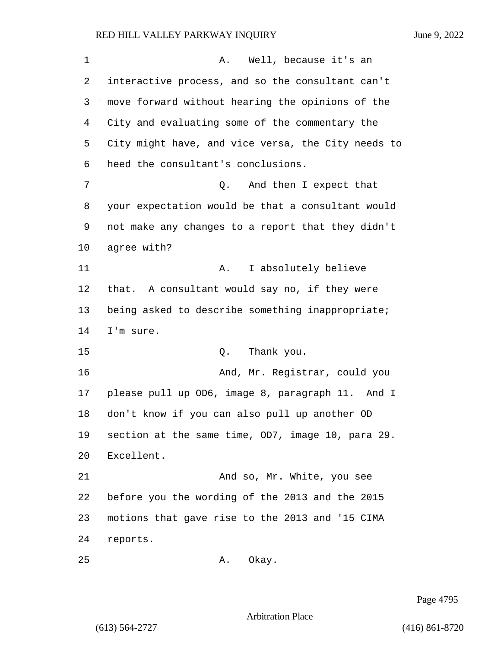1 A. Well, because it's an interactive process, and so the consultant can't move forward without hearing the opinions of the City and evaluating some of the commentary the City might have, and vice versa, the City needs to heed the consultant's conclusions. 7 and then I expect that your expectation would be that a consultant would not make any changes to a report that they didn't agree with? 11 A. I absolutely believe that. A consultant would say no, if they were being asked to describe something inappropriate; I'm sure. 15 C. Thank you. 16 And, Mr. Registrar, could you please pull up OD6, image 8, paragraph 11. And I don't know if you can also pull up another OD section at the same time, OD7, image 10, para 29. Excellent. 21 And so, Mr. White, you see before you the wording of the 2013 and the 2015 motions that gave rise to the 2013 and '15 CIMA reports. 25 A. Okay.

Page 4795

Arbitration Place

(613) 564-2727 (416) 861-8720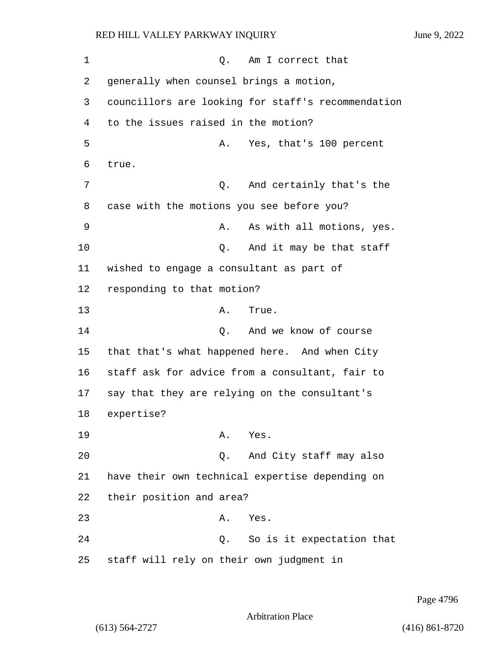1 and 1 Q. Am I correct that 2 generally when counsel brings a motion, 3 councillors are looking for staff's recommendation 4 to the issues raised in the motion? 5 A. Yes, that's 100 percent 6 true. 7 Q. And certainly that's the 8 case with the motions you see before you? 9 A. As with all motions, yes. 10 **Q.** And it may be that staff 11 wished to engage a consultant as part of 12 responding to that motion? 13 A. True. 14 Q. And we know of course 15 that that's what happened here. And when City 16 staff ask for advice from a consultant, fair to 17 say that they are relying on the consultant's 18 expertise? 19 A. Yes. 20 Q. And City staff may also 21 have their own technical expertise depending on 22 their position and area? 23 A. Yes. 24 Q. So is it expectation that 25 staff will rely on their own judgment in

Page 4796

Arbitration Place

(613) 564-2727 (416) 861-8720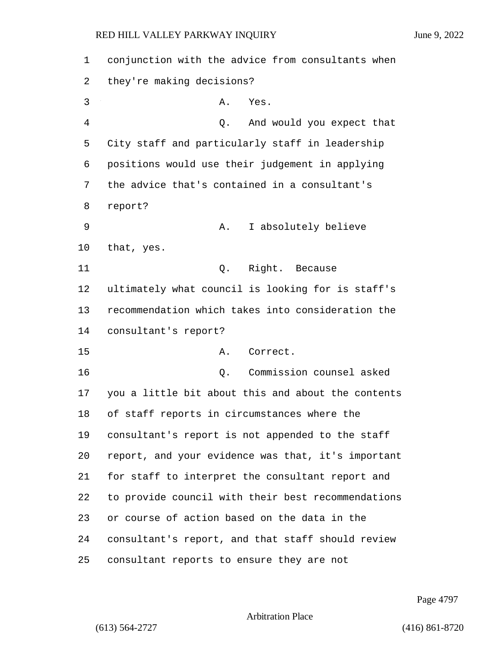conjunction with the advice from consultants when they're making decisions? 3 A. Yes. 4 Q. And would you expect that City staff and particularly staff in leadership positions would use their judgement in applying the advice that's contained in a consultant's report? 9 A. I absolutely believe that, yes. 11 Q. Right. Because ultimately what council is looking for is staff's recommendation which takes into consideration the consultant's report? 15 A. Correct. 16 Q. Commission counsel asked you a little bit about this and about the contents of staff reports in circumstances where the consultant's report is not appended to the staff report, and your evidence was that, it's important for staff to interpret the consultant report and to provide council with their best recommendations or course of action based on the data in the consultant's report, and that staff should review consultant reports to ensure they are not

Page 4797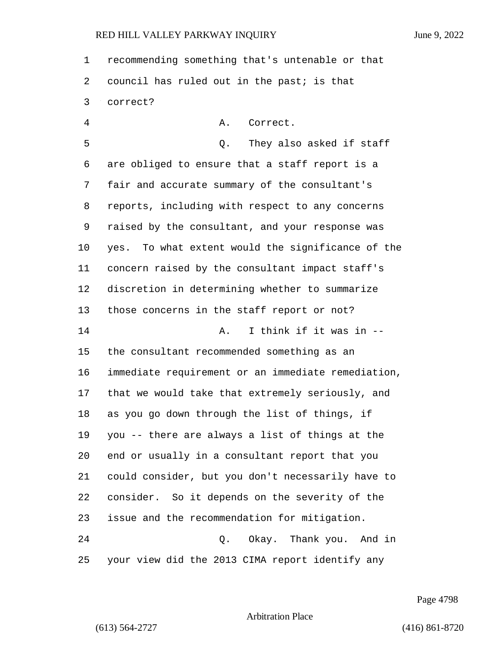recommending something that's untenable or that council has ruled out in the past; is that correct?

4 A. Correct. 5 Q. They also asked if staff are obliged to ensure that a staff report is a fair and accurate summary of the consultant's reports, including with respect to any concerns raised by the consultant, and your response was yes. To what extent would the significance of the concern raised by the consultant impact staff's discretion in determining whether to summarize those concerns in the staff report or not? 14 A. I think if it was in -- the consultant recommended something as an immediate requirement or an immediate remediation, that we would take that extremely seriously, and as you go down through the list of things, if you -- there are always a list of things at the end or usually in a consultant report that you could consider, but you don't necessarily have to consider. So it depends on the severity of the issue and the recommendation for mitigation. 24 Q. Okay. Thank you. And in your view did the 2013 CIMA report identify any

Page 4798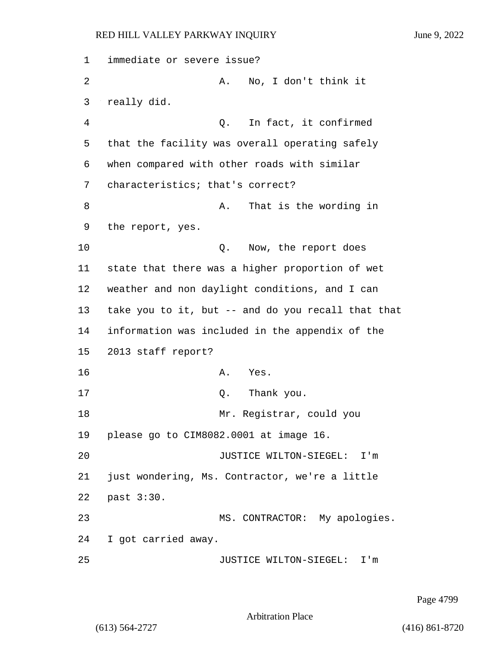| 1  | immediate or severe issue?                            |
|----|-------------------------------------------------------|
| 2  | No, I don't think it<br>Α.                            |
| 3  | really did.                                           |
| 4  | In fact, it confirmed<br>Q.                           |
| 5  | that the facility was overall operating safely        |
| 6  | when compared with other roads with similar           |
| 7  | characteristics; that's correct?                      |
| 8  | That is the wording in<br>Α.                          |
| 9  | the report, yes.                                      |
| 10 | Now, the report does<br>Q.                            |
| 11 | state that there was a higher proportion of wet       |
| 12 | weather and non daylight conditions, and I can        |
| 13 | take you to it, but -- and do you recall that that    |
| 14 | information was included in the appendix of the       |
| 15 | 2013 staff report?                                    |
| 16 | Yes.<br>Α.                                            |
| 17 | Q. Thank you.                                         |
| 18 | Mr. Registrar, could you                              |
| 19 | please go to CIM8082.0001 at image 16.                |
| 20 | JUSTICE WILTON-SIEGEL:<br>I'm                         |
| 21 | just wondering, Ms. Contractor, we're a little        |
| 22 | past 3:30.                                            |
| 23 | MS. CONTRACTOR: My apologies.                         |
| 24 | I got carried away.                                   |
| 25 | JUSTICE WILTON-SIEGEL:<br>$\mathtt{I}$ ' $\mathtt{m}$ |

Page 4799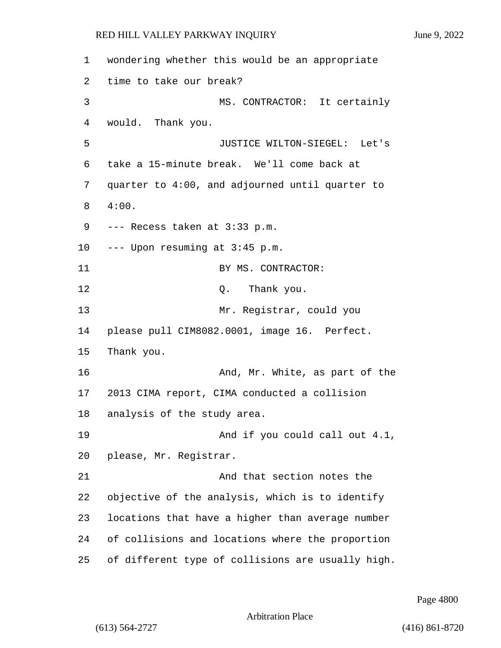wondering whether this would be an appropriate time to take our break? 3 MS. CONTRACTOR: It certainly would. Thank you. 5 JUSTICE WILTON-SIEGEL: Let's take a 15-minute break. We'll come back at quarter to 4:00, and adjourned until quarter to 4:00. --- Recess taken at 3:33 p.m. --- Upon resuming at 3:45 p.m. 11 BY MS. CONTRACTOR: 12 O. Thank you. 13 Mr. Registrar, could you please pull CIM8082.0001, image 16. Perfect. Thank you. **And, Mr. White, as part of the**  2013 CIMA report, CIMA conducted a collision analysis of the study area. 19 And if you could call out 4.1, please, Mr. Registrar. 21 And that section notes the objective of the analysis, which is to identify locations that have a higher than average number of collisions and locations where the proportion of different type of collisions are usually high.

Page 4800

Arbitration Place

(613) 564-2727 (416) 861-8720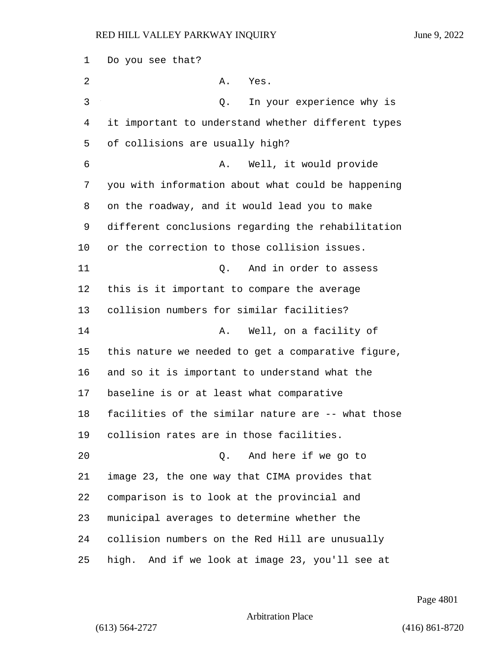| $\mathbf 1$ | Do you see that?                                   |
|-------------|----------------------------------------------------|
| 2           | Α.<br>Yes.                                         |
| 3           | In your experience why is<br>Q.                    |
| 4           | it important to understand whether different types |
| 5           | of collisions are usually high?                    |
| 6           | Well, it would provide<br>Α.                       |
| 7           | you with information about what could be happening |
| 8           | on the roadway, and it would lead you to make      |
| 9           | different conclusions regarding the rehabilitation |
| 10          | or the correction to those collision issues.       |
| 11          | And in order to assess<br>Q.                       |
| 12          | this is it important to compare the average        |
| 13          | collision numbers for similar facilities?          |
| 14          | Well, on a facility of<br>Α.                       |
| 15          | this nature we needed to get a comparative figure, |
| 16          | and so it is important to understand what the      |
| 17          | baseline is or at least what comparative           |
| 18          | facilities of the similar nature are -- what those |
| 19          | collision rates are in those facilities.           |
| 20          | And here if we go to<br>О.                         |
| 21          | image 23, the one way that CIMA provides that      |
| 22          | comparison is to look at the provincial and        |
| 23          | municipal averages to determine whether the        |
| 24          | collision numbers on the Red Hill are unusually    |
| 25          | high. And if we look at image 23, you'll see at    |

Page 4801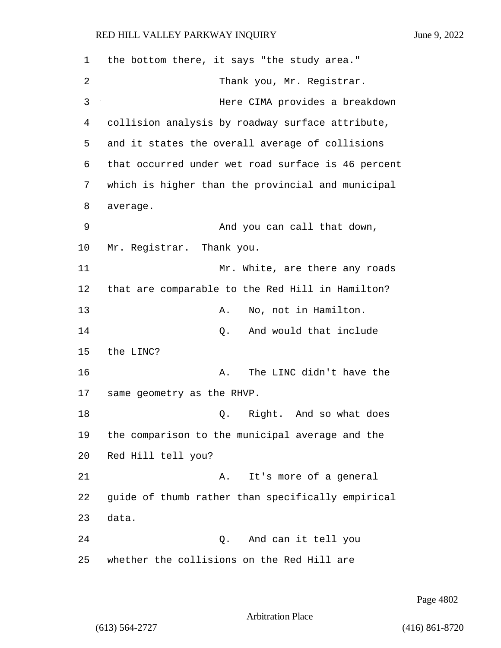1 the bottom there, it says "the study area." 2 Thank you, Mr. Registrar. 3 Here CIMA provides a breakdown 4 collision analysis by roadway surface attribute, 5 and it states the overall average of collisions 6 that occurred under wet road surface is 46 percent 7 which is higher than the provincial and municipal 8 average. 9 And you can call that down, 10 Mr. Registrar. Thank you. 11 Mr. White, are there any roads 12 that are comparable to the Red Hill in Hamilton? 13 A. No, not in Hamilton. 14 C. And would that include 15 the LINC? 16 A. The LINC didn't have the 17 same geometry as the RHVP. 18 and 2. Right. And so what does 19 the comparison to the municipal average and the 20 Red Hill tell you? 21 A. It's more of a general 22 guide of thumb rather than specifically empirical 23 data. 24 Q. And can it tell you 25 whether the collisions on the Red Hill are

Page 4802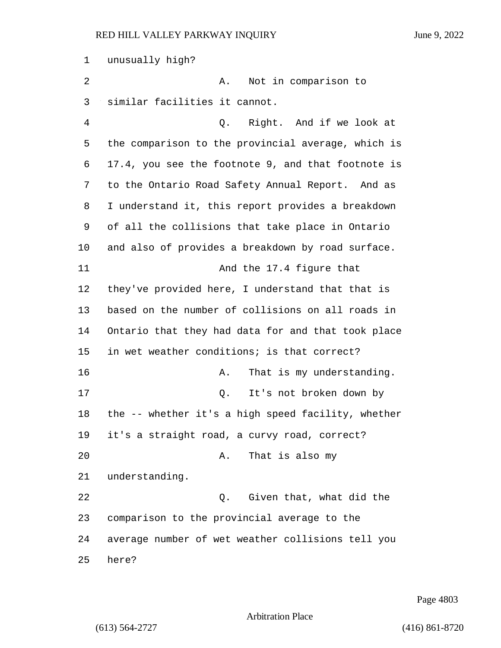unusually high? 2 A. Not in comparison to similar facilities it cannot. 4 Q. Right. And if we look at the comparison to the provincial average, which is 17.4, you see the footnote 9, and that footnote is to the Ontario Road Safety Annual Report. And as I understand it, this report provides a breakdown of all the collisions that take place in Ontario and also of provides a breakdown by road surface. 11 And the 17.4 figure that they've provided here, I understand that that is based on the number of collisions on all roads in Ontario that they had data for and that took place in wet weather conditions; is that correct? 16 A. That is my understanding. 17 Q. It's not broken down by the -- whether it's a high speed facility, whether it's a straight road, a curvy road, correct? 20 A. That is also my understanding. 22 Q. Given that, what did the comparison to the provincial average to the average number of wet weather collisions tell you here?

Page 4803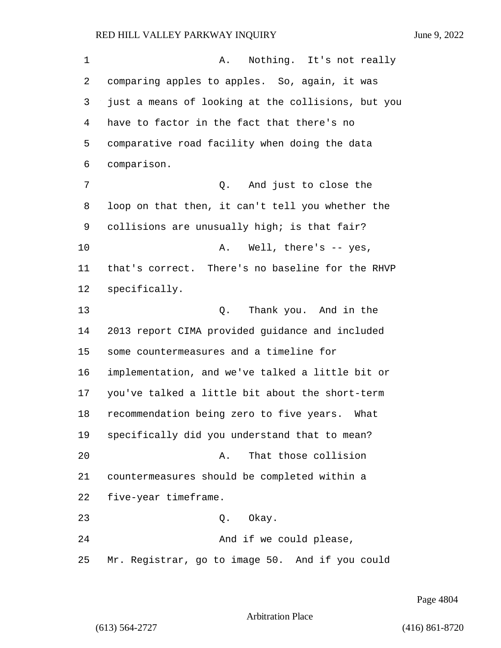1 A. Nothing. It's not really comparing apples to apples. So, again, it was just a means of looking at the collisions, but you have to factor in the fact that there's no comparative road facility when doing the data comparison. 7 Q. And just to close the loop on that then, it can't tell you whether the collisions are unusually high; is that fair? 10 A. Well, there's -- yes, that's correct. There's no baseline for the RHVP specifically. 13 Q. Thank you. And in the 2013 report CIMA provided guidance and included some countermeasures and a timeline for implementation, and we've talked a little bit or you've talked a little bit about the short-term recommendation being zero to five years. What specifically did you understand that to mean? **A.** That those collision countermeasures should be completed within a five-year timeframe. 23 Q. Okay. 24 And if we could please, Mr. Registrar, go to image 50. And if you could

Page 4804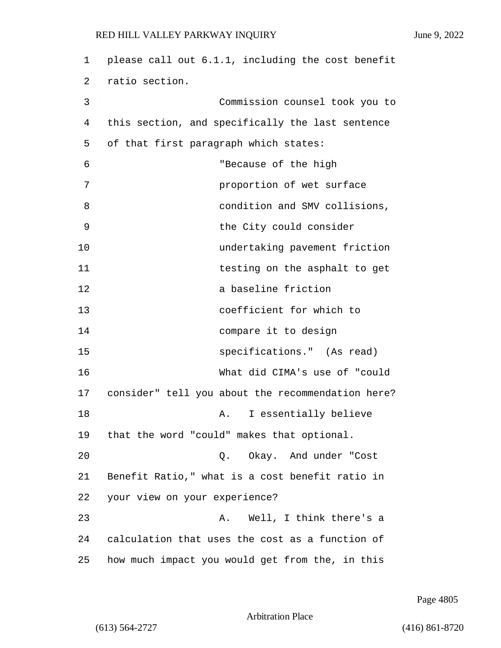| 1  | please call out 6.1.1, including the cost benefit |
|----|---------------------------------------------------|
| 2  | ratio section.                                    |
| 3  | Commission counsel took you to                    |
| 4  | this section, and specifically the last sentence  |
| 5  | of that first paragraph which states:             |
| 6  | "Because of the high                              |
| 7  | proportion of wet surface                         |
| 8  | condition and SMV collisions,                     |
| 9  | the City could consider                           |
| 10 | undertaking pavement friction                     |
| 11 | testing on the asphalt to get                     |
| 12 | a baseline friction                               |
| 13 | coefficient for which to                          |
| 14 | compare it to design                              |
| 15 | specifications." (As read)                        |
| 16 | What did CIMA's use of "could                     |
| 17 | consider" tell you about the recommendation here? |
| 18 | I essentially believe<br>Α.                       |
| 19 | that the word "could" makes that optional.        |
| 20 | Q. Okay. And under "Cost                          |
| 21 | Benefit Ratio," what is a cost benefit ratio in   |
| 22 | your view on your experience?                     |
| 23 | Well, I think there's a<br>Α.                     |
| 24 | calculation that uses the cost as a function of   |
| 25 | how much impact you would get from the, in this   |

Page 4805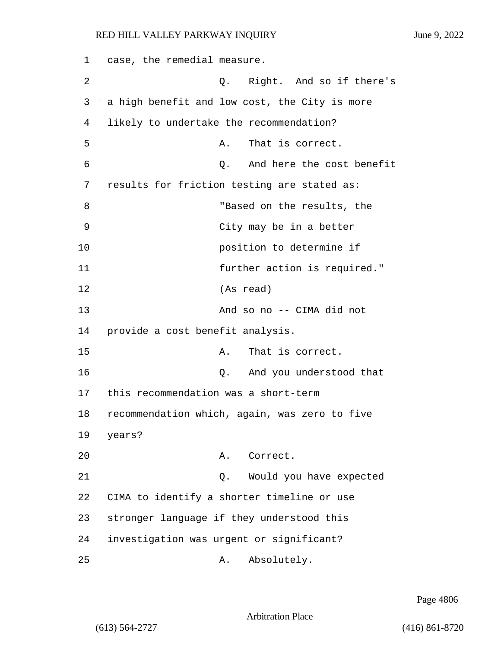1 case, the remedial measure. 2 Q. Right. And so if there's 3 a high benefit and low cost, the City is more 4 likely to undertake the recommendation? 5 A. That is correct. 6 Q. And here the cost benefit 7 results for friction testing are stated as: 8 TBased on the results, the 9 City may be in a better 10 position to determine if 11 further action is required." 12 (As read) 13 And so no -- CIMA did not 14 provide a cost benefit analysis. 15 A. That is correct. 16 Q. And you understood that 17 this recommendation was a short-term 18 recommendation which, again, was zero to five 19 years? 20 A. Correct. 21 Q. Would you have expected 22 CIMA to identify a shorter timeline or use 23 stronger language if they understood this 24 investigation was urgent or significant? 25 A. Absolutely.

Page 4806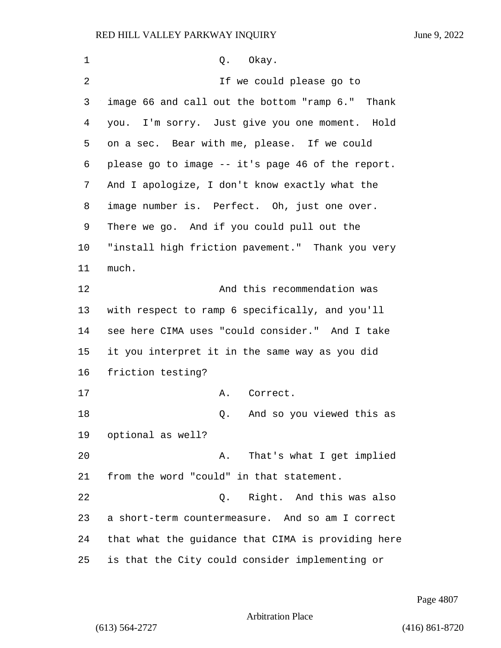1 0. Okay. 2 If we could please go to image 66 and call out the bottom "ramp 6." Thank you. I'm sorry. Just give you one moment. Hold on a sec. Bear with me, please. If we could please go to image -- it's page 46 of the report. And I apologize, I don't know exactly what the image number is. Perfect. Oh, just one over. There we go. And if you could pull out the "install high friction pavement." Thank you very much. 12 And this recommendation was with respect to ramp 6 specifically, and you'll see here CIMA uses "could consider." And I take it you interpret it in the same way as you did friction testing? 17 A. Correct. 18 as the contract of the contract of the contract of the contract of the contract of the contract of the contract of the contract of the contract of the contract of the contract of the contract of the contract of the cont optional as well? 20 A. That's what I get implied from the word "could" in that statement. 22 Q. Right. And this was also a short-term countermeasure. And so am I correct that what the guidance that CIMA is providing here is that the City could consider implementing or

Page 4807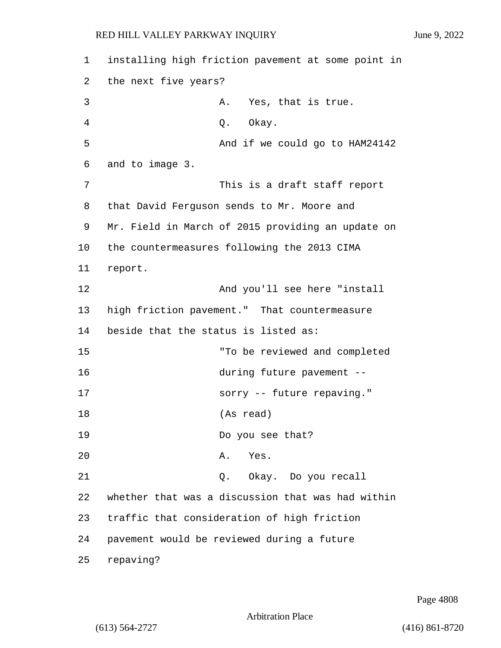1 installing high friction pavement at some point in 2 the next five years? 3 A. Yes, that is true. 4 Q. Okay. 5 And if we could go to HAM24142 6 and to image 3. 7 This is a draft staff report 8 that David Ferguson sends to Mr. Moore and 9 Mr. Field in March of 2015 providing an update on 10 the countermeasures following the 2013 CIMA 11 report. 12 **And you'll see here "install** 13 high friction pavement." That countermeasure 14 beside that the status is listed as: 15 "To be reviewed and completed 16 during future pavement -- 17 sorry -- future repaving." 18 (As read) 19 Do you see that? 20 A. Yes. 21 Q. Okay. Do you recall 22 whether that was a discussion that was had within 23 traffic that consideration of high friction 24 pavement would be reviewed during a future 25 repaving?

Page 4808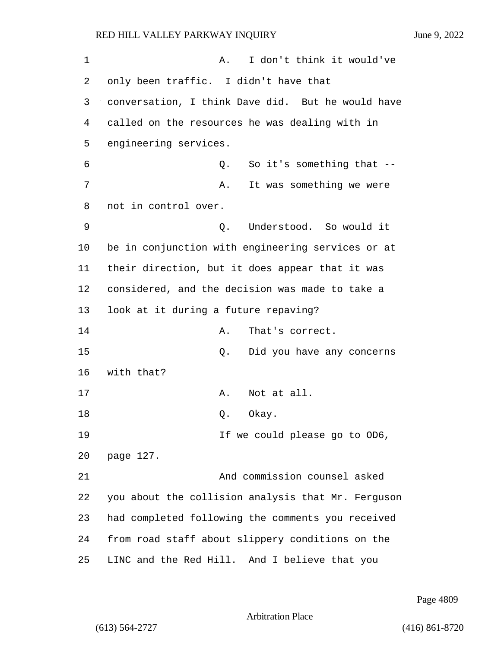1 A. I don't think it would've only been traffic. I didn't have that conversation, I think Dave did. But he would have called on the resources he was dealing with in engineering services. 6 Q. So it's something that -- 7 A. It was something we were not in control over. 9 Q. Understood. So would it be in conjunction with engineering services or at their direction, but it does appear that it was considered, and the decision was made to take a look at it during a future repaving? 14 A. That's correct. 15 Q. Did you have any concerns with that? 17 A. Not at all. 18 Q. Okay. **If we could please go to OD6,**  page 127. 21 And commission counsel asked you about the collision analysis that Mr. Ferguson had completed following the comments you received from road staff about slippery conditions on the LINC and the Red Hill. And I believe that you

Page 4809

```
Arbitration Place
```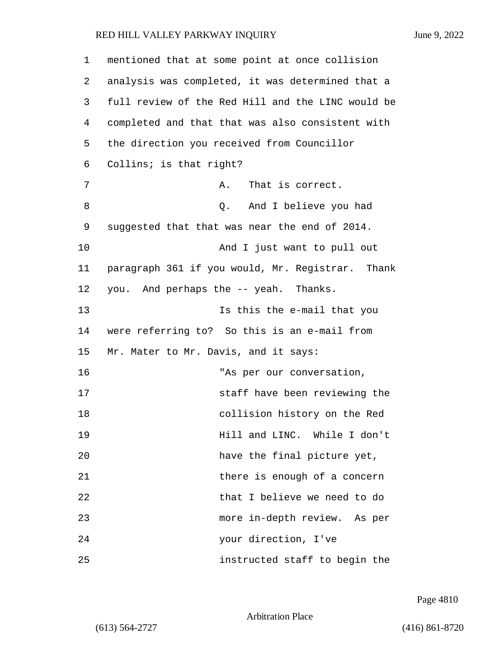1 mentioned that at some point at once collision 2 analysis was completed, it was determined that a 3 full review of the Red Hill and the LINC would be 4 completed and that that was also consistent with 5 the direction you received from Councillor 6 Collins; is that right? 7 A. That is correct. 8 and I believe you had 9 suggested that that was near the end of 2014. 10 And I just want to pull out 11 paragraph 361 if you would, Mr. Registrar. Thank 12 you. And perhaps the -- yeah. Thanks. 13 Is this the e-mail that you 14 were referring to? So this is an e-mail from 15 Mr. Mater to Mr. Davis, and it says: 16 The Manus of the Manus of the Manus of the Manus of the Manus of the Manus of the Manus of the Manus of the Manus of the Manus of the Manus of the Manus of the Manus of the Manus of the Manus of the Manus of the Manus o 17 staff have been reviewing the 18 collision history on the Red 19 Hill and LINC. While I don't 20 have the final picture yet, 21 and there is enough of a concern 22 that I believe we need to do 23 more in-depth review. As per 24 your direction, I've 25 instructed staff to begin the

Page 4810

Arbitration Place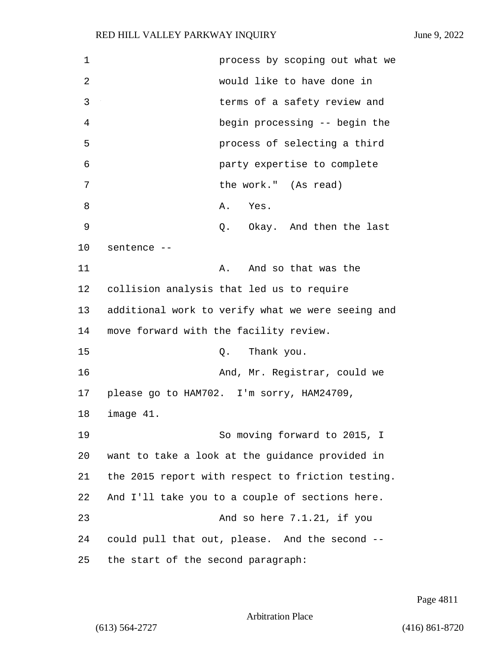| 1  | process by scoping out what we                    |
|----|---------------------------------------------------|
| 2  | would like to have done in                        |
| 3  | terms of a safety review and                      |
| 4  | begin processing -- begin the                     |
| 5  | process of selecting a third                      |
| 6  | party expertise to complete                       |
| 7  | the work." (As read)                              |
| 8  | Α.<br>Yes.                                        |
| 9  | Q. Okay. And then the last                        |
| 10 | sentence --                                       |
| 11 | And so that was the<br>Α.                         |
| 12 | collision analysis that led us to require         |
| 13 | additional work to verify what we were seeing and |
| 14 | move forward with the facility review.            |
| 15 | Thank you.<br>Q.                                  |
| 16 | And, Mr. Registrar, could we                      |
| 17 | please go to HAM702. I'm sorry, HAM24709,         |
| 18 | image 41.                                         |
| 19 | So moving forward to 2015, I                      |
| 20 | want to take a look at the guidance provided in   |
| 21 | the 2015 report with respect to friction testing. |
| 22 | And I'll take you to a couple of sections here.   |
| 23 | And so here 7.1.21, if you                        |
| 24 | could pull that out, please. And the second --    |
| 25 | the start of the second paragraph:                |

Page 4811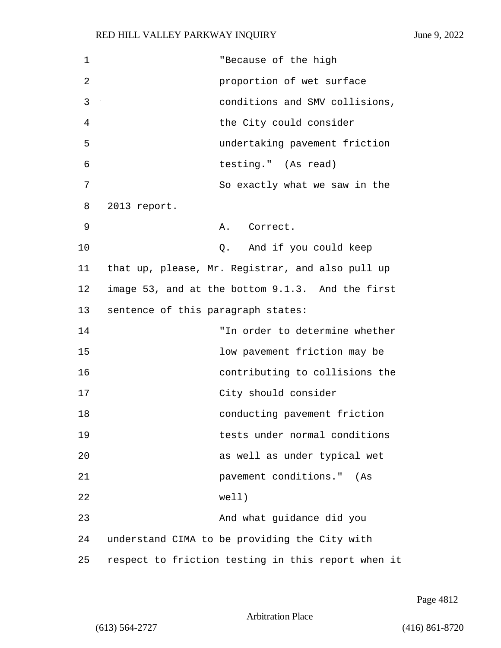| 1  | "Because of the high                               |
|----|----------------------------------------------------|
| 2  | proportion of wet surface                          |
| 3  | conditions and SMV collisions,                     |
| 4  | the City could consider                            |
| 5  | undertaking pavement friction                      |
| 6  | testing." (As read)                                |
| 7  | So exactly what we saw in the                      |
| 8  | 2013 report.                                       |
| 9  | A. Correct.                                        |
| 10 | Q. And if you could keep                           |
| 11 | that up, please, Mr. Registrar, and also pull up   |
| 12 | image 53, and at the bottom 9.1.3. And the first   |
| 13 | sentence of this paragraph states:                 |
| 14 | "In order to determine whether                     |
| 15 | low pavement friction may be                       |
| 16 | contributing to collisions the                     |
| 17 | City should consider                               |
| 18 | conducting pavement friction                       |
| 19 | tests under normal conditions                      |
| 20 | as well as under typical wet                       |
| 21 | pavement conditions." (As                          |
| 22 | well)                                              |
| 23 | And what guidance did you                          |
| 24 | understand CIMA to be providing the City with      |
| 25 | respect to friction testing in this report when it |

Page 4812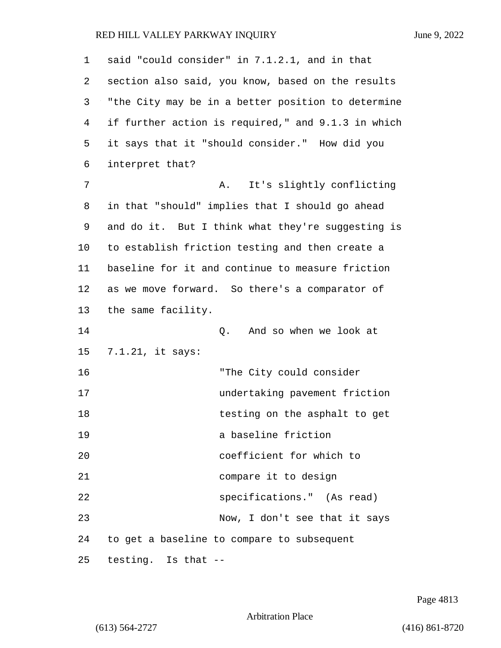| 1              | said "could consider" in 7.1.2.1, and in that      |
|----------------|----------------------------------------------------|
| 2              | section also said, you know, based on the results  |
| 3              | "the City may be in a better position to determine |
| $\overline{4}$ | if further action is required," and 9.1.3 in which |
| 5              | it says that it "should consider." How did you     |
| 6              | interpret that?                                    |
| 7              | It's slightly conflicting<br>Α.                    |
| 8              | in that "should" implies that I should go ahead    |
| 9              | and do it. But I think what they're suggesting is  |
| 10             | to establish friction testing and then create a    |
| 11             | baseline for it and continue to measure friction   |
| 12             | as we move forward. So there's a comparator of     |
| 13             | the same facility.                                 |
| 14             | Q. And so when we look at                          |
| 15             | 7.1.21, it says:                                   |
| 16             | "The City could consider                           |
| 17             | undertaking pavement friction                      |
| 18             | testing on the asphalt to get                      |
| 19             | a baseline friction                                |
| 20             | coefficient for which to                           |
| 21             | compare it to design                               |
| 22             | specifications." (As read)                         |
| 23             | Now, I don't see that it says                      |
| 24             | to get a baseline to compare to subsequent         |
| 25             | testing. Is that --                                |

Page 4813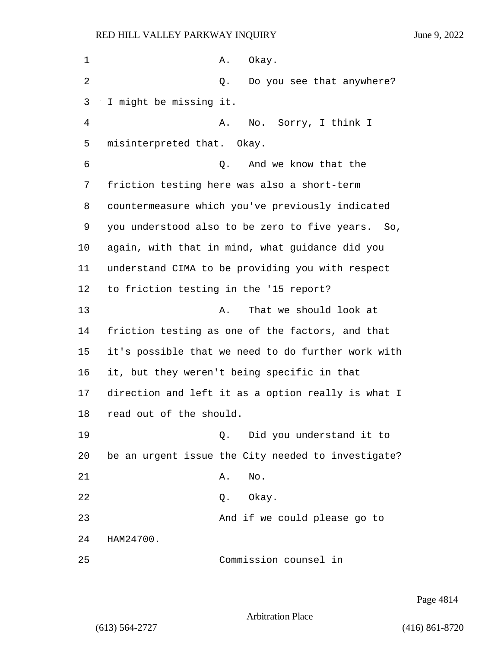| $\mathbf 1$ | Α.<br>Okay.                                          |
|-------------|------------------------------------------------------|
| 2           | Do you see that anywhere?<br>Q.                      |
| 3           | I might be missing it.                               |
| 4           | No. Sorry, I think I<br>Α.                           |
| 5           | misinterpreted that. Okay.                           |
| 6           | And we know that the<br>Q.                           |
| 7           | friction testing here was also a short-term          |
| 8           | countermeasure which you've previously indicated     |
| 9           | you understood also to be zero to five years.<br>So, |
| 10          | again, with that in mind, what guidance did you      |
| 11          | understand CIMA to be providing you with respect     |
| 12          | to friction testing in the '15 report?               |
| 13          | That we should look at<br>Α.                         |
| 14          | friction testing as one of the factors, and that     |
| 15          | it's possible that we need to do further work with   |
| 16          | it, but they weren't being specific in that          |
| 17          | direction and left it as a option really is what I   |
| 18          | read out of the should.                              |
| 19          | Did you understand it to<br>Q.                       |
| 20          | be an urgent issue the City needed to investigate?   |
| 21          | No.<br>Α.                                            |
| 22          | Okay.<br>Q.                                          |
| 23          | And if we could please go to                         |
| 24          | HAM24700.                                            |
| 25          | Commission counsel in                                |

Page 4814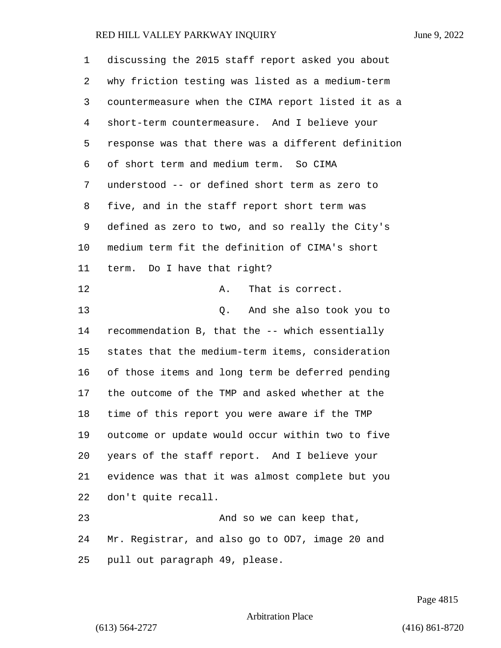discussing the 2015 staff report asked you about why friction testing was listed as a medium-term countermeasure when the CIMA report listed it as a short-term countermeasure. And I believe your response was that there was a different definition of short term and medium term. So CIMA understood -- or defined short term as zero to five, and in the staff report short term was defined as zero to two, and so really the City's medium term fit the definition of CIMA's short term. Do I have that right? 12 A. That is correct. 13 Q. And she also took you to recommendation B, that the -- which essentially states that the medium-term items, consideration of those items and long term be deferred pending the outcome of the TMP and asked whether at the time of this report you were aware if the TMP outcome or update would occur within two to five years of the staff report. And I believe your evidence was that it was almost complete but you don't quite recall.

23 And so we can keep that, Mr. Registrar, and also go to OD7, image 20 and pull out paragraph 49, please.

Page 4815

Arbitration Place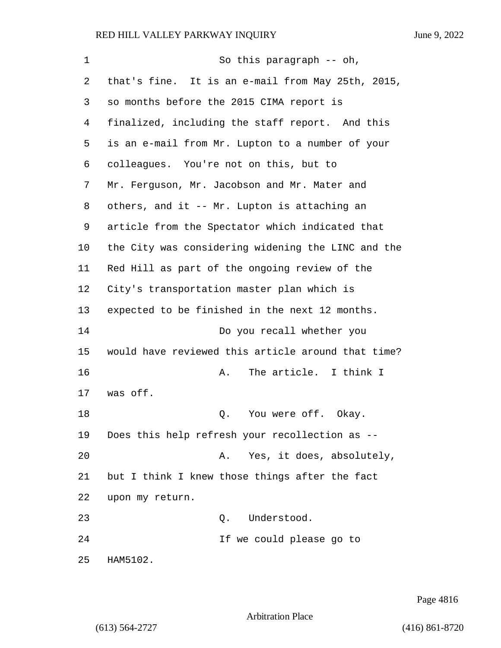1 So this paragraph -- oh, that's fine. It is an e-mail from May 25th, 2015, so months before the 2015 CIMA report is finalized, including the staff report. And this is an e-mail from Mr. Lupton to a number of your colleagues. You're not on this, but to Mr. Ferguson, Mr. Jacobson and Mr. Mater and others, and it -- Mr. Lupton is attaching an article from the Spectator which indicated that the City was considering widening the LINC and the Red Hill as part of the ongoing review of the City's transportation master plan which is expected to be finished in the next 12 months. 14 Do you recall whether you would have reviewed this article around that time? **A.** The article. I think I was off. 18 Q. You were off. Okay. Does this help refresh your recollection as -- 20 A. Yes, it does, absolutely, but I think I knew those things after the fact upon my return. 23 O. Understood. 24 If we could please go to HAM5102.

Page 4816

Arbitration Place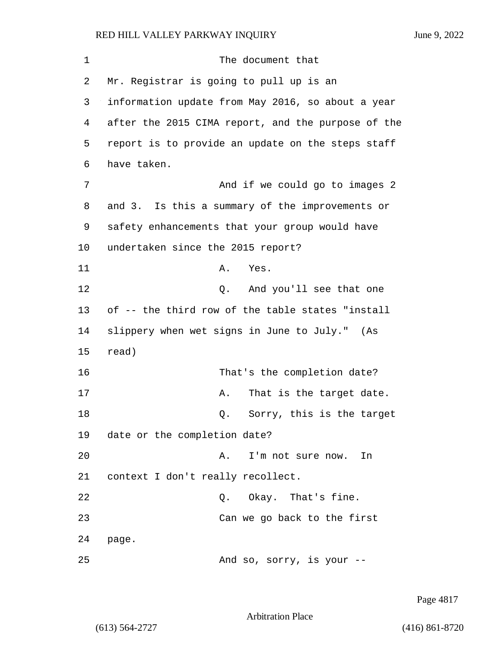| 1  | The document that                                  |
|----|----------------------------------------------------|
| 2  | Mr. Registrar is going to pull up is an            |
| 3  | information update from May 2016, so about a year  |
| 4  | after the 2015 CIMA report, and the purpose of the |
| 5  | report is to provide an update on the steps staff  |
| 6  | have taken.                                        |
| 7  | And if we could go to images 2                     |
| 8  | and 3. Is this a summary of the improvements or    |
| 9  | safety enhancements that your group would have     |
| 10 | undertaken since the 2015 report?                  |
| 11 | Α.<br>Yes.                                         |
| 12 | And you'll see that one<br>Q.                      |
| 13 | of -- the third row of the table states "install   |
| 14 | slippery when wet signs in June to July." (As      |
| 15 | read)                                              |
| 16 | That's the completion date?                        |
| 17 | That is the target date.<br>Α.                     |
| 18 | Sorry, this is the target<br>Q.                    |
| 19 | date or the completion date?                       |
| 20 | I'm not sure now. In<br>Α.                         |
| 21 | context I don't really recollect.                  |
| 22 | Q. Okay. That's fine.                              |
| 23 | Can we go back to the first                        |
| 24 | page.                                              |
| 25 | And so, sorry, is your --                          |

Page 4817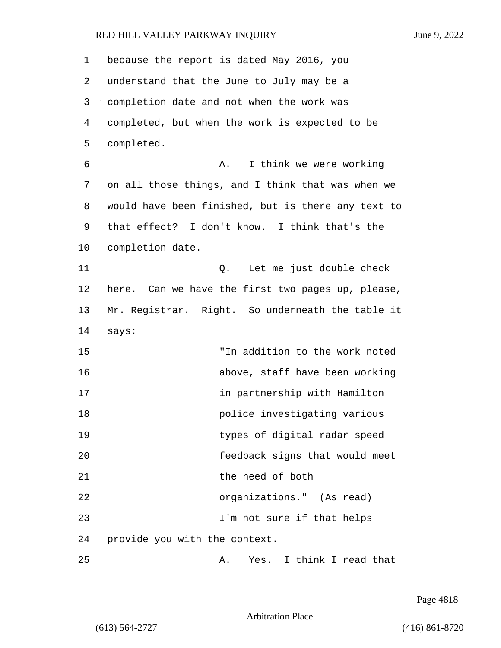| 1  | because the report is dated May 2016, you          |
|----|----------------------------------------------------|
| 2  | understand that the June to July may be a          |
| 3  | completion date and not when the work was          |
| 4  | completed, but when the work is expected to be     |
| 5  | completed.                                         |
| 6  | I think we were working<br>Α.                      |
| 7  | on all those things, and I think that was when we  |
| 8  | would have been finished, but is there any text to |
| 9  | that effect? I don't know. I think that's the      |
| 10 | completion date.                                   |
| 11 | Let me just double check<br>Q.                     |
| 12 | here. Can we have the first two pages up, please,  |
| 13 | Mr. Registrar. Right. So underneath the table it   |
| 14 | says:                                              |
| 15 | "In addition to the work noted                     |
| 16 | above, staff have been working                     |
| 17 | in partnership with Hamilton                       |
| 18 | police investigating various                       |
| 19 | types of digital radar speed                       |
| 20 | feedback signs that would meet                     |
| 21 | the need of both                                   |
| 22 | organizations." (As read)                          |
| 23 | I'm not sure if that helps                         |
| 24 | provide you with the context.                      |
| 25 | Yes. I think I read that<br>Α.                     |

Page 4818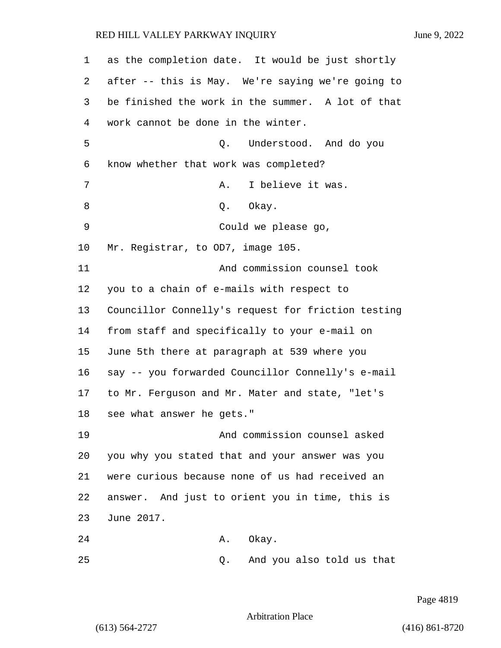| 1  | as the completion date. It would be just shortly   |
|----|----------------------------------------------------|
| 2  | after -- this is May. We're saying we're going to  |
| 3  | be finished the work in the summer. A lot of that  |
| 4  | work cannot be done in the winter.                 |
| 5  | Understood. And do you<br>Q.                       |
| 6  | know whether that work was completed?              |
| 7  | I believe it was.<br>Α.                            |
| 8  | Okay.<br>Q.                                        |
| 9  | Could we please go,                                |
| 10 | Mr. Registrar, to OD7, image 105.                  |
| 11 | And commission counsel took                        |
| 12 | you to a chain of e-mails with respect to          |
| 13 | Councillor Connelly's request for friction testing |
| 14 | from staff and specifically to your e-mail on      |
| 15 | June 5th there at paragraph at 539 where you       |
| 16 | say -- you forwarded Councillor Connelly's e-mail  |
| 17 | to Mr. Ferguson and Mr. Mater and state, "let's    |
| 18 | see what answer he gets."                          |
| 19 | And commission counsel asked                       |
| 20 | you why you stated that and your answer was you    |
| 21 | were curious because none of us had received an    |
| 22 | answer. And just to orient you in time, this is    |
| 23 | June 2017.                                         |
| 24 | Okay.<br>Α.                                        |
| 25 | And you also told us that<br>Q.                    |

Page 4819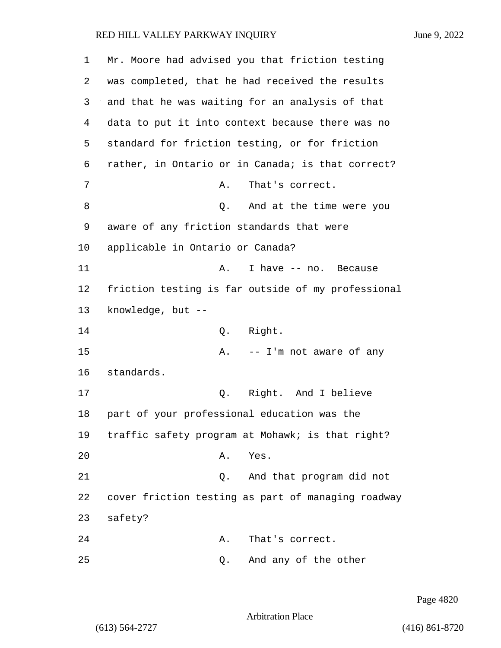1 Mr. Moore had advised you that friction testing 2 was completed, that he had received the results 3 and that he was waiting for an analysis of that 4 data to put it into context because there was no 5 standard for friction testing, or for friction 6 rather, in Ontario or in Canada; is that correct? 7 A. That's correct. 8 Q. And at the time were you 9 aware of any friction standards that were 10 applicable in Ontario or Canada? 11 A. I have -- no. Because 12 friction testing is far outside of my professional 13 knowledge, but -- 14 Q. Right. 15 A. -- I'm not aware of any 16 standards. 17 Q. Right. And I believe 18 part of your professional education was the 19 traffic safety program at Mohawk; is that right? 20 A. Yes. 21 Q. And that program did not 22 cover friction testing as part of managing roadway 23 safety? 24 A. That's correct. 25 Q. And any of the other

Page 4820

Arbitration Place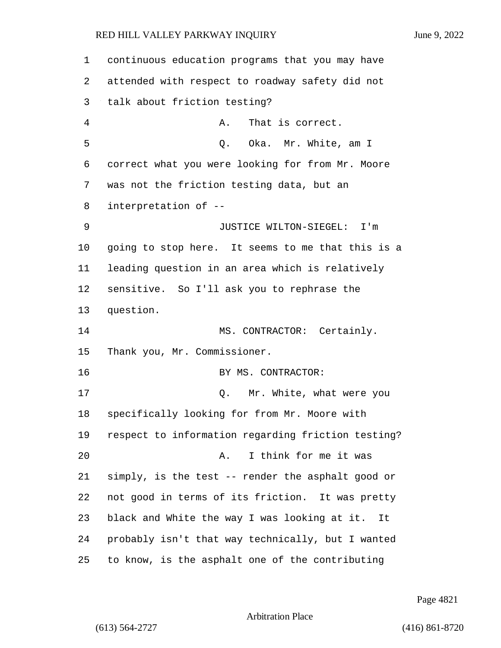continuous education programs that you may have attended with respect to roadway safety did not talk about friction testing? 4 A. That is correct. 5 Q. Oka. Mr. White, am I correct what you were looking for from Mr. Moore was not the friction testing data, but an interpretation of -- 9 JUSTICE WILTON-SIEGEL: I'm going to stop here. It seems to me that this is a leading question in an area which is relatively sensitive. So I'll ask you to rephrase the question. 14 MS. CONTRACTOR: Certainly. Thank you, Mr. Commissioner. 16 BY MS. CONTRACTOR: 17 C. Mr. White, what were you specifically looking for from Mr. Moore with respect to information regarding friction testing? 20 A. I think for me it was simply, is the test -- render the asphalt good or not good in terms of its friction. It was pretty black and White the way I was looking at it. It probably isn't that way technically, but I wanted to know, is the asphalt one of the contributing

Page 4821

Arbitration Place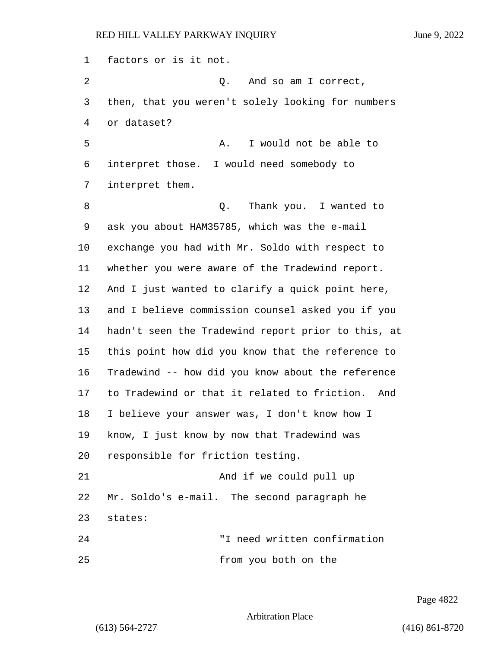factors or is it not.

2 Q. And so am I correct, then, that you weren't solely looking for numbers or dataset? 5 A. I would not be able to interpret those. I would need somebody to interpret them. 8 a Q. Thank you. I wanted to ask you about HAM35785, which was the e-mail exchange you had with Mr. Soldo with respect to whether you were aware of the Tradewind report. And I just wanted to clarify a quick point here, and I believe commission counsel asked you if you hadn't seen the Tradewind report prior to this, at this point how did you know that the reference to Tradewind -- how did you know about the reference to Tradewind or that it related to friction. And I believe your answer was, I don't know how I know, I just know by now that Tradewind was responsible for friction testing. 21 And if we could pull up Mr. Soldo's e-mail. The second paragraph he states: 24 "I need written confirmation

25 from you both on the

Page 4822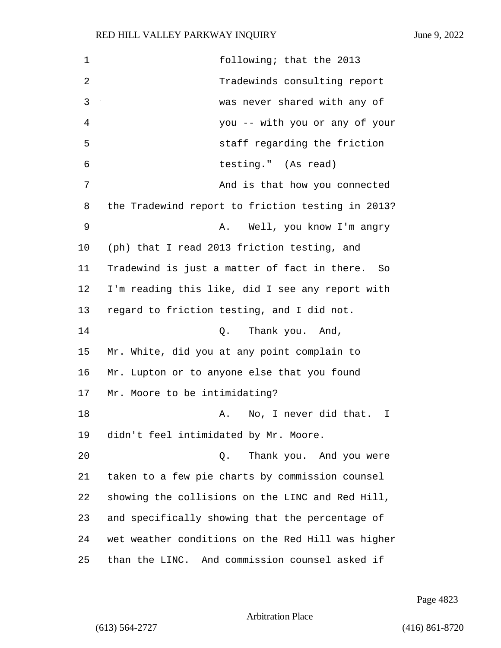1 following; that the 2013 2 Tradewinds consulting report 3 was never shared with any of 4 you -- with you or any of your 5 staff regarding the friction 6 testing." (As read) 7 And is that how you connected 8 the Tradewind report to friction testing in 2013? 9 A. Well, you know I'm angry 10 (ph) that I read 2013 friction testing, and 11 Tradewind is just a matter of fact in there. So 12 I'm reading this like, did I see any report with 13 regard to friction testing, and I did not. 14 Q. Thank you. And, 15 Mr. White, did you at any point complain to 16 Mr. Lupton or to anyone else that you found 17 Mr. Moore to be intimidating? 18 A. No, I never did that. I 19 didn't feel intimidated by Mr. Moore. 20 Q. Thank you. And you were 21 taken to a few pie charts by commission counsel 22 showing the collisions on the LINC and Red Hill, 23 and specifically showing that the percentage of 24 wet weather conditions on the Red Hill was higher 25 than the LINC. And commission counsel asked if

Page 4823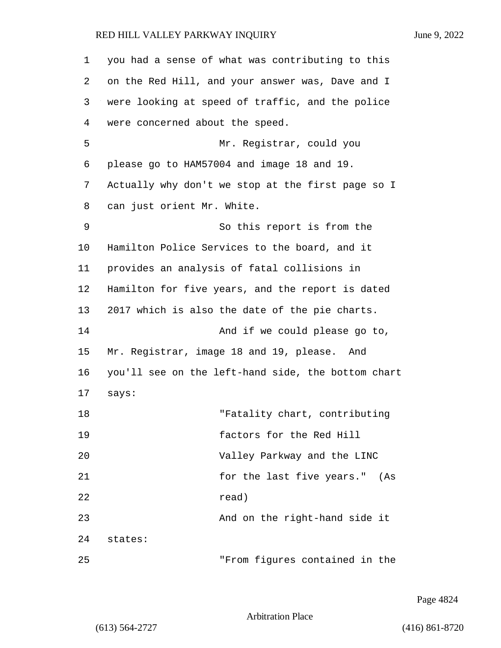| 1  | you had a sense of what was contributing to this   |
|----|----------------------------------------------------|
| 2  | on the Red Hill, and your answer was, Dave and I   |
| 3  | were looking at speed of traffic, and the police   |
| 4  | were concerned about the speed.                    |
| 5  | Mr. Registrar, could you                           |
| 6  | please go to HAM57004 and image 18 and 19.         |
| 7  | Actually why don't we stop at the first page so I  |
| 8  | can just orient Mr. White.                         |
| 9  | So this report is from the                         |
| 10 | Hamilton Police Services to the board, and it      |
| 11 | provides an analysis of fatal collisions in        |
| 12 | Hamilton for five years, and the report is dated   |
| 13 | 2017 which is also the date of the pie charts.     |
| 14 | And if we could please go to,                      |
| 15 | Mr. Registrar, image 18 and 19, please. And        |
| 16 | you'll see on the left-hand side, the bottom chart |
| 17 | says:                                              |
| 18 | "Fatality chart, contributing                      |
| 19 | factors for the Red Hill                           |
| 20 | Valley Parkway and the LINC                        |
| 21 | for the last five years." (As                      |
| 22 | read)                                              |
| 23 | And on the right-hand side it                      |
| 24 | states:                                            |
| 25 | "From figures contained in the                     |

Page 4824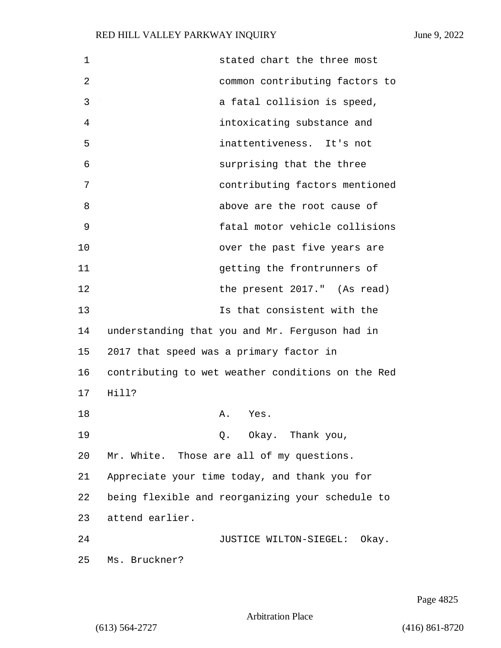| $\mathbf 1$ | stated chart the three most                       |
|-------------|---------------------------------------------------|
| 2           | common contributing factors to                    |
| 3           | a fatal collision is speed,                       |
| 4           | intoxicating substance and                        |
| 5           | inattentiveness. It's not                         |
| 6           | surprising that the three                         |
| 7           | contributing factors mentioned                    |
| 8           | above are the root cause of                       |
| 9           | fatal motor vehicle collisions                    |
| 10          | over the past five years are                      |
| 11          | getting the frontrunners of                       |
| 12          | the present 2017." (As read)                      |
| 13          | Is that consistent with the                       |
| 14          | understanding that you and Mr. Ferguson had in    |
| 15          | 2017 that speed was a primary factor in           |
| 16          | contributing to wet weather conditions on the Red |
| 17          | Hill?                                             |
| 18          | Α.<br>Yes.                                        |
| 19          | Q. Okay. Thank you,                               |
| 20          | Mr. White. Those are all of my questions.         |
| 21          | Appreciate your time today, and thank you for     |
| 22          | being flexible and reorganizing your schedule to  |
| 23          | attend earlier.                                   |
| 24          | JUSTICE WILTON-SIEGEL: Okay.                      |
| 25          | Ms. Bruckner?                                     |
|             |                                                   |

Page 4825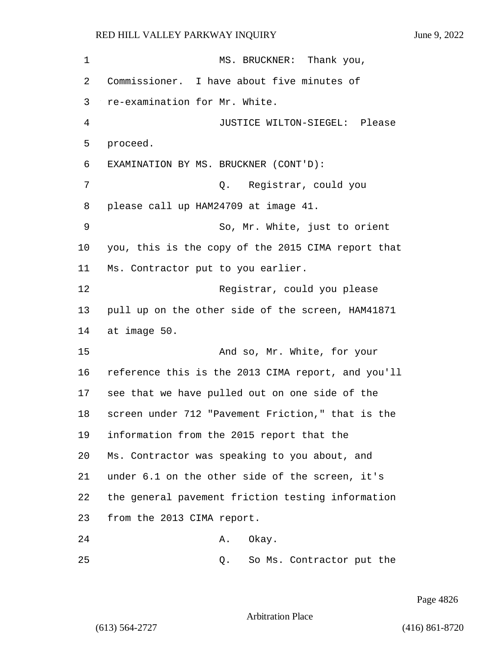1 MS. BRUCKNER: Thank you, Commissioner. I have about five minutes of re-examination for Mr. White. 4 JUSTICE WILTON-SIEGEL: Please 5 proceed. EXAMINATION BY MS. BRUCKNER (CONT'D): 7 Q. Registrar, could you please call up HAM24709 at image 41. 9 So, Mr. White, just to orient you, this is the copy of the 2015 CIMA report that Ms. Contractor put to you earlier. 12 Registrar, could you please pull up on the other side of the screen, HAM41871 at image 50. 15 And so, Mr. White, for your reference this is the 2013 CIMA report, and you'll see that we have pulled out on one side of the screen under 712 "Pavement Friction," that is the information from the 2015 report that the Ms. Contractor was speaking to you about, and under 6.1 on the other side of the screen, it's the general pavement friction testing information from the 2013 CIMA report. 24 A. Okay.

25 Q. So Ms. Contractor put the

Page 4826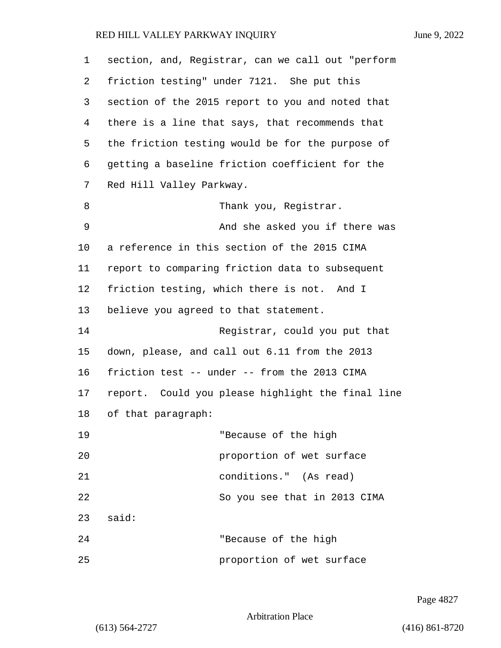| 1  | section, and, Registrar, can we call out "perform |
|----|---------------------------------------------------|
| 2  | friction testing" under 7121. She put this        |
| 3  | section of the 2015 report to you and noted that  |
| 4  | there is a line that says, that recommends that   |
| 5  | the friction testing would be for the purpose of  |
| 6  | getting a baseline friction coefficient for the   |
| 7  | Red Hill Valley Parkway.                          |
| 8  | Thank you, Registrar.                             |
| 9  | And she asked you if there was                    |
| 10 | a reference in this section of the 2015 CIMA      |
| 11 | report to comparing friction data to subsequent   |
| 12 | friction testing, which there is not. And I       |
| 13 | believe you agreed to that statement.             |
| 14 | Registrar, could you put that                     |
| 15 | down, please, and call out 6.11 from the 2013     |
| 16 | friction test -- under -- from the 2013 CIMA      |
| 17 | report. Could you please highlight the final line |
| 18 | of that paragraph:                                |
| 19 | "Because of the high                              |
| 20 | proportion of wet surface                         |
| 21 | conditions." (As read)                            |
| 22 | So you see that in 2013 CIMA                      |
| 23 | said:                                             |
| 24 | "Because of the high                              |
| 25 | proportion of wet surface                         |

Page 4827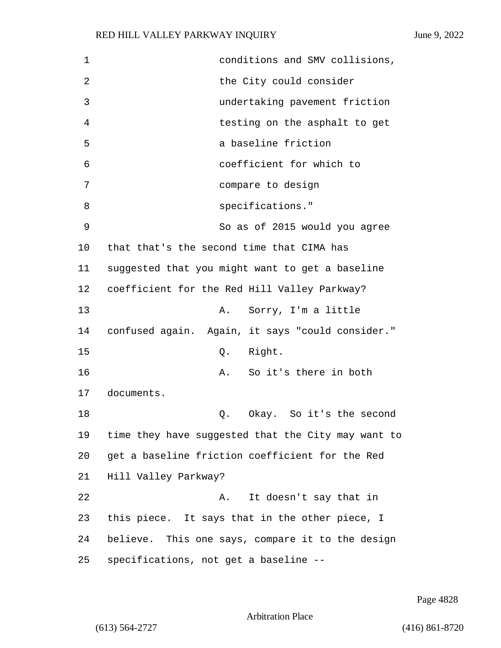| $\mathbf 1$ | conditions and SMV collisions,                     |
|-------------|----------------------------------------------------|
| 2           | the City could consider                            |
| 3           | undertaking pavement friction                      |
| 4           | testing on the asphalt to get                      |
| 5           | a baseline friction                                |
| 6           | coefficient for which to                           |
| 7           | compare to design                                  |
| 8           | specifications."                                   |
| 9           | So as of 2015 would you agree                      |
| 10          | that that's the second time that CIMA has          |
| 11          | suggested that you might want to get a baseline    |
| 12          | coefficient for the Red Hill Valley Parkway?       |
| 13          | Sorry, I'm a little<br>Α.                          |
| 14          | confused again. Again, it says "could consider."   |
| 15          | Right.<br>Q.                                       |
| 16          | So it's there in both<br>Α.                        |
| 17          | documents.                                         |
| 18          | Okay. So it's the second<br>Q.                     |
| 19          | time they have suggested that the City may want to |
| 20          | get a baseline friction coefficient for the Red    |
| 21          | Hill Valley Parkway?                               |
| 22          | It doesn't say that in<br>Α.                       |
| 23          | this piece. It says that in the other piece, I     |
| 24          | believe. This one says, compare it to the design   |
| 25          | specifications, not get a baseline --              |

Page 4828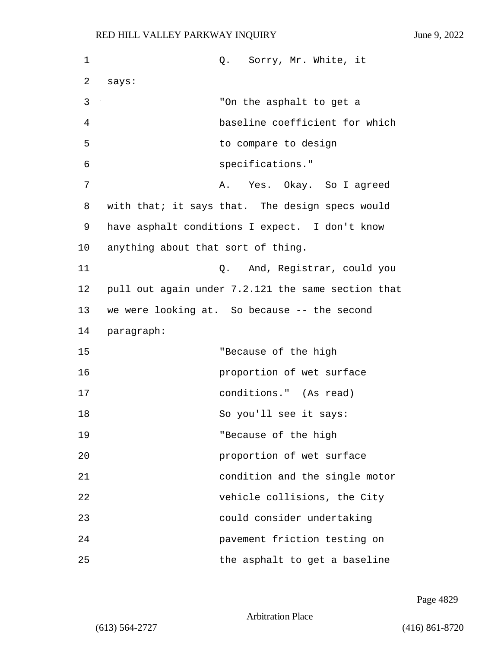| 1  | Q. Sorry, Mr. White, it                            |
|----|----------------------------------------------------|
| 2  | says:                                              |
| 3  | "On the asphalt to get a                           |
| 4  | baseline coefficient for which                     |
| 5  | to compare to design                               |
| 6  | specifications."                                   |
| 7  | Yes. Okay. So I agreed<br>Α.                       |
| 8  | with that; it says that. The design specs would    |
| 9  | have asphalt conditions I expect. I don't know     |
| 10 | anything about that sort of thing.                 |
| 11 | Q. And, Registrar, could you                       |
| 12 | pull out again under 7.2.121 the same section that |
| 13 | we were looking at. So because -- the second       |
| 14 | paragraph:                                         |
| 15 | "Because of the high                               |
| 16 | proportion of wet surface                          |
| 17 | conditions." (As read)                             |
| 18 | So you'll see it says:                             |
| 19 | "Because of the high                               |
| 20 | proportion of wet surface                          |
| 21 | condition and the single motor                     |
| 22 | vehicle collisions, the City                       |
| 23 | could consider undertaking                         |
| 24 | pavement friction testing on                       |
| 25 | the asphalt to get a baseline                      |

Page 4829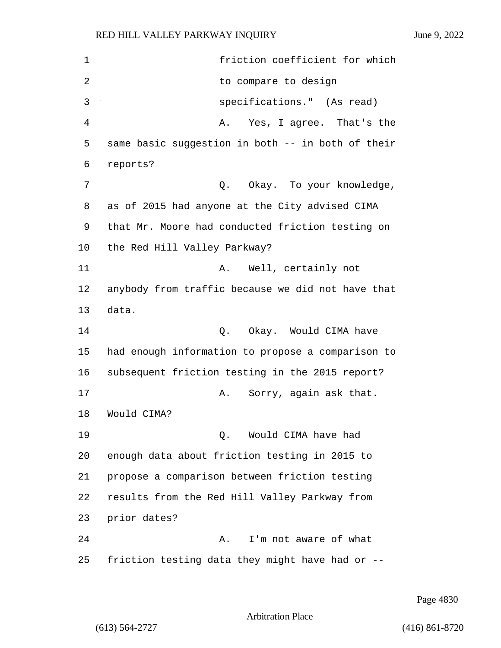1 friction coefficient for which 2 to compare to design 3 specifications." (As read) 4 A. Yes, I agree. That's the 5 same basic suggestion in both -- in both of their 6 reports? 7 C. O. Okay. To your knowledge, 8 as of 2015 had anyone at the City advised CIMA 9 that Mr. Moore had conducted friction testing on 10 the Red Hill Valley Parkway? 11 A. Well, certainly not 12 anybody from traffic because we did not have that 13 data. 14 Q. Okay. Would CIMA have 15 had enough information to propose a comparison to 16 subsequent friction testing in the 2015 report? 17 A. Sorry, again ask that. 18 Would CIMA? 19 Q. Would CIMA have had 20 enough data about friction testing in 2015 to 21 propose a comparison between friction testing 22 results from the Red Hill Valley Parkway from 23 prior dates? 24 A. I'm not aware of what 25 friction testing data they might have had or --

Page 4830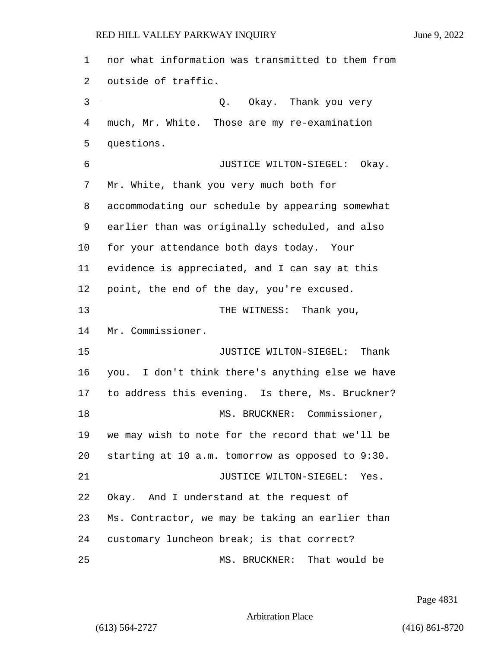nor what information was transmitted to them from outside of traffic. 3 Q. Okay. Thank you very much, Mr. White. Those are my re-examination questions. 6 JUSTICE WILTON-SIEGEL: Okay. Mr. White, thank you very much both for accommodating our schedule by appearing somewhat earlier than was originally scheduled, and also for your attendance both days today. Your evidence is appreciated, and I can say at this point, the end of the day, you're excused. 13 THE WITNESS: Thank you, Mr. Commissioner. 15 JUSTICE WILTON-SIEGEL: Thank you. I don't think there's anything else we have to address this evening. Is there, Ms. Bruckner? 18 MS. BRUCKNER: Commissioner, we may wish to note for the record that we'll be starting at 10 a.m. tomorrow as opposed to 9:30. **JUSTICE WILTON-SIEGEL:** Yes. Okay. And I understand at the request of Ms. Contractor, we may be taking an earlier than customary luncheon break; is that correct? 25 MS. BRUCKNER: That would be

Page 4831